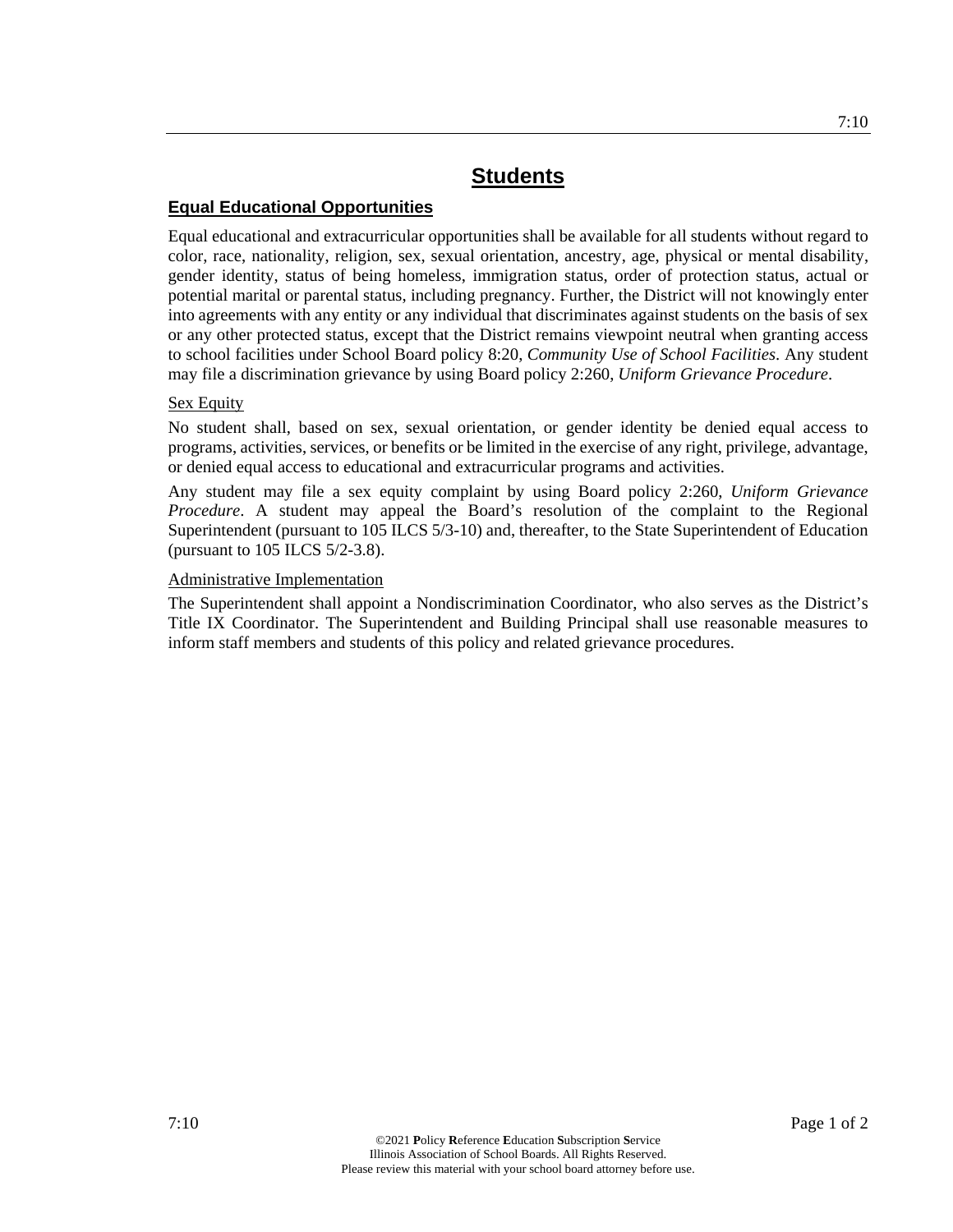## **Equal Educational Opportunities**

Equal educational and extracurricular opportunities shall be available for all students without regard to color, race, nationality, religion, sex, sexual orientation, ancestry, age, physical or mental disability, gender identity, status of being homeless, immigration status, order of protection status, actual or potential marital or parental status, including pregnancy. Further, the District will not knowingly enter into agreements with any entity or any individual that discriminates against students on the basis of sex or any other protected status, except that the District remains viewpoint neutral when granting access to school facilities under School Board policy 8:20, *Community Use of School Facilities*. Any student may file a discrimination grievance by using Board policy 2:260, *Uniform Grievance Procedure*.

## Sex Equity

No student shall, based on sex, sexual orientation, or gender identity be denied equal access to programs, activities, services, or benefits or be limited in the exercise of any right, privilege, advantage, or denied equal access to educational and extracurricular programs and activities.

Any student may file a sex equity complaint by using Board policy 2:260, *Uniform Grievance Procedure*. A student may appeal the Board's resolution of the complaint to the Regional Superintendent (pursuant to 105 ILCS 5/3-10) and, thereafter, to the State Superintendent of Education (pursuant to 105 ILCS 5/2-3.8).

## Administrative Implementation

The Superintendent shall appoint a Nondiscrimination Coordinator, who also serves as the District's Title IX Coordinator. The Superintendent and Building Principal shall use reasonable measures to inform staff members and students of this policy and related grievance procedures.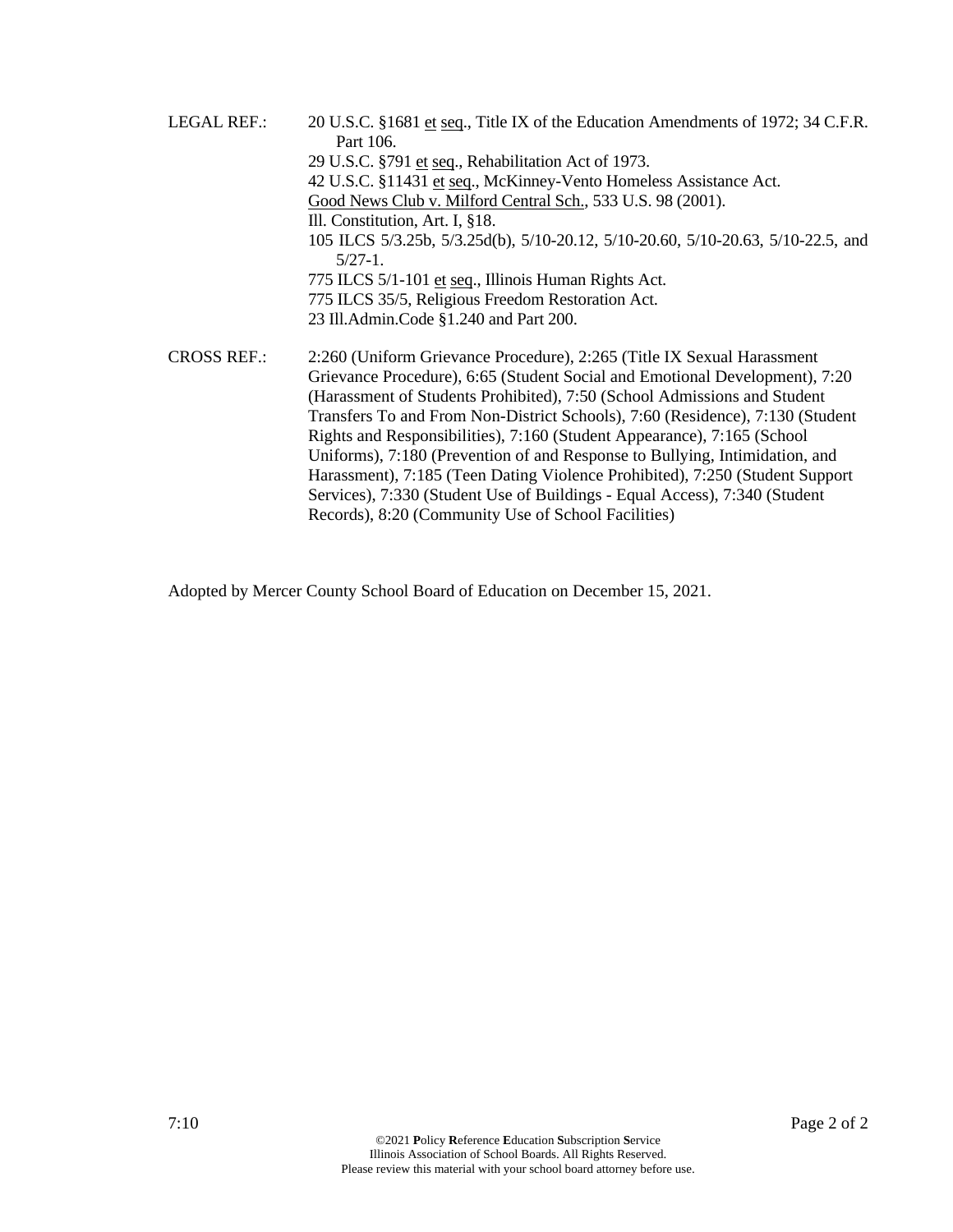LEGAL REF.: 20 U.S.C. §1681 et seq., Title IX of the Education Amendments of 1972; 34 C.F.R. Part 106. 29 U.S.C. §791 et seq., Rehabilitation Act of 1973. 42 U.S.C. §11431 et seq., McKinney-Vento Homeless Assistance Act. Good News Club v. Milford Central Sch., 533 U.S. 98 (2001). Ill. Constitution, Art. I, §18. 105 ILCS 5/3.25b, 5/3.25d(b), 5/10-20.12, 5/10-20.60, 5/10-20.63, 5/10-22.5, and 5/27-1. 775 ILCS 5/1-101 et seq., Illinois Human Rights Act. 775 ILCS 35/5, Religious Freedom Restoration Act. 23 Ill.Admin.Code §1.240 and Part 200. CROSS REF.: 2:260 (Uniform Grievance Procedure), 2:265 (Title IX Sexual Harassment Grievance Procedure), 6:65 (Student Social and Emotional Development), 7:20 (Harassment of Students Prohibited), 7:50 (School Admissions and Student Transfers To and From Non-District Schools), 7:60 (Residence), 7:130 (Student Rights and Responsibilities), 7:160 (Student Appearance), 7:165 (School Uniforms), 7:180 (Prevention of and Response to Bullying, Intimidation, and Harassment), 7:185 (Teen Dating Violence Prohibited), 7:250 (Student Support

Services), 7:330 (Student Use of Buildings - Equal Access), 7:340 (Student

Adopted by Mercer County School Board of Education on December 15, 2021.

Records), 8:20 (Community Use of School Facilities)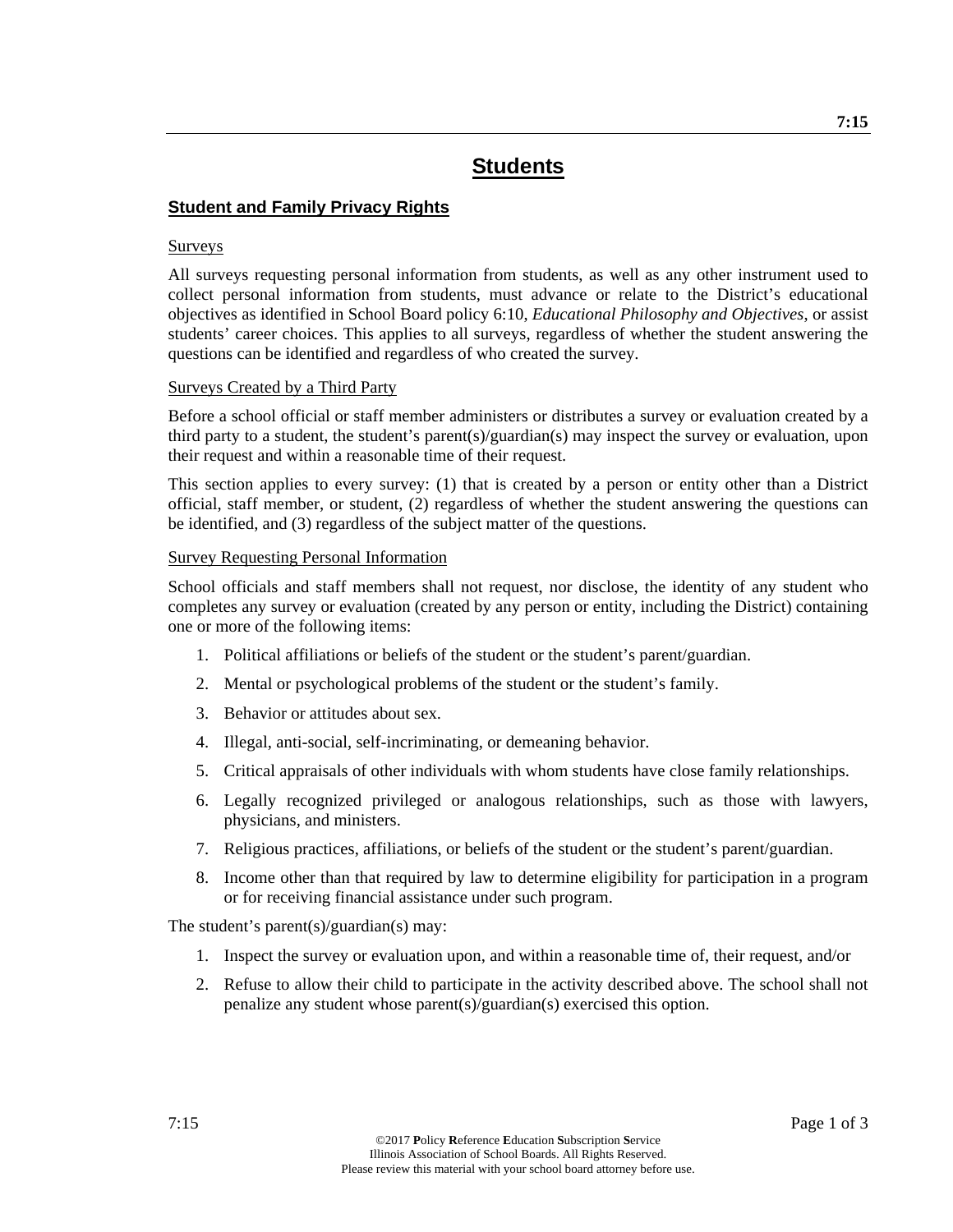## **Student and Family Privacy Rights**

#### Surveys

All surveys requesting personal information from students, as well as any other instrument used to collect personal information from students, must advance or relate to the District's educational objectives as identified in School Board policy 6:10, *Educational Philosophy and Objectives*, or assist students' career choices. This applies to all surveys, regardless of whether the student answering the questions can be identified and regardless of who created the survey.

#### Surveys Created by a Third Party

Before a school official or staff member administers or distributes a survey or evaluation created by a third party to a student, the student's parent(s)/guardian(s) may inspect the survey or evaluation, upon their request and within a reasonable time of their request.

This section applies to every survey: (1) that is created by a person or entity other than a District official, staff member, or student, (2) regardless of whether the student answering the questions can be identified, and (3) regardless of the subject matter of the questions.

#### Survey Requesting Personal Information

School officials and staff members shall not request, nor disclose, the identity of any student who completes any survey or evaluation (created by any person or entity, including the District) containing one or more of the following items:

- 1. Political affiliations or beliefs of the student or the student's parent/guardian.
- 2. Mental or psychological problems of the student or the student's family.
- 3. Behavior or attitudes about sex.
- 4. Illegal, anti-social, self-incriminating, or demeaning behavior.
- 5. Critical appraisals of other individuals with whom students have close family relationships.
- 6. Legally recognized privileged or analogous relationships, such as those with lawyers, physicians, and ministers.
- 7. Religious practices, affiliations, or beliefs of the student or the student's parent/guardian.
- 8. Income other than that required by law to determine eligibility for participation in a program or for receiving financial assistance under such program.

The student's parent(s)/guardian(s) may:

- 1. Inspect the survey or evaluation upon, and within a reasonable time of, their request, and/or
- 2. Refuse to allow their child to participate in the activity described above. The school shall not penalize any student whose parent(s)/guardian(s) exercised this option.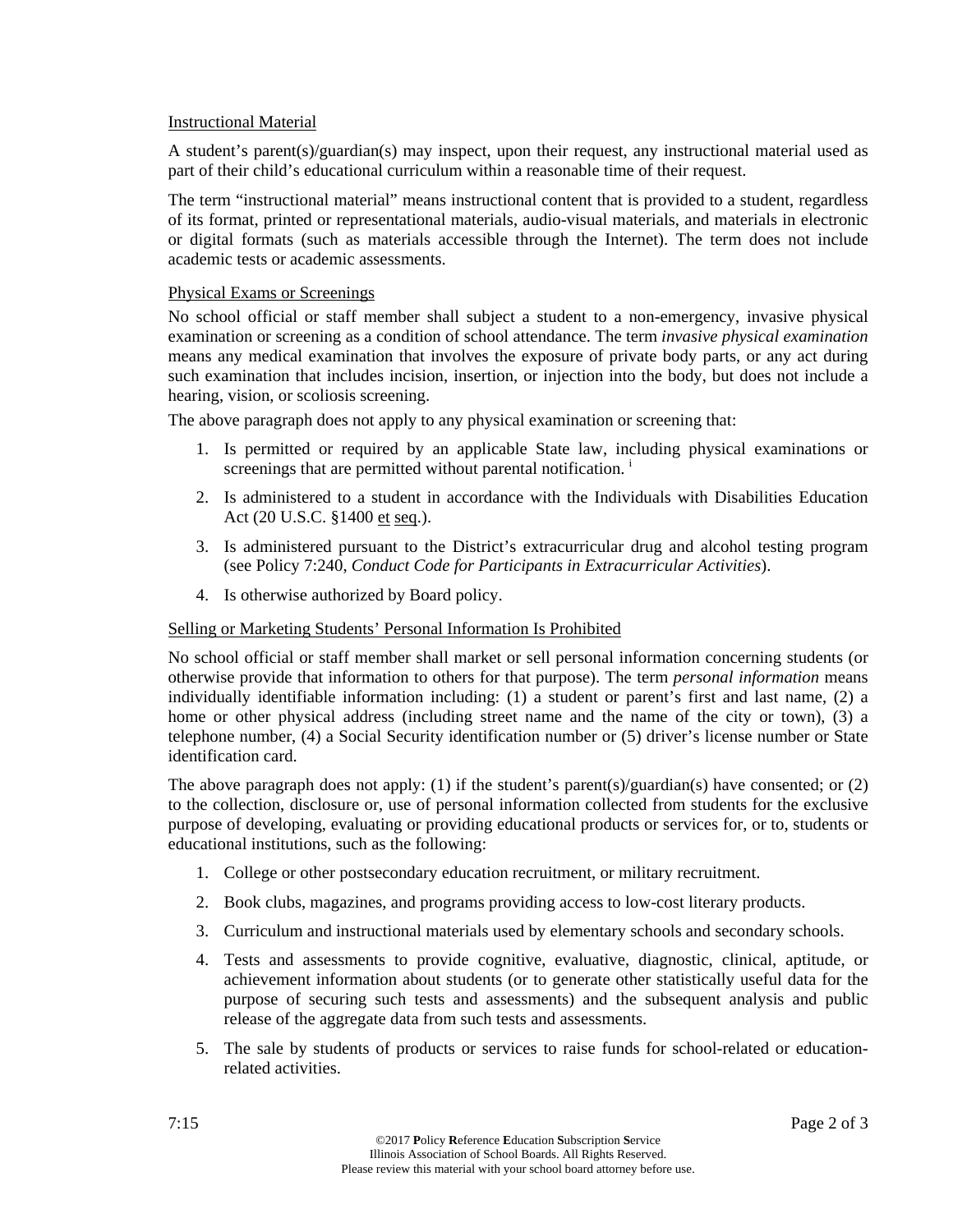#### Instructional Material

A student's parent(s)/guardian(s) may inspect, upon their request, any instructional material used as part of their child's educational curriculum within a reasonable time of their request.

The term "instructional material" means instructional content that is provided to a student, regardless of its format, printed or representational materials, audio-visual materials, and materials in electronic or digital formats (such as materials accessible through the Internet). The term does not include academic tests or academic assessments.

## Physical Exams or Screenings

No school official or staff member shall subject a student to a non-emergency, invasive physical examination or screening as a condition of school attendance. The term *invasive physical examination* means any medical examination that involves the exposure of private body parts, or any act during such examination that includes incision, insertion, or injection into the body, but does not include a hearing, vision, or scoliosis screening.

The above paragraph does not apply to any physical examination or screening that:

- 1. Is permitted or required by an applicable State law, including physical examinations or screenings that are permitted without parental notification.<sup>i</sup>
- 2. Is administered to a student in accordance with the Individuals with Disabilities Education Act (20 U.S.C. §1400 et seq.).
- 3. Is administered pursuant to the District's extracurricular drug and alcohol testing program (see Policy 7:240, *Conduct Code for Participants in Extracurricular Activities*).
- 4. Is otherwise authorized by Board policy.

## Selling or Marketing Students' Personal Information Is Prohibited

No school official or staff member shall market or sell personal information concerning students (or otherwise provide that information to others for that purpose). The term *personal information* means individually identifiable information including: (1) a student or parent's first and last name, (2) a home or other physical address (including street name and the name of the city or town), (3) a telephone number, (4) a Social Security identification number or (5) driver's license number or State identification card.

The above paragraph does not apply: (1) if the student's parent(s)/guardian(s) have consented; or (2) to the collection, disclosure or, use of personal information collected from students for the exclusive purpose of developing, evaluating or providing educational products or services for, or to, students or educational institutions, such as the following:

- 1. College or other postsecondary education recruitment, or military recruitment.
- 2. Book clubs, magazines, and programs providing access to low-cost literary products.
- 3. Curriculum and instructional materials used by elementary schools and secondary schools.
- 4. Tests and assessments to provide cognitive, evaluative, diagnostic, clinical, aptitude, or achievement information about students (or to generate other statistically useful data for the purpose of securing such tests and assessments) and the subsequent analysis and public release of the aggregate data from such tests and assessments.
- 5. The sale by students of products or services to raise funds for school-related or educationrelated activities.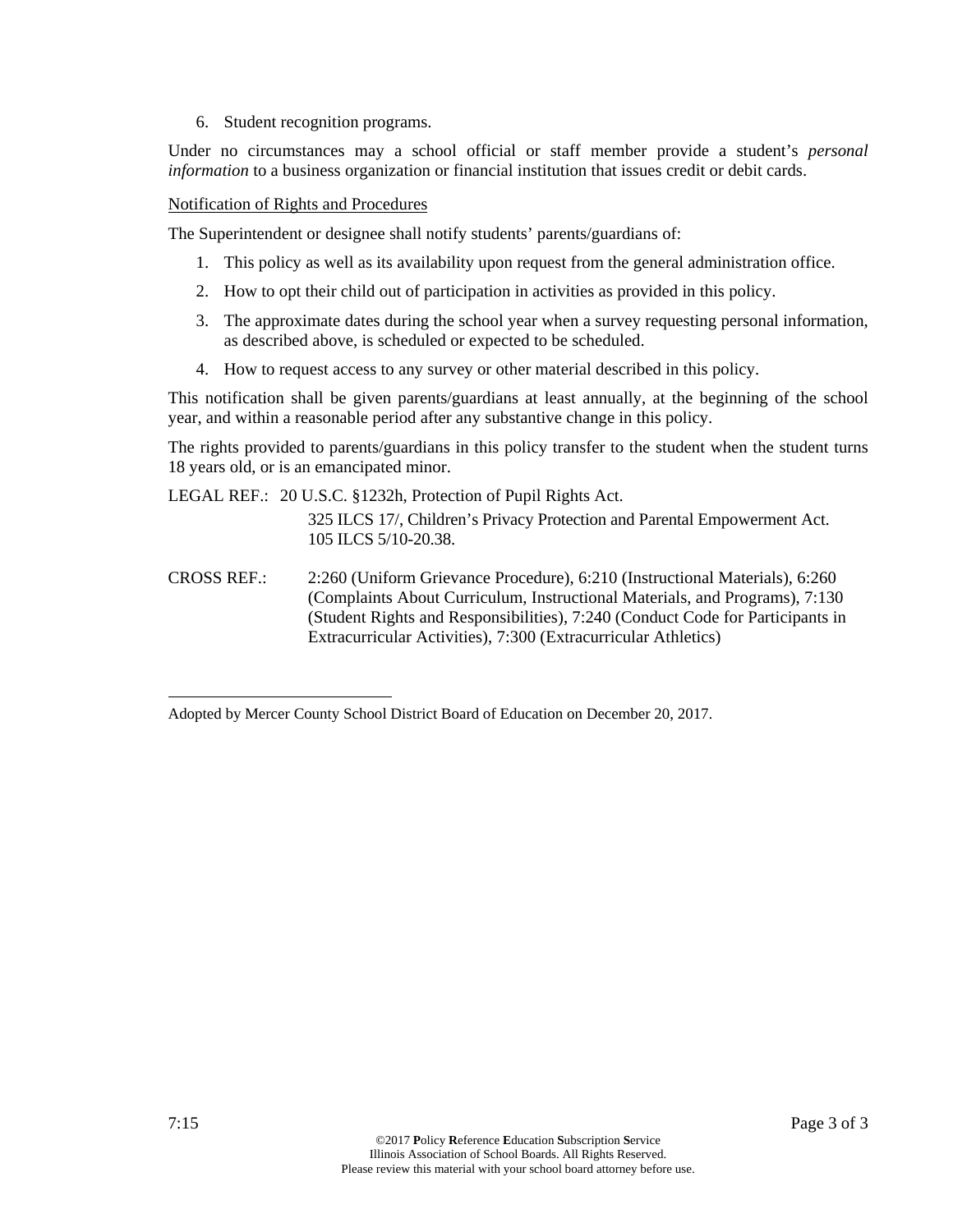6. Student recognition programs.

Under no circumstances may a school official or staff member provide a student's *personal information* to a business organization or financial institution that issues credit or debit cards.

Notification of Rights and Procedures

The Superintendent or designee shall notify students' parents/guardians of:

- 1. This policy as well as its availability upon request from the general administration office.
- 2. How to opt their child out of participation in activities as provided in this policy.
- 3. The approximate dates during the school year when a survey requesting personal information, as described above, is scheduled or expected to be scheduled.
- 4. How to request access to any survey or other material described in this policy.

This notification shall be given parents/guardians at least annually, at the beginning of the school year, and within a reasonable period after any substantive change in this policy.

The rights provided to parents/guardians in this policy transfer to the student when the student turns 18 years old, or is an emancipated minor.

LEGAL REF.: 20 U.S.C. §1232h, Protection of Pupil Rights Act.

- 325 ILCS 17/, Children's Privacy Protection and Parental Empowerment Act. 105 ILCS 5/10-20.38.
- CROSS REF.: 2:260 (Uniform Grievance Procedure), 6:210 (Instructional Materials), 6:260 (Complaints About Curriculum, Instructional Materials, and Programs), 7:130 (Student Rights and Responsibilities), 7:240 (Conduct Code for Participants in Extracurricular Activities), 7:300 (Extracurricular Athletics)

1

Adopted by Mercer County School District Board of Education on December 20, 2017.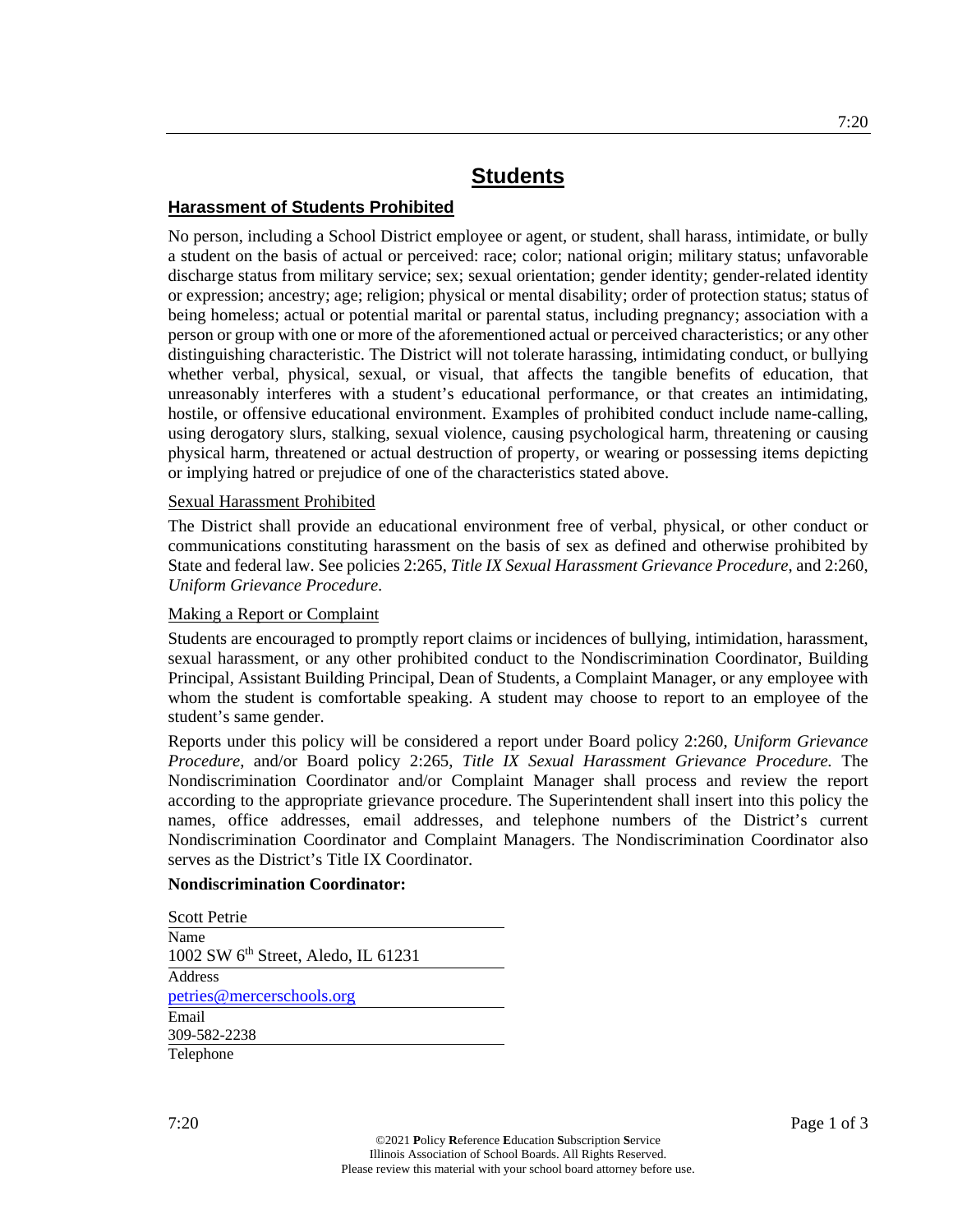## **Harassment of Students Prohibited**

No person, including a School District employee or agent, or student, shall harass, intimidate, or bully a student on the basis of actual or perceived: race; color; national origin; military status; unfavorable discharge status from military service; sex; sexual orientation; gender identity; gender-related identity or expression; ancestry; age; religion; physical or mental disability; order of protection status; status of being homeless; actual or potential marital or parental status, including pregnancy; association with a person or group with one or more of the aforementioned actual or perceived characteristics; or any other distinguishing characteristic. The District will not tolerate harassing, intimidating conduct, or bullying whether verbal, physical, sexual, or visual, that affects the tangible benefits of education, that unreasonably interferes with a student's educational performance, or that creates an intimidating, hostile, or offensive educational environment. Examples of prohibited conduct include name-calling, using derogatory slurs, stalking, sexual violence, causing psychological harm, threatening or causing physical harm, threatened or actual destruction of property, or wearing or possessing items depicting or implying hatred or prejudice of one of the characteristics stated above.

#### Sexual Harassment Prohibited

The District shall provide an educational environment free of verbal, physical, or other conduct or communications constituting harassment on the basis of sex as defined and otherwise prohibited by State and federal law. See policies 2:265, *Title IX Sexual Harassment Grievance Procedure*, and 2:260, *Uniform Grievance Procedure*.

#### Making a Report or Complaint

Students are encouraged to promptly report claims or incidences of bullying, intimidation, harassment, sexual harassment, or any other prohibited conduct to the Nondiscrimination Coordinator, Building Principal, Assistant Building Principal, Dean of Students, a Complaint Manager, or any employee with whom the student is comfortable speaking. A student may choose to report to an employee of the student's same gender.

Reports under this policy will be considered a report under Board policy 2:260, *Uniform Grievance Procedure*, and/or Board policy 2:265, *Title IX Sexual Harassment Grievance Procedure.* The Nondiscrimination Coordinator and/or Complaint Manager shall process and review the report according to the appropriate grievance procedure. The Superintendent shall insert into this policy the names, office addresses, email addresses, and telephone numbers of the District's current Nondiscrimination Coordinator and Complaint Managers. The Nondiscrimination Coordinator also serves as the District's Title IX Coordinator.

#### **Nondiscrimination Coordinator:**

| Scott Petrie                                            |  |
|---------------------------------------------------------|--|
| Name<br>1002 SW 6 <sup>th</sup> Street, Aledo, IL 61231 |  |
| Address                                                 |  |
| petries@mercerschools.org<br>Email                      |  |
| 309-582-2238                                            |  |
| Telephone                                               |  |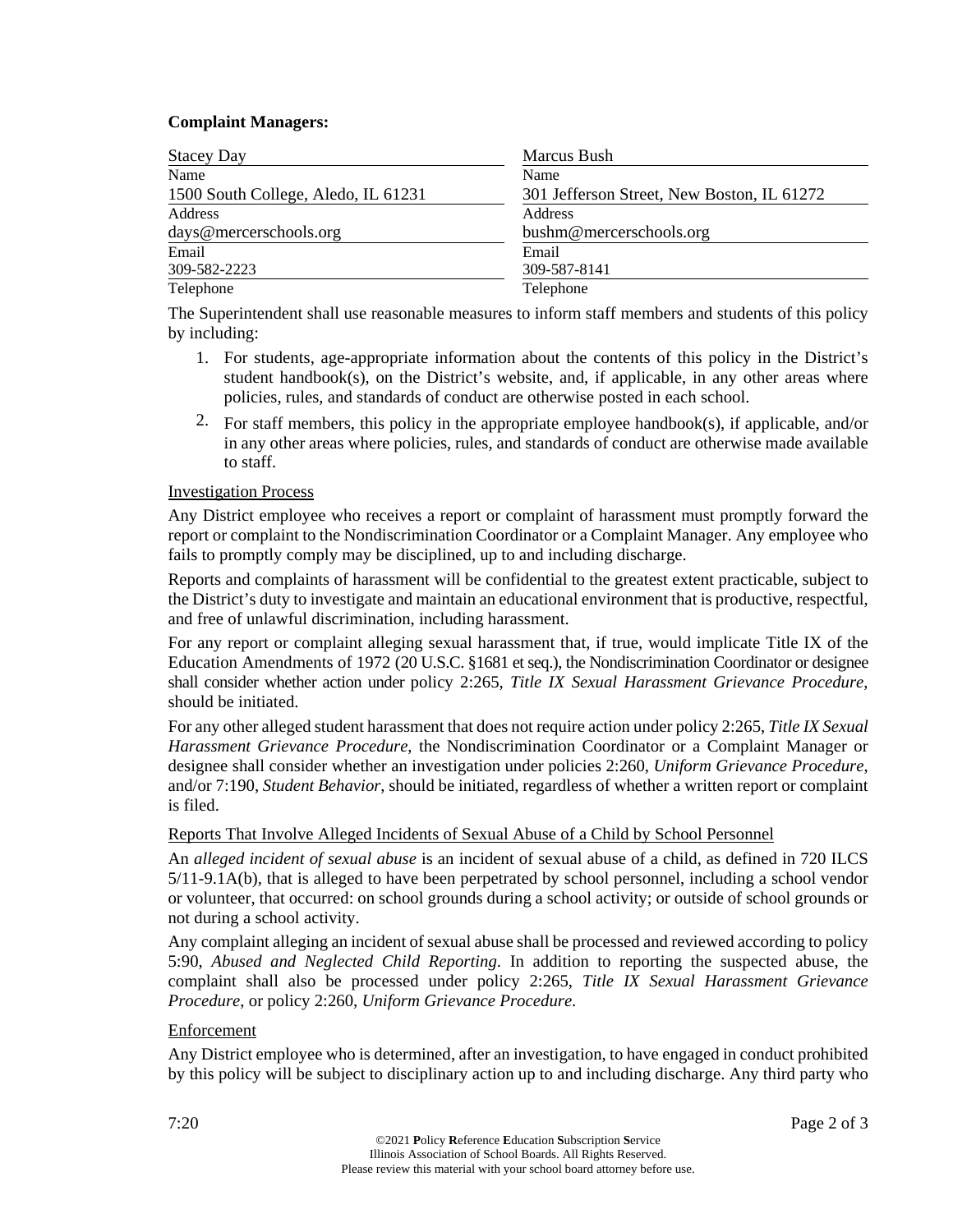#### **Complaint Managers:**

| <b>Stacey Day</b>                   | Marcus Bush                                |
|-------------------------------------|--------------------------------------------|
| Name                                | Name                                       |
| 1500 South College, Aledo, IL 61231 | 301 Jefferson Street, New Boston, IL 61272 |
| Address                             | Address                                    |
| days@mercerschools.org              | bushm@mercerschools.org                    |
| Email                               | Email                                      |
| 309-582-2223                        | 309-587-8141                               |
| Telephone                           | Telephone                                  |

The Superintendent shall use reasonable measures to inform staff members and students of this policy by including:

- 1. For students, age-appropriate information about the contents of this policy in the District's student handbook(s), on the District's website, and, if applicable, in any other areas where policies, rules, and standards of conduct are otherwise posted in each school.
- 2. For staff members, this policy in the appropriate employee handbook(s), if applicable, and/or in any other areas where policies, rules, and standards of conduct are otherwise made available to staff.

#### Investigation Process

Any District employee who receives a report or complaint of harassment must promptly forward the report or complaint to the Nondiscrimination Coordinator or a Complaint Manager. Any employee who fails to promptly comply may be disciplined, up to and including discharge.

Reports and complaints of harassment will be confidential to the greatest extent practicable, subject to the District's duty to investigate and maintain an educational environment that is productive, respectful, and free of unlawful discrimination, including harassment.

For any report or complaint alleging sexual harassment that, if true, would implicate Title IX of the Education Amendments of 1972 (20 U.S.C. §1681 et seq.), the Nondiscrimination Coordinator or designee shall consider whether action under policy 2:265, *Title IX Sexual Harassment Grievance Procedure*, should be initiated.

For any other alleged student harassment that does not require action under policy 2:265, *Title IX Sexual Harassment Grievance Procedure*, the Nondiscrimination Coordinator or a Complaint Manager or designee shall consider whether an investigation under policies 2:260, *Uniform Grievance Procedure*, and/or 7:190, *Student Behavior*, should be initiated, regardless of whether a written report or complaint is filed.

## Reports That Involve Alleged Incidents of Sexual Abuse of a Child by School Personnel

An *alleged incident of sexual abuse* is an incident of sexual abuse of a child, as defined in 720 ILCS 5/11-9.1A(b), that is alleged to have been perpetrated by school personnel, including a school vendor or volunteer, that occurred: on school grounds during a school activity; or outside of school grounds or not during a school activity.

Any complaint alleging an incident of sexual abuse shall be processed and reviewed according to policy 5:90, *Abused and Neglected Child Reporting*. In addition to reporting the suspected abuse, the complaint shall also be processed under policy 2:265, *Title IX Sexual Harassment Grievance Procedure*, or policy 2:260, *Uniform Grievance Procedure*.

## Enforcement

Any District employee who is determined, after an investigation, to have engaged in conduct prohibited by this policy will be subject to disciplinary action up to and including discharge. Any third party who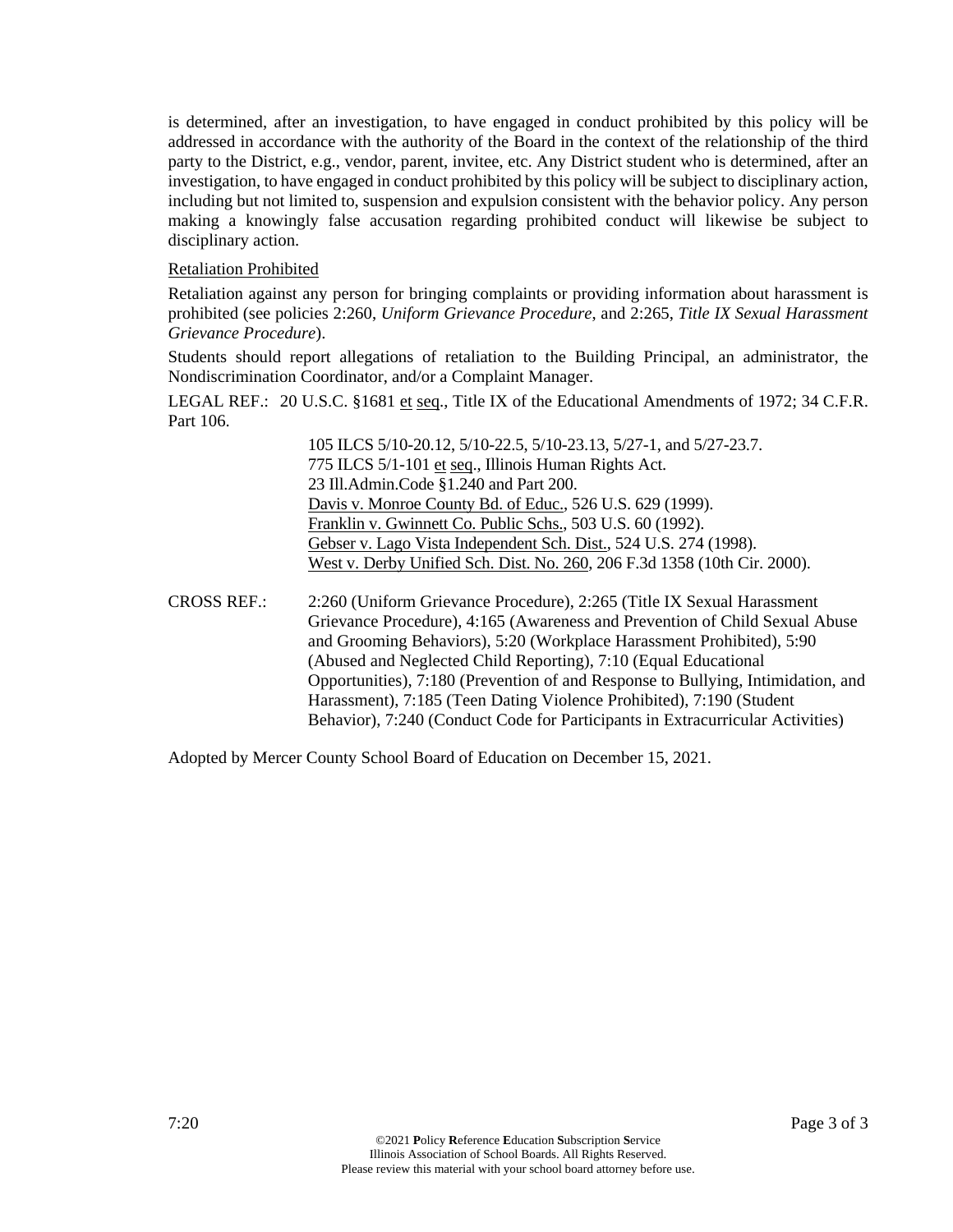is determined, after an investigation, to have engaged in conduct prohibited by this policy will be addressed in accordance with the authority of the Board in the context of the relationship of the third party to the District, e.g., vendor, parent, invitee, etc. Any District student who is determined, after an investigation, to have engaged in conduct prohibited by this policy will be subject to disciplinary action, including but not limited to, suspension and expulsion consistent with the behavior policy. Any person making a knowingly false accusation regarding prohibited conduct will likewise be subject to disciplinary action.

#### Retaliation Prohibited

Retaliation against any person for bringing complaints or providing information about harassment is prohibited (see policies 2:260, *Uniform Grievance Procedure*, and 2:265, *Title IX Sexual Harassment Grievance Procedure*).

Students should report allegations of retaliation to the Building Principal, an administrator, the Nondiscrimination Coordinator, and/or a Complaint Manager.

LEGAL REF.: 20 U.S.C. §1681 et seq., Title IX of the Educational Amendments of 1972; 34 C.F.R. Part 106.

> 105 ILCS 5/10-20.12, 5/10-22.5, 5/10-23.13, 5/27-1, and 5/27-23.7. 775 ILCS 5/1-101 et seq., Illinois Human Rights Act. 23 Ill.Admin.Code §1.240 and Part 200. Davis v. Monroe County Bd. of Educ., 526 U.S. 629 (1999). Franklin v. Gwinnett Co. Public Schs., 503 U.S. 60 (1992). Gebser v. Lago Vista Independent Sch. Dist., 524 U.S. 274 (1998). West v. Derby Unified Sch. Dist. No. 260, 206 F.3d 1358 (10th Cir. 2000).

CROSS REF.: 2:260 (Uniform Grievance Procedure), 2:265 (Title IX Sexual Harassment Grievance Procedure), 4:165 (Awareness and Prevention of Child Sexual Abuse and Grooming Behaviors), 5:20 (Workplace Harassment Prohibited), 5:90 (Abused and Neglected Child Reporting), 7:10 (Equal Educational Opportunities), 7:180 (Prevention of and Response to Bullying, Intimidation, and Harassment), 7:185 (Teen Dating Violence Prohibited), 7:190 (Student Behavior), 7:240 (Conduct Code for Participants in Extracurricular Activities)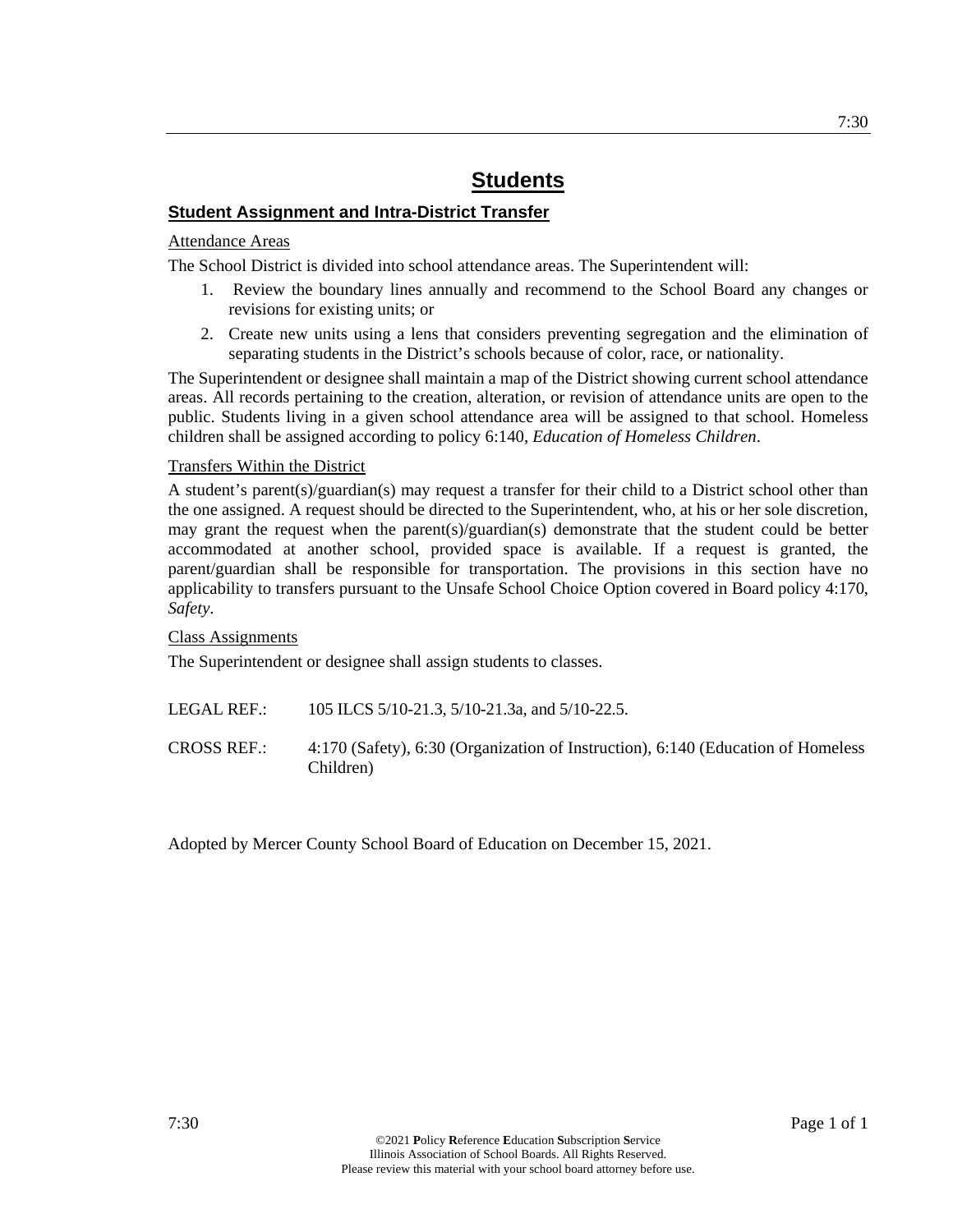## **Student Assignment and Intra-District Transfer**

#### Attendance Areas

The School District is divided into school attendance areas. The Superintendent will:

- 1. Review the boundary lines annually and recommend to the School Board any changes or revisions for existing units; or
- 2. Create new units using a lens that considers preventing segregation and the elimination of separating students in the District's schools because of color, race, or nationality.

The Superintendent or designee shall maintain a map of the District showing current school attendance areas. All records pertaining to the creation, alteration, or revision of attendance units are open to the public. Students living in a given school attendance area will be assigned to that school. Homeless children shall be assigned according to policy 6:140, *Education of Homeless Children*.

#### Transfers Within the District

A student's parent(s)/guardian(s) may request a transfer for their child to a District school other than the one assigned. A request should be directed to the Superintendent, who, at his or her sole discretion, may grant the request when the parent(s)/guardian(s) demonstrate that the student could be better accommodated at another school, provided space is available. If a request is granted, the parent/guardian shall be responsible for transportation. The provisions in this section have no applicability to transfers pursuant to the Unsafe School Choice Option covered in Board policy 4:170, *Safety*.

Class Assignments

The Superintendent or designee shall assign students to classes.

| LEGAL REF.: | 105 ILCS 5/10-21.3, 5/10-21.3a, and 5/10-22.5. |
|-------------|------------------------------------------------|
|             |                                                |

CROSS REF.: 4:170 (Safety), 6:30 (Organization of Instruction), 6:140 (Education of Homeless Children)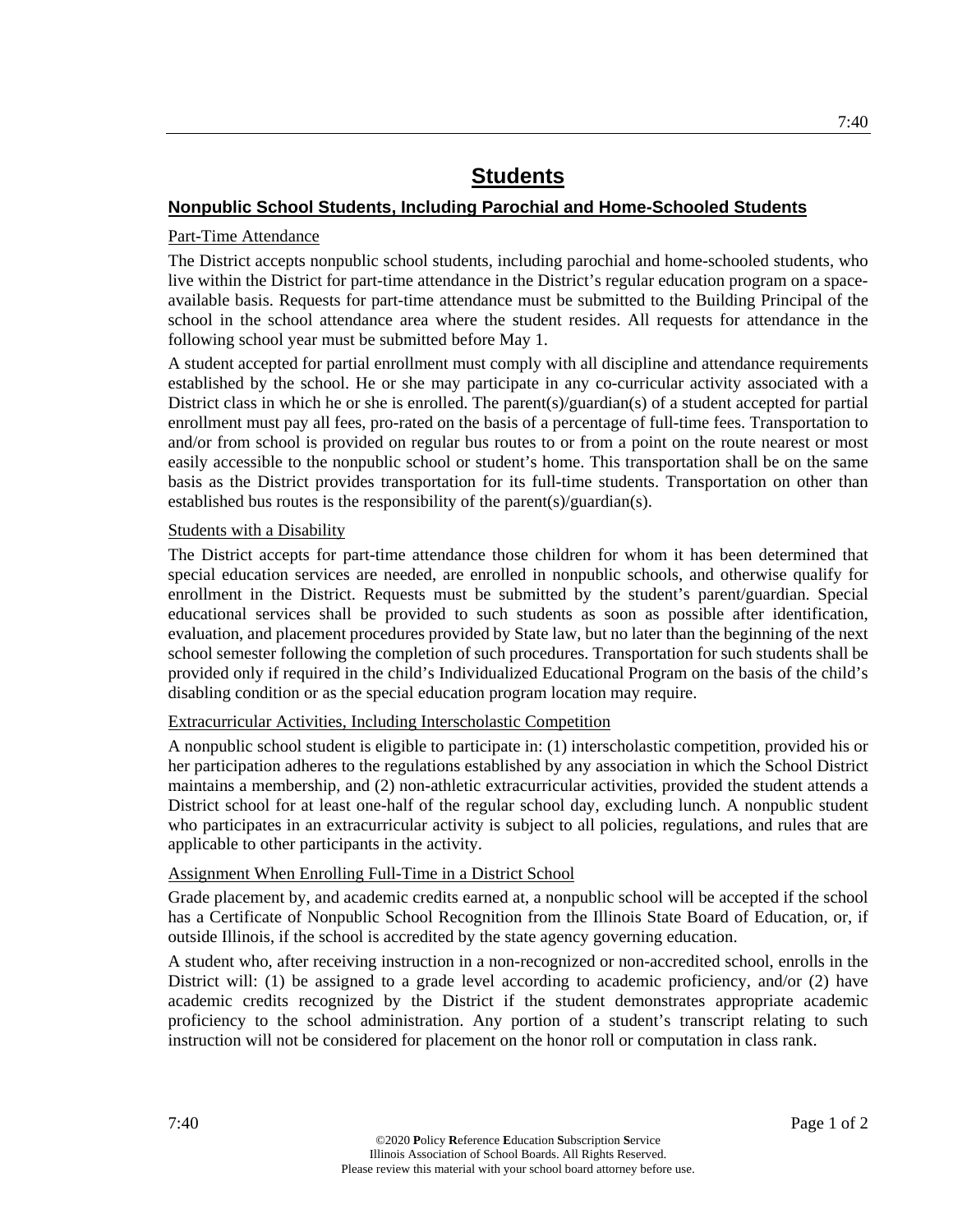## **Nonpublic School Students, Including Parochial and Home-Schooled Students**

## Part-Time Attendance

The District accepts nonpublic school students, including parochial and home-schooled students, who live within the District for part-time attendance in the District's regular education program on a spaceavailable basis. Requests for part-time attendance must be submitted to the Building Principal of the school in the school attendance area where the student resides. All requests for attendance in the following school year must be submitted before May 1.

A student accepted for partial enrollment must comply with all discipline and attendance requirements established by the school. He or she may participate in any co-curricular activity associated with a District class in which he or she is enrolled. The parent(s)/guardian(s) of a student accepted for partial enrollment must pay all fees, pro-rated on the basis of a percentage of full-time fees. Transportation to and/or from school is provided on regular bus routes to or from a point on the route nearest or most easily accessible to the nonpublic school or student's home. This transportation shall be on the same basis as the District provides transportation for its full-time students. Transportation on other than established bus routes is the responsibility of the parent(s)/guardian(s).

## Students with a Disability

The District accepts for part-time attendance those children for whom it has been determined that special education services are needed, are enrolled in nonpublic schools, and otherwise qualify for enrollment in the District. Requests must be submitted by the student's parent/guardian. Special educational services shall be provided to such students as soon as possible after identification, evaluation, and placement procedures provided by State law, but no later than the beginning of the next school semester following the completion of such procedures. Transportation for such students shall be provided only if required in the child's Individualized Educational Program on the basis of the child's disabling condition or as the special education program location may require.

## Extracurricular Activities, Including Interscholastic Competition

A nonpublic school student is eligible to participate in: (1) interscholastic competition, provided his or her participation adheres to the regulations established by any association in which the School District maintains a membership, and (2) non-athletic extracurricular activities, provided the student attends a District school for at least one-half of the regular school day, excluding lunch. A nonpublic student who participates in an extracurricular activity is subject to all policies, regulations, and rules that are applicable to other participants in the activity.

## Assignment When Enrolling Full-Time in a District School

Grade placement by, and academic credits earned at, a nonpublic school will be accepted if the school has a Certificate of Nonpublic School Recognition from the Illinois State Board of Education, or, if outside Illinois, if the school is accredited by the state agency governing education.

A student who, after receiving instruction in a non-recognized or non-accredited school, enrolls in the District will: (1) be assigned to a grade level according to academic proficiency, and/or (2) have academic credits recognized by the District if the student demonstrates appropriate academic proficiency to the school administration. Any portion of a student's transcript relating to such instruction will not be considered for placement on the honor roll or computation in class rank.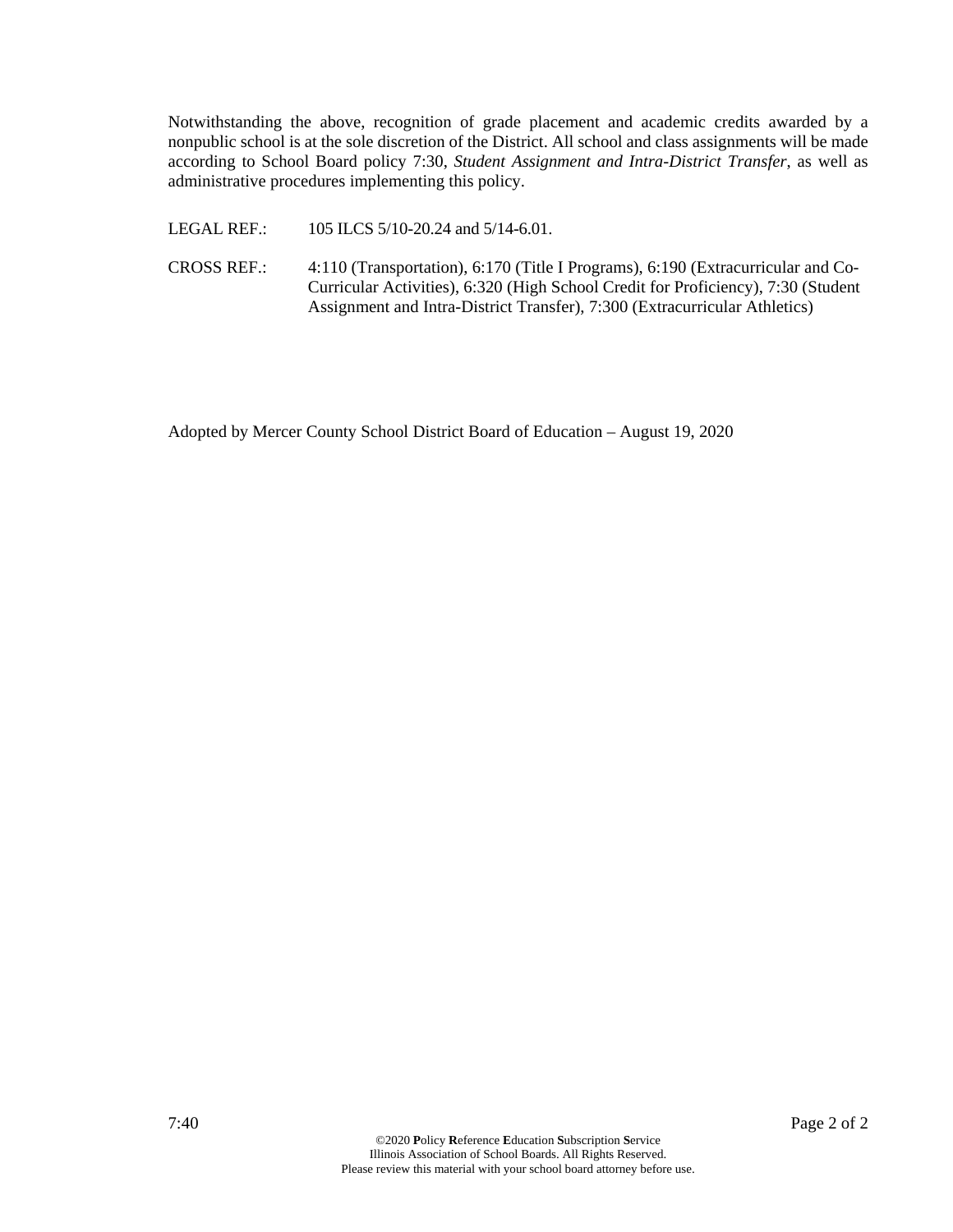Notwithstanding the above, recognition of grade placement and academic credits awarded by a nonpublic school is at the sole discretion of the District. All school and class assignments will be made according to School Board policy 7:30, *Student Assignment and Intra-District Transfer*, as well as administrative procedures implementing this policy.

LEGAL REF.: 105 ILCS 5/10-20.24 and 5/14-6.01.

CROSS REF.: 4:110 (Transportation), 6:170 (Title I Programs), 6:190 (Extracurricular and Co-Curricular Activities), 6:320 (High School Credit for Proficiency), 7:30 (Student Assignment and Intra-District Transfer), 7:300 (Extracurricular Athletics)

Adopted by Mercer County School District Board of Education – August 19, 2020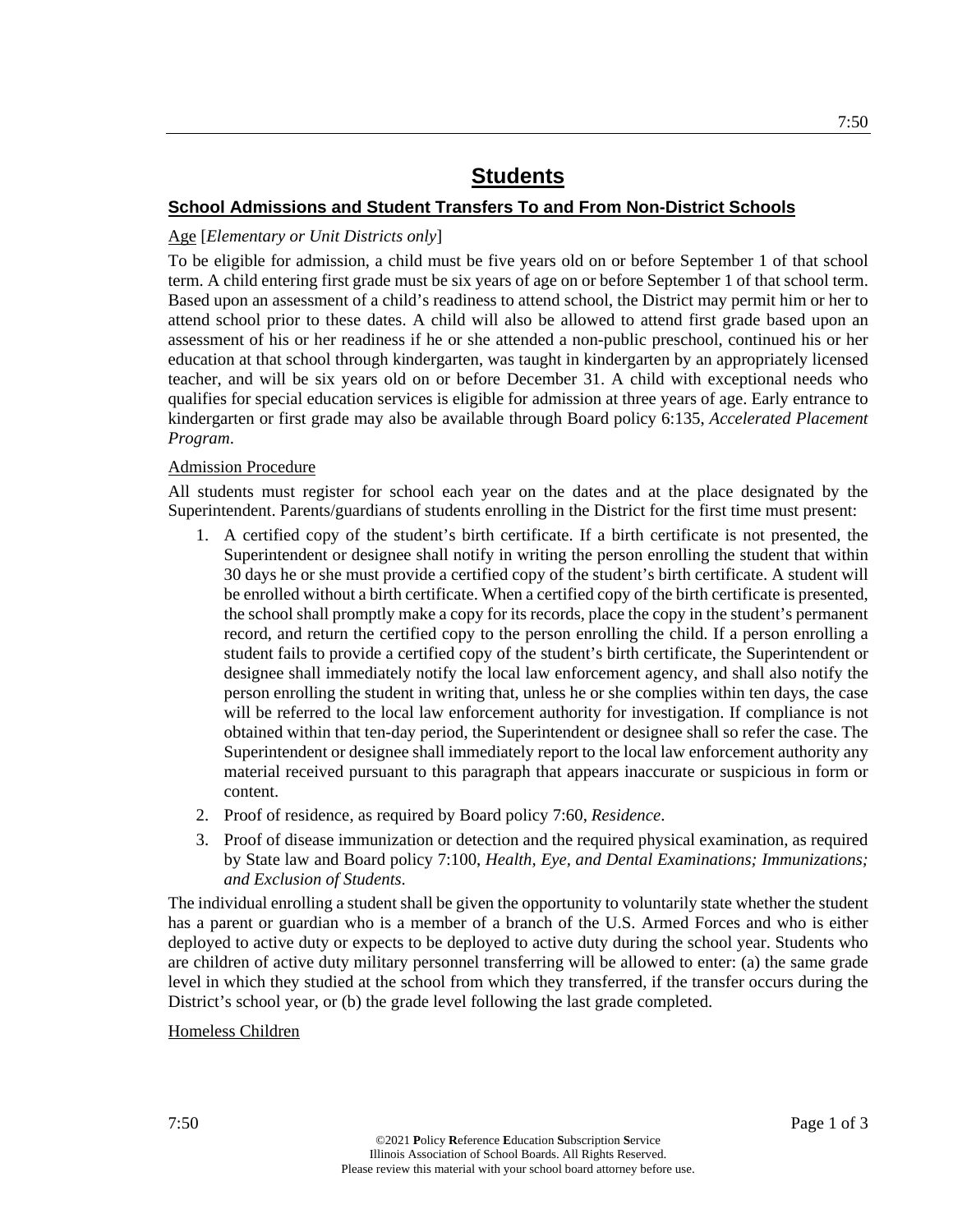## **School Admissions and Student Transfers To and From Non-District Schools**

## Age [*Elementary or Unit Districts only*]

To be eligible for admission, a child must be five years old on or before September 1 of that school term. A child entering first grade must be six years of age on or before September 1 of that school term. Based upon an assessment of a child's readiness to attend school, the District may permit him or her to attend school prior to these dates. A child will also be allowed to attend first grade based upon an assessment of his or her readiness if he or she attended a non-public preschool, continued his or her education at that school through kindergarten, was taught in kindergarten by an appropriately licensed teacher, and will be six years old on or before December 31. A child with exceptional needs who qualifies for special education services is eligible for admission at three years of age. Early entrance to kindergarten or first grade may also be available through Board policy 6:135, *Accelerated Placement Program*.

## Admission Procedure

All students must register for school each year on the dates and at the place designated by the Superintendent. Parents/guardians of students enrolling in the District for the first time must present:

- 1. A certified copy of the student's birth certificate. If a birth certificate is not presented, the Superintendent or designee shall notify in writing the person enrolling the student that within 30 days he or she must provide a certified copy of the student's birth certificate. A student will be enrolled without a birth certificate. When a certified copy of the birth certificate is presented, the school shall promptly make a copy for its records, place the copy in the student's permanent record, and return the certified copy to the person enrolling the child. If a person enrolling a student fails to provide a certified copy of the student's birth certificate, the Superintendent or designee shall immediately notify the local law enforcement agency, and shall also notify the person enrolling the student in writing that, unless he or she complies within ten days, the case will be referred to the local law enforcement authority for investigation. If compliance is not obtained within that ten-day period, the Superintendent or designee shall so refer the case. The Superintendent or designee shall immediately report to the local law enforcement authority any material received pursuant to this paragraph that appears inaccurate or suspicious in form or content.
- 2. Proof of residence, as required by Board policy 7:60, *Residence*.
- 3. Proof of disease immunization or detection and the required physical examination, as required by State law and Board policy 7:100, *Health, Eye, and Dental Examinations; Immunizations; and Exclusion of Students*.

The individual enrolling a student shall be given the opportunity to voluntarily state whether the student has a parent or guardian who is a member of a branch of the U.S. Armed Forces and who is either deployed to active duty or expects to be deployed to active duty during the school year. Students who are children of active duty military personnel transferring will be allowed to enter: (a) the same grade level in which they studied at the school from which they transferred, if the transfer occurs during the District's school year, or (b) the grade level following the last grade completed.

#### Homeless Children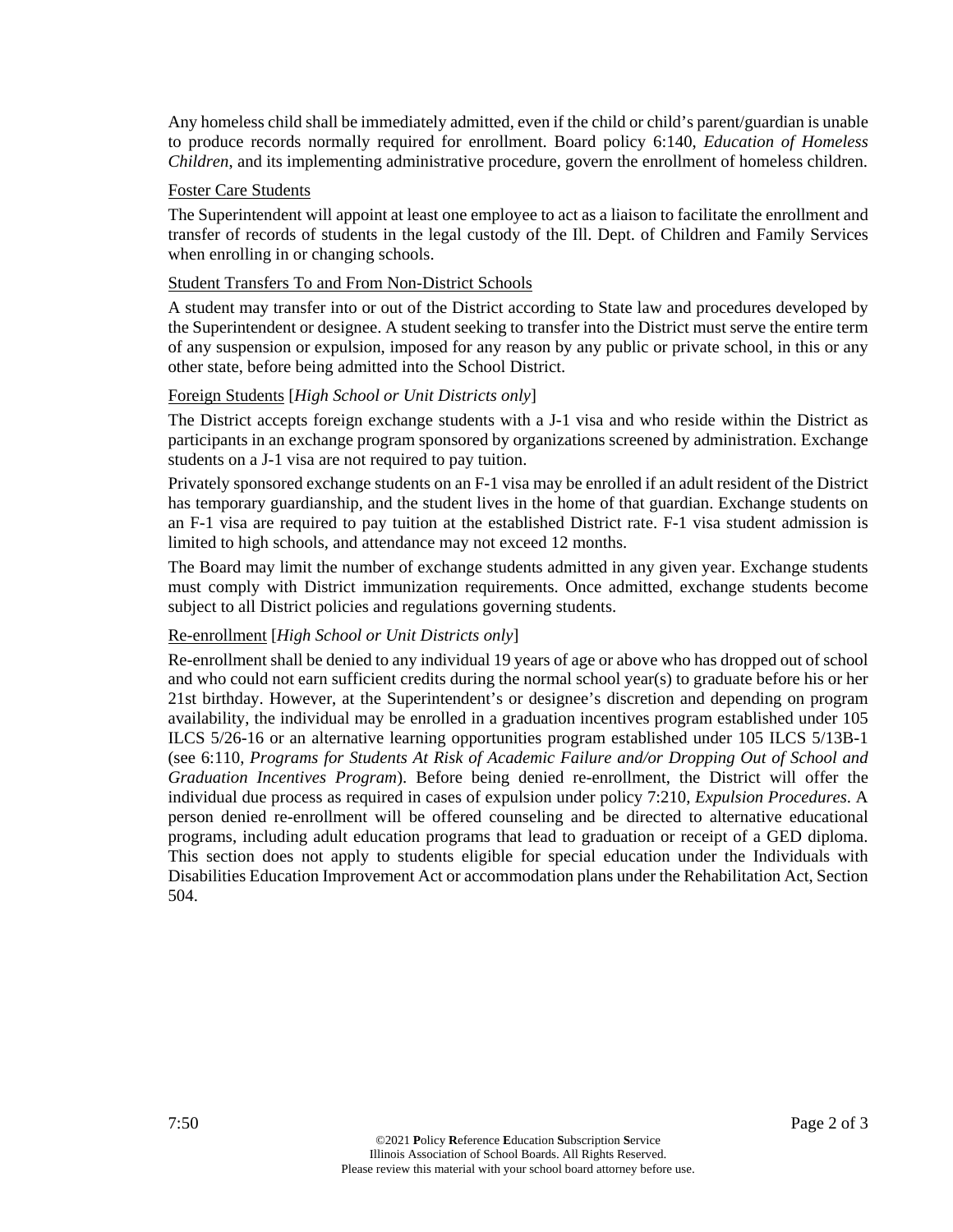Any homeless child shall be immediately admitted, even if the child or child's parent/guardian is unable to produce records normally required for enrollment. Board policy 6:140, *Education of Homeless Children*, and its implementing administrative procedure, govern the enrollment of homeless children.

#### Foster Care Students

The Superintendent will appoint at least one employee to act as a liaison to facilitate the enrollment and transfer of records of students in the legal custody of the Ill. Dept. of Children and Family Services when enrolling in or changing schools.

#### Student Transfers To and From Non-District Schools

A student may transfer into or out of the District according to State law and procedures developed by the Superintendent or designee. A student seeking to transfer into the District must serve the entire term of any suspension or expulsion, imposed for any reason by any public or private school, in this or any other state, before being admitted into the School District.

#### Foreign Students [*High School or Unit Districts only*]

The District accepts foreign exchange students with a J-1 visa and who reside within the District as participants in an exchange program sponsored by organizations screened by administration. Exchange students on a J-1 visa are not required to pay tuition.

Privately sponsored exchange students on an F-1 visa may be enrolled if an adult resident of the District has temporary guardianship, and the student lives in the home of that guardian. Exchange students on an F-1 visa are required to pay tuition at the established District rate. F-1 visa student admission is limited to high schools, and attendance may not exceed 12 months.

The Board may limit the number of exchange students admitted in any given year. Exchange students must comply with District immunization requirements. Once admitted, exchange students become subject to all District policies and regulations governing students.

## Re-enrollment [*High School or Unit Districts only*]

Re-enrollment shall be denied to any individual 19 years of age or above who has dropped out of school and who could not earn sufficient credits during the normal school year(s) to graduate before his or her 21st birthday. However, at the Superintendent's or designee's discretion and depending on program availability, the individual may be enrolled in a graduation incentives program established under 105 ILCS 5/26-16 or an alternative learning opportunities program established under 105 ILCS 5/13B-1 (see 6:110, *Programs for Students At Risk of Academic Failure and/or Dropping Out of School and Graduation Incentives Program*). Before being denied re-enrollment, the District will offer the individual due process as required in cases of expulsion under policy 7:210, *Expulsion Procedures*. A person denied re-enrollment will be offered counseling and be directed to alternative educational programs, including adult education programs that lead to graduation or receipt of a GED diploma. This section does not apply to students eligible for special education under the Individuals with Disabilities Education Improvement Act or accommodation plans under the Rehabilitation Act, Section 504.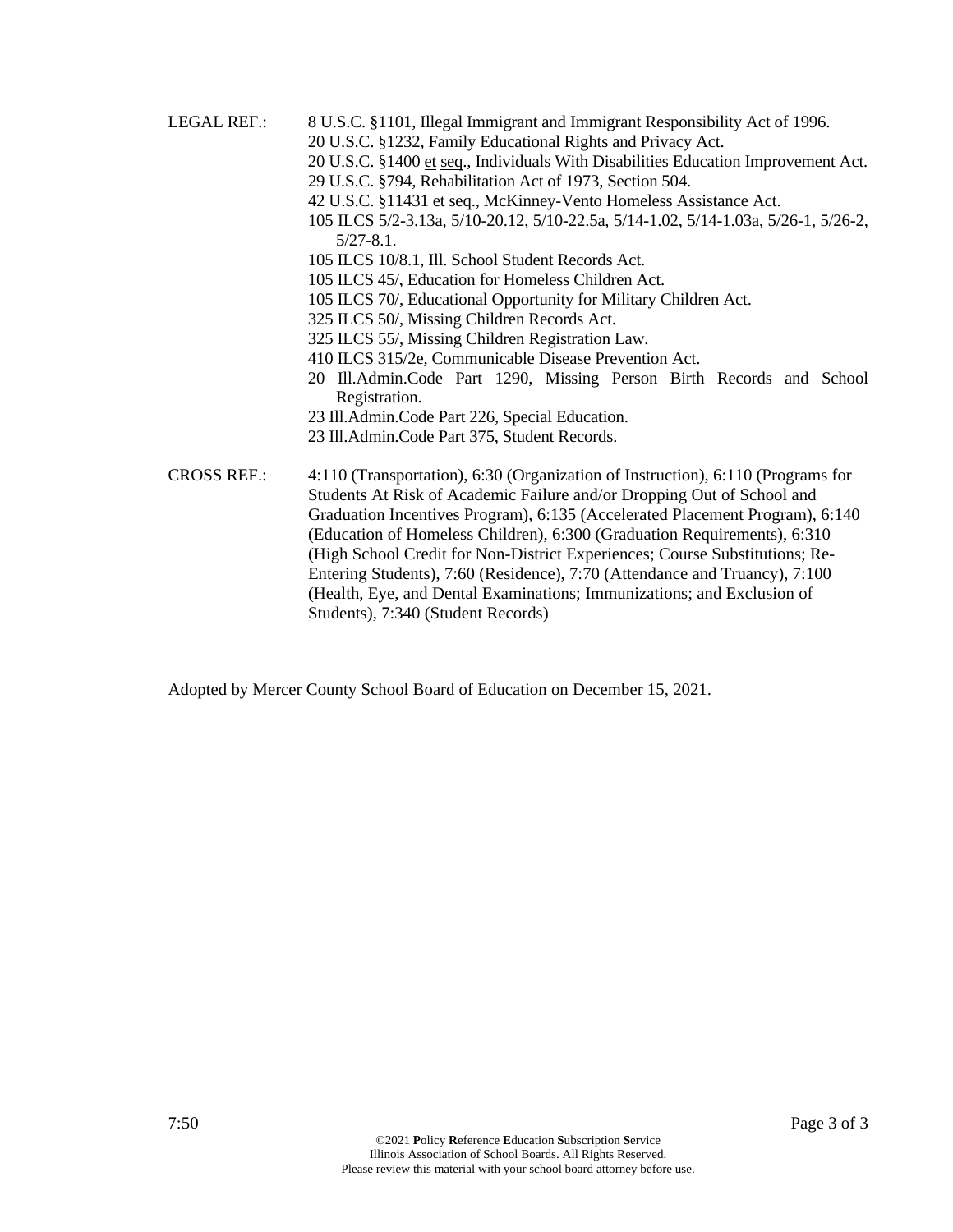LEGAL REF.: 8 U.S.C. §1101, Illegal Immigrant and Immigrant Responsibility Act of 1996. 20 U.S.C. §1232, Family Educational Rights and Privacy Act. 20 U.S.C. §1400 et seq., Individuals With Disabilities Education Improvement Act. 29 U.S.C. §794, Rehabilitation Act of 1973, Section 504. 42 U.S.C. §11431 et seq., McKinney-Vento Homeless Assistance Act. 105 ILCS 5/2-3.13a, 5/10-20.12, 5/10-22.5a, 5/14-1.02, 5/14-1.03a, 5/26-1, 5/26-2, 5/27-8.1. 105 ILCS 10/8.1, Ill. School Student Records Act. 105 ILCS 45/, Education for Homeless Children Act. 105 ILCS 70/, Educational Opportunity for Military Children Act. 325 ILCS 50/, Missing Children Records Act. 325 ILCS 55/, Missing Children Registration Law. 410 ILCS 315/2e, Communicable Disease Prevention Act. 20 Ill.Admin.Code Part 1290, Missing Person Birth Records and School Registration. 23 Ill.Admin.Code Part 226, Special Education. 23 Ill.Admin.Code Part 375, Student Records. CROSS REF.: 4:110 (Transportation), 6:30 (Organization of Instruction), 6:110 (Programs for Students At Risk of Academic Failure and/or Dropping Out of School and Graduation Incentives Program), 6:135 (Accelerated Placement Program), 6:140

(Education of Homeless Children), 6:300 (Graduation Requirements), 6:310 (High School Credit for Non-District Experiences; Course Substitutions; Re-Entering Students), 7:60 (Residence), 7:70 (Attendance and Truancy), 7:100 (Health, Eye, and Dental Examinations; Immunizations; and Exclusion of Students), 7:340 (Student Records)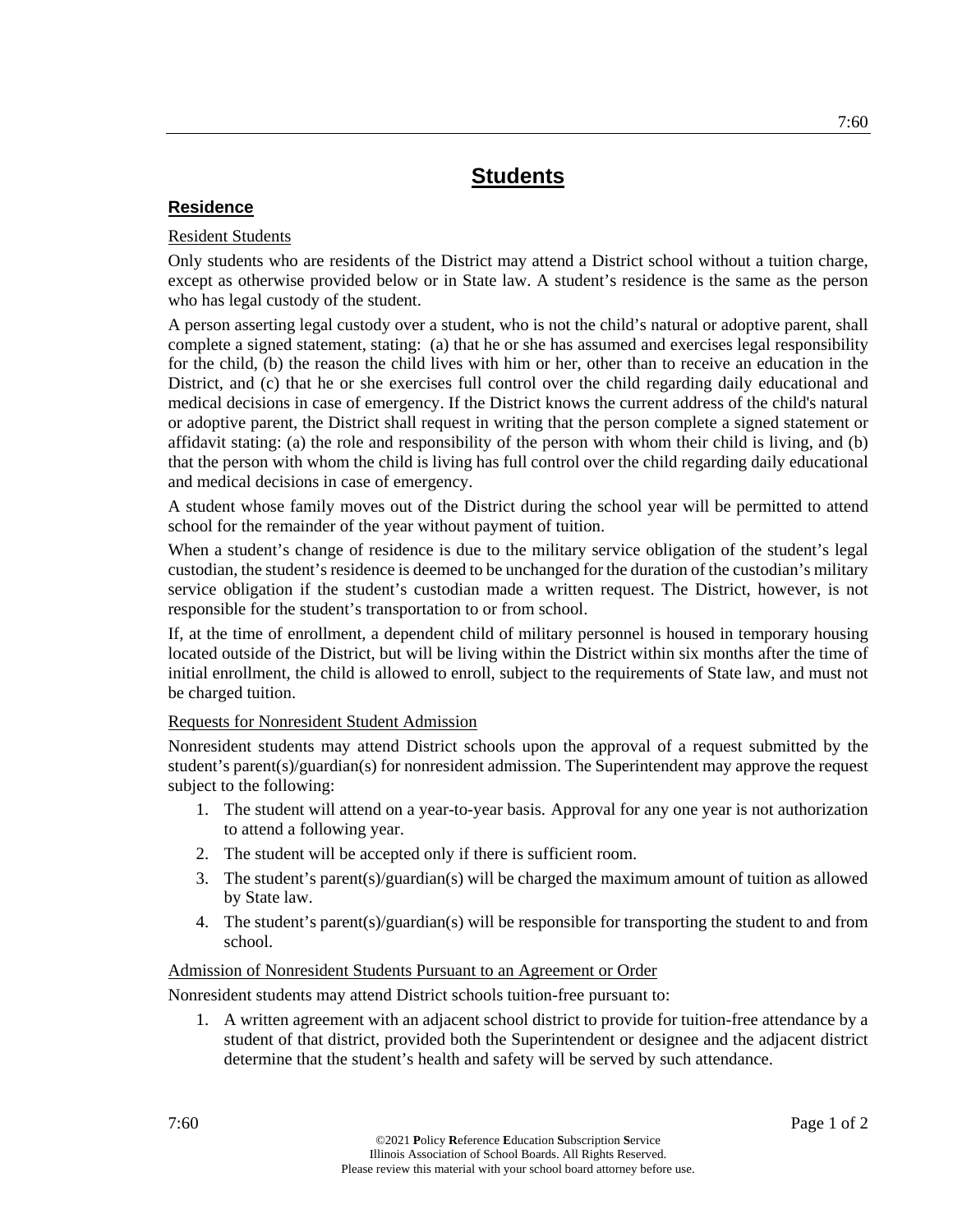## **Residence**

## Resident Students

Only students who are residents of the District may attend a District school without a tuition charge, except as otherwise provided below or in State law. A student's residence is the same as the person who has legal custody of the student.

A person asserting legal custody over a student, who is not the child's natural or adoptive parent, shall complete a signed statement, stating: (a) that he or she has assumed and exercises legal responsibility for the child, (b) the reason the child lives with him or her, other than to receive an education in the District, and (c) that he or she exercises full control over the child regarding daily educational and medical decisions in case of emergency. If the District knows the current address of the child's natural or adoptive parent, the District shall request in writing that the person complete a signed statement or affidavit stating: (a) the role and responsibility of the person with whom their child is living, and (b) that the person with whom the child is living has full control over the child regarding daily educational and medical decisions in case of emergency.

A student whose family moves out of the District during the school year will be permitted to attend school for the remainder of the year without payment of tuition.

When a student's change of residence is due to the military service obligation of the student's legal custodian, the student's residence is deemed to be unchanged for the duration of the custodian's military service obligation if the student's custodian made a written request. The District, however, is not responsible for the student's transportation to or from school.

If, at the time of enrollment, a dependent child of military personnel is housed in temporary housing located outside of the District, but will be living within the District within six months after the time of initial enrollment, the child is allowed to enroll, subject to the requirements of State law, and must not be charged tuition.

## Requests for Nonresident Student Admission

Nonresident students may attend District schools upon the approval of a request submitted by the student's parent(s)/guardian(s) for nonresident admission. The Superintendent may approve the request subject to the following:

- 1. The student will attend on a year-to-year basis. Approval for any one year is not authorization to attend a following year.
- 2. The student will be accepted only if there is sufficient room.
- 3. The student's parent(s)/guardian(s) will be charged the maximum amount of tuition as allowed by State law.
- 4. The student's parent(s)/guardian(s) will be responsible for transporting the student to and from school.

## Admission of Nonresident Students Pursuant to an Agreement or Order

Nonresident students may attend District schools tuition-free pursuant to:

1. A written agreement with an adjacent school district to provide for tuition-free attendance by a student of that district, provided both the Superintendent or designee and the adjacent district determine that the student's health and safety will be served by such attendance.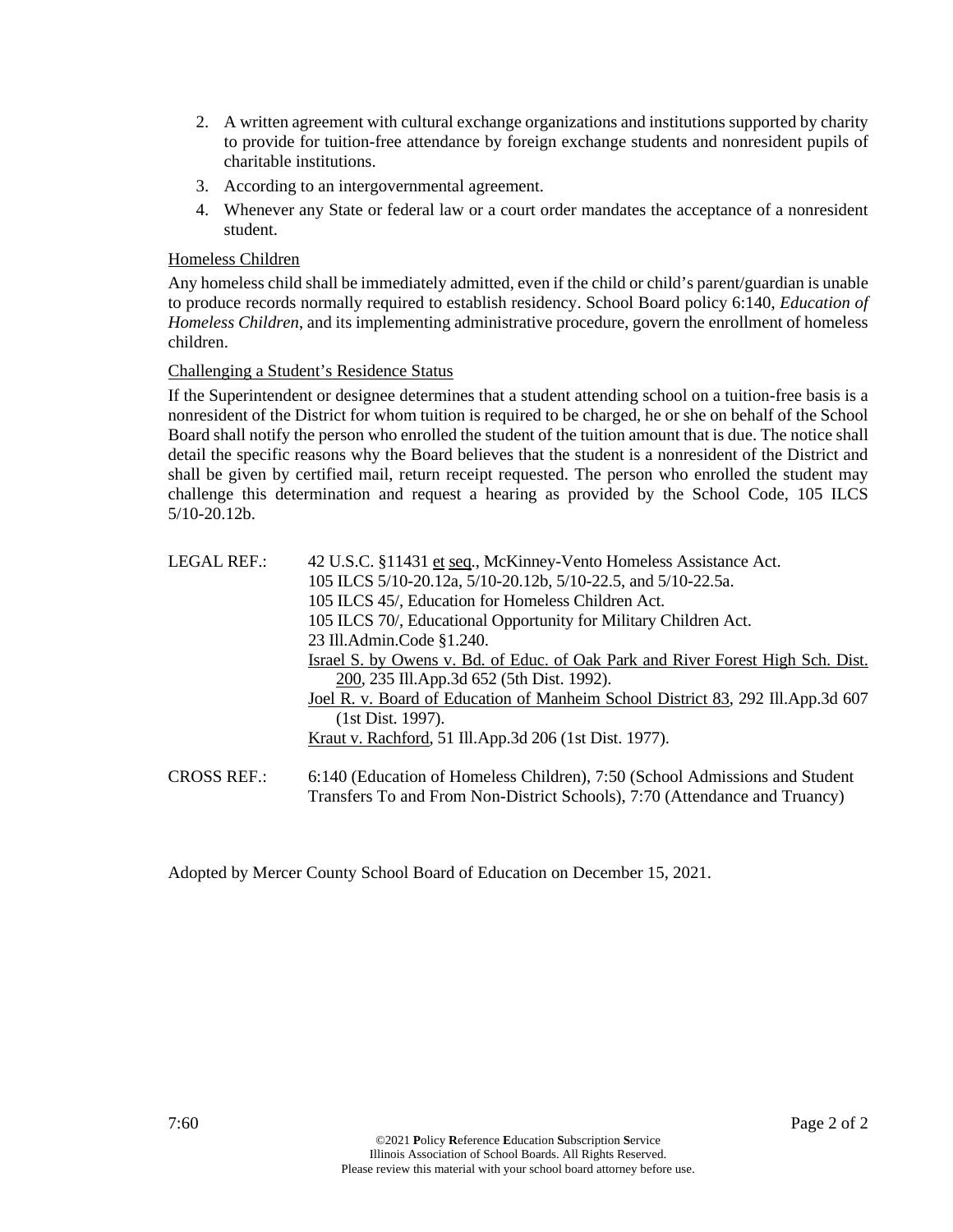- 2. A written agreement with cultural exchange organizations and institutions supported by charity to provide for tuition-free attendance by foreign exchange students and nonresident pupils of charitable institutions.
- 3. According to an intergovernmental agreement.
- 4. Whenever any State or federal law or a court order mandates the acceptance of a nonresident student.

## Homeless Children

Any homeless child shall be immediately admitted, even if the child or child's parent/guardian is unable to produce records normally required to establish residency. School Board policy 6:140, *Education of Homeless Children*, and its implementing administrative procedure, govern the enrollment of homeless children.

## Challenging a Student's Residence Status

If the Superintendent or designee determines that a student attending school on a tuition-free basis is a nonresident of the District for whom tuition is required to be charged, he or she on behalf of the School Board shall notify the person who enrolled the student of the tuition amount that is due. The notice shall detail the specific reasons why the Board believes that the student is a nonresident of the District and shall be given by certified mail, return receipt requested. The person who enrolled the student may challenge this determination and request a hearing as provided by the School Code, 105 ILCS 5/10-20.12b.

| LEGAL REF.:        | 42 U.S.C. §11431 et seq., McKinney-Vento Homeless Assistance Act.<br>105 ILCS 5/10-20.12a, 5/10-20.12b, 5/10-22.5, and 5/10-22.5a.<br>105 ILCS 45/, Education for Homeless Children Act.<br>105 ILCS 70/, Educational Opportunity for Military Children Act.<br>23 Ill.Admin.Code §1.240.<br>Israel S. by Owens v. Bd. of Educ. of Oak Park and River Forest High Sch. Dist.<br>200, 235 Ill.App.3d 652 (5th Dist. 1992). |
|--------------------|---------------------------------------------------------------------------------------------------------------------------------------------------------------------------------------------------------------------------------------------------------------------------------------------------------------------------------------------------------------------------------------------------------------------------|
|                    | Joel R. v. Board of Education of Manheim School District 83, 292 Ill.App.3d 607<br>(1st Dist. 1997).                                                                                                                                                                                                                                                                                                                      |
|                    | <u>Kraut v. Rachford</u> , 51 Ill.App.3d 206 (1st Dist. 1977).                                                                                                                                                                                                                                                                                                                                                            |
| <b>CROSS REF.:</b> | 6:140 (Education of Homeless Children), 7:50 (School Admissions and Student                                                                                                                                                                                                                                                                                                                                               |

Transfers To and From Non-District Schools), 7:70 (Attendance and Truancy)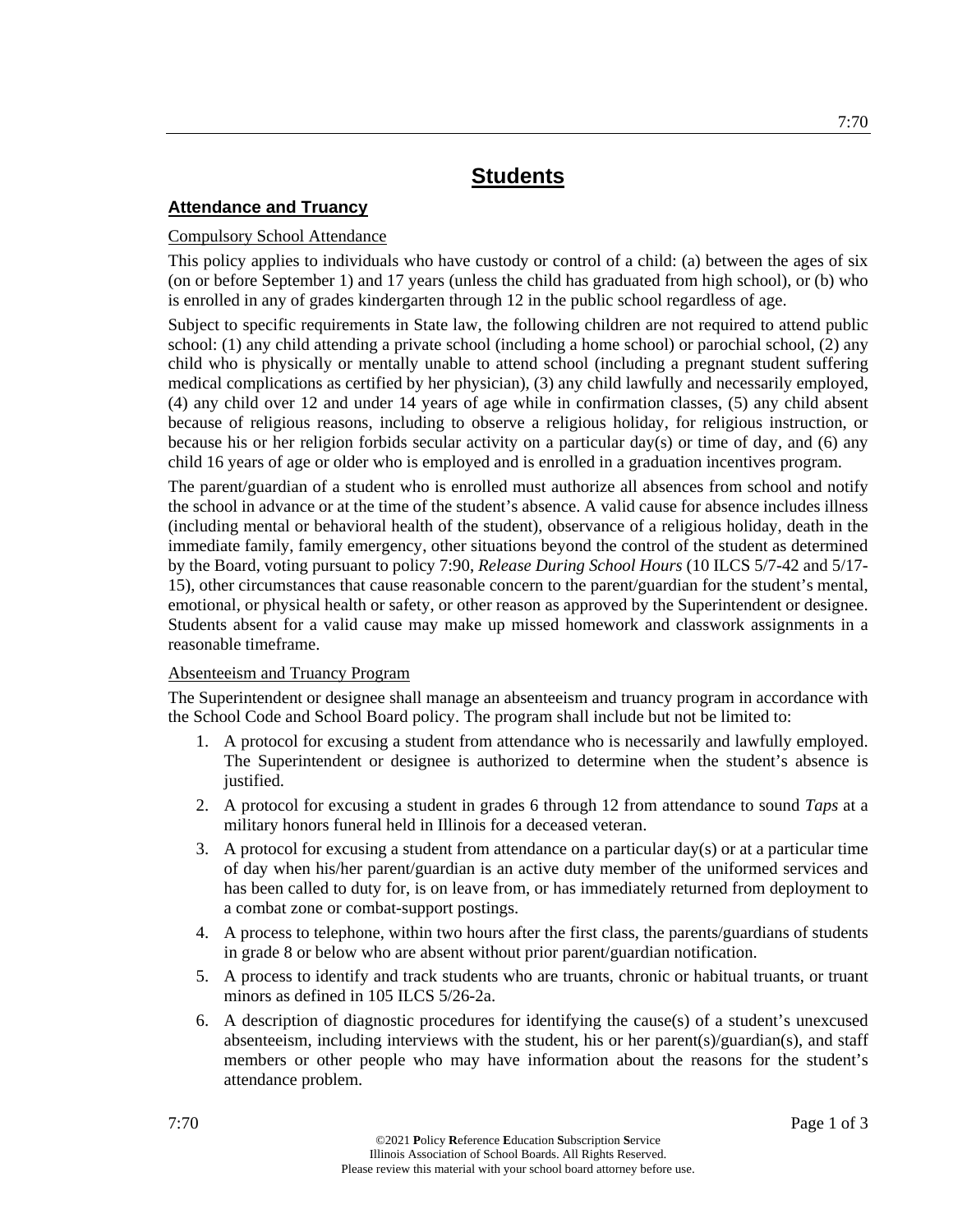## **Attendance and Truancy**

## Compulsory School Attendance

This policy applies to individuals who have custody or control of a child: (a) between the ages of six (on or before September 1) and 17 years (unless the child has graduated from high school), or (b) who is enrolled in any of grades kindergarten through 12 in the public school regardless of age.

Subject to specific requirements in State law, the following children are not required to attend public school: (1) any child attending a private school (including a home school) or parochial school, (2) any child who is physically or mentally unable to attend school (including a pregnant student suffering medical complications as certified by her physician), (3) any child lawfully and necessarily employed, (4) any child over 12 and under 14 years of age while in confirmation classes, (5) any child absent because of religious reasons, including to observe a religious holiday, for religious instruction, or because his or her religion forbids secular activity on a particular day(s) or time of day, and (6) any child 16 years of age or older who is employed and is enrolled in a graduation incentives program.

The parent/guardian of a student who is enrolled must authorize all absences from school and notify the school in advance or at the time of the student's absence. A valid cause for absence includes illness (including mental or behavioral health of the student), observance of a religious holiday, death in the immediate family, family emergency, other situations beyond the control of the student as determined by the Board, voting pursuant to policy 7:90, *Release During School Hours* (10 ILCS 5/7-42 and 5/17- 15), other circumstances that cause reasonable concern to the parent/guardian for the student's mental, emotional, or physical health or safety, or other reason as approved by the Superintendent or designee. Students absent for a valid cause may make up missed homework and classwork assignments in a reasonable timeframe.

## Absenteeism and Truancy Program

The Superintendent or designee shall manage an absenteeism and truancy program in accordance with the School Code and School Board policy. The program shall include but not be limited to:

- 1. A protocol for excusing a student from attendance who is necessarily and lawfully employed. The Superintendent or designee is authorized to determine when the student's absence is justified.
- 2. A protocol for excusing a student in grades 6 through 12 from attendance to sound *Taps* at a military honors funeral held in Illinois for a deceased veteran.
- 3. A protocol for excusing a student from attendance on a particular day(s) or at a particular time of day when his/her parent/guardian is an active duty member of the uniformed services and has been called to duty for, is on leave from, or has immediately returned from deployment to a combat zone or combat-support postings.
- 4. A process to telephone, within two hours after the first class, the parents/guardians of students in grade 8 or below who are absent without prior parent/guardian notification.
- 5. A process to identify and track students who are truants, chronic or habitual truants, or truant minors as defined in 105 ILCS 5/26-2a.
- 6. A description of diagnostic procedures for identifying the cause(s) of a student's unexcused absenteeism, including interviews with the student, his or her parent(s)/guardian(s), and staff members or other people who may have information about the reasons for the student's attendance problem.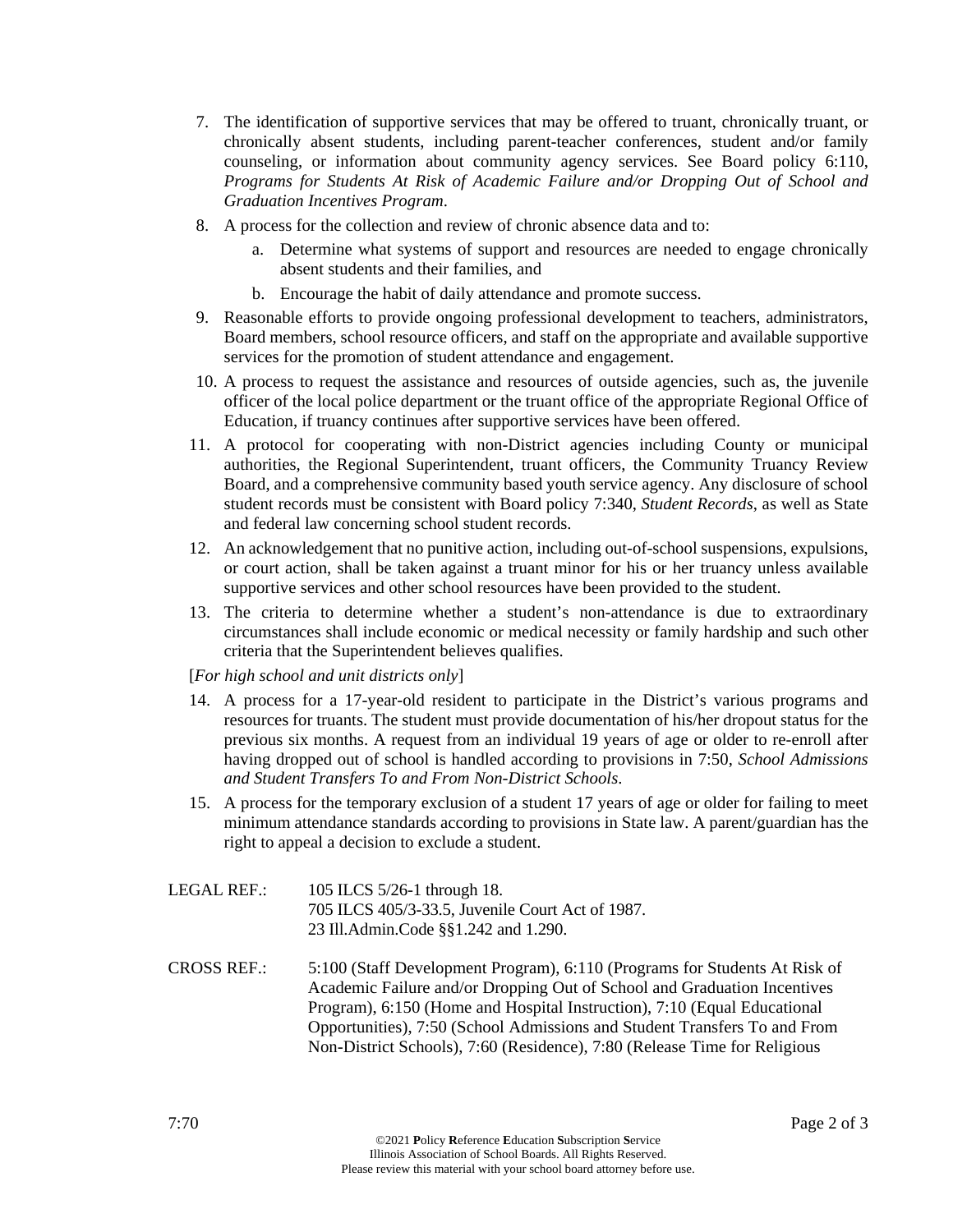- 7. The identification of supportive services that may be offered to truant, chronically truant, or chronically absent students, including parent-teacher conferences, student and/or family counseling, or information about community agency services. See Board policy 6:110, *Programs for Students At Risk of Academic Failure and/or Dropping Out of School and Graduation Incentives Program*.
- 8. A process for the collection and review of chronic absence data and to:
	- a. Determine what systems of support and resources are needed to engage chronically absent students and their families, and
	- b. Encourage the habit of daily attendance and promote success.
- 9. Reasonable efforts to provide ongoing professional development to teachers, administrators, Board members, school resource officers, and staff on the appropriate and available supportive services for the promotion of student attendance and engagement.
- 10. A process to request the assistance and resources of outside agencies, such as, the juvenile officer of the local police department or the truant office of the appropriate Regional Office of Education, if truancy continues after supportive services have been offered.
- 11. A protocol for cooperating with non-District agencies including County or municipal authorities, the Regional Superintendent, truant officers, the Community Truancy Review Board, and a comprehensive community based youth service agency. Any disclosure of school student records must be consistent with Board policy 7:340, *Student Records*, as well as State and federal law concerning school student records.
- 12. An acknowledgement that no punitive action, including out-of-school suspensions, expulsions, or court action, shall be taken against a truant minor for his or her truancy unless available supportive services and other school resources have been provided to the student.
- 13. The criteria to determine whether a student's non-attendance is due to extraordinary circumstances shall include economic or medical necessity or family hardship and such other criteria that the Superintendent believes qualifies.

[*For high school and unit districts only*]

- 14. A process for a 17-year-old resident to participate in the District's various programs and resources for truants. The student must provide documentation of his/her dropout status for the previous six months. A request from an individual 19 years of age or older to re-enroll after having dropped out of school is handled according to provisions in 7:50, *School Admissions and Student Transfers To and From Non-District Schools*.
- 15. A process for the temporary exclusion of a student 17 years of age or older for failing to meet minimum attendance standards according to provisions in State law. A parent/guardian has the right to appeal a decision to exclude a student.

| LEGAL REF.: | 105 ILCS 5/26-1 through 18.                      |
|-------------|--------------------------------------------------|
|             | 705 ILCS 405/3-33.5, Juvenile Court Act of 1987. |
|             | 23 Ill.Admin.Code §§1.242 and 1.290.             |

CROSS REF.: 5:100 (Staff Development Program), 6:110 (Programs for Students At Risk of Academic Failure and/or Dropping Out of School and Graduation Incentives Program), 6:150 (Home and Hospital Instruction), 7:10 (Equal Educational Opportunities), 7:50 (School Admissions and Student Transfers To and From Non-District Schools), 7:60 (Residence), 7:80 (Release Time for Religious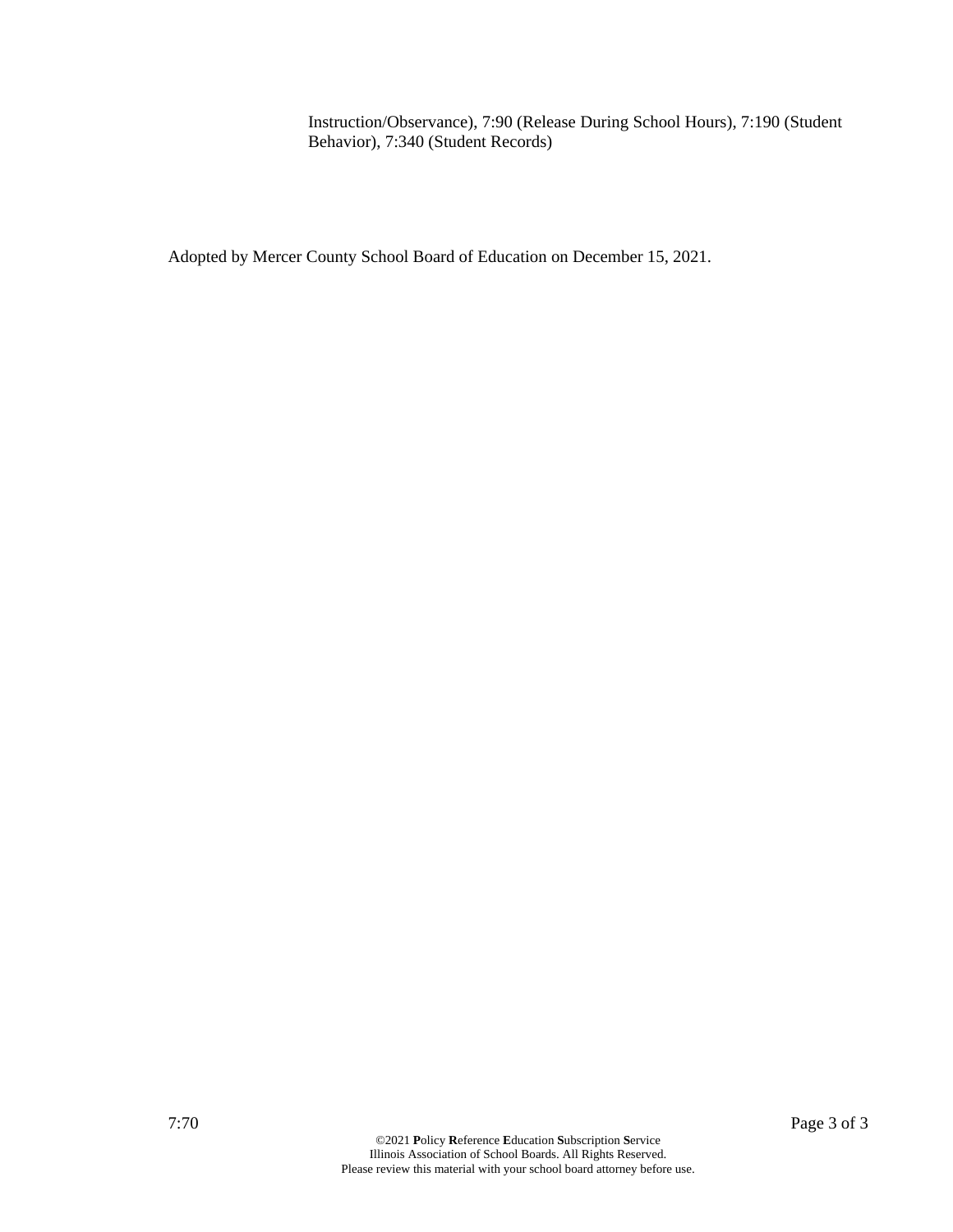Instruction/Observance), 7:90 (Release During School Hours), 7:190 (Student Behavior), 7:340 (Student Records)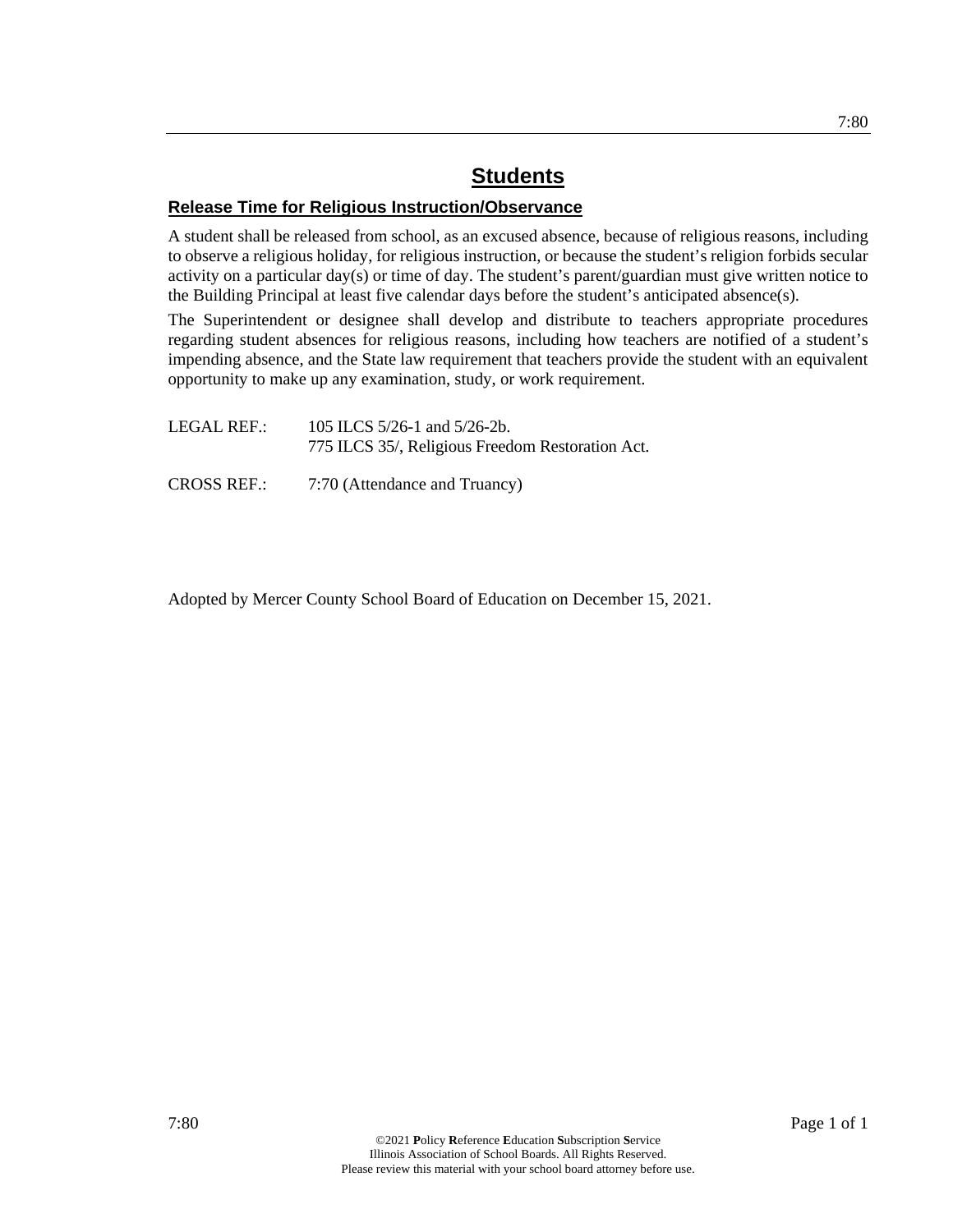## **Release Time for Religious Instruction/Observance**

A student shall be released from school, as an excused absence, because of religious reasons, including to observe a religious holiday, for religious instruction, or because the student's religion forbids secular activity on a particular day(s) or time of day. The student's parent/guardian must give written notice to the Building Principal at least five calendar days before the student's anticipated absence(s).

The Superintendent or designee shall develop and distribute to teachers appropriate procedures regarding student absences for religious reasons, including how teachers are notified of a student's impending absence, and the State law requirement that teachers provide the student with an equivalent opportunity to make up any examination, study, or work requirement.

| LEGAL REF.:        | 105 ILCS $5/26$ -1 and $5/26$ -2b.<br>775 ILCS 35/, Religious Freedom Restoration Act. |
|--------------------|----------------------------------------------------------------------------------------|
| <b>CROSS REF.:</b> | 7:70 (Attendance and Truancy)                                                          |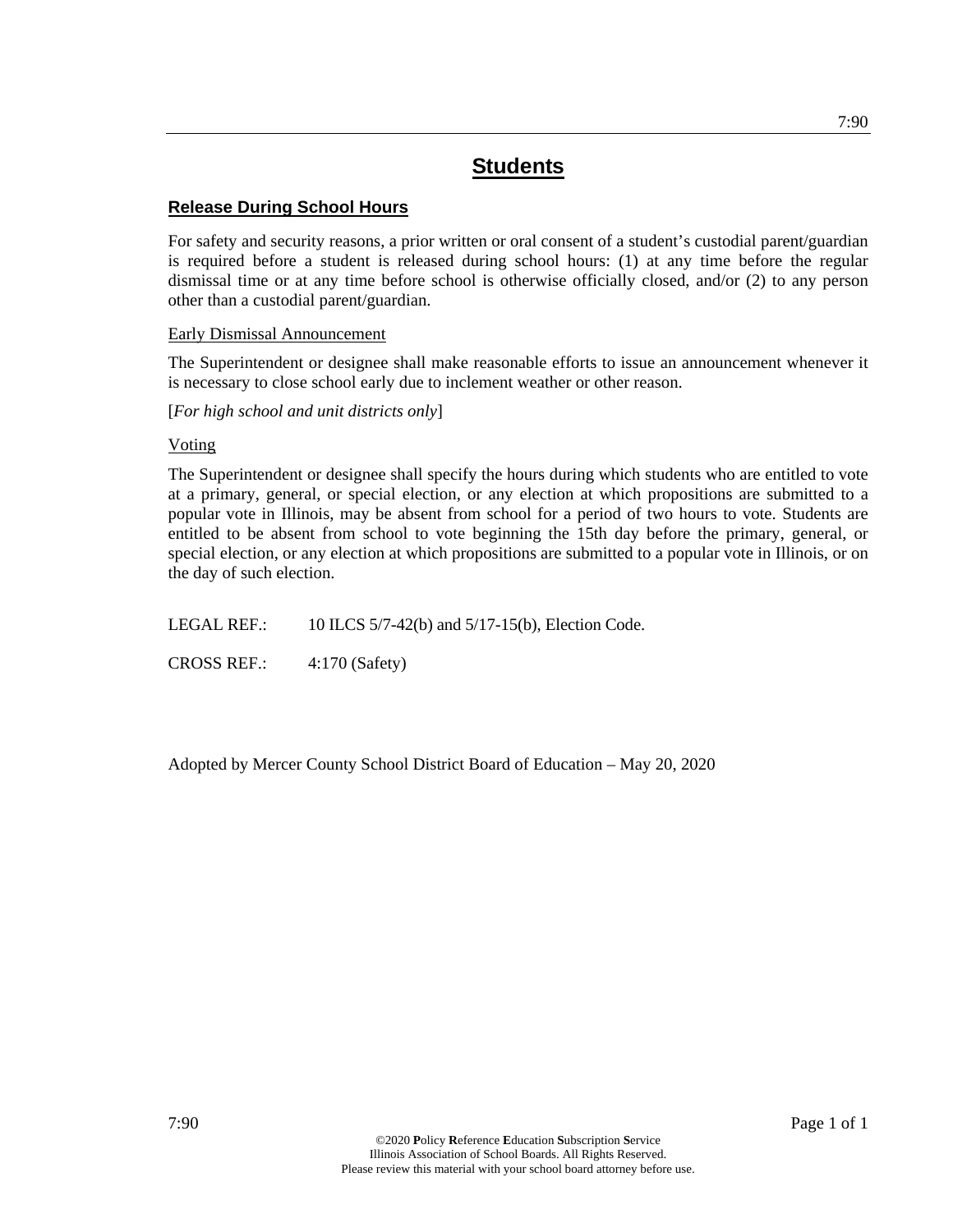## **Release During School Hours**

For safety and security reasons, a prior written or oral consent of a student's custodial parent/guardian is required before a student is released during school hours: (1) at any time before the regular dismissal time or at any time before school is otherwise officially closed, and/or (2) to any person other than a custodial parent/guardian.

#### Early Dismissal Announcement

The Superintendent or designee shall make reasonable efforts to issue an announcement whenever it is necessary to close school early due to inclement weather or other reason.

[*For high school and unit districts only*]

#### Voting

The Superintendent or designee shall specify the hours during which students who are entitled to vote at a primary, general, or special election, or any election at which propositions are submitted to a popular vote in Illinois, may be absent from school for a period of two hours to vote. Students are entitled to be absent from school to vote beginning the 15th day before the primary, general, or special election, or any election at which propositions are submitted to a popular vote in Illinois, or on the day of such election.

LEGAL REF.: 10 ILCS 5/7-42(b) and 5/17-15(b), Election Code.

CROSS REF.: 4:170 (Safety)

Adopted by Mercer County School District Board of Education – May 20, 2020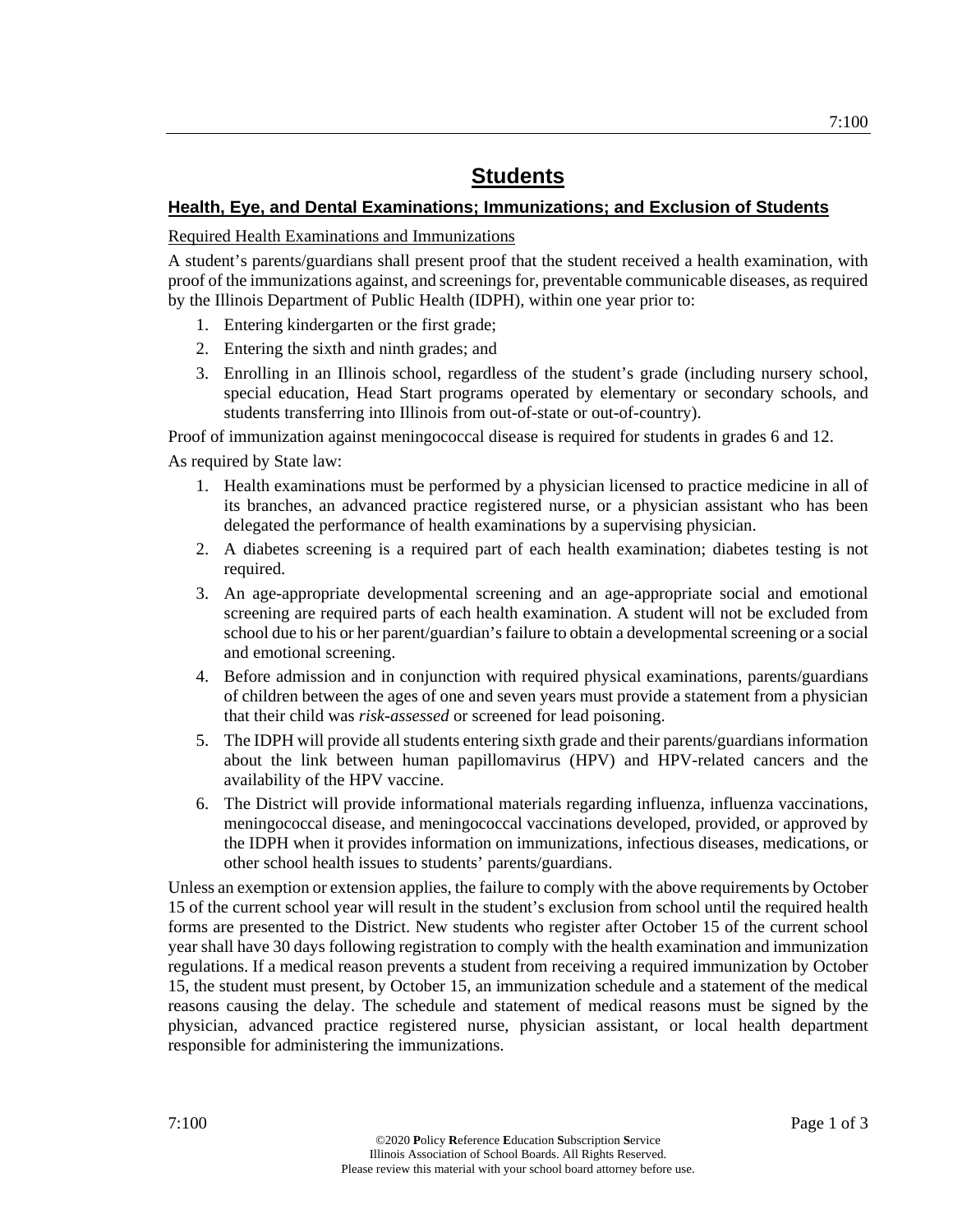## **Health, Eye, and Dental Examinations; Immunizations; and Exclusion of Students**

Required Health Examinations and Immunizations

A student's parents/guardians shall present proof that the student received a health examination, with proof of the immunizations against, and screenings for, preventable communicable diseases, as required by the Illinois Department of Public Health (IDPH), within one year prior to:

- 1. Entering kindergarten or the first grade;
- 2. Entering the sixth and ninth grades; and
- 3. Enrolling in an Illinois school, regardless of the student's grade (including nursery school, special education, Head Start programs operated by elementary or secondary schools, and students transferring into Illinois from out-of-state or out-of-country).

Proof of immunization against meningococcal disease is required for students in grades 6 and 12.

As required by State law:

- 1. Health examinations must be performed by a physician licensed to practice medicine in all of its branches, an advanced practice registered nurse, or a physician assistant who has been delegated the performance of health examinations by a supervising physician.
- 2. A diabetes screening is a required part of each health examination; diabetes testing is not required.
- 3. An age-appropriate developmental screening and an age-appropriate social and emotional screening are required parts of each health examination. A student will not be excluded from school due to his or her parent/guardian's failure to obtain a developmental screening or a social and emotional screening.
- 4. Before admission and in conjunction with required physical examinations, parents/guardians of children between the ages of one and seven years must provide a statement from a physician that their child was *risk-assessed* or screened for lead poisoning.
- 5. The IDPH will provide all students entering sixth grade and their parents/guardians information about the link between human papillomavirus (HPV) and HPV-related cancers and the availability of the HPV vaccine.
- 6. The District will provide informational materials regarding influenza, influenza vaccinations, meningococcal disease, and meningococcal vaccinations developed, provided, or approved by the IDPH when it provides information on immunizations, infectious diseases, medications, or other school health issues to students' parents/guardians.

Unless an exemption or extension applies, the failure to comply with the above requirements by October 15 of the current school year will result in the student's exclusion from school until the required health forms are presented to the District. New students who register after October 15 of the current school year shall have 30 days following registration to comply with the health examination and immunization regulations. If a medical reason prevents a student from receiving a required immunization by October 15, the student must present, by October 15, an immunization schedule and a statement of the medical reasons causing the delay. The schedule and statement of medical reasons must be signed by the physician, advanced practice registered nurse, physician assistant, or local health department responsible for administering the immunizations.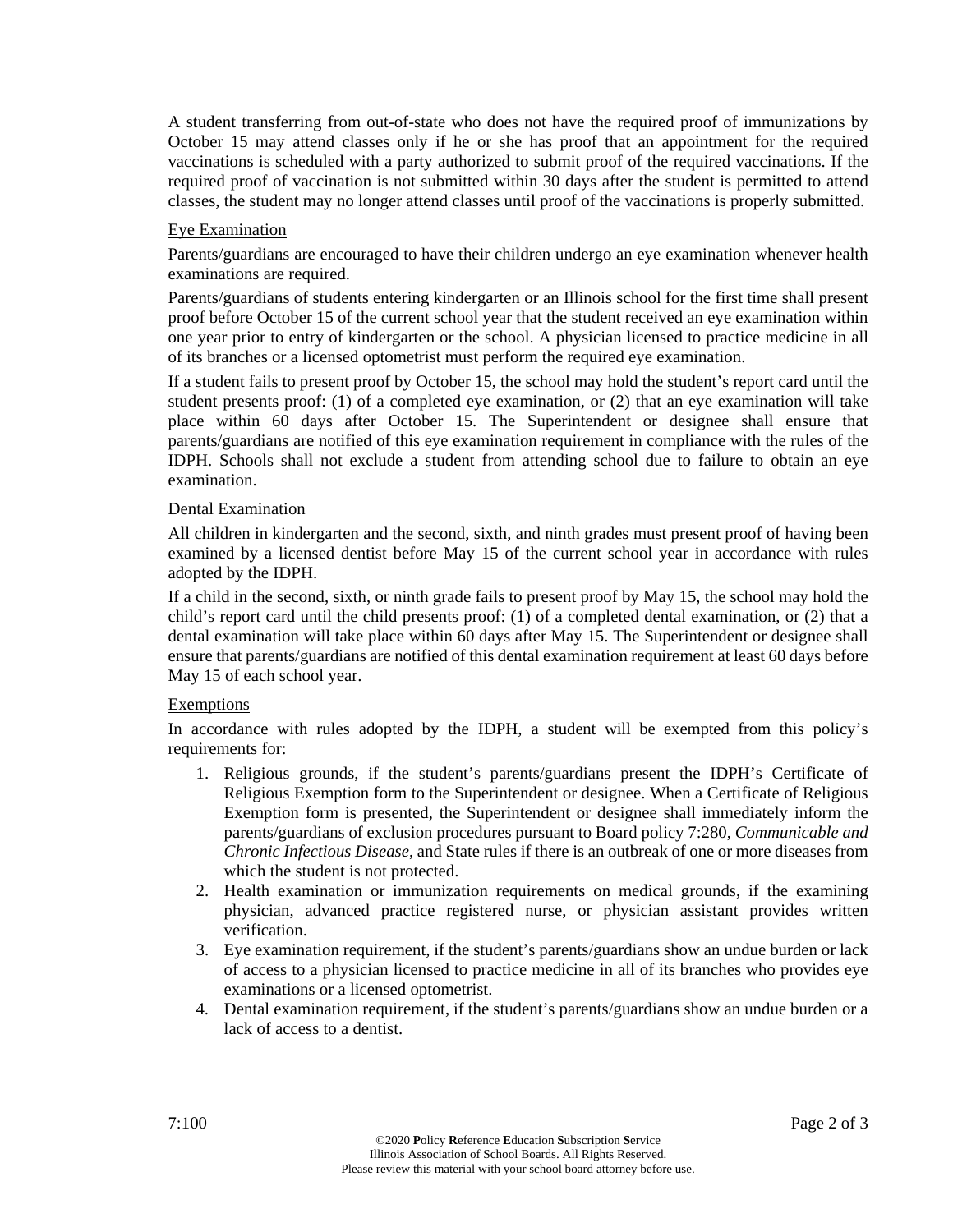A student transferring from out-of-state who does not have the required proof of immunizations by October 15 may attend classes only if he or she has proof that an appointment for the required vaccinations is scheduled with a party authorized to submit proof of the required vaccinations. If the required proof of vaccination is not submitted within 30 days after the student is permitted to attend classes, the student may no longer attend classes until proof of the vaccinations is properly submitted.

#### Eye Examination

Parents/guardians are encouraged to have their children undergo an eye examination whenever health examinations are required.

Parents/guardians of students entering kindergarten or an Illinois school for the first time shall present proof before October 15 of the current school year that the student received an eye examination within one year prior to entry of kindergarten or the school. A physician licensed to practice medicine in all of its branches or a licensed optometrist must perform the required eye examination.

If a student fails to present proof by October 15, the school may hold the student's report card until the student presents proof: (1) of a completed eye examination, or (2) that an eye examination will take place within 60 days after October 15. The Superintendent or designee shall ensure that parents/guardians are notified of this eye examination requirement in compliance with the rules of the IDPH. Schools shall not exclude a student from attending school due to failure to obtain an eye examination.

## Dental Examination

All children in kindergarten and the second, sixth, and ninth grades must present proof of having been examined by a licensed dentist before May 15 of the current school year in accordance with rules adopted by the IDPH.

If a child in the second, sixth, or ninth grade fails to present proof by May 15, the school may hold the child's report card until the child presents proof: (1) of a completed dental examination, or (2) that a dental examination will take place within 60 days after May 15. The Superintendent or designee shall ensure that parents/guardians are notified of this dental examination requirement at least 60 days before May 15 of each school year.

#### Exemptions

In accordance with rules adopted by the IDPH, a student will be exempted from this policy's requirements for:

- 1. Religious grounds, if the student's parents/guardians present the IDPH's Certificate of Religious Exemption form to the Superintendent or designee. When a Certificate of Religious Exemption form is presented, the Superintendent or designee shall immediately inform the parents/guardians of exclusion procedures pursuant to Board policy 7:280, *Communicable and Chronic Infectious Disease*, and State rules if there is an outbreak of one or more diseases from which the student is not protected.
- 2. Health examination or immunization requirements on medical grounds, if the examining physician, advanced practice registered nurse, or physician assistant provides written verification.
- 3. Eye examination requirement, if the student's parents/guardians show an undue burden or lack of access to a physician licensed to practice medicine in all of its branches who provides eye examinations or a licensed optometrist.
- 4. Dental examination requirement, if the student's parents/guardians show an undue burden or a lack of access to a dentist.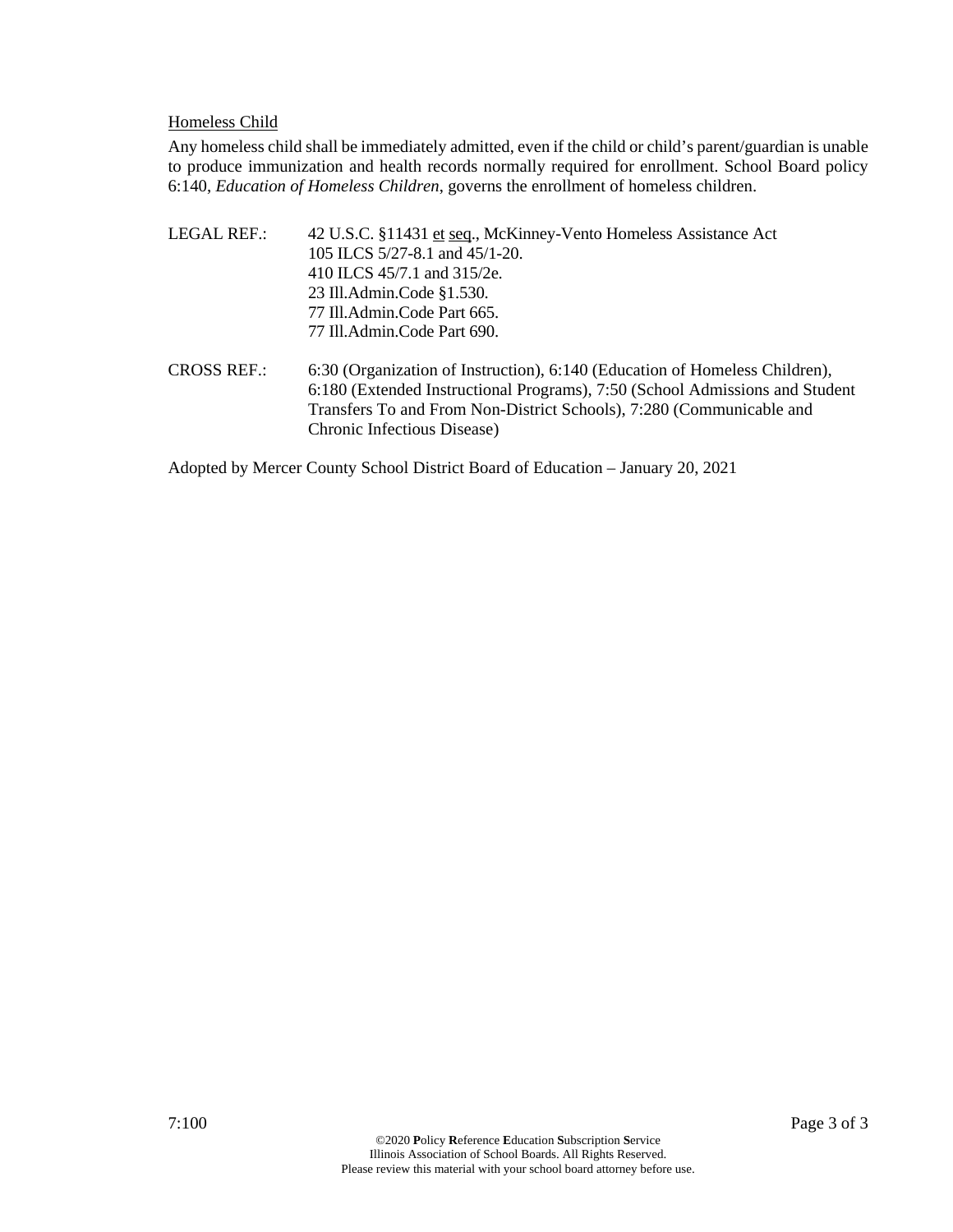#### Homeless Child

Any homeless child shall be immediately admitted, even if the child or child's parent/guardian is unable to produce immunization and health records normally required for enrollment. School Board policy 6:140, *Education of Homeless Children*, governs the enrollment of homeless children.

- LEGAL REF.: 42 U.S.C. §11431 et seq., McKinney-Vento Homeless Assistance Act 105 ILCS 5/27-8.1 and 45/1-20. 410 ILCS 45/7.1 and 315/2e. 23 Ill.Admin.Code §1.530. 77 Ill.Admin.Code Part 665. 77 Ill.Admin.Code Part 690.
- CROSS REF.: 6:30 (Organization of Instruction), 6:140 (Education of Homeless Children), 6:180 (Extended Instructional Programs), 7:50 (School Admissions and Student Transfers To and From Non-District Schools), 7:280 (Communicable and Chronic Infectious Disease)

Adopted by Mercer County School District Board of Education – January 20, 2021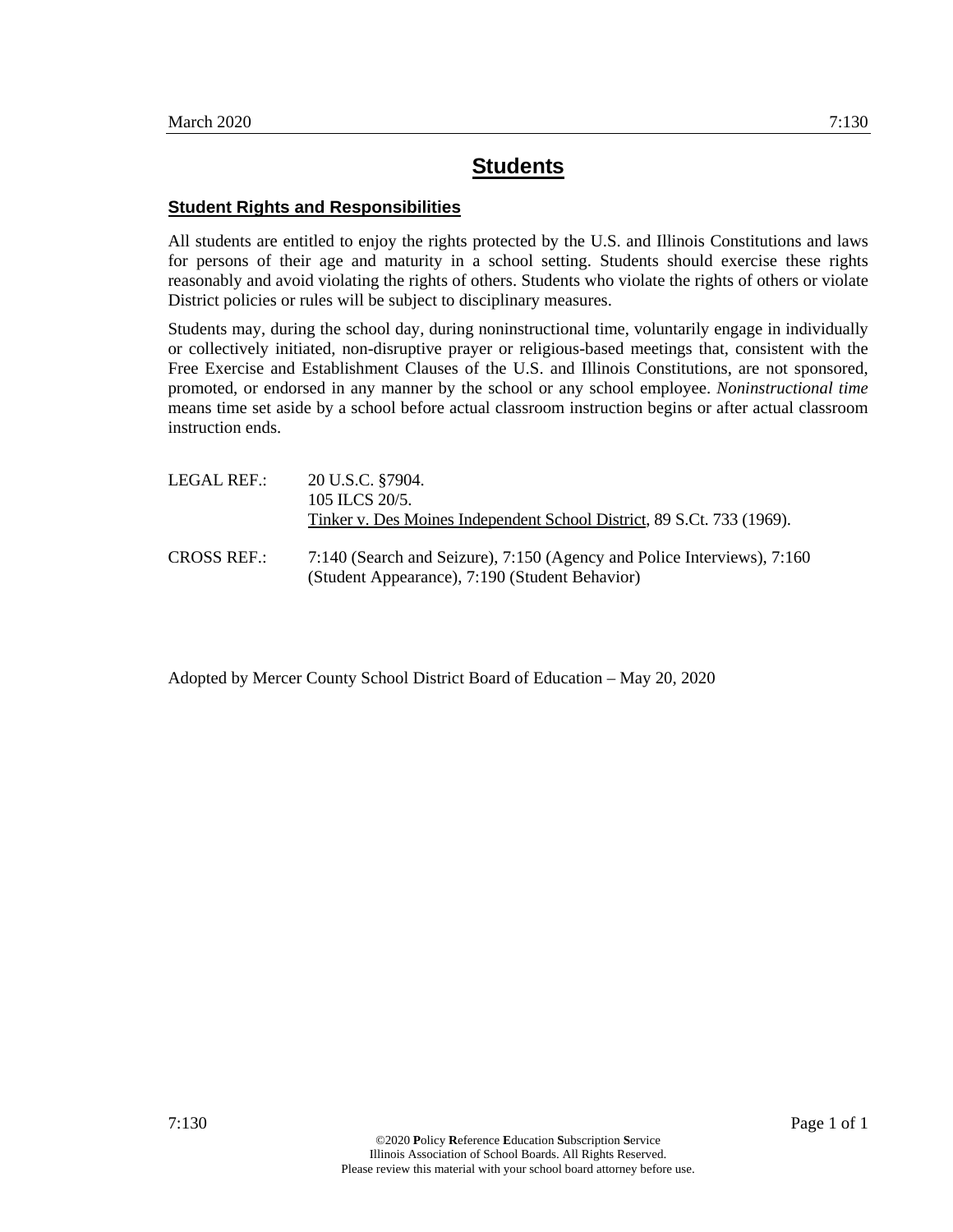#### **Student Rights and Responsibilities**

All students are entitled to enjoy the rights protected by the U.S. and Illinois Constitutions and laws for persons of their age and maturity in a school setting. Students should exercise these rights reasonably and avoid violating the rights of others. Students who violate the rights of others or violate District policies or rules will be subject to disciplinary measures.

Students may, during the school day, during noninstructional time, voluntarily engage in individually or collectively initiated, non-disruptive prayer or religious-based meetings that, consistent with the Free Exercise and Establishment Clauses of the U.S. and Illinois Constitutions, are not sponsored, promoted, or endorsed in any manner by the school or any school employee. *Noninstructional time* means time set aside by a school before actual classroom instruction begins or after actual classroom instruction ends.

| LEGAL REF.:        | 20 U.S.C. §7904.<br>105 ILCS 20/5.<br>Tinker v. Des Moines Independent School District, 89 S.Ct. 733 (1969).              |
|--------------------|---------------------------------------------------------------------------------------------------------------------------|
| <b>CROSS REF.:</b> | 7:140 (Search and Seizure), 7:150 (Agency and Police Interviews), 7:160<br>(Student Appearance), 7:190 (Student Behavior) |

Adopted by Mercer County School District Board of Education – May 20, 2020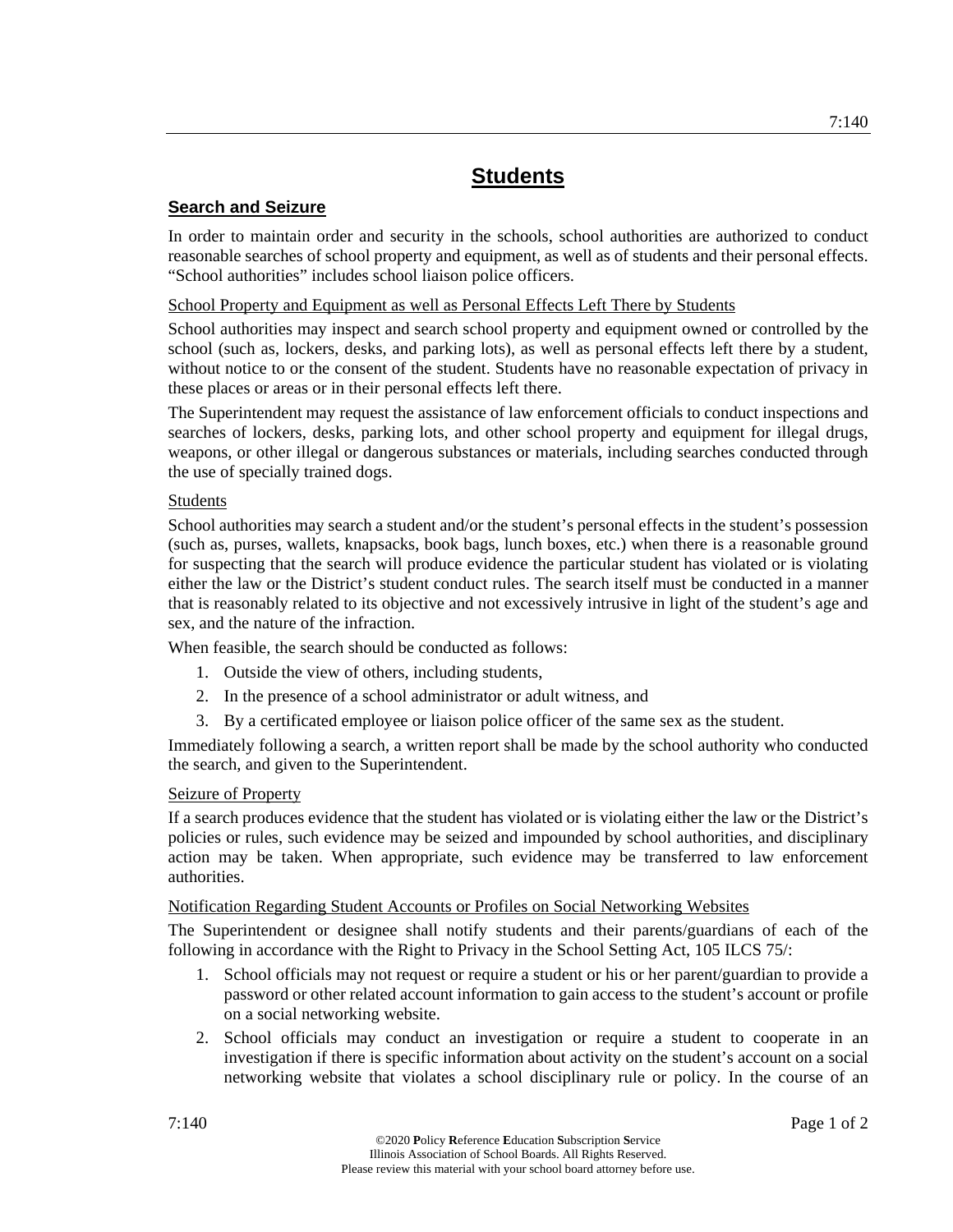## **Search and Seizure**

In order to maintain order and security in the schools, school authorities are authorized to conduct reasonable searches of school property and equipment, as well as of students and their personal effects. "School authorities" includes school liaison police officers.

School Property and Equipment as well as Personal Effects Left There by Students

School authorities may inspect and search school property and equipment owned or controlled by the school (such as, lockers, desks, and parking lots), as well as personal effects left there by a student, without notice to or the consent of the student. Students have no reasonable expectation of privacy in these places or areas or in their personal effects left there.

The Superintendent may request the assistance of law enforcement officials to conduct inspections and searches of lockers, desks, parking lots, and other school property and equipment for illegal drugs, weapons, or other illegal or dangerous substances or materials, including searches conducted through the use of specially trained dogs.

## Students

School authorities may search a student and/or the student's personal effects in the student's possession (such as, purses, wallets, knapsacks, book bags, lunch boxes, etc.) when there is a reasonable ground for suspecting that the search will produce evidence the particular student has violated or is violating either the law or the District's student conduct rules. The search itself must be conducted in a manner that is reasonably related to its objective and not excessively intrusive in light of the student's age and sex, and the nature of the infraction.

When feasible, the search should be conducted as follows:

- 1. Outside the view of others, including students,
- 2. In the presence of a school administrator or adult witness, and
- 3. By a certificated employee or liaison police officer of the same sex as the student.

Immediately following a search, a written report shall be made by the school authority who conducted the search, and given to the Superintendent.

## Seizure of Property

If a search produces evidence that the student has violated or is violating either the law or the District's policies or rules, such evidence may be seized and impounded by school authorities, and disciplinary action may be taken. When appropriate, such evidence may be transferred to law enforcement authorities.

## Notification Regarding Student Accounts or Profiles on Social Networking Websites

The Superintendent or designee shall notify students and their parents/guardians of each of the following in accordance with the Right to Privacy in the School Setting Act, 105 ILCS 75/:

- 1. School officials may not request or require a student or his or her parent/guardian to provide a password or other related account information to gain access to the student's account or profile on a social networking website.
- 2. School officials may conduct an investigation or require a student to cooperate in an investigation if there is specific information about activity on the student's account on a social networking website that violates a school disciplinary rule or policy. In the course of an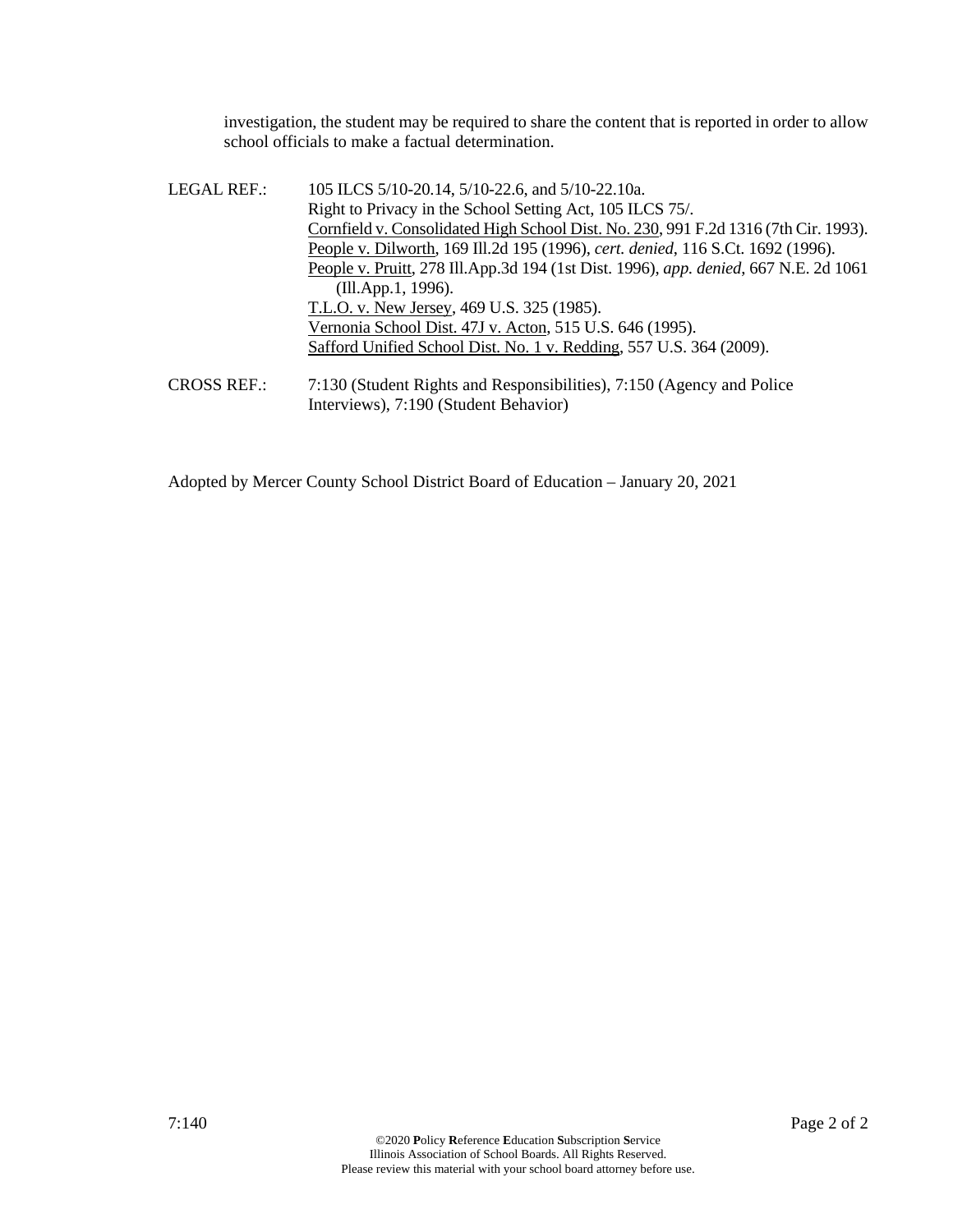investigation, the student may be required to share the content that is reported in order to allow school officials to make a factual determination.

| LEGAL REF.: | 105 ILCS 5/10-20.14, 5/10-22.6, and 5/10-22.10a.                                     |
|-------------|--------------------------------------------------------------------------------------|
|             | Right to Privacy in the School Setting Act, 105 ILCS 75/.                            |
|             | Cornfield v. Consolidated High School Dist. No. 230, 991 F.2d 1316 (7th Cir. 1993).  |
|             | People v. Dilworth, 169 Ill.2d 195 (1996), cert. denied, 116 S.Ct. 1692 (1996).      |
|             | People v. Pruitt, 278 Ill.App.3d 194 (1st Dist. 1996), app. denied, 667 N.E. 2d 1061 |
|             | (Ill.App.1, 1996).                                                                   |
|             | T.L.O. v. New Jersey, 469 U.S. 325 (1985).                                           |
|             | Vernonia School Dist. 47J v. Acton, 515 U.S. 646 (1995).                             |
|             | Safford Unified School Dist. No. 1 v. Redding, 557 U.S. 364 (2009).                  |
| CROSSRFF    | $7.130$ (Student Rights and Responsibilities) $7.150$ (Agency and Police             |

CROSS REF.: 7:130 (Student Rights and Responsibilities), 7:150 (Agency and Police Interviews), 7:190 (Student Behavior)

Adopted by Mercer County School District Board of Education – January 20, 2021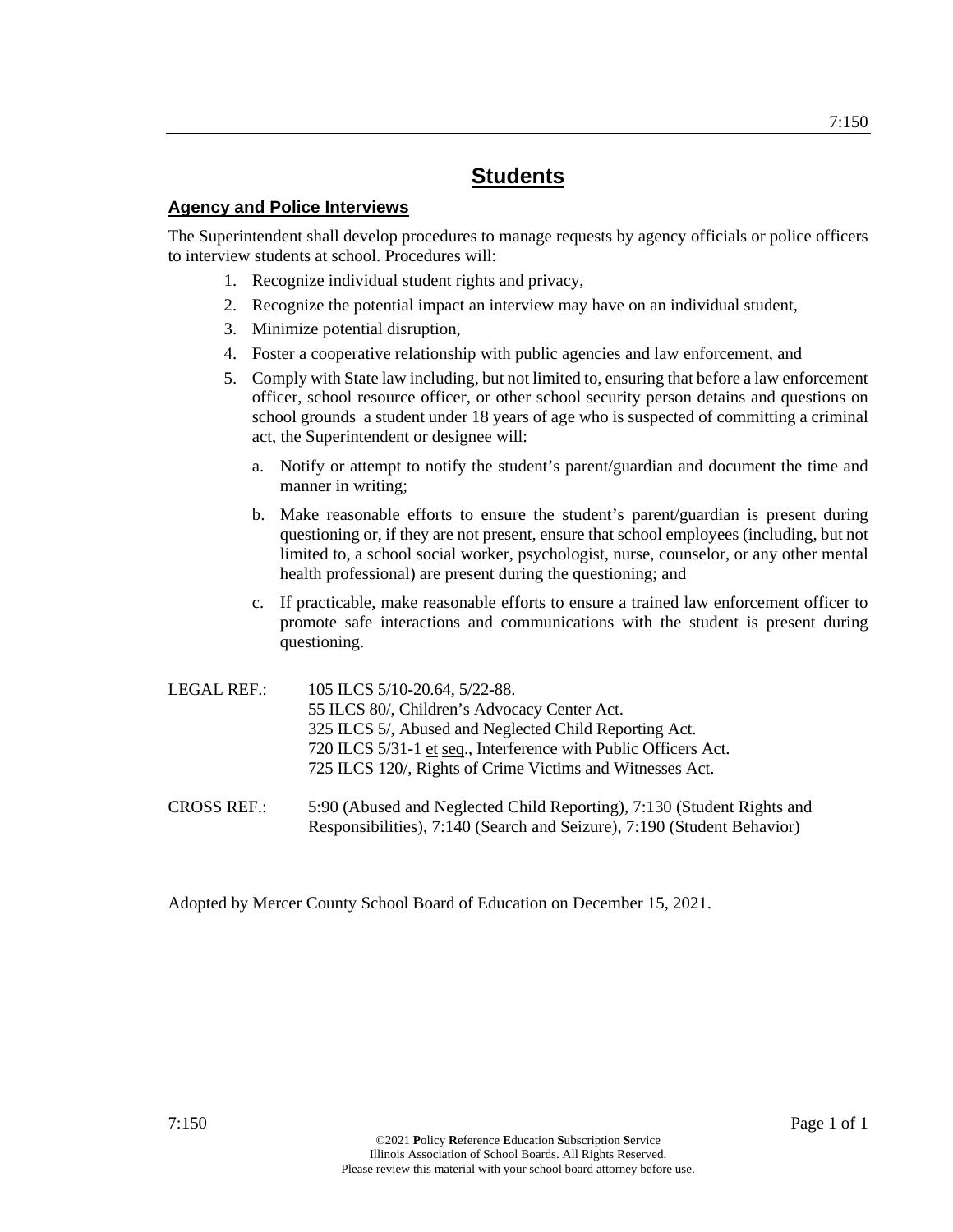## **Agency and Police Interviews**

The Superintendent shall develop procedures to manage requests by agency officials or police officers to interview students at school. Procedures will:

- 1. Recognize individual student rights and privacy,
- 2. Recognize the potential impact an interview may have on an individual student,
- 3. Minimize potential disruption,
- 4. Foster a cooperative relationship with public agencies and law enforcement, and
- 5. Comply with State law including, but not limited to, ensuring that before a law enforcement officer, school resource officer, or other school security person detains and questions on school grounds a student under 18 years of age who is suspected of committing a criminal act, the Superintendent or designee will:
	- a. Notify or attempt to notify the student's parent/guardian and document the time and manner in writing;
	- b. Make reasonable efforts to ensure the student's parent/guardian is present during questioning or, if they are not present, ensure that school employees (including, but not limited to, a school social worker, psychologist, nurse, counselor, or any other mental health professional) are present during the questioning; and
	- c. If practicable, make reasonable efforts to ensure a trained law enforcement officer to promote safe interactions and communications with the student is present during questioning.

| LEGAL REF.:        | 105 ILCS 5/10-20.64, 5/22-88.<br>55 ILCS 80/, Children's Advocacy Center Act.<br>325 ILCS 5/, Abused and Neglected Child Reporting Act.<br>720 ILCS 5/31-1 et seq., Interference with Public Officers Act.<br>725 ILCS 120/, Rights of Crime Victims and Witnesses Act. |
|--------------------|-------------------------------------------------------------------------------------------------------------------------------------------------------------------------------------------------------------------------------------------------------------------------|
| <b>CROSS REF.:</b> | 5:90 (Abused and Neglected Child Reporting), 7:130 (Student Rights and<br>Responsibilities), 7:140 (Search and Seizure), 7:190 (Student Behavior)                                                                                                                       |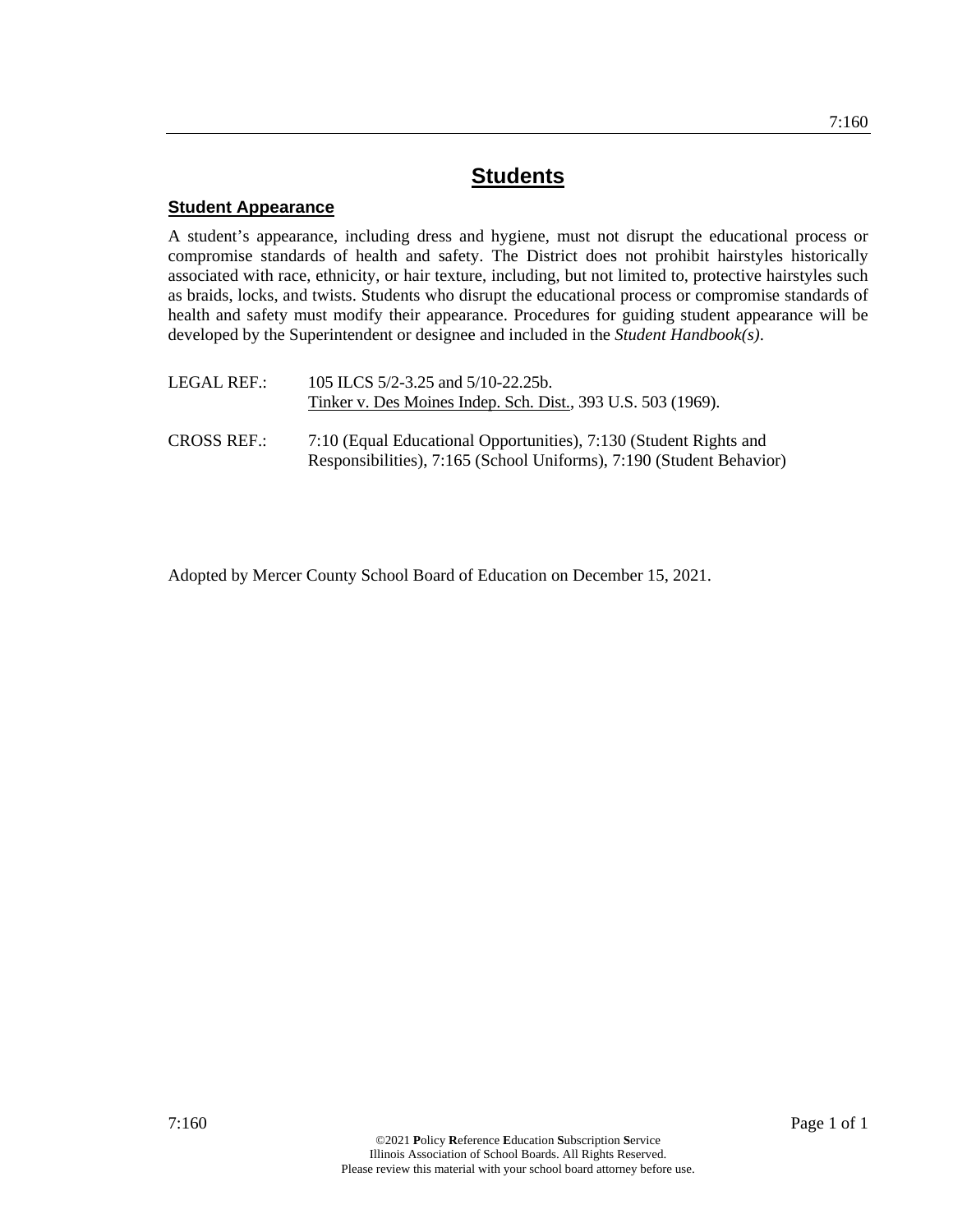## **Student Appearance**

A student's appearance, including dress and hygiene, must not disrupt the educational process or compromise standards of health and safety. The District does not prohibit hairstyles historically associated with race, ethnicity, or hair texture, including, but not limited to, protective hairstyles such as braids, locks, and twists. Students who disrupt the educational process or compromise standards of health and safety must modify their appearance. Procedures for guiding student appearance will be developed by the Superintendent or designee and included in the *Student Handbook(s)*.

| LEGAL REF.:        | 105 ILCS 5/2-3.25 and 5/10-22.25b.<br>Tinker v. Des Moines Indep. Sch. Dist., 393 U.S. 503 (1969).                                        |
|--------------------|-------------------------------------------------------------------------------------------------------------------------------------------|
| <b>CROSS REF.:</b> | 7:10 (Equal Educational Opportunities), 7:130 (Student Rights and<br>Responsibilities), 7:165 (School Uniforms), 7:190 (Student Behavior) |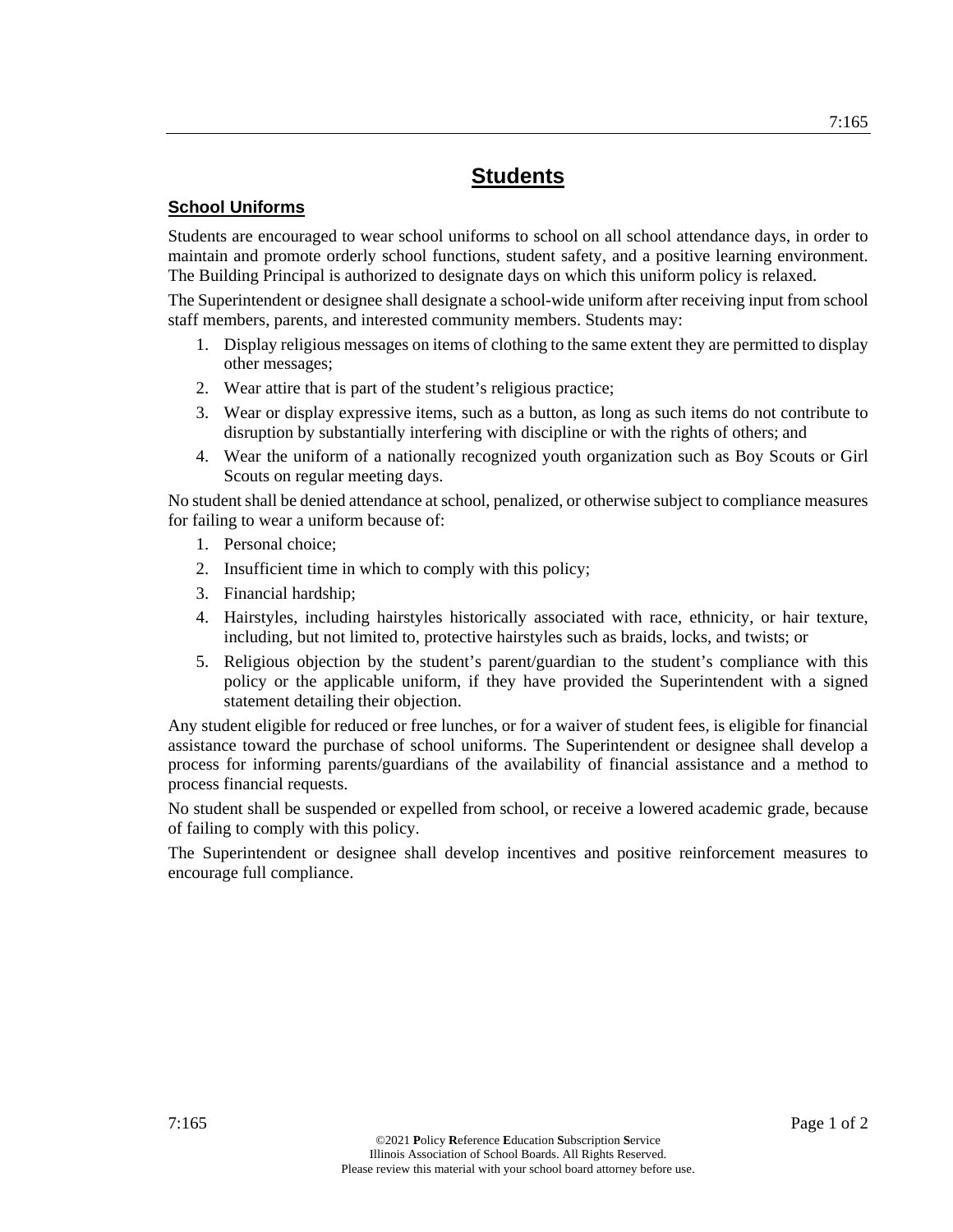## **School Uniforms**

Students are encouraged to wear school uniforms to school on all school attendance days, in order to maintain and promote orderly school functions, student safety, and a positive learning environment. The Building Principal is authorized to designate days on which this uniform policy is relaxed.

The Superintendent or designee shall designate a school-wide uniform after receiving input from school staff members, parents, and interested community members. Students may:

- 1. Display religious messages on items of clothing to the same extent they are permitted to display other messages;
- 2. Wear attire that is part of the student's religious practice;
- 3. Wear or display expressive items, such as a button, as long as such items do not contribute to disruption by substantially interfering with discipline or with the rights of others; and
- 4. Wear the uniform of a nationally recognized youth organization such as Boy Scouts or Girl Scouts on regular meeting days.

No student shall be denied attendance at school, penalized, or otherwise subject to compliance measures for failing to wear a uniform because of:

- 1. Personal choice;
- 2. Insufficient time in which to comply with this policy;
- 3. Financial hardship;
- 4. Hairstyles, including hairstyles historically associated with race, ethnicity, or hair texture, including, but not limited to, protective hairstyles such as braids, locks, and twists; or
- 5. Religious objection by the student's parent/guardian to the student's compliance with this policy or the applicable uniform, if they have provided the Superintendent with a signed statement detailing their objection.

Any student eligible for reduced or free lunches, or for a waiver of student fees, is eligible for financial assistance toward the purchase of school uniforms. The Superintendent or designee shall develop a process for informing parents/guardians of the availability of financial assistance and a method to process financial requests.

No student shall be suspended or expelled from school, or receive a lowered academic grade, because of failing to comply with this policy.

The Superintendent or designee shall develop incentives and positive reinforcement measures to encourage full compliance.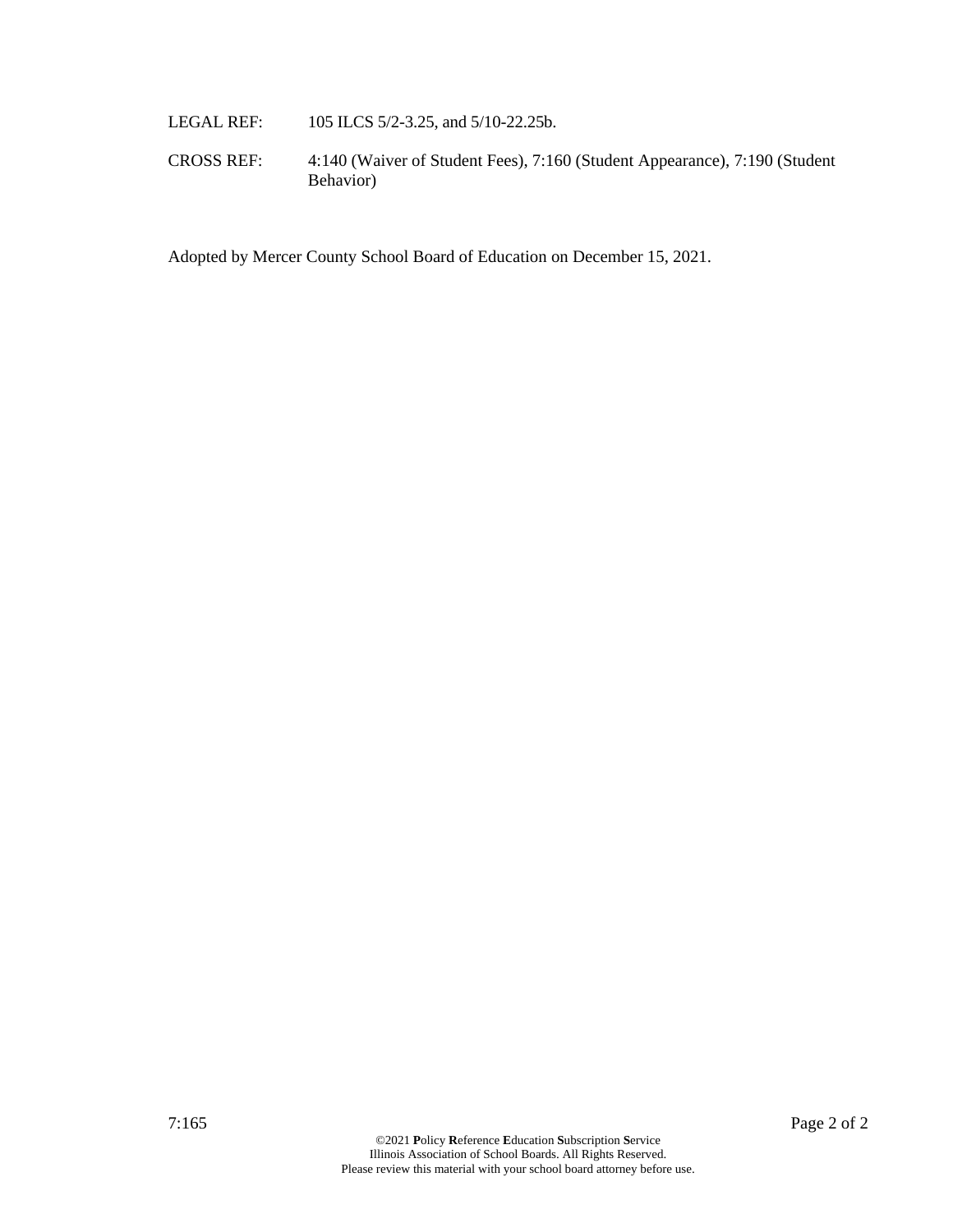- LEGAL REF: 105 ILCS 5/2-3.25, and 5/10-22.25b.
- CROSS REF: 4:140 (Waiver of Student Fees), 7:160 (Student Appearance), 7:190 (Student Behavior)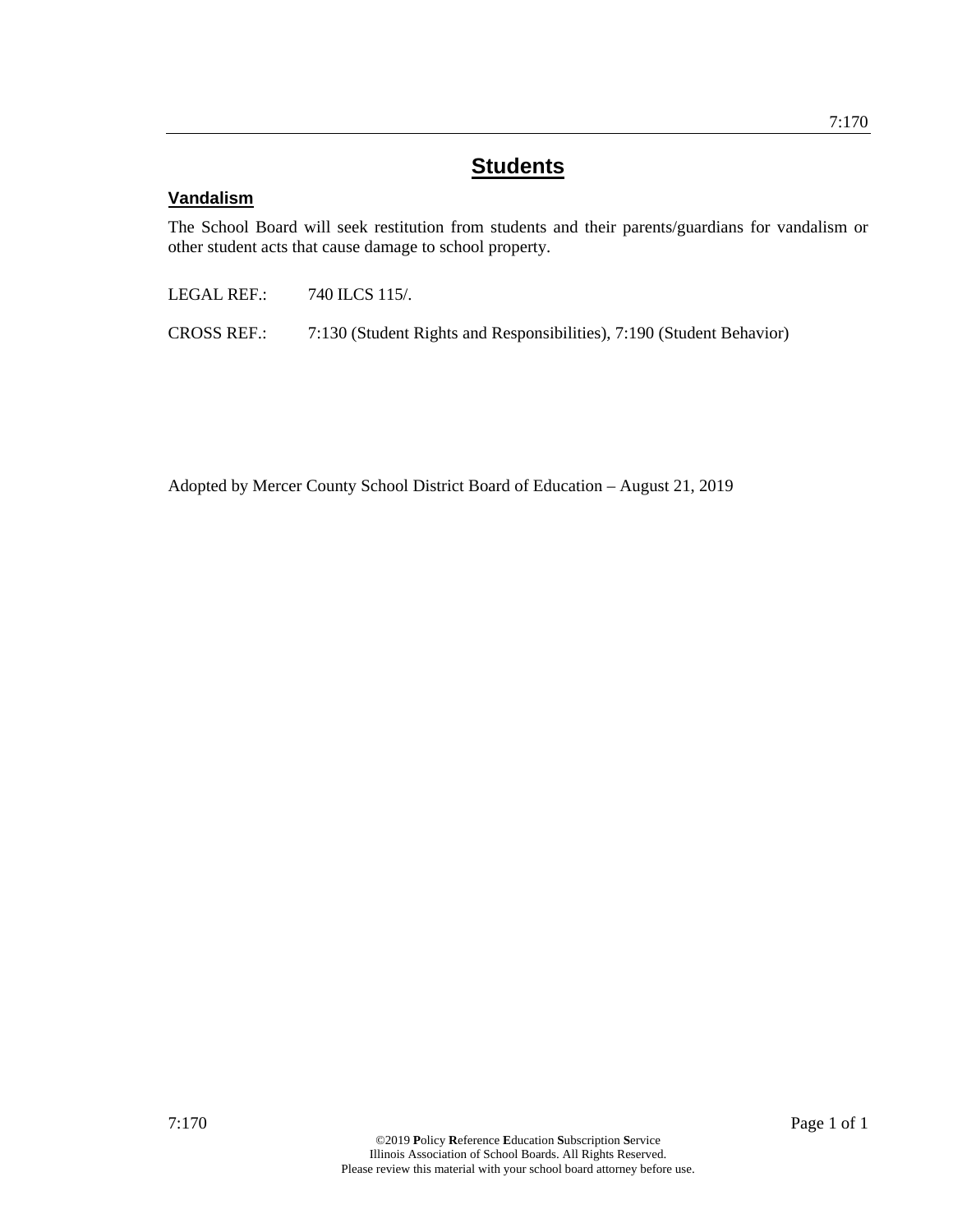## **Vandalism**

The School Board will seek restitution from students and their parents/guardians for vandalism or other student acts that cause damage to school property.

LEGAL REF.: 740 ILCS 115/.

CROSS REF.: 7:130 (Student Rights and Responsibilities), 7:190 (Student Behavior)

Adopted by Mercer County School District Board of Education – August 21, 2019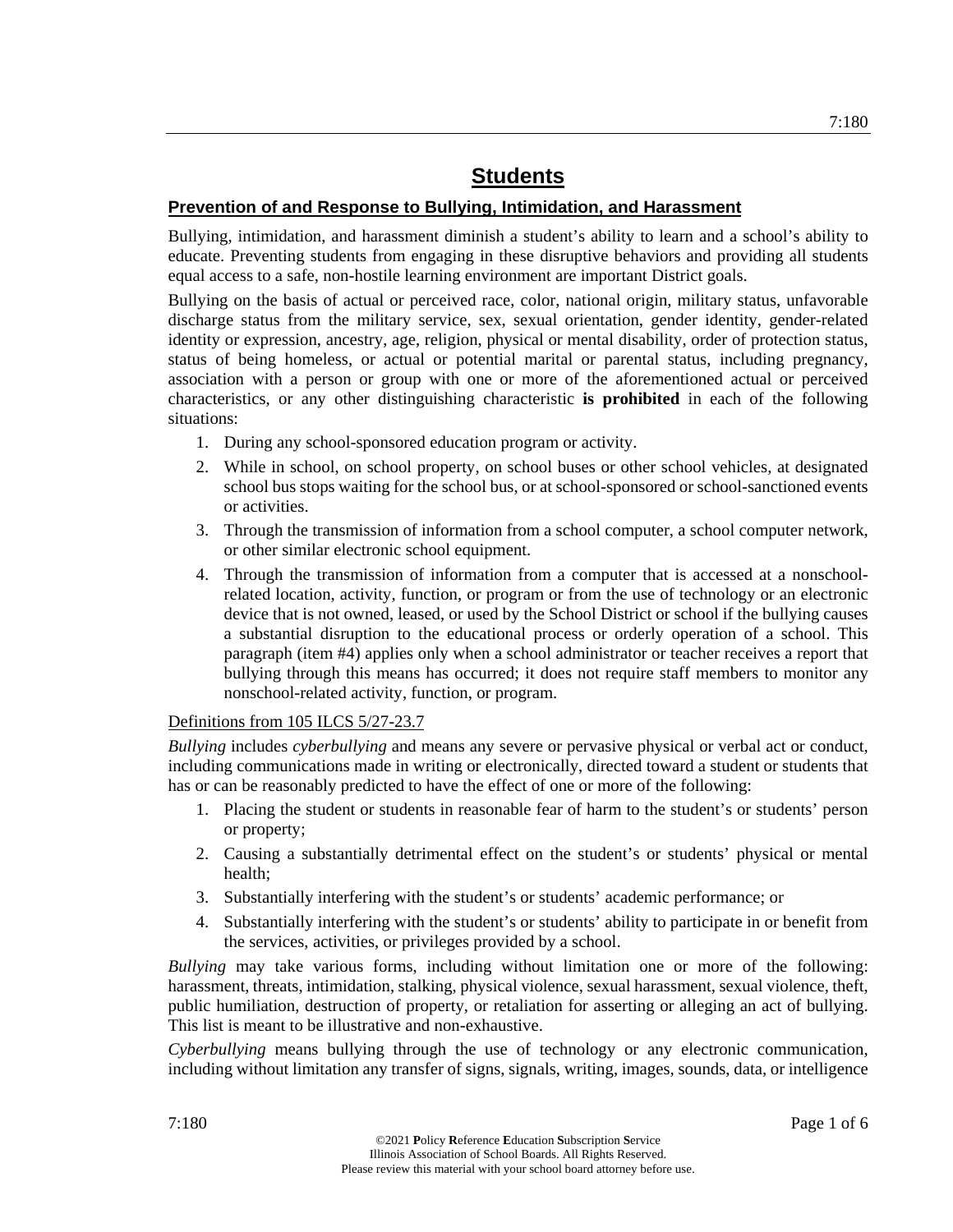## **Prevention of and Response to Bullying, Intimidation, and Harassment**

Bullying, intimidation, and harassment diminish a student's ability to learn and a school's ability to educate. Preventing students from engaging in these disruptive behaviors and providing all students equal access to a safe, non-hostile learning environment are important District goals.

Bullying on the basis of actual or perceived race, color, national origin, military status, unfavorable discharge status from the military service, sex, sexual orientation, gender identity, gender-related identity or expression, ancestry, age, religion, physical or mental disability, order of protection status, status of being homeless, or actual or potential marital or parental status, including pregnancy, association with a person or group with one or more of the aforementioned actual or perceived characteristics, or any other distinguishing characteristic **is prohibited** in each of the following situations:

- 1. During any school-sponsored education program or activity.
- 2. While in school, on school property, on school buses or other school vehicles, at designated school bus stops waiting for the school bus, or at school-sponsored or school-sanctioned events or activities.
- 3. Through the transmission of information from a school computer, a school computer network, or other similar electronic school equipment.
- 4. Through the transmission of information from a computer that is accessed at a nonschoolrelated location, activity, function, or program or from the use of technology or an electronic device that is not owned, leased, or used by the School District or school if the bullying causes a substantial disruption to the educational process or orderly operation of a school. This paragraph (item #4) applies only when a school administrator or teacher receives a report that bullying through this means has occurred; it does not require staff members to monitor any nonschool-related activity, function, or program.

## Definitions from 105 ILCS 5/27-23.7

*Bullying* includes *cyberbullying* and means any severe or pervasive physical or verbal act or conduct, including communications made in writing or electronically, directed toward a student or students that has or can be reasonably predicted to have the effect of one or more of the following:

- 1. Placing the student or students in reasonable fear of harm to the student's or students' person or property;
- 2. Causing a substantially detrimental effect on the student's or students' physical or mental health;
- 3. Substantially interfering with the student's or students' academic performance; or
- 4. Substantially interfering with the student's or students' ability to participate in or benefit from the services, activities, or privileges provided by a school.

*Bullying* may take various forms, including without limitation one or more of the following: harassment, threats, intimidation, stalking, physical violence, sexual harassment, sexual violence, theft, public humiliation, destruction of property, or retaliation for asserting or alleging an act of bullying. This list is meant to be illustrative and non-exhaustive.

*Cyberbullying* means bullying through the use of technology or any electronic communication, including without limitation any transfer of signs, signals, writing, images, sounds, data, or intelligence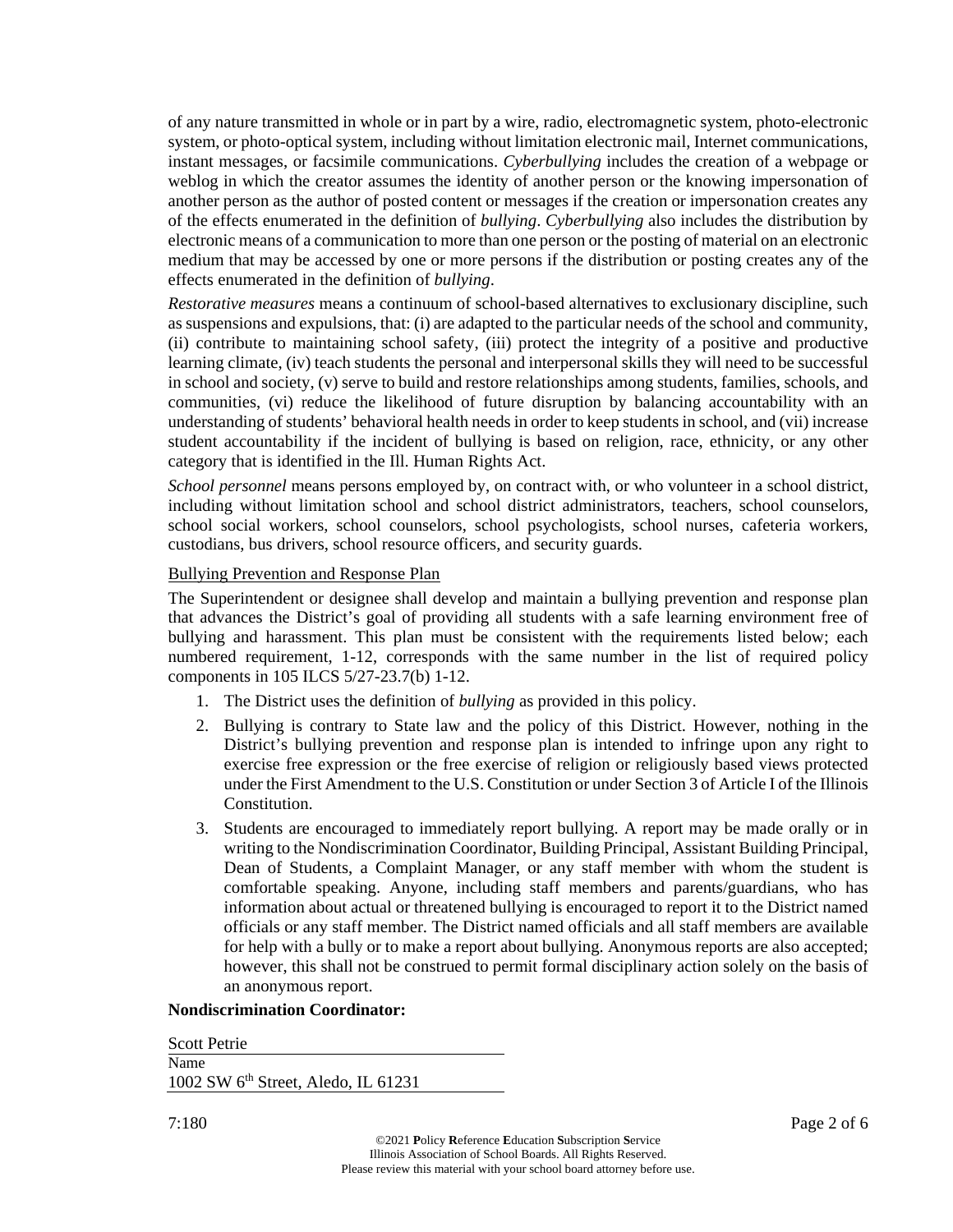of any nature transmitted in whole or in part by a wire, radio, electromagnetic system, photo-electronic system, or photo-optical system, including without limitation electronic mail, Internet communications, instant messages, or facsimile communications. *Cyberbullying* includes the creation of a webpage or weblog in which the creator assumes the identity of another person or the knowing impersonation of another person as the author of posted content or messages if the creation or impersonation creates any of the effects enumerated in the definition of *bullying*. *Cyberbullying* also includes the distribution by electronic means of a communication to more than one person or the posting of material on an electronic medium that may be accessed by one or more persons if the distribution or posting creates any of the effects enumerated in the definition of *bullying*.

*Restorative measures* means a continuum of school-based alternatives to exclusionary discipline, such as suspensions and expulsions, that: (i) are adapted to the particular needs of the school and community, (ii) contribute to maintaining school safety, (iii) protect the integrity of a positive and productive learning climate, (iv) teach students the personal and interpersonal skills they will need to be successful in school and society, (v) serve to build and restore relationships among students, families, schools, and communities, (vi) reduce the likelihood of future disruption by balancing accountability with an understanding of students' behavioral health needs in order to keep students in school, and (vii) increase student accountability if the incident of bullying is based on religion, race, ethnicity, or any other category that is identified in the Ill. Human Rights Act.

*School personnel* means persons employed by, on contract with, or who volunteer in a school district, including without limitation school and school district administrators, teachers, school counselors, school social workers, school counselors, school psychologists, school nurses, cafeteria workers, custodians, bus drivers, school resource officers, and security guards.

#### Bullying Prevention and Response Plan

The Superintendent or designee shall develop and maintain a bullying prevention and response plan that advances the District's goal of providing all students with a safe learning environment free of bullying and harassment. This plan must be consistent with the requirements listed below; each numbered requirement, 1-12, corresponds with the same number in the list of required policy components in 105 ILCS 5/27-23.7(b) 1-12.

- 1. The District uses the definition of *bullying* as provided in this policy.
- 2. Bullying is contrary to State law and the policy of this District. However, nothing in the District's bullying prevention and response plan is intended to infringe upon any right to exercise free expression or the free exercise of religion or religiously based views protected under the First Amendment to the U.S. Constitution or under Section 3 of Article I of the Illinois Constitution.
- 3. Students are encouraged to immediately report bullying. A report may be made orally or in writing to the Nondiscrimination Coordinator, Building Principal, Assistant Building Principal, Dean of Students, a Complaint Manager, or any staff member with whom the student is comfortable speaking. Anyone, including staff members and parents/guardians, who has information about actual or threatened bullying is encouraged to report it to the District named officials or any staff member. The District named officials and all staff members are available for help with a bully or to make a report about bullying. Anonymous reports are also accepted; however, this shall not be construed to permit formal disciplinary action solely on the basis of an anonymous report.

#### **Nondiscrimination Coordinator:**

Scott Petrie Name 1002 SW 6th Street, Aledo, IL 61231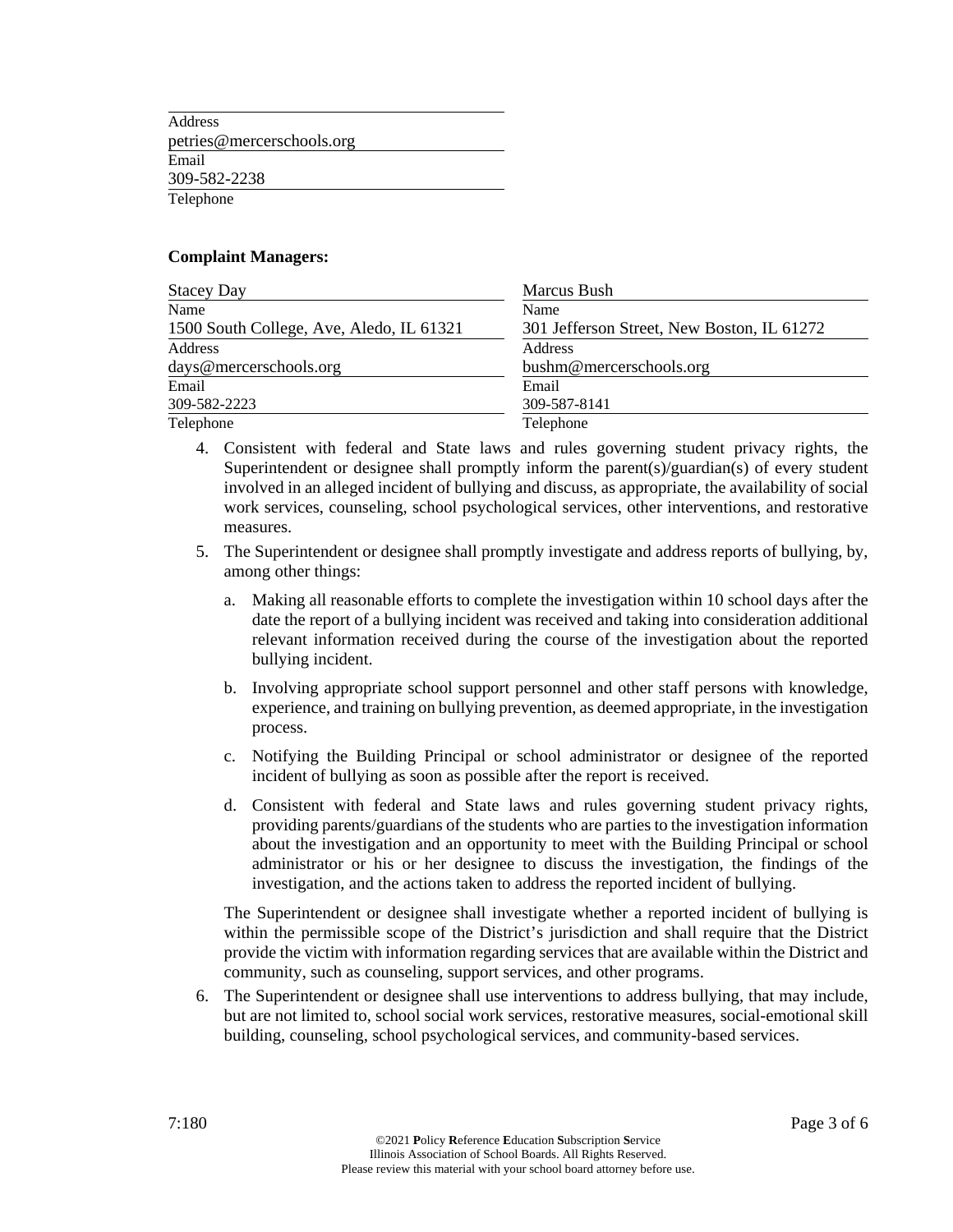Address petries@mercerschools.org Email 309-582-2238 Telephone

#### **Complaint Managers:**

| <b>Stacey Day</b>                        | Marcus Bush                                |
|------------------------------------------|--------------------------------------------|
| Name                                     | Name                                       |
| 1500 South College, Ave, Aledo, IL 61321 | 301 Jefferson Street, New Boston, IL 61272 |
| Address                                  | Address                                    |
| days@mercerschools.org                   | bushm@mercerschools.org                    |
| Email                                    | Email                                      |
| 309-582-2223                             | 309-587-8141                               |
| Telephone                                | Telephone                                  |

- 4. Consistent with federal and State laws and rules governing student privacy rights, the Superintendent or designee shall promptly inform the parent(s)/guardian(s) of every student involved in an alleged incident of bullying and discuss, as appropriate, the availability of social work services, counseling, school psychological services, other interventions, and restorative measures.
- 5. The Superintendent or designee shall promptly investigate and address reports of bullying, by, among other things:
	- a. Making all reasonable efforts to complete the investigation within 10 school days after the date the report of a bullying incident was received and taking into consideration additional relevant information received during the course of the investigation about the reported bullying incident.
	- b. Involving appropriate school support personnel and other staff persons with knowledge, experience, and training on bullying prevention, as deemed appropriate, in the investigation process.
	- c. Notifying the Building Principal or school administrator or designee of the reported incident of bullying as soon as possible after the report is received.
	- d. Consistent with federal and State laws and rules governing student privacy rights, providing parents/guardians of the students who are parties to the investigation information about the investigation and an opportunity to meet with the Building Principal or school administrator or his or her designee to discuss the investigation, the findings of the investigation, and the actions taken to address the reported incident of bullying.

The Superintendent or designee shall investigate whether a reported incident of bullying is within the permissible scope of the District's jurisdiction and shall require that the District provide the victim with information regarding services that are available within the District and community, such as counseling, support services, and other programs.

6. The Superintendent or designee shall use interventions to address bullying, that may include, but are not limited to, school social work services, restorative measures, social-emotional skill building, counseling, school psychological services, and community-based services.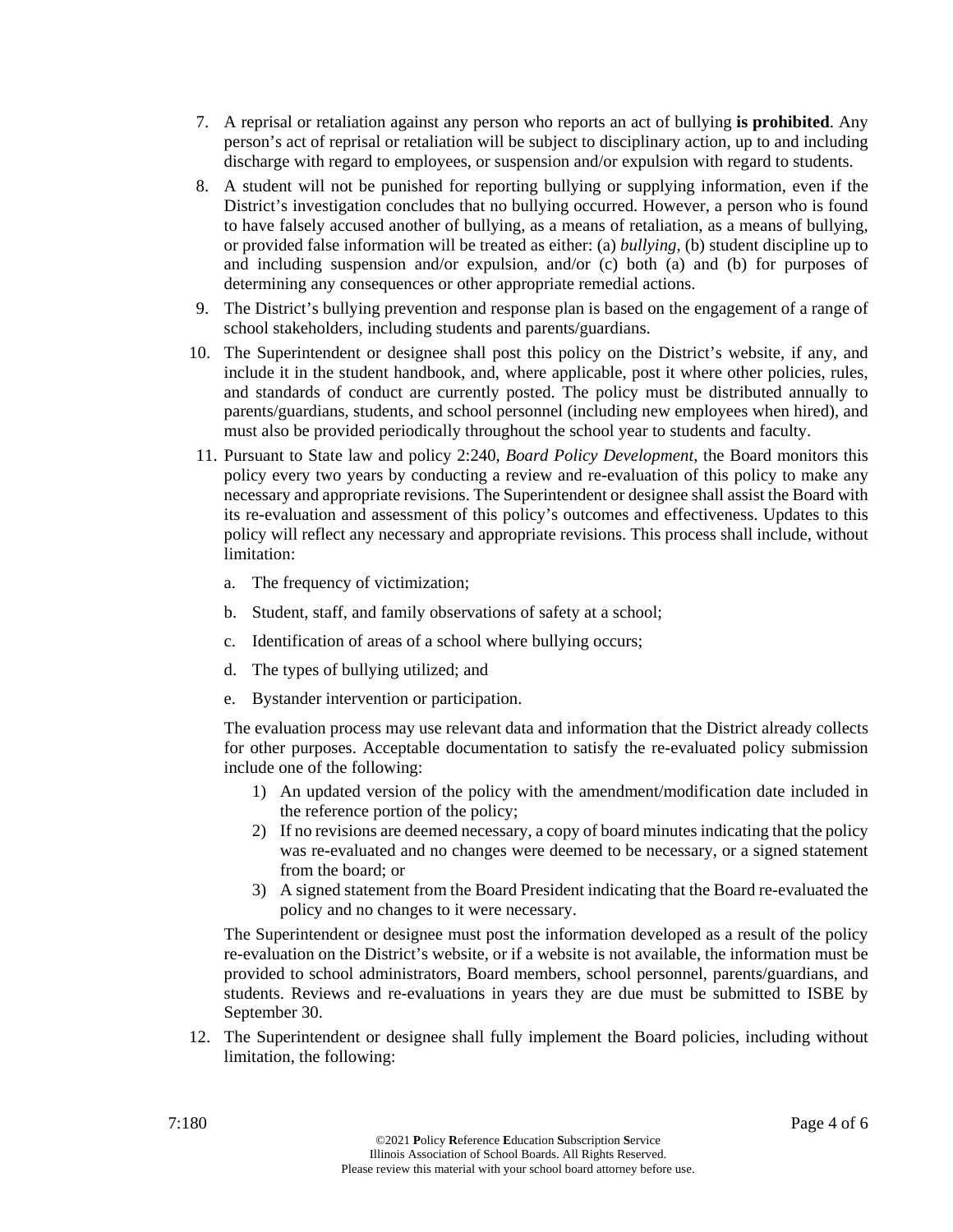- 7. A reprisal or retaliation against any person who reports an act of bullying **is prohibited**. Any person's act of reprisal or retaliation will be subject to disciplinary action, up to and including discharge with regard to employees, or suspension and/or expulsion with regard to students.
- 8. A student will not be punished for reporting bullying or supplying information, even if the District's investigation concludes that no bullying occurred. However, a person who is found to have falsely accused another of bullying, as a means of retaliation, as a means of bullying, or provided false information will be treated as either: (a) *bullying*, (b) student discipline up to and including suspension and/or expulsion, and/or (c) both (a) and (b) for purposes of determining any consequences or other appropriate remedial actions.
- 9. The District's bullying prevention and response plan is based on the engagement of a range of school stakeholders, including students and parents/guardians.
- 10. The Superintendent or designee shall post this policy on the District's website, if any, and include it in the student handbook, and, where applicable, post it where other policies, rules, and standards of conduct are currently posted. The policy must be distributed annually to parents/guardians, students, and school personnel (including new employees when hired), and must also be provided periodically throughout the school year to students and faculty.
- 11. Pursuant to State law and policy 2:240, *Board Policy Development*, the Board monitors this policy every two years by conducting a review and re-evaluation of this policy to make any necessary and appropriate revisions. The Superintendent or designee shall assist the Board with its re-evaluation and assessment of this policy's outcomes and effectiveness. Updates to this policy will reflect any necessary and appropriate revisions. This process shall include, without limitation:
	- a. The frequency of victimization;
	- b. Student, staff, and family observations of safety at a school;
	- c. Identification of areas of a school where bullying occurs;
	- d. The types of bullying utilized; and
	- e. Bystander intervention or participation.

The evaluation process may use relevant data and information that the District already collects for other purposes. Acceptable documentation to satisfy the re-evaluated policy submission include one of the following:

- 1) An updated version of the policy with the amendment/modification date included in the reference portion of the policy;
- 2) If no revisions are deemed necessary, a copy of board minutes indicating that the policy was re-evaluated and no changes were deemed to be necessary, or a signed statement from the board; or
- 3) A signed statement from the Board President indicating that the Board re-evaluated the policy and no changes to it were necessary.

The Superintendent or designee must post the information developed as a result of the policy re-evaluation on the District's website, or if a website is not available, the information must be provided to school administrators, Board members, school personnel, parents/guardians, and students. Reviews and re-evaluations in years they are due must be submitted to ISBE by September 30.

12. The Superintendent or designee shall fully implement the Board policies, including without limitation, the following: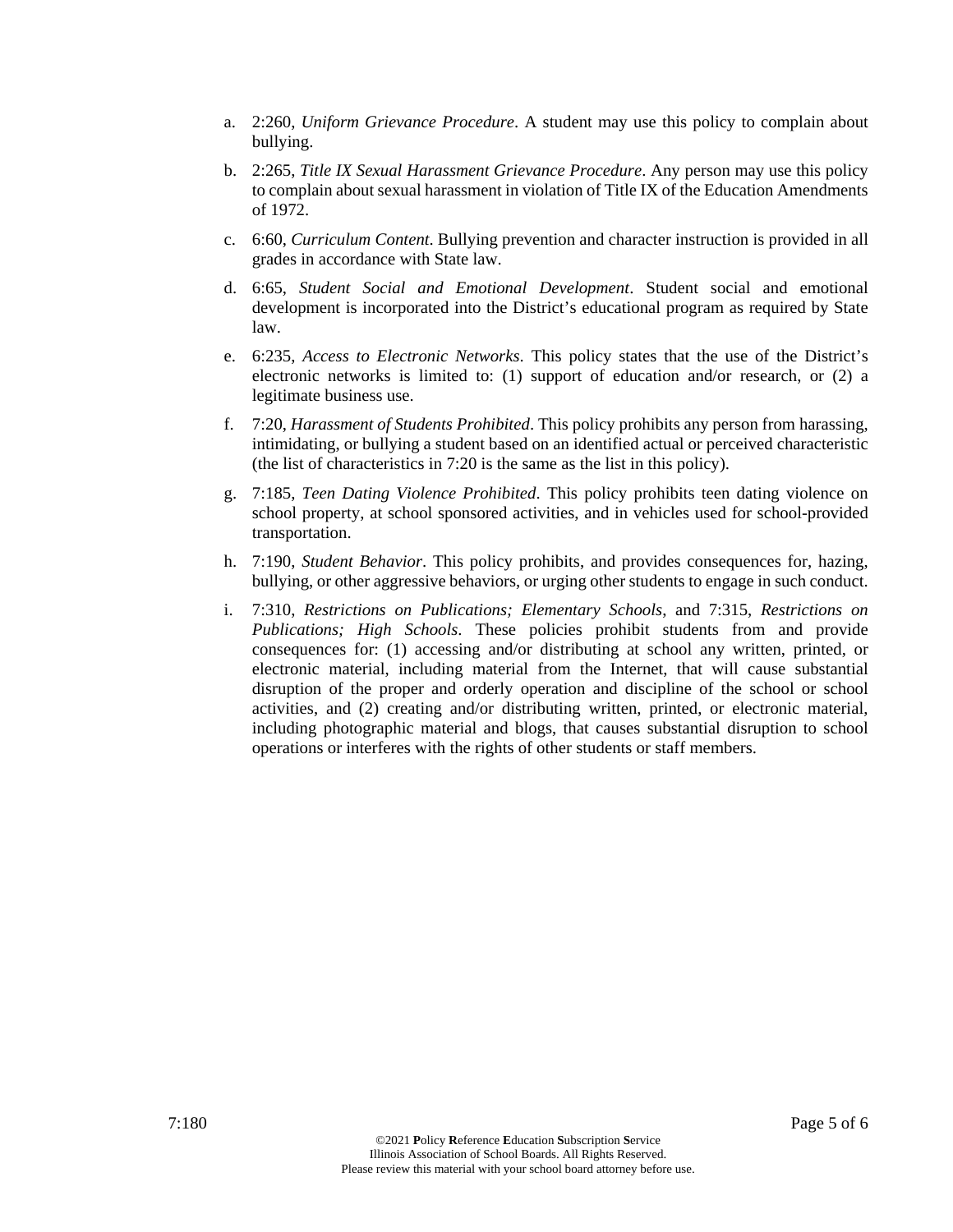- a. 2:260, *Uniform Grievance Procedure*. A student may use this policy to complain about bullying.
- b. 2:265, *Title IX Sexual Harassment Grievance Procedure*. Any person may use this policy to complain about sexual harassment in violation of Title IX of the Education Amendments of 1972.
- c. 6:60, *Curriculum Content*. Bullying prevention and character instruction is provided in all grades in accordance with State law.
- d. 6:65, *Student Social and Emotional Development*. Student social and emotional development is incorporated into the District's educational program as required by State law.
- e. 6:235, *Access to Electronic Networks*. This policy states that the use of the District's electronic networks is limited to: (1) support of education and/or research, or (2) a legitimate business use.
- f. 7:20, *Harassment of Students Prohibited*. This policy prohibits any person from harassing, intimidating, or bullying a student based on an identified actual or perceived characteristic (the list of characteristics in 7:20 is the same as the list in this policy).
- g. 7:185, *Teen Dating Violence Prohibited*. This policy prohibits teen dating violence on school property, at school sponsored activities, and in vehicles used for school-provided transportation.
- h. 7:190, *Student Behavior*. This policy prohibits, and provides consequences for, hazing, bullying, or other aggressive behaviors, or urging other students to engage in such conduct.
- i. 7:310, *Restrictions on Publications; Elementary Schools*, and 7:315, *Restrictions on Publications; High Schools*. These policies prohibit students from and provide consequences for: (1) accessing and/or distributing at school any written, printed, or electronic material, including material from the Internet, that will cause substantial disruption of the proper and orderly operation and discipline of the school or school activities, and (2) creating and/or distributing written, printed, or electronic material, including photographic material and blogs, that causes substantial disruption to school operations or interferes with the rights of other students or staff members.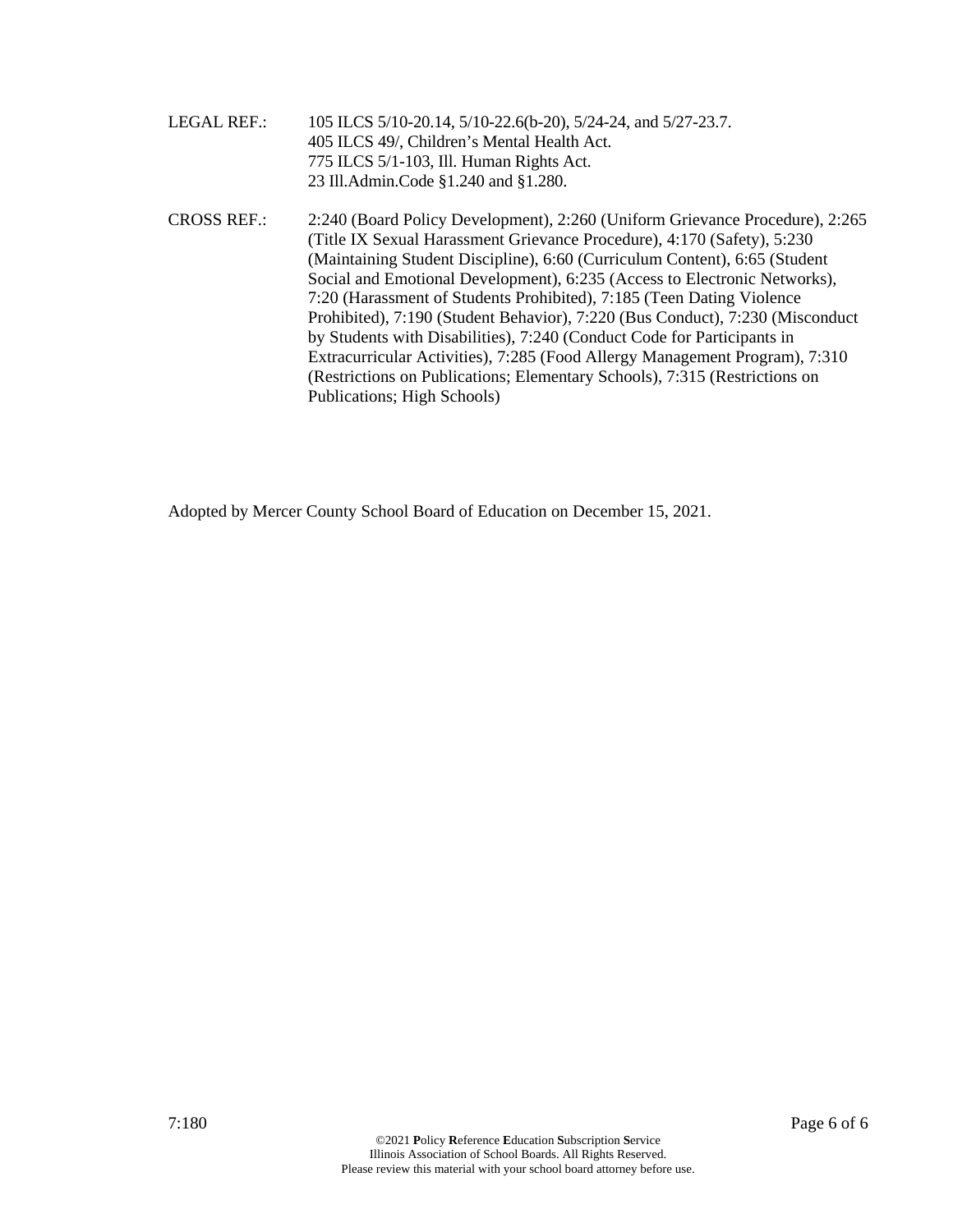- LEGAL REF.: 105 ILCS 5/10-20.14, 5/10-22.6(b-20), 5/24-24, and 5/27-23.7. 405 ILCS 49/, Children's Mental Health Act. 775 ILCS 5/1-103, Ill. Human Rights Act. 23 Ill.Admin.Code §1.240 and §1.280.
- CROSS REF.: 2:240 (Board Policy Development), 2:260 (Uniform Grievance Procedure), 2:265 (Title IX Sexual Harassment Grievance Procedure), 4:170 (Safety), 5:230 (Maintaining Student Discipline), 6:60 (Curriculum Content), 6:65 (Student Social and Emotional Development), 6:235 (Access to Electronic Networks), 7:20 (Harassment of Students Prohibited), 7:185 (Teen Dating Violence Prohibited), 7:190 (Student Behavior), 7:220 (Bus Conduct), 7:230 (Misconduct by Students with Disabilities), 7:240 (Conduct Code for Participants in Extracurricular Activities), 7:285 (Food Allergy Management Program), 7:310 (Restrictions on Publications; Elementary Schools), 7:315 (Restrictions on Publications; High Schools)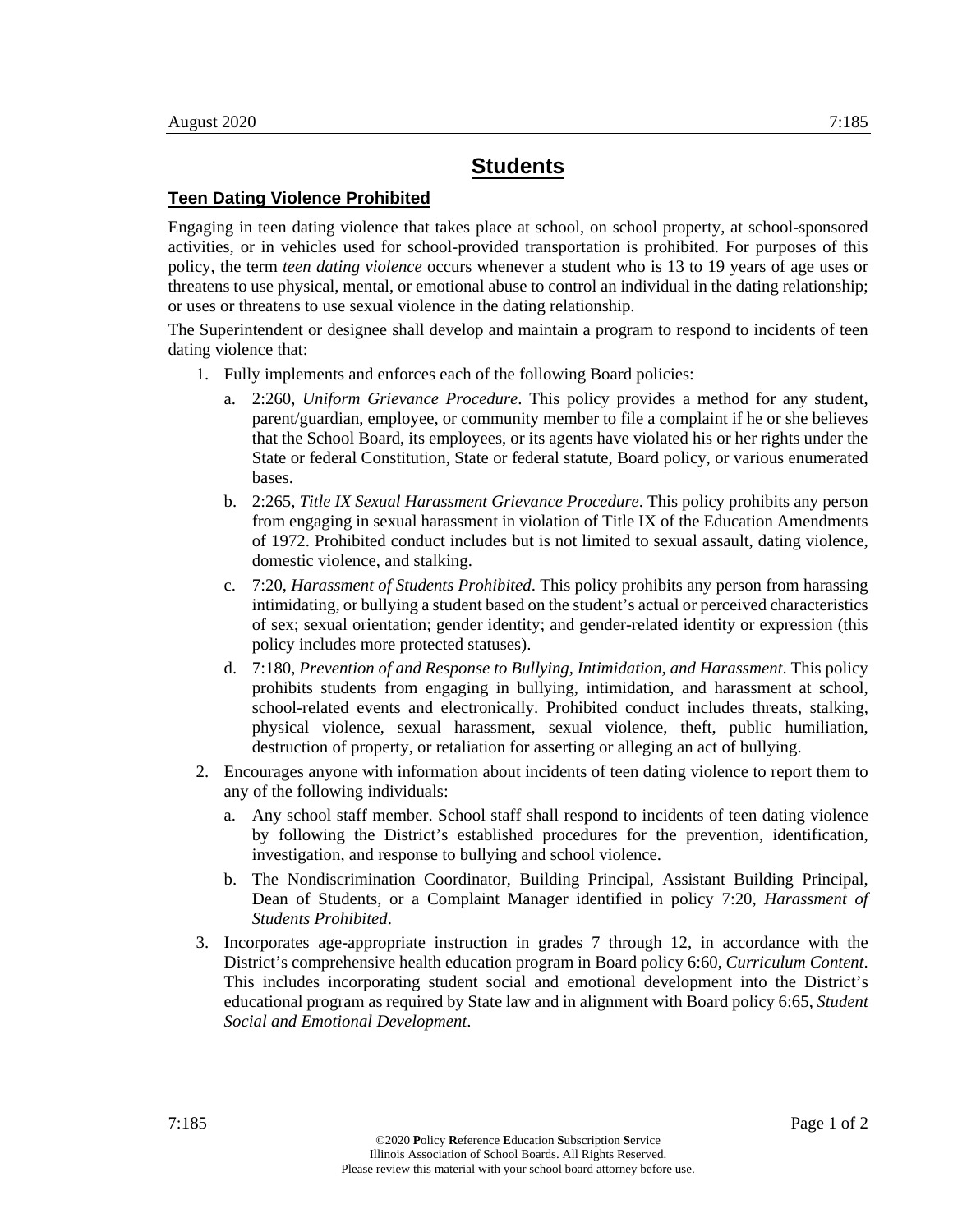#### **Teen Dating Violence Prohibited**

Engaging in teen dating violence that takes place at school, on school property, at school-sponsored activities, or in vehicles used for school-provided transportation is prohibited. For purposes of this policy, the term *teen dating violence* occurs whenever a student who is 13 to 19 years of age uses or threatens to use physical, mental, or emotional abuse to control an individual in the dating relationship; or uses or threatens to use sexual violence in the dating relationship.

The Superintendent or designee shall develop and maintain a program to respond to incidents of teen dating violence that:

- 1. Fully implements and enforces each of the following Board policies:
	- a. 2:260, *Uniform Grievance Procedure*. This policy provides a method for any student, parent/guardian, employee, or community member to file a complaint if he or she believes that the School Board, its employees, or its agents have violated his or her rights under the State or federal Constitution, State or federal statute, Board policy, or various enumerated bases.
	- b. 2:265, *Title IX Sexual Harassment Grievance Procedure*. This policy prohibits any person from engaging in sexual harassment in violation of Title IX of the Education Amendments of 1972. Prohibited conduct includes but is not limited to sexual assault, dating violence, domestic violence, and stalking.
	- c. 7:20, *Harassment of Students Prohibited*. This policy prohibits any person from harassing intimidating, or bullying a student based on the student's actual or perceived characteristics of sex; sexual orientation; gender identity; and gender-related identity or expression (this policy includes more protected statuses).
	- d. 7:180, *Prevention of and Response to Bullying, Intimidation, and Harassment*. This policy prohibits students from engaging in bullying, intimidation, and harassment at school, school-related events and electronically. Prohibited conduct includes threats, stalking, physical violence, sexual harassment, sexual violence, theft, public humiliation, destruction of property, or retaliation for asserting or alleging an act of bullying.
- 2. Encourages anyone with information about incidents of teen dating violence to report them to any of the following individuals:
	- a. Any school staff member. School staff shall respond to incidents of teen dating violence by following the District's established procedures for the prevention, identification, investigation, and response to bullying and school violence.
	- b. The Nondiscrimination Coordinator, Building Principal, Assistant Building Principal, Dean of Students, or a Complaint Manager identified in policy 7:20, *Harassment of Students Prohibited*.
- 3. Incorporates age-appropriate instruction in grades 7 through 12, in accordance with the District's comprehensive health education program in Board policy 6:60, *Curriculum Content*. This includes incorporating student social and emotional development into the District's educational program as required by State law and in alignment with Board policy 6:65, *Student Social and Emotional Development*.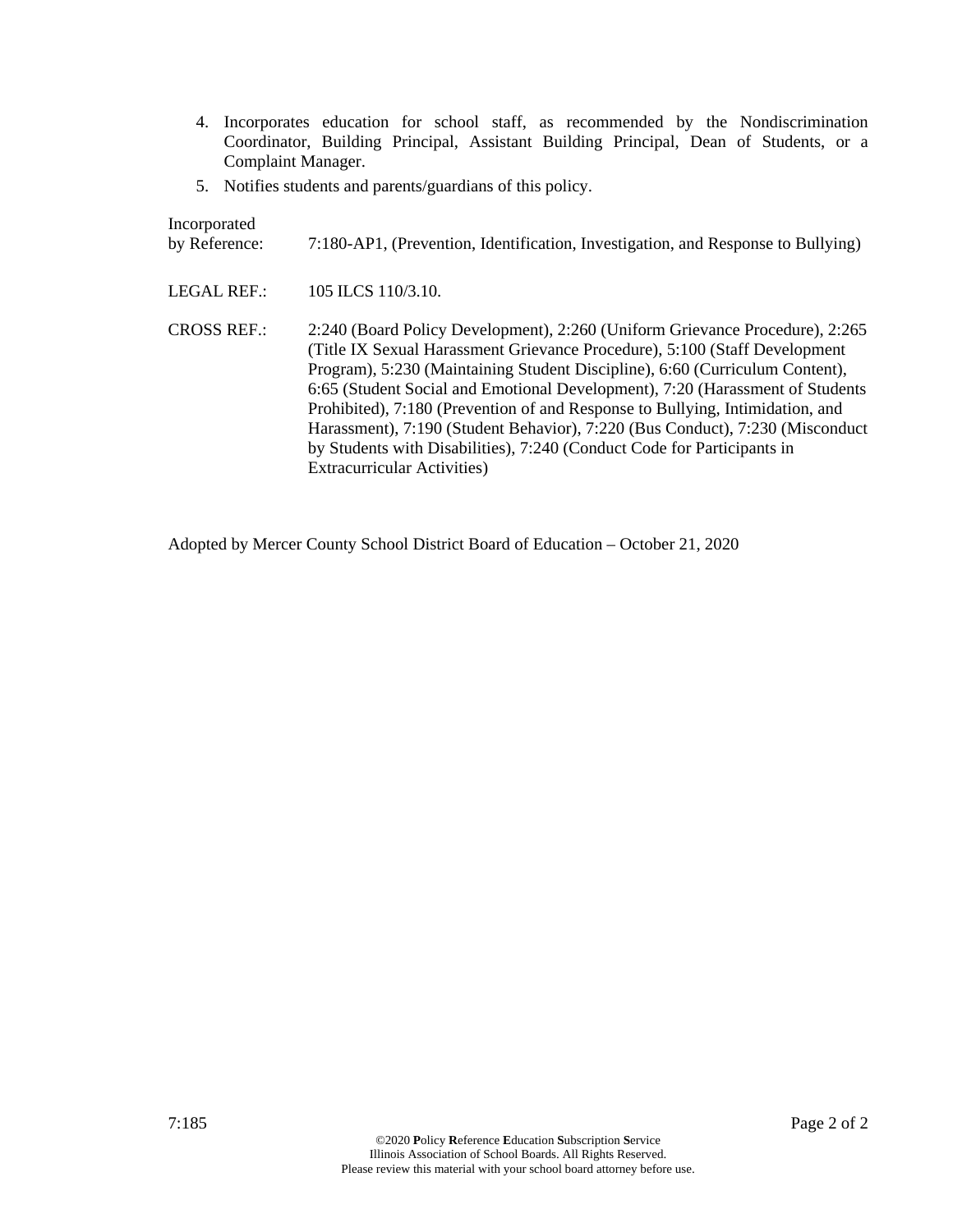- 4. Incorporates education for school staff, as recommended by the Nondiscrimination Coordinator, Building Principal, Assistant Building Principal, Dean of Students, or a Complaint Manager.
- 5. Notifies students and parents/guardians of this policy.

Incorporated

| by Reference: |  | 7:180-AP1, (Prevention, Identification, Investigation, and Response to Bullying) |  |  |  |
|---------------|--|----------------------------------------------------------------------------------|--|--|--|
|---------------|--|----------------------------------------------------------------------------------|--|--|--|

LEGAL REF.: 105 ILCS 110/3.10.

CROSS REF.: 2:240 (Board Policy Development), 2:260 (Uniform Grievance Procedure), 2:265 (Title IX Sexual Harassment Grievance Procedure), 5:100 (Staff Development Program), 5:230 (Maintaining Student Discipline), 6:60 (Curriculum Content), 6:65 (Student Social and Emotional Development), 7:20 (Harassment of Students Prohibited), 7:180 (Prevention of and Response to Bullying, Intimidation, and Harassment), 7:190 (Student Behavior), 7:220 (Bus Conduct), 7:230 (Misconduct by Students with Disabilities), 7:240 (Conduct Code for Participants in Extracurricular Activities)

Adopted by Mercer County School District Board of Education – October 21, 2020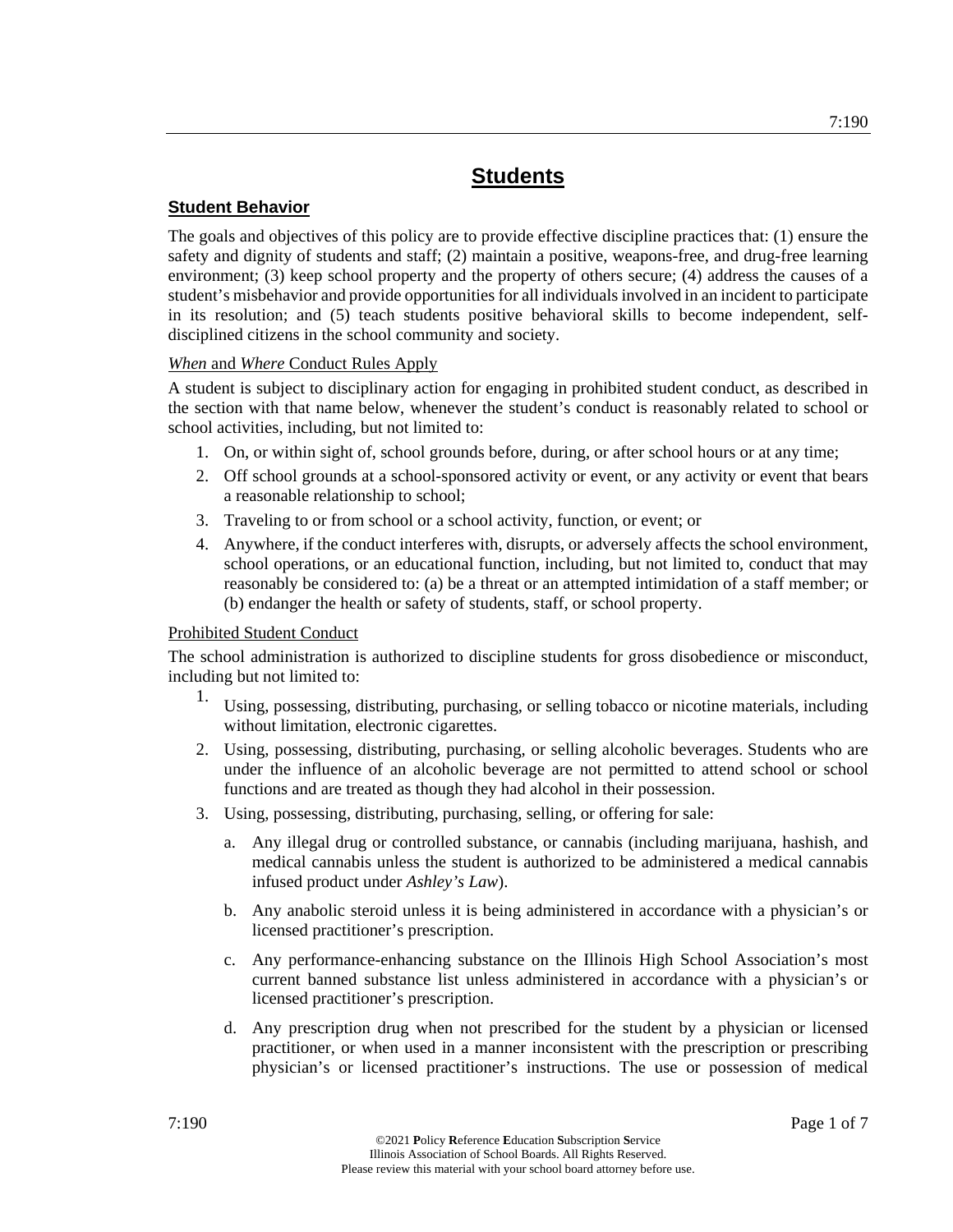## **Student Behavior**

The goals and objectives of this policy are to provide effective discipline practices that: (1) ensure the safety and dignity of students and staff; (2) maintain a positive, weapons-free, and drug-free learning environment; (3) keep school property and the property of others secure; (4) address the causes of a student's misbehavior and provide opportunities for all individuals involved in an incident to participate in its resolution; and (5) teach students positive behavioral skills to become independent, selfdisciplined citizens in the school community and society.

*When* and *Where* Conduct Rules Apply

A student is subject to disciplinary action for engaging in prohibited student conduct, as described in the section with that name below, whenever the student's conduct is reasonably related to school or school activities, including, but not limited to:

- 1. On, or within sight of, school grounds before, during, or after school hours or at any time;
- 2. Off school grounds at a school-sponsored activity or event, or any activity or event that bears a reasonable relationship to school;
- 3. Traveling to or from school or a school activity, function, or event; or
- 4. Anywhere, if the conduct interferes with, disrupts, or adversely affects the school environment, school operations, or an educational function, including, but not limited to, conduct that may reasonably be considered to: (a) be a threat or an attempted intimidation of a staff member; or (b) endanger the health or safety of students, staff, or school property.

## Prohibited Student Conduct

The school administration is authorized to discipline students for gross disobedience or misconduct, including but not limited to:

- 1. Using, possessing, distributing, purchasing, or selling tobacco or nicotine materials, including without limitation, electronic cigarettes.
- 2. Using, possessing, distributing, purchasing, or selling alcoholic beverages. Students who are under the influence of an alcoholic beverage are not permitted to attend school or school functions and are treated as though they had alcohol in their possession.
- 3. Using, possessing, distributing, purchasing, selling, or offering for sale:
	- a. Any illegal drug or controlled substance, or cannabis (including marijuana, hashish, and medical cannabis unless the student is authorized to be administered a medical cannabis infused product under *Ashley's Law*).
	- b. Any anabolic steroid unless it is being administered in accordance with a physician's or licensed practitioner's prescription.
	- c. Any performance-enhancing substance on the Illinois High School Association's most current banned substance list unless administered in accordance with a physician's or licensed practitioner's prescription.
	- d. Any prescription drug when not prescribed for the student by a physician or licensed practitioner, or when used in a manner inconsistent with the prescription or prescribing physician's or licensed practitioner's instructions. The use or possession of medical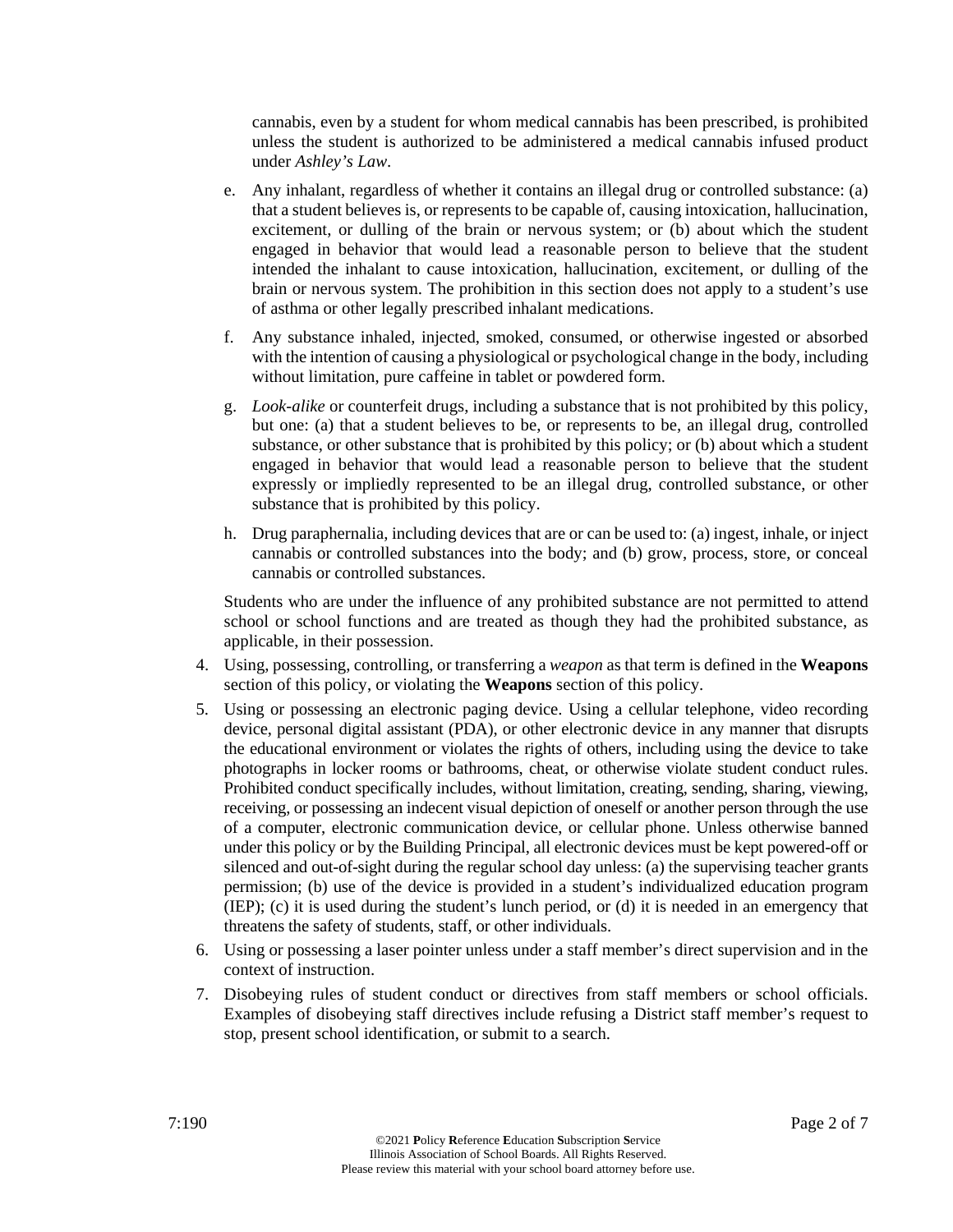cannabis, even by a student for whom medical cannabis has been prescribed, is prohibited unless the student is authorized to be administered a medical cannabis infused product under *Ashley's Law*.

- e. Any inhalant, regardless of whether it contains an illegal drug or controlled substance: (a) that a student believes is, or represents to be capable of, causing intoxication, hallucination, excitement, or dulling of the brain or nervous system; or (b) about which the student engaged in behavior that would lead a reasonable person to believe that the student intended the inhalant to cause intoxication, hallucination, excitement, or dulling of the brain or nervous system. The prohibition in this section does not apply to a student's use of asthma or other legally prescribed inhalant medications.
- f. Any substance inhaled, injected, smoked, consumed, or otherwise ingested or absorbed with the intention of causing a physiological or psychological change in the body, including without limitation, pure caffeine in tablet or powdered form.
- g. *Look-alike* or counterfeit drugs, including a substance that is not prohibited by this policy, but one: (a) that a student believes to be, or represents to be, an illegal drug, controlled substance, or other substance that is prohibited by this policy; or (b) about which a student engaged in behavior that would lead a reasonable person to believe that the student expressly or impliedly represented to be an illegal drug, controlled substance, or other substance that is prohibited by this policy.
- h. Drug paraphernalia, including devices that are or can be used to: (a) ingest, inhale, or inject cannabis or controlled substances into the body; and (b) grow, process, store, or conceal cannabis or controlled substances.

Students who are under the influence of any prohibited substance are not permitted to attend school or school functions and are treated as though they had the prohibited substance, as applicable, in their possession.

- 4. Using, possessing, controlling, or transferring a *weapon* as that term is defined in the **Weapons** section of this policy, or violating the **Weapons** section of this policy.
- 5. Using or possessing an electronic paging device. Using a cellular telephone, video recording device, personal digital assistant (PDA), or other electronic device in any manner that disrupts the educational environment or violates the rights of others, including using the device to take photographs in locker rooms or bathrooms, cheat, or otherwise violate student conduct rules. Prohibited conduct specifically includes, without limitation, creating, sending, sharing, viewing, receiving, or possessing an indecent visual depiction of oneself or another person through the use of a computer, electronic communication device, or cellular phone. Unless otherwise banned under this policy or by the Building Principal, all electronic devices must be kept powered-off or silenced and out-of-sight during the regular school day unless: (a) the supervising teacher grants permission; (b) use of the device is provided in a student's individualized education program (IEP); (c) it is used during the student's lunch period, or (d) it is needed in an emergency that threatens the safety of students, staff, or other individuals.
- 6. Using or possessing a laser pointer unless under a staff member's direct supervision and in the context of instruction.
- 7. Disobeying rules of student conduct or directives from staff members or school officials. Examples of disobeying staff directives include refusing a District staff member's request to stop, present school identification, or submit to a search.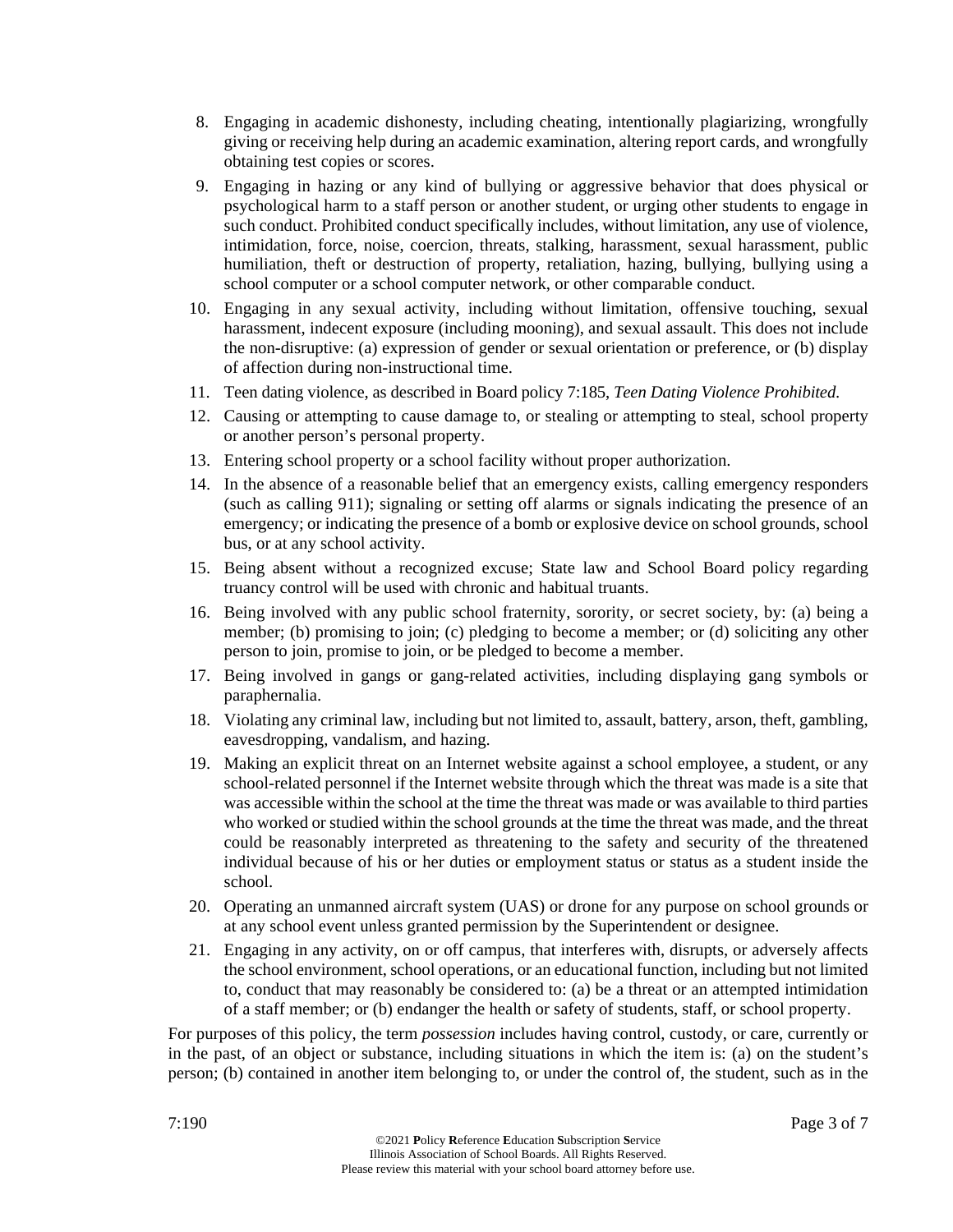- 8. Engaging in academic dishonesty, including cheating, intentionally plagiarizing, wrongfully giving or receiving help during an academic examination, altering report cards, and wrongfully obtaining test copies or scores.
- 9. Engaging in hazing or any kind of bullying or aggressive behavior that does physical or psychological harm to a staff person or another student, or urging other students to engage in such conduct. Prohibited conduct specifically includes, without limitation, any use of violence, intimidation, force, noise, coercion, threats, stalking, harassment, sexual harassment, public humiliation, theft or destruction of property, retaliation, hazing, bullying, bullying using a school computer or a school computer network, or other comparable conduct.
- 10. Engaging in any sexual activity, including without limitation, offensive touching, sexual harassment, indecent exposure (including mooning), and sexual assault. This does not include the non-disruptive: (a) expression of gender or sexual orientation or preference, or (b) display of affection during non-instructional time.
- 11. Teen dating violence, as described in Board policy 7:185, *Teen Dating Violence Prohibited*.
- 12. Causing or attempting to cause damage to, or stealing or attempting to steal, school property or another person's personal property.
- 13. Entering school property or a school facility without proper authorization.
- 14. In the absence of a reasonable belief that an emergency exists, calling emergency responders (such as calling 911); signaling or setting off alarms or signals indicating the presence of an emergency; or indicating the presence of a bomb or explosive device on school grounds, school bus, or at any school activity.
- 15. Being absent without a recognized excuse; State law and School Board policy regarding truancy control will be used with chronic and habitual truants.
- 16. Being involved with any public school fraternity, sorority, or secret society, by: (a) being a member; (b) promising to join; (c) pledging to become a member; or (d) soliciting any other person to join, promise to join, or be pledged to become a member.
- 17. Being involved in gangs or gang-related activities, including displaying gang symbols or paraphernalia.
- 18. Violating any criminal law, including but not limited to, assault, battery, arson, theft, gambling, eavesdropping, vandalism, and hazing.
- 19. Making an explicit threat on an Internet website against a school employee, a student, or any school-related personnel if the Internet website through which the threat was made is a site that was accessible within the school at the time the threat was made or was available to third parties who worked or studied within the school grounds at the time the threat was made, and the threat could be reasonably interpreted as threatening to the safety and security of the threatened individual because of his or her duties or employment status or status as a student inside the school.
- 20. Operating an unmanned aircraft system (UAS) or drone for any purpose on school grounds or at any school event unless granted permission by the Superintendent or designee.
- 21. Engaging in any activity, on or off campus, that interferes with, disrupts, or adversely affects the school environment, school operations, or an educational function, including but not limited to, conduct that may reasonably be considered to: (a) be a threat or an attempted intimidation of a staff member; or (b) endanger the health or safety of students, staff, or school property.

For purposes of this policy, the term *possession* includes having control, custody, or care, currently or in the past, of an object or substance, including situations in which the item is: (a) on the student's person; (b) contained in another item belonging to, or under the control of, the student, such as in the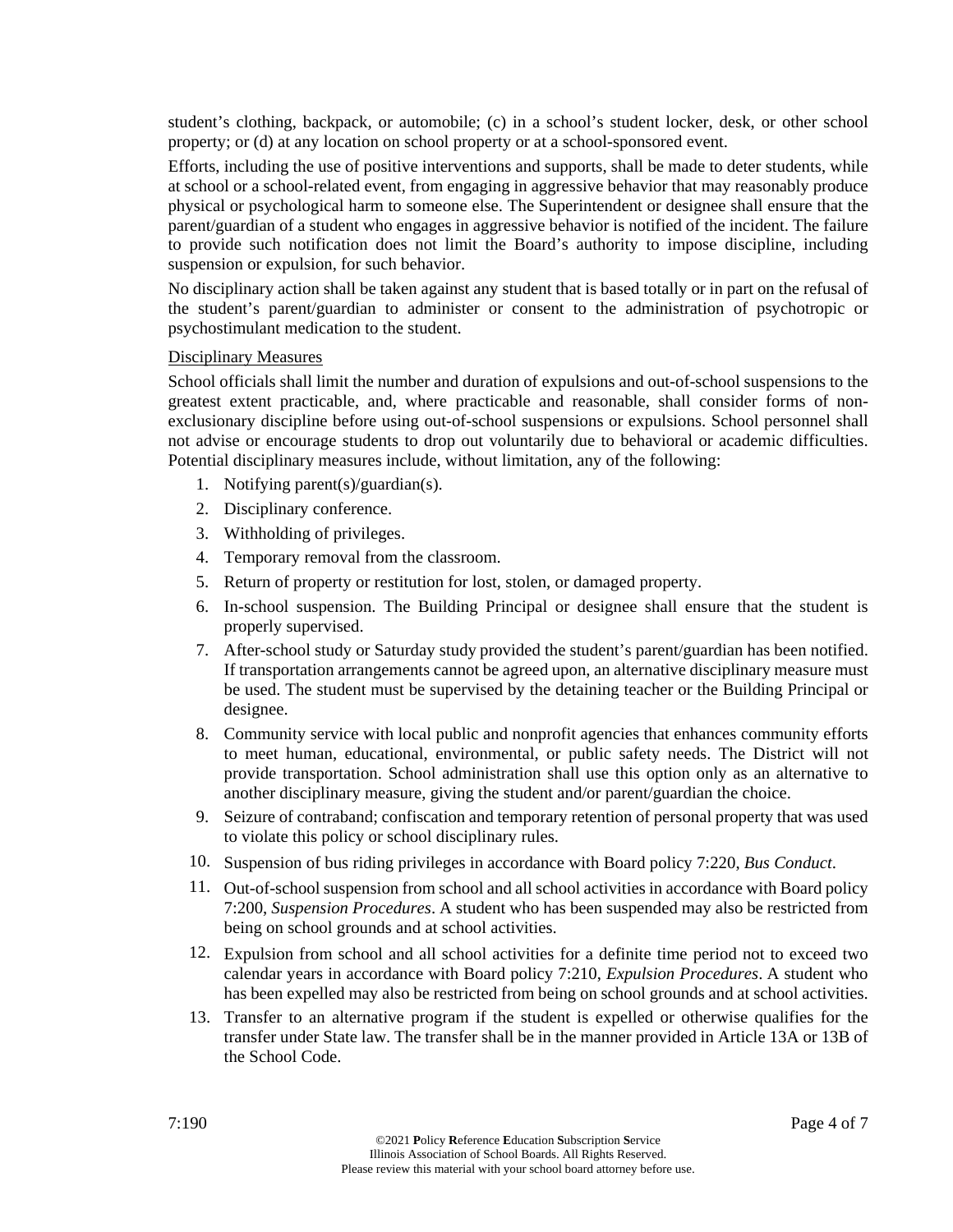student's clothing, backpack, or automobile; (c) in a school's student locker, desk, or other school property; or (d) at any location on school property or at a school-sponsored event.

Efforts, including the use of positive interventions and supports, shall be made to deter students, while at school or a school-related event, from engaging in aggressive behavior that may reasonably produce physical or psychological harm to someone else. The Superintendent or designee shall ensure that the parent/guardian of a student who engages in aggressive behavior is notified of the incident. The failure to provide such notification does not limit the Board's authority to impose discipline, including suspension or expulsion, for such behavior.

No disciplinary action shall be taken against any student that is based totally or in part on the refusal of the student's parent/guardian to administer or consent to the administration of psychotropic or psychostimulant medication to the student.

#### Disciplinary Measures

School officials shall limit the number and duration of expulsions and out-of-school suspensions to the greatest extent practicable, and, where practicable and reasonable, shall consider forms of nonexclusionary discipline before using out-of-school suspensions or expulsions. School personnel shall not advise or encourage students to drop out voluntarily due to behavioral or academic difficulties. Potential disciplinary measures include, without limitation, any of the following:

- 1. Notifying parent(s)/guardian(s).
- 2. Disciplinary conference.
- 3. Withholding of privileges.
- 4. Temporary removal from the classroom.
- 5. Return of property or restitution for lost, stolen, or damaged property.
- 6. In-school suspension. The Building Principal or designee shall ensure that the student is properly supervised.
- 7. After-school study or Saturday study provided the student's parent/guardian has been notified. If transportation arrangements cannot be agreed upon, an alternative disciplinary measure must be used. The student must be supervised by the detaining teacher or the Building Principal or designee.
- 8. Community service with local public and nonprofit agencies that enhances community efforts to meet human, educational, environmental, or public safety needs. The District will not provide transportation. School administration shall use this option only as an alternative to another disciplinary measure, giving the student and/or parent/guardian the choice.
- 9. Seizure of contraband; confiscation and temporary retention of personal property that was used to violate this policy or school disciplinary rules.
- 10. Suspension of bus riding privileges in accordance with Board policy 7:220, *Bus Conduct*.
- 11. Out-of-school suspension from school and all school activities in accordance with Board policy 7:200, *Suspension Procedures*. A student who has been suspended may also be restricted from being on school grounds and at school activities.
- 12. Expulsion from school and all school activities for a definite time period not to exceed two calendar years in accordance with Board policy 7:210, *Expulsion Procedures*. A student who has been expelled may also be restricted from being on school grounds and at school activities.
- 13. Transfer to an alternative program if the student is expelled or otherwise qualifies for the transfer under State law. The transfer shall be in the manner provided in Article 13A or 13B of the School Code.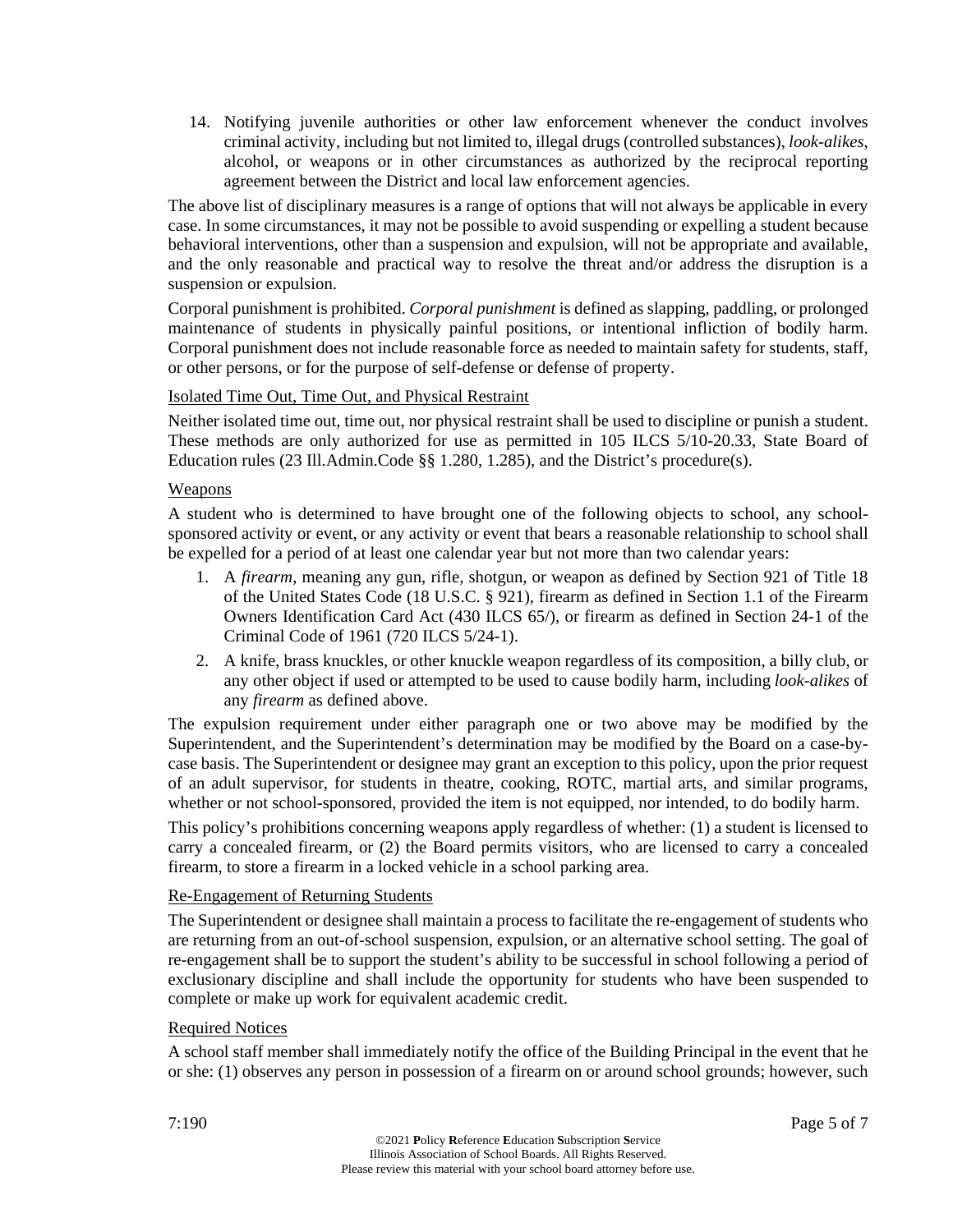14. Notifying juvenile authorities or other law enforcement whenever the conduct involves criminal activity, including but not limited to, illegal drugs (controlled substances), *look-alikes*, alcohol, or weapons or in other circumstances as authorized by the reciprocal reporting agreement between the District and local law enforcement agencies.

The above list of disciplinary measures is a range of options that will not always be applicable in every case. In some circumstances, it may not be possible to avoid suspending or expelling a student because behavioral interventions, other than a suspension and expulsion, will not be appropriate and available, and the only reasonable and practical way to resolve the threat and/or address the disruption is a suspension or expulsion.

Corporal punishment is prohibited. *Corporal punishment* is defined as slapping, paddling, or prolonged maintenance of students in physically painful positions, or intentional infliction of bodily harm. Corporal punishment does not include reasonable force as needed to maintain safety for students, staff, or other persons, or for the purpose of self-defense or defense of property.

## Isolated Time Out, Time Out, and Physical Restraint

Neither isolated time out, time out, nor physical restraint shall be used to discipline or punish a student. These methods are only authorized for use as permitted in 105 ILCS 5/10-20.33, State Board of Education rules (23 Ill.Admin.Code §§ 1.280, 1.285), and the District's procedure(s).

## Weapons

A student who is determined to have brought one of the following objects to school, any schoolsponsored activity or event, or any activity or event that bears a reasonable relationship to school shall be expelled for a period of at least one calendar year but not more than two calendar years:

- 1. A *firearm*, meaning any gun, rifle, shotgun, or weapon as defined by Section 921 of Title 18 of the United States Code (18 U.S.C. § 921), firearm as defined in Section 1.1 of the Firearm Owners Identification Card Act (430 ILCS 65/), or firearm as defined in Section 24-1 of the Criminal Code of 1961 (720 ILCS 5/24-1).
- 2. A knife, brass knuckles, or other knuckle weapon regardless of its composition, a billy club, or any other object if used or attempted to be used to cause bodily harm, including *look-alikes* of any *firearm* as defined above.

The expulsion requirement under either paragraph one or two above may be modified by the Superintendent, and the Superintendent's determination may be modified by the Board on a case-bycase basis. The Superintendent or designee may grant an exception to this policy, upon the prior request of an adult supervisor, for students in theatre, cooking, ROTC, martial arts, and similar programs, whether or not school-sponsored, provided the item is not equipped, nor intended, to do bodily harm.

This policy's prohibitions concerning weapons apply regardless of whether: (1) a student is licensed to carry a concealed firearm, or (2) the Board permits visitors, who are licensed to carry a concealed firearm, to store a firearm in a locked vehicle in a school parking area.

## Re-Engagement of Returning Students

The Superintendent or designee shall maintain a process to facilitate the re-engagement of students who are returning from an out-of-school suspension, expulsion, or an alternative school setting. The goal of re-engagement shall be to support the student's ability to be successful in school following a period of exclusionary discipline and shall include the opportunity for students who have been suspended to complete or make up work for equivalent academic credit.

## Required Notices

A school staff member shall immediately notify the office of the Building Principal in the event that he or she: (1) observes any person in possession of a firearm on or around school grounds; however, such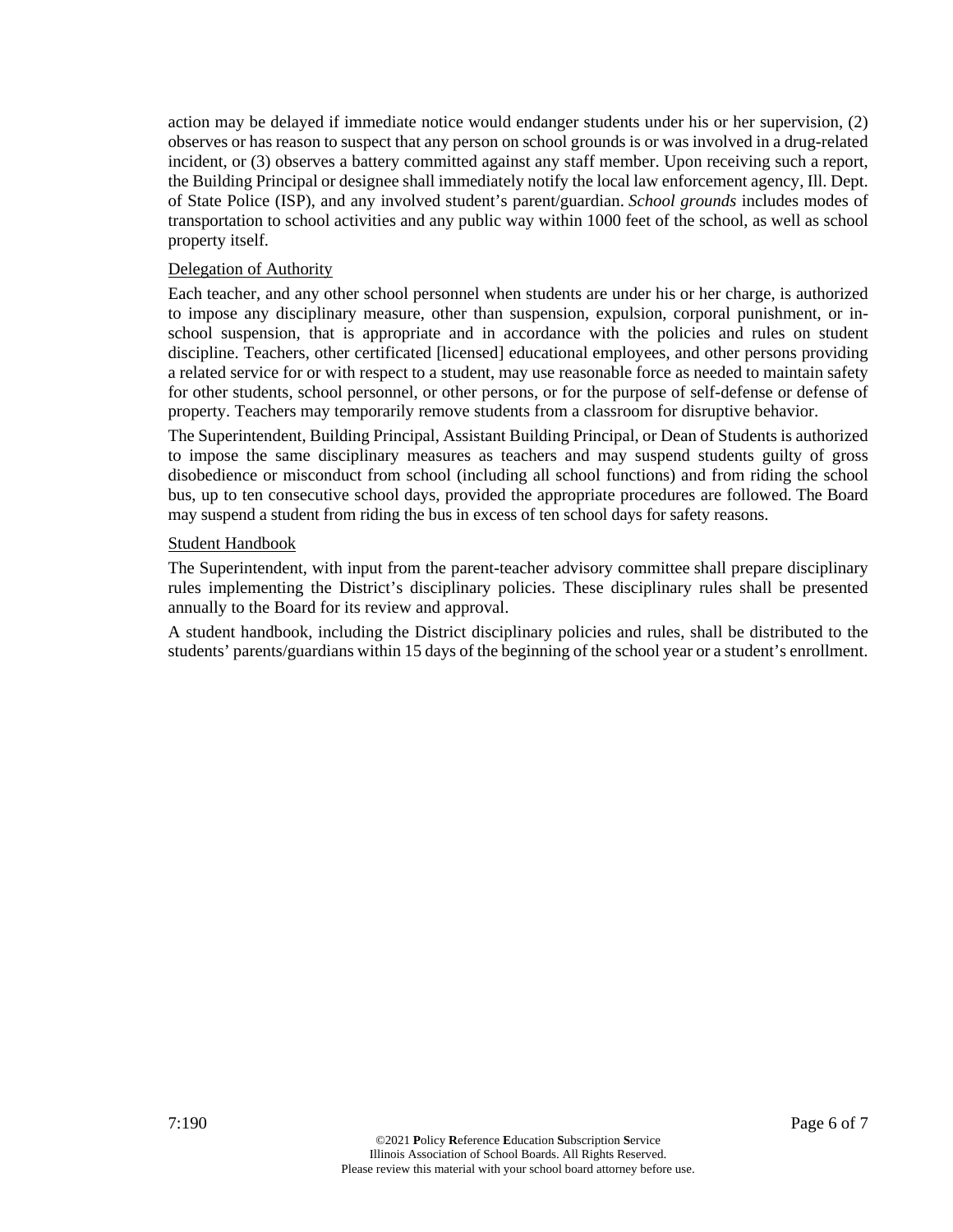action may be delayed if immediate notice would endanger students under his or her supervision, (2) observes or has reason to suspect that any person on school grounds is or was involved in a drug-related incident, or (3) observes a battery committed against any staff member. Upon receiving such a report, the Building Principal or designee shall immediately notify the local law enforcement agency, Ill. Dept. of State Police (ISP), and any involved student's parent/guardian. *School grounds* includes modes of transportation to school activities and any public way within 1000 feet of the school, as well as school property itself.

#### Delegation of Authority

Each teacher, and any other school personnel when students are under his or her charge, is authorized to impose any disciplinary measure, other than suspension, expulsion, corporal punishment, or inschool suspension, that is appropriate and in accordance with the policies and rules on student discipline. Teachers, other certificated [licensed] educational employees, and other persons providing a related service for or with respect to a student, may use reasonable force as needed to maintain safety for other students, school personnel, or other persons, or for the purpose of self-defense or defense of property. Teachers may temporarily remove students from a classroom for disruptive behavior.

The Superintendent, Building Principal, Assistant Building Principal, or Dean of Students is authorized to impose the same disciplinary measures as teachers and may suspend students guilty of gross disobedience or misconduct from school (including all school functions) and from riding the school bus, up to ten consecutive school days, provided the appropriate procedures are followed. The Board may suspend a student from riding the bus in excess of ten school days for safety reasons.

#### Student Handbook

The Superintendent, with input from the parent-teacher advisory committee shall prepare disciplinary rules implementing the District's disciplinary policies. These disciplinary rules shall be presented annually to the Board for its review and approval.

A student handbook, including the District disciplinary policies and rules, shall be distributed to the students' parents/guardians within 15 days of the beginning of the school year or a student's enrollment.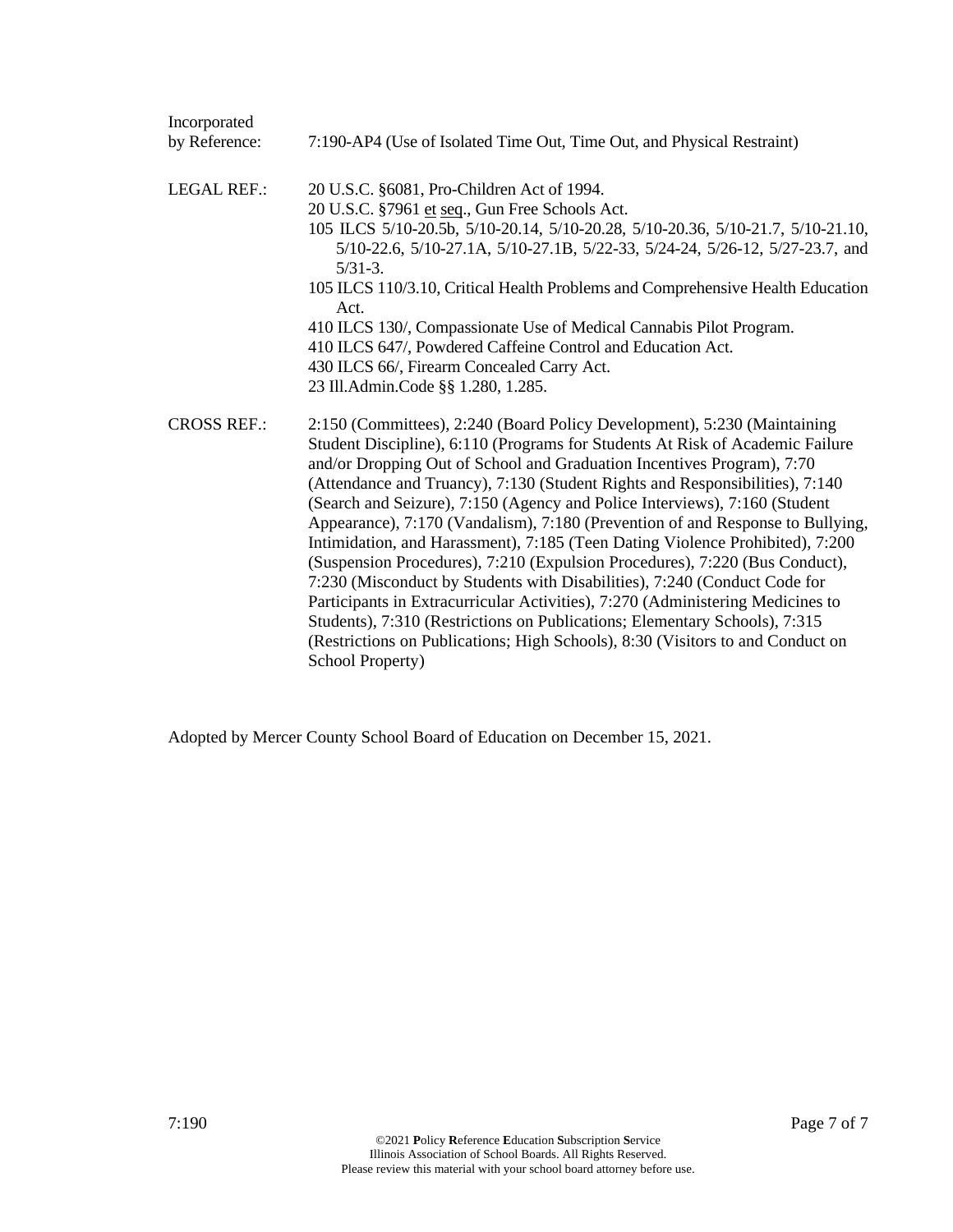| Incorporated       |                                                                                                                                                                                                                                                                                                                                                                                                                                                                                                                                                                                                                                                                                                                                                                                                                                                                                                                                                                                                        |
|--------------------|--------------------------------------------------------------------------------------------------------------------------------------------------------------------------------------------------------------------------------------------------------------------------------------------------------------------------------------------------------------------------------------------------------------------------------------------------------------------------------------------------------------------------------------------------------------------------------------------------------------------------------------------------------------------------------------------------------------------------------------------------------------------------------------------------------------------------------------------------------------------------------------------------------------------------------------------------------------------------------------------------------|
| by Reference:      | 7:190-AP4 (Use of Isolated Time Out, Time Out, and Physical Restraint)                                                                                                                                                                                                                                                                                                                                                                                                                                                                                                                                                                                                                                                                                                                                                                                                                                                                                                                                 |
| <b>LEGAL REF.:</b> | 20 U.S.C. §6081, Pro-Children Act of 1994.<br>20 U.S.C. §7961 et seq., Gun Free Schools Act.<br>105 ILCS 5/10-20.5b, 5/10-20.14, 5/10-20.28, 5/10-20.36, 5/10-21.7, 5/10-21.10,<br>5/10-22.6, 5/10-27.1A, 5/10-27.1B, 5/22-33, 5/24-24, 5/26-12, 5/27-23.7, and<br>$5/31-3.$<br>105 ILCS 110/3.10, Critical Health Problems and Comprehensive Health Education<br>Act.<br>410 ILCS 130/, Compassionate Use of Medical Cannabis Pilot Program.<br>410 ILCS 647/, Powdered Caffeine Control and Education Act.<br>430 ILCS 66/, Firearm Concealed Carry Act.<br>23 Ill.Admin.Code §§ 1.280, 1.285.                                                                                                                                                                                                                                                                                                                                                                                                       |
| <b>CROSS REF.:</b> | 2:150 (Committees), 2:240 (Board Policy Development), 5:230 (Maintaining<br>Student Discipline), 6:110 (Programs for Students At Risk of Academic Failure<br>and/or Dropping Out of School and Graduation Incentives Program), 7:70<br>(Attendance and Truancy), 7:130 (Student Rights and Responsibilities), 7:140<br>(Search and Seizure), 7:150 (Agency and Police Interviews), 7:160 (Student<br>Appearance), 7:170 (Vandalism), 7:180 (Prevention of and Response to Bullying,<br>Intimidation, and Harassment), 7:185 (Teen Dating Violence Prohibited), 7:200<br>(Suspension Procedures), 7:210 (Expulsion Procedures), 7:220 (Bus Conduct),<br>7:230 (Misconduct by Students with Disabilities), 7:240 (Conduct Code for<br>Participants in Extracurricular Activities), 7:270 (Administering Medicines to<br>Students), 7:310 (Restrictions on Publications; Elementary Schools), 7:315<br>(Restrictions on Publications; High Schools), 8:30 (Visitors to and Conduct on<br>School Property) |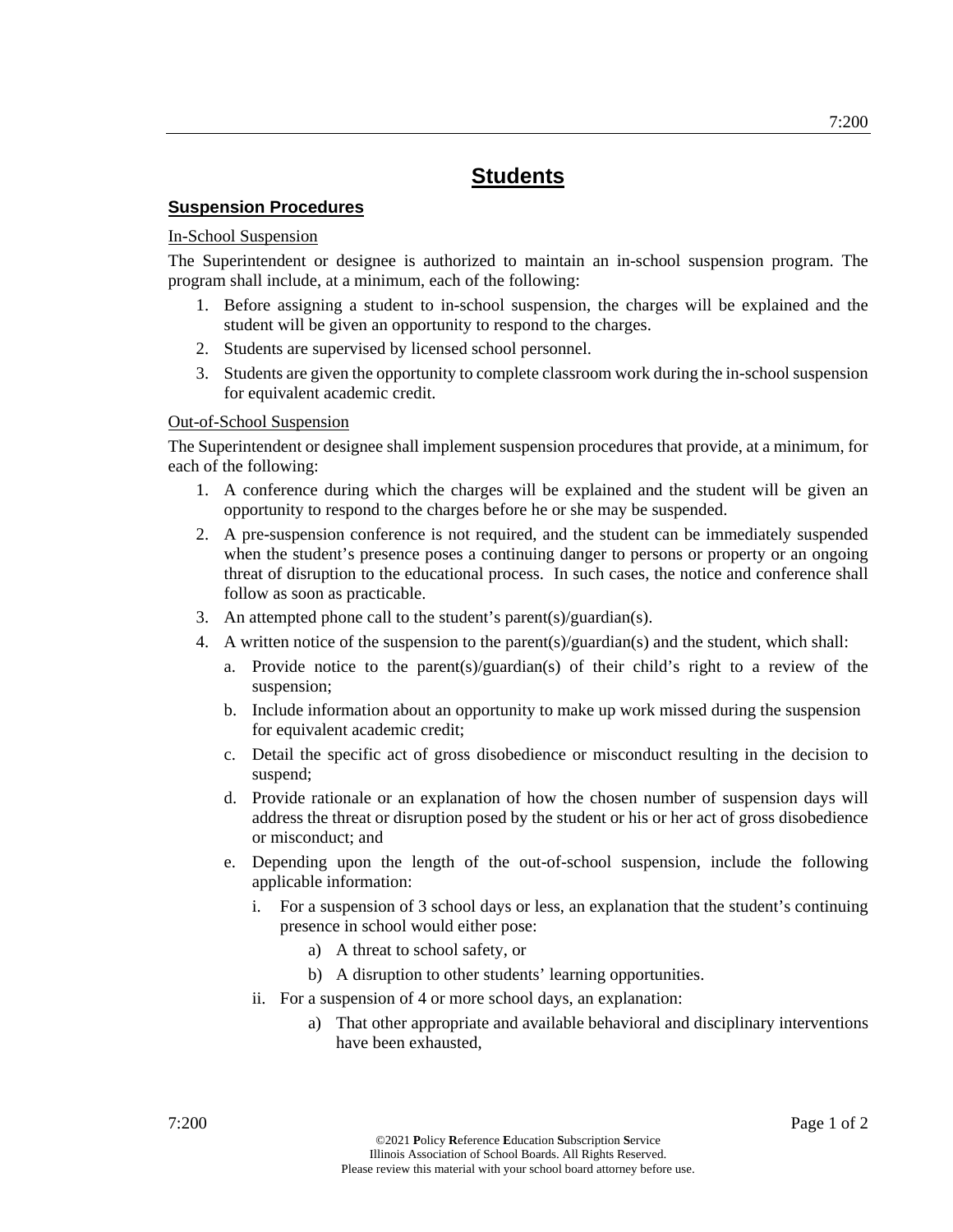## **Suspension Procedures**

#### In-School Suspension

The Superintendent or designee is authorized to maintain an in-school suspension program. The program shall include, at a minimum, each of the following:

- 1. Before assigning a student to in-school suspension, the charges will be explained and the student will be given an opportunity to respond to the charges.
- 2. Students are supervised by licensed school personnel.
- 3. Students are given the opportunity to complete classroom work during the in-school suspension for equivalent academic credit.

#### Out-of-School Suspension

The Superintendent or designee shall implement suspension procedures that provide, at a minimum, for each of the following:

- 1. A conference during which the charges will be explained and the student will be given an opportunity to respond to the charges before he or she may be suspended.
- 2. A pre-suspension conference is not required, and the student can be immediately suspended when the student's presence poses a continuing danger to persons or property or an ongoing threat of disruption to the educational process. In such cases, the notice and conference shall follow as soon as practicable.
- 3. An attempted phone call to the student's parent(s)/guardian(s).
- 4. A written notice of the suspension to the parent(s)/guardian(s) and the student, which shall:
	- a. Provide notice to the parent(s)/guardian(s) of their child's right to a review of the suspension;
	- b. Include information about an opportunity to make up work missed during the suspension for equivalent academic credit;
	- c. Detail the specific act of gross disobedience or misconduct resulting in the decision to suspend;
	- d. Provide rationale or an explanation of how the chosen number of suspension days will address the threat or disruption posed by the student or his or her act of gross disobedience or misconduct; and
	- e. Depending upon the length of the out-of-school suspension, include the following applicable information:
		- i. For a suspension of 3 school days or less, an explanation that the student's continuing presence in school would either pose:
			- a) A threat to school safety, or
			- b) A disruption to other students' learning opportunities.
		- ii. For a suspension of 4 or more school days, an explanation:
			- a) That other appropriate and available behavioral and disciplinary interventions have been exhausted,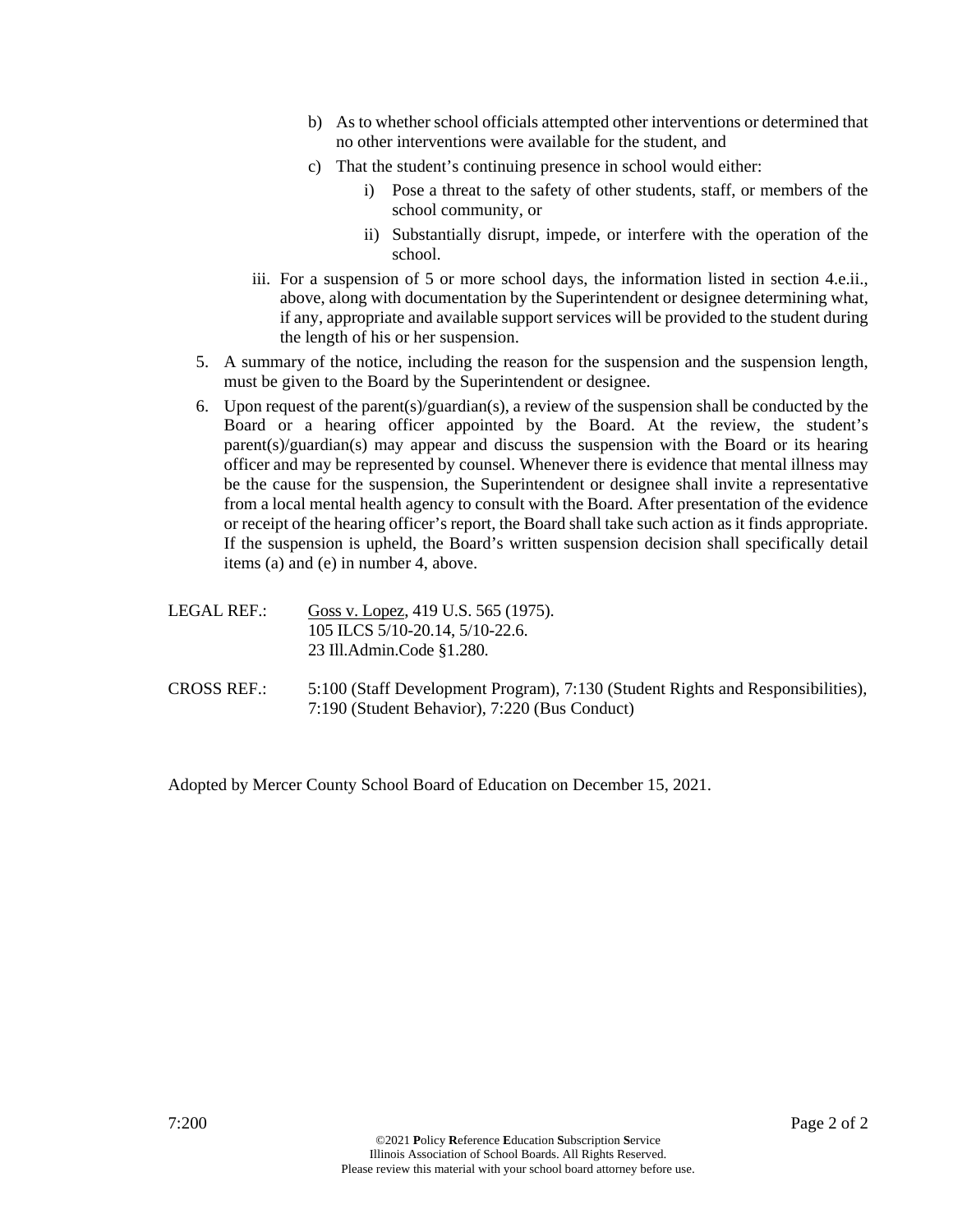- b) As to whether school officials attempted other interventions or determined that no other interventions were available for the student, and
- c) That the student's continuing presence in school would either:
	- i) Pose a threat to the safety of other students, staff, or members of the school community, or
	- ii) Substantially disrupt, impede, or interfere with the operation of the school.
- iii. For a suspension of 5 or more school days, the information listed in section 4.e.ii., above, along with documentation by the Superintendent or designee determining what, if any, appropriate and available support services will be provided to the student during the length of his or her suspension.
- 5. A summary of the notice, including the reason for the suspension and the suspension length, must be given to the Board by the Superintendent or designee.
- 6. Upon request of the parent(s)/guardian(s), a review of the suspension shall be conducted by the Board or a hearing officer appointed by the Board. At the review, the student's parent(s)/guardian(s) may appear and discuss the suspension with the Board or its hearing officer and may be represented by counsel. Whenever there is evidence that mental illness may be the cause for the suspension, the Superintendent or designee shall invite a representative from a local mental health agency to consult with the Board. After presentation of the evidence or receipt of the hearing officer's report, the Board shall take such action as it finds appropriate. If the suspension is upheld, the Board's written suspension decision shall specifically detail items (a) and (e) in number 4, above.
- LEGAL REF.: Goss v. Lopez, 419 U.S. 565 (1975). 105 ILCS 5/10-20.14, 5/10-22.6. 23 Ill.Admin.Code §1.280.
- CROSS REF.: 5:100 (Staff Development Program), 7:130 (Student Rights and Responsibilities), 7:190 (Student Behavior), 7:220 (Bus Conduct)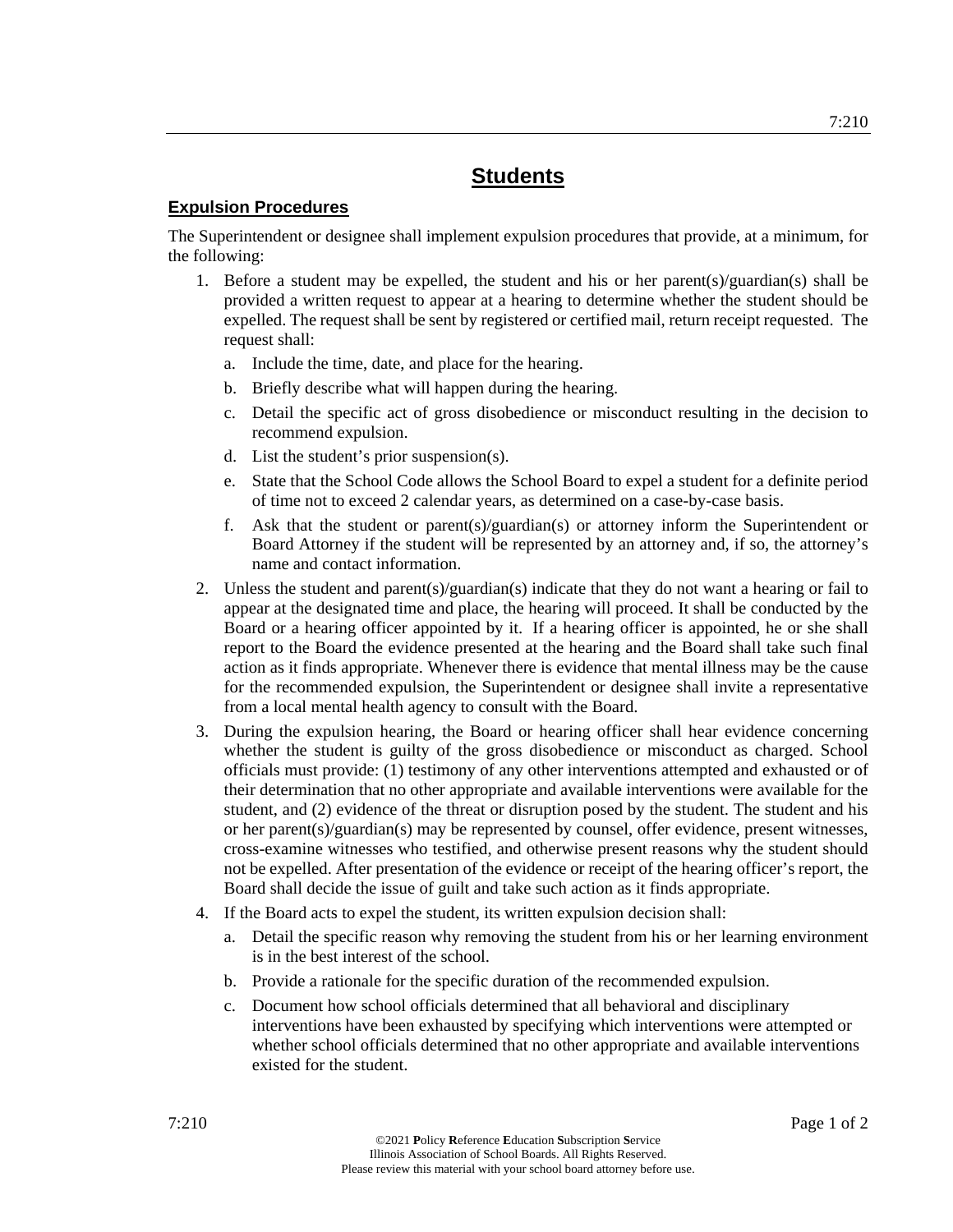## **Expulsion Procedures**

The Superintendent or designee shall implement expulsion procedures that provide, at a minimum, for the following:

- 1. Before a student may be expelled, the student and his or her parent(s)/guardian(s) shall be provided a written request to appear at a hearing to determine whether the student should be expelled. The request shall be sent by registered or certified mail, return receipt requested. The request shall:
	- a. Include the time, date, and place for the hearing.
	- b. Briefly describe what will happen during the hearing.
	- c. Detail the specific act of gross disobedience or misconduct resulting in the decision to recommend expulsion.
	- d. List the student's prior suspension(s).
	- e. State that the School Code allows the School Board to expel a student for a definite period of time not to exceed 2 calendar years, as determined on a case-by-case basis.
	- f. Ask that the student or parent(s)/guardian(s) or attorney inform the Superintendent or Board Attorney if the student will be represented by an attorney and, if so, the attorney's name and contact information.
- 2. Unless the student and parent(s)/guardian(s) indicate that they do not want a hearing or fail to appear at the designated time and place, the hearing will proceed. It shall be conducted by the Board or a hearing officer appointed by it. If a hearing officer is appointed, he or she shall report to the Board the evidence presented at the hearing and the Board shall take such final action as it finds appropriate. Whenever there is evidence that mental illness may be the cause for the recommended expulsion, the Superintendent or designee shall invite a representative from a local mental health agency to consult with the Board.
- 3. During the expulsion hearing, the Board or hearing officer shall hear evidence concerning whether the student is guilty of the gross disobedience or misconduct as charged. School officials must provide: (1) testimony of any other interventions attempted and exhausted or of their determination that no other appropriate and available interventions were available for the student, and (2) evidence of the threat or disruption posed by the student. The student and his or her parent(s)/guardian(s) may be represented by counsel, offer evidence, present witnesses, cross-examine witnesses who testified, and otherwise present reasons why the student should not be expelled. After presentation of the evidence or receipt of the hearing officer's report, the Board shall decide the issue of guilt and take such action as it finds appropriate.
- 4. If the Board acts to expel the student, its written expulsion decision shall:
	- a. Detail the specific reason why removing the student from his or her learning environment is in the best interest of the school.
	- b. Provide a rationale for the specific duration of the recommended expulsion.
	- c. Document how school officials determined that all behavioral and disciplinary interventions have been exhausted by specifying which interventions were attempted or whether school officials determined that no other appropriate and available interventions existed for the student.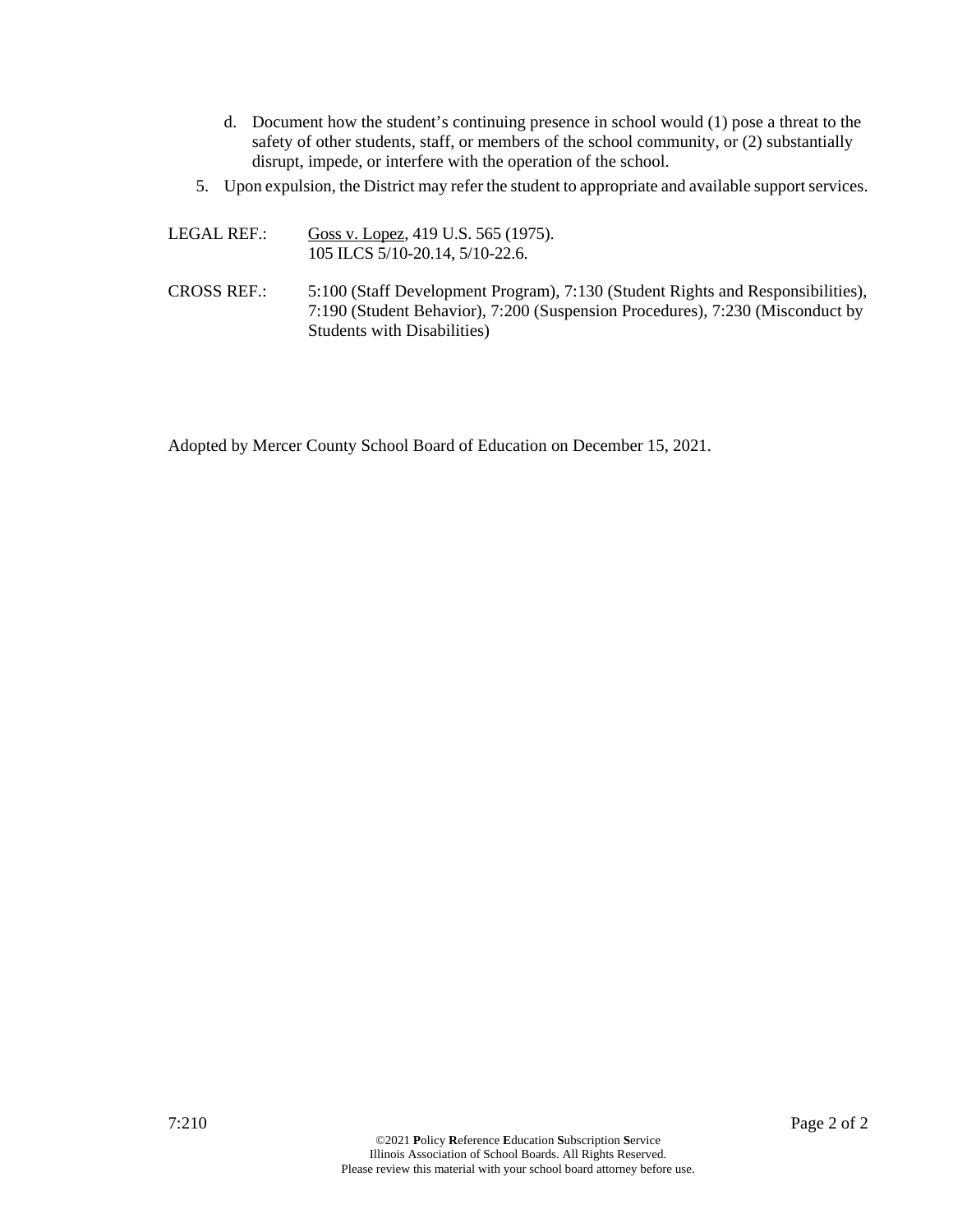- d. Document how the student's continuing presence in school would (1) pose a threat to the safety of other students, staff, or members of the school community, or (2) substantially disrupt, impede, or interfere with the operation of the school.
- 5. Upon expulsion, the District may refer the student to appropriate and available support services.

```
LEGAL REF.: Goss v. Lopez, 419 U.S. 565 (1975). 
      105 ILCS 5/10-20.14, 5/10-22.6.
```
CROSS REF.: 5:100 (Staff Development Program), 7:130 (Student Rights and Responsibilities), 7:190 (Student Behavior), 7:200 (Suspension Procedures), 7:230 (Misconduct by Students with Disabilities)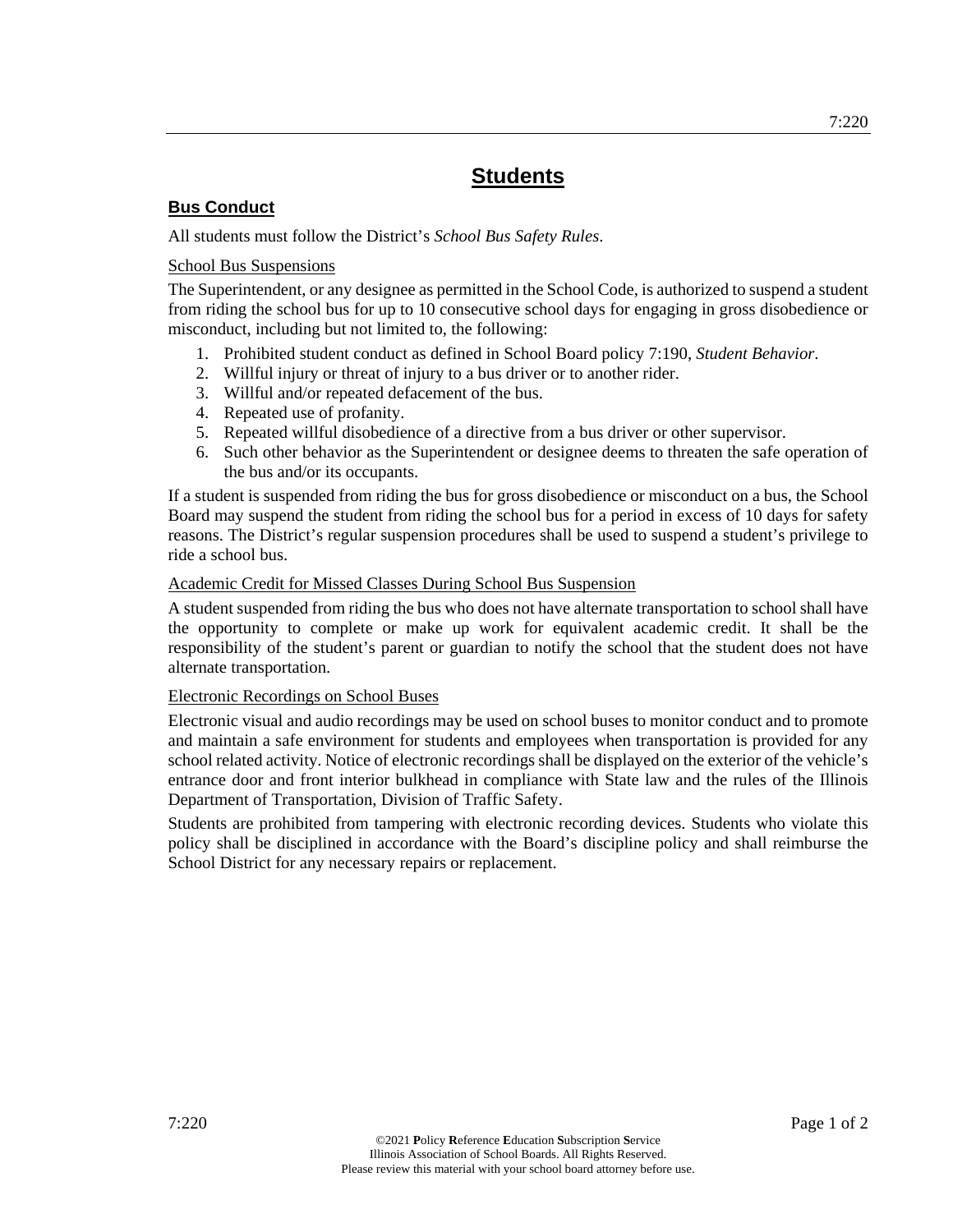## **Bus Conduct**

All students must follow the District's *School Bus Safety Rules*.

## School Bus Suspensions

The Superintendent, or any designee as permitted in the School Code, is authorized to suspend a student from riding the school bus for up to 10 consecutive school days for engaging in gross disobedience or misconduct, including but not limited to, the following:

- 1. Prohibited student conduct as defined in School Board policy 7:190, *Student Behavior*.
- 2. Willful injury or threat of injury to a bus driver or to another rider.
- 3. Willful and/or repeated defacement of the bus.
- 4. Repeated use of profanity.
- 5. Repeated willful disobedience of a directive from a bus driver or other supervisor.
- 6. Such other behavior as the Superintendent or designee deems to threaten the safe operation of the bus and/or its occupants.

If a student is suspended from riding the bus for gross disobedience or misconduct on a bus, the School Board may suspend the student from riding the school bus for a period in excess of 10 days for safety reasons. The District's regular suspension procedures shall be used to suspend a student's privilege to ride a school bus.

## Academic Credit for Missed Classes During School Bus Suspension

A student suspended from riding the bus who does not have alternate transportation to school shall have the opportunity to complete or make up work for equivalent academic credit. It shall be the responsibility of the student's parent or guardian to notify the school that the student does not have alternate transportation.

## Electronic Recordings on School Buses

Electronic visual and audio recordings may be used on school buses to monitor conduct and to promote and maintain a safe environment for students and employees when transportation is provided for any school related activity. Notice of electronic recordings shall be displayed on the exterior of the vehicle's entrance door and front interior bulkhead in compliance with State law and the rules of the Illinois Department of Transportation, Division of Traffic Safety.

Students are prohibited from tampering with electronic recording devices. Students who violate this policy shall be disciplined in accordance with the Board's discipline policy and shall reimburse the School District for any necessary repairs or replacement.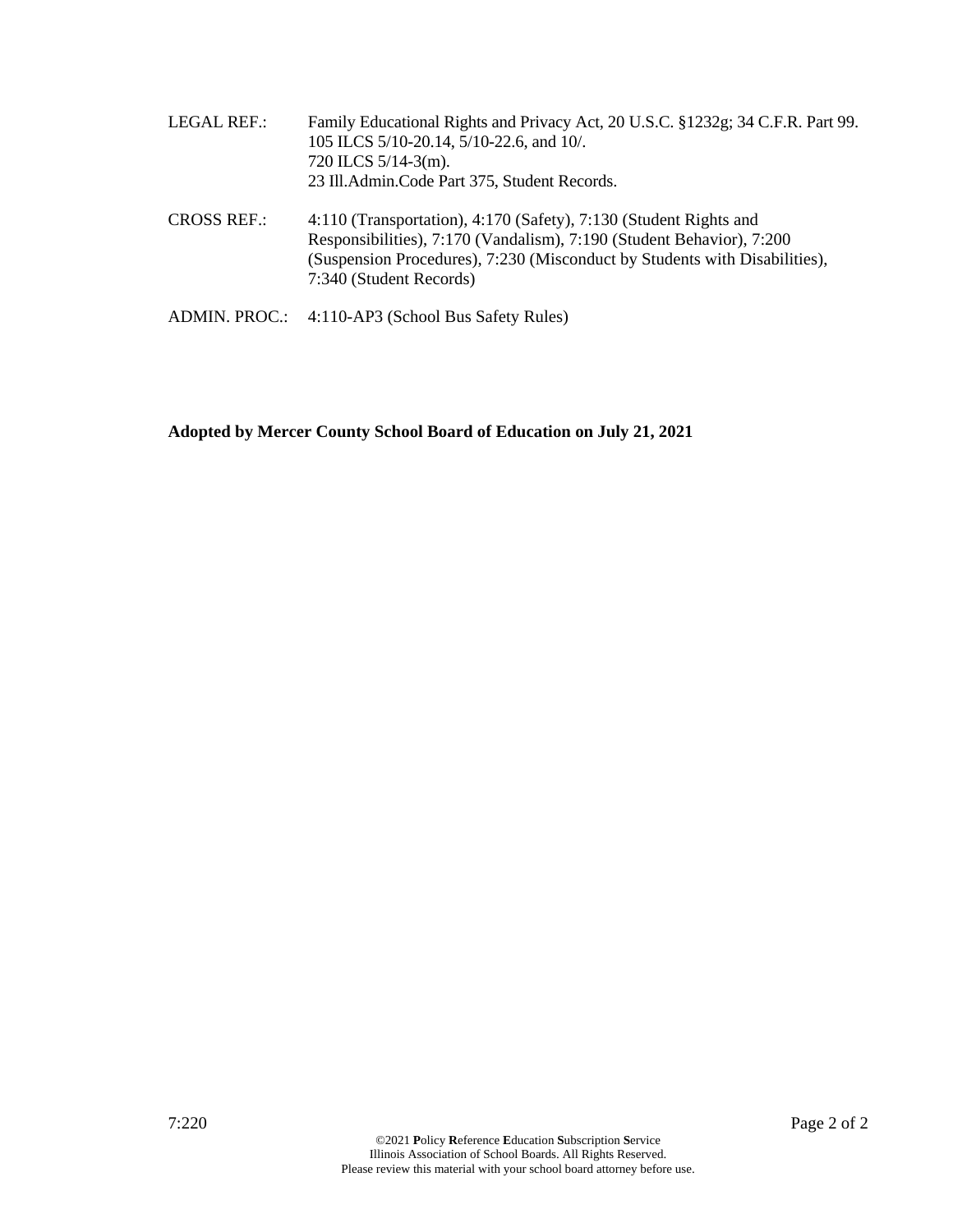- LEGAL REF.: Family Educational Rights and Privacy Act, 20 U.S.C. §1232g; 34 C.F.R. Part 99. 105 ILCS 5/10-20.14, 5/10-22.6, and 10/. 720 ILCS 5/14-3(m). 23 Ill.Admin.Code Part 375, Student Records.
- CROSS REF.: 4:110 (Transportation), 4:170 (Safety), 7:130 (Student Rights and Responsibilities), 7:170 (Vandalism), 7:190 (Student Behavior), 7:200 (Suspension Procedures), 7:230 (Misconduct by Students with Disabilities), 7:340 (Student Records)
- ADMIN. PROC.: 4:110-AP3 (School Bus Safety Rules)

**Adopted by Mercer County School Board of Education on July 21, 2021**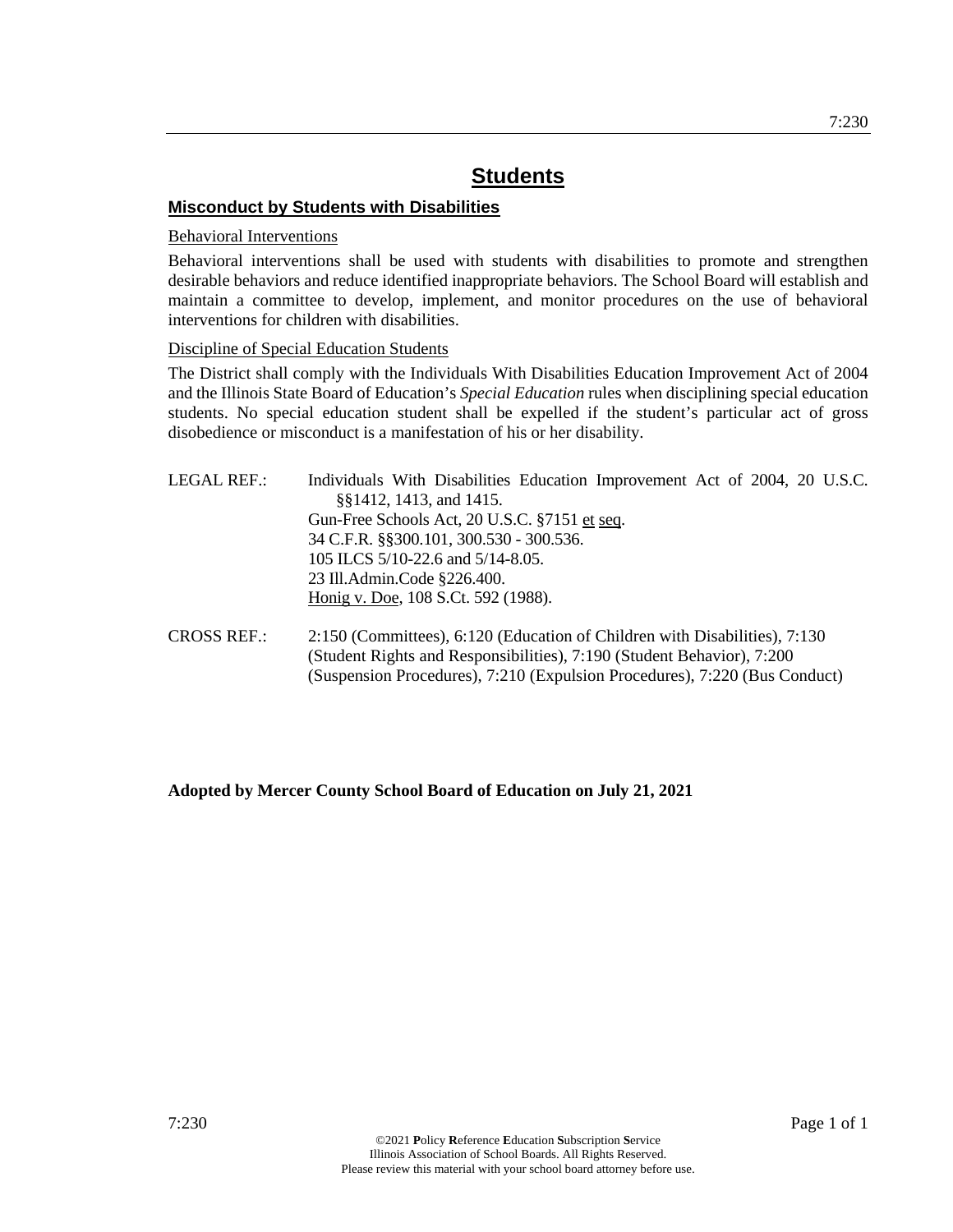## **Misconduct by Students with Disabilities**

## Behavioral Interventions

Behavioral interventions shall be used with students with disabilities to promote and strengthen desirable behaviors and reduce identified inappropriate behaviors. The School Board will establish and maintain a committee to develop, implement, and monitor procedures on the use of behavioral interventions for children with disabilities.

## Discipline of Special Education Students

The District shall comply with the Individuals With Disabilities Education Improvement Act of 2004 and the Illinois State Board of Education's *Special Education* rules when disciplining special education students. No special education student shall be expelled if the student's particular act of gross disobedience or misconduct is a manifestation of his or her disability.

| LEGAL REF.:        | Individuals With Disabilities Education Improvement Act of 2004, 20 U.S.C. |  |  |  |  |
|--------------------|----------------------------------------------------------------------------|--|--|--|--|
|                    | §§1412, 1413, and 1415.                                                    |  |  |  |  |
|                    | Gun-Free Schools Act, 20 U.S.C. §7151 et seq.                              |  |  |  |  |
|                    | 34 C.F.R. §§300.101, 300.530 - 300.536.                                    |  |  |  |  |
|                    | 105 ILCS 5/10-22.6 and 5/14-8.05.                                          |  |  |  |  |
|                    | 23 Ill.Admin.Code §226.400.                                                |  |  |  |  |
|                    | Honig v. Doe, 108 S.Ct. 592 (1988).                                        |  |  |  |  |
| <b>CROSS REF.:</b> | 2:150 (Committees), 6:120 (Education of Children with Disabilities), 7:130 |  |  |  |  |
|                    | (Student Rights and Responsibilities), 7:190 (Student Behavior), 7:200     |  |  |  |  |

(Suspension Procedures), 7:210 (Expulsion Procedures), 7:220 (Bus Conduct)

## **Adopted by Mercer County School Board of Education on July 21, 2021**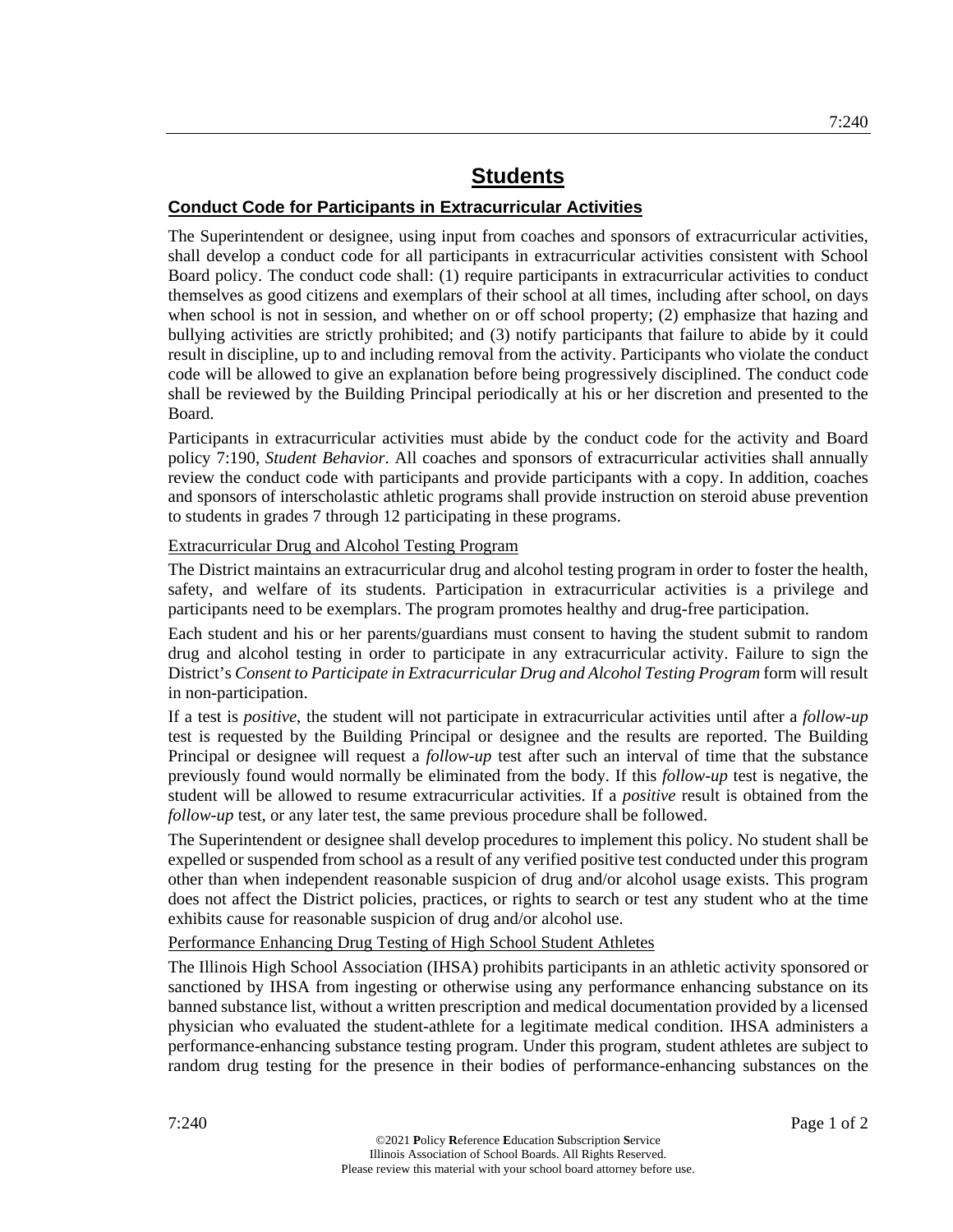## **Conduct Code for Participants in Extracurricular Activities**

The Superintendent or designee, using input from coaches and sponsors of extracurricular activities, shall develop a conduct code for all participants in extracurricular activities consistent with School Board policy. The conduct code shall: (1) require participants in extracurricular activities to conduct themselves as good citizens and exemplars of their school at all times, including after school, on days when school is not in session, and whether on or off school property; (2) emphasize that hazing and bullying activities are strictly prohibited; and (3) notify participants that failure to abide by it could result in discipline, up to and including removal from the activity. Participants who violate the conduct code will be allowed to give an explanation before being progressively disciplined. The conduct code shall be reviewed by the Building Principal periodically at his or her discretion and presented to the Board.

Participants in extracurricular activities must abide by the conduct code for the activity and Board policy 7:190, *Student Behavior*. All coaches and sponsors of extracurricular activities shall annually review the conduct code with participants and provide participants with a copy. In addition, coaches and sponsors of interscholastic athletic programs shall provide instruction on steroid abuse prevention to students in grades 7 through 12 participating in these programs.

## Extracurricular Drug and Alcohol Testing Program

The District maintains an extracurricular drug and alcohol testing program in order to foster the health, safety, and welfare of its students. Participation in extracurricular activities is a privilege and participants need to be exemplars. The program promotes healthy and drug-free participation.

Each student and his or her parents/guardians must consent to having the student submit to random drug and alcohol testing in order to participate in any extracurricular activity. Failure to sign the District's *Consent to Participate in Extracurricular Drug and Alcohol Testing Program* form will result in non-participation.

If a test is *positive*, the student will not participate in extracurricular activities until after a *follow-up* test is requested by the Building Principal or designee and the results are reported. The Building Principal or designee will request a *follow-up* test after such an interval of time that the substance previously found would normally be eliminated from the body. If this *follow-up* test is negative, the student will be allowed to resume extracurricular activities. If a *positive* result is obtained from the *follow-up* test, or any later test, the same previous procedure shall be followed.

The Superintendent or designee shall develop procedures to implement this policy. No student shall be expelled or suspended from school as a result of any verified positive test conducted under this program other than when independent reasonable suspicion of drug and/or alcohol usage exists. This program does not affect the District policies, practices, or rights to search or test any student who at the time exhibits cause for reasonable suspicion of drug and/or alcohol use.

## Performance Enhancing Drug Testing of High School Student Athletes

The Illinois High School Association (IHSA) prohibits participants in an athletic activity sponsored or sanctioned by IHSA from ingesting or otherwise using any performance enhancing substance on its banned substance list, without a written prescription and medical documentation provided by a licensed physician who evaluated the student-athlete for a legitimate medical condition. IHSA administers a performance-enhancing substance testing program. Under this program, student athletes are subject to random drug testing for the presence in their bodies of performance-enhancing substances on the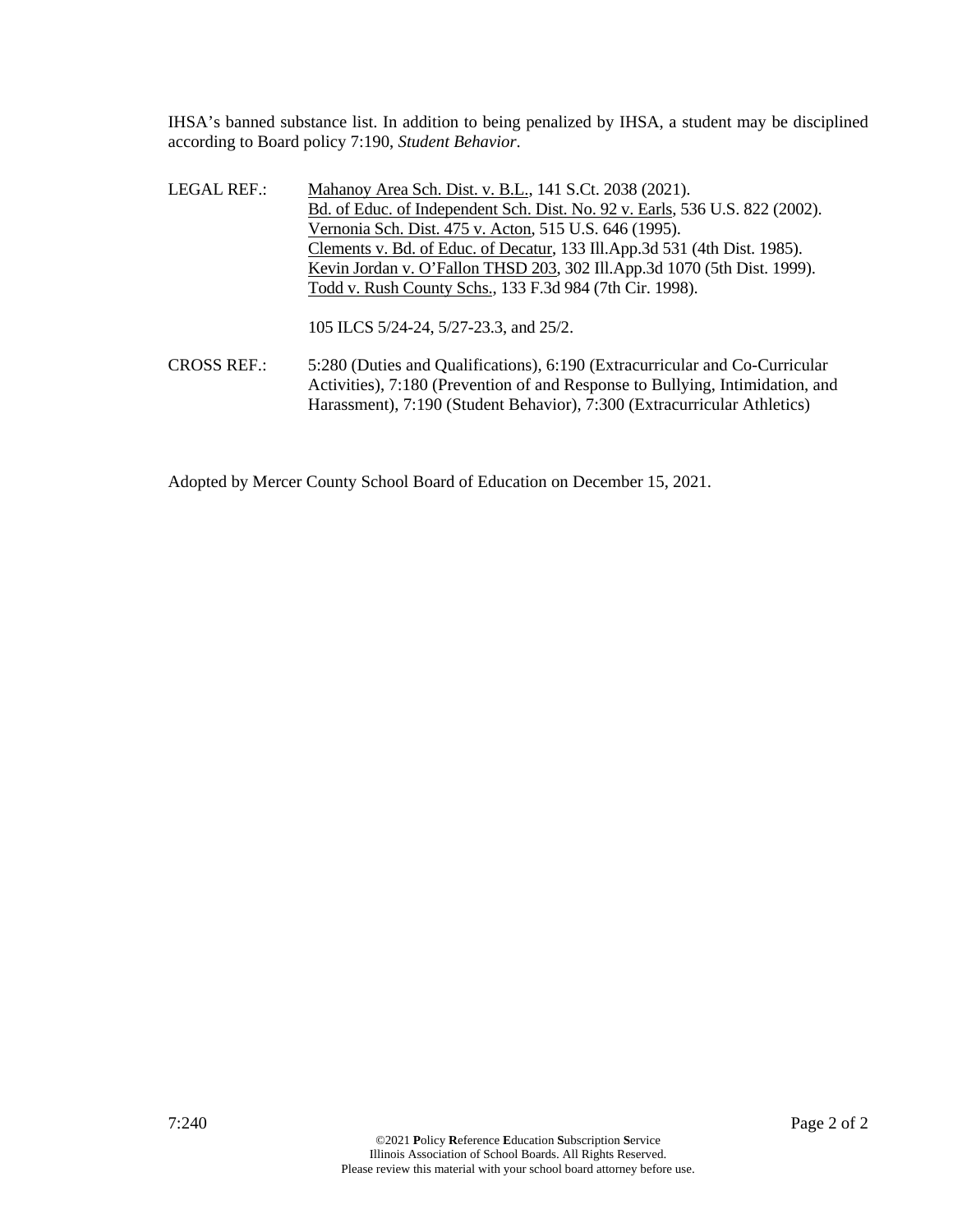IHSA's banned substance list. In addition to being penalized by IHSA, a student may be disciplined according to Board policy 7:190, *Student Behavior*.

LEGAL REF.: Mahanoy Area Sch. Dist. v. B.L., 141 S.Ct. 2038 (2021). Bd. of Educ. of Independent Sch. Dist. No. 92 v. Earls, 536 U.S. 822 (2002). Vernonia Sch. Dist. 475 v. Acton, 515 U.S. 646 (1995). Clements v. Bd. of Educ. of Decatur, 133 Ill.App.3d 531 (4th Dist. 1985). Kevin Jordan v. O'Fallon THSD 203, 302 Ill.App.3d 1070 (5th Dist. 1999). Todd v. Rush County Schs., 133 F.3d 984 (7th Cir. 1998).

105 ILCS 5/24-24, 5/27-23.3, and 25/2.

CROSS REF.: 5:280 (Duties and Qualifications), 6:190 (Extracurricular and Co-Curricular Activities), 7:180 (Prevention of and Response to Bullying, Intimidation, and Harassment), 7:190 (Student Behavior), 7:300 (Extracurricular Athletics)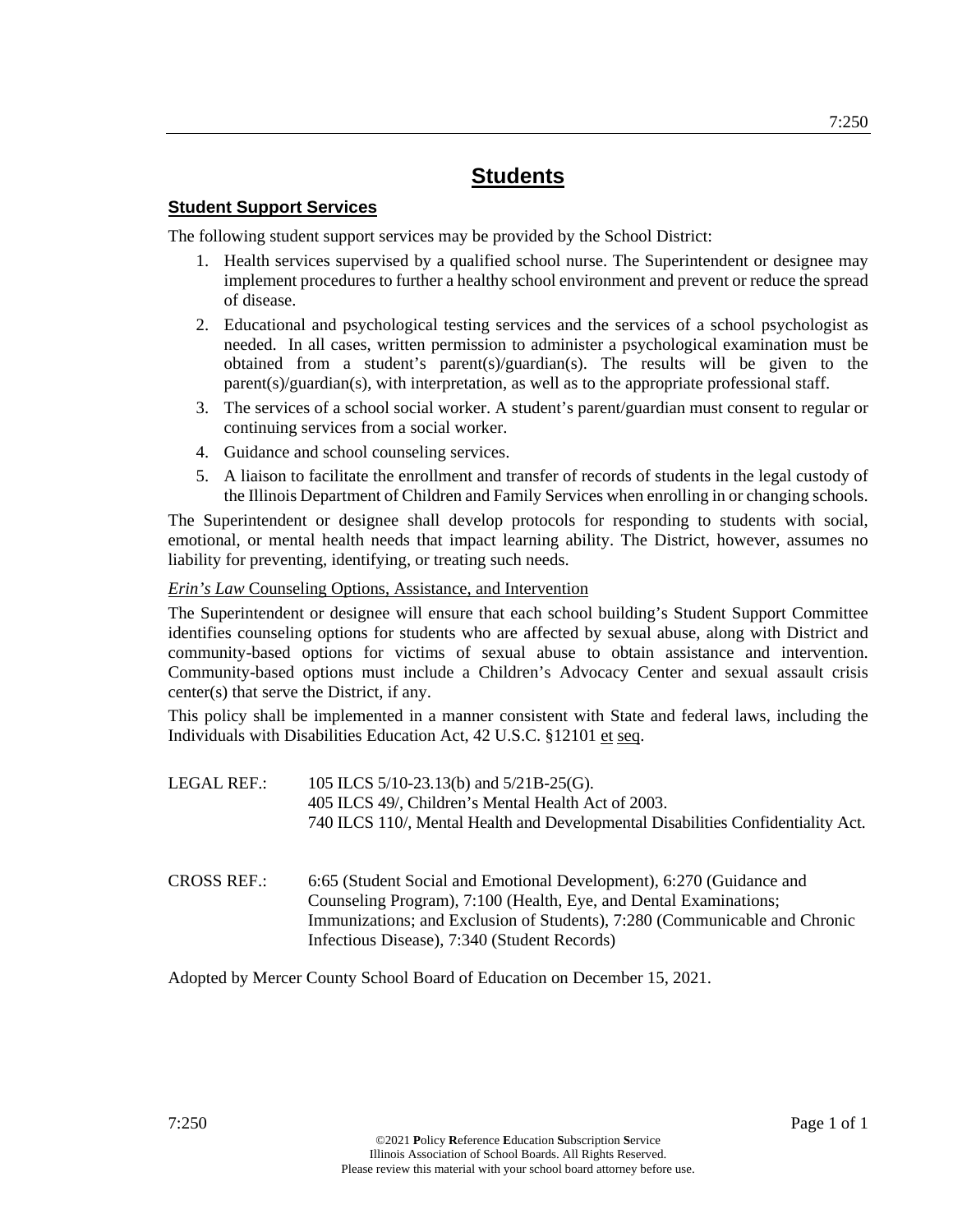## **Student Support Services**

The following student support services may be provided by the School District:

- 1. Health services supervised by a qualified school nurse. The Superintendent or designee may implement procedures to further a healthy school environment and prevent or reduce the spread of disease.
- 2. Educational and psychological testing services and the services of a school psychologist as needed. In all cases, written permission to administer a psychological examination must be obtained from a student's parent(s)/guardian(s). The results will be given to the parent(s)/guardian(s), with interpretation, as well as to the appropriate professional staff.
- 3. The services of a school social worker. A student's parent/guardian must consent to regular or continuing services from a social worker.
- 4. Guidance and school counseling services.
- 5. A liaison to facilitate the enrollment and transfer of records of students in the legal custody of the Illinois Department of Children and Family Services when enrolling in or changing schools.

The Superintendent or designee shall develop protocols for responding to students with social, emotional, or mental health needs that impact learning ability. The District, however, assumes no liability for preventing, identifying, or treating such needs.

## *Erin's Law* Counseling Options, Assistance, and Intervention

The Superintendent or designee will ensure that each school building's Student Support Committee identifies counseling options for students who are affected by sexual abuse, along with District and community-based options for victims of sexual abuse to obtain assistance and intervention. Community-based options must include a Children's Advocacy Center and sexual assault crisis center(s) that serve the District, if any.

This policy shall be implemented in a manner consistent with State and federal laws, including the Individuals with Disabilities Education Act, 42 U.S.C. §12101 et seq.

- LEGAL REF.: 105 ILCS 5/10-23.13(b) and 5/21B-25(G). 405 ILCS 49/, Children's Mental Health Act of 2003. 740 ILCS 110/, Mental Health and Developmental Disabilities Confidentiality Act.
- CROSS REF.: 6:65 (Student Social and Emotional Development), 6:270 (Guidance and Counseling Program), 7:100 (Health, Eye, and Dental Examinations; Immunizations; and Exclusion of Students), 7:280 (Communicable and Chronic Infectious Disease), 7:340 (Student Records)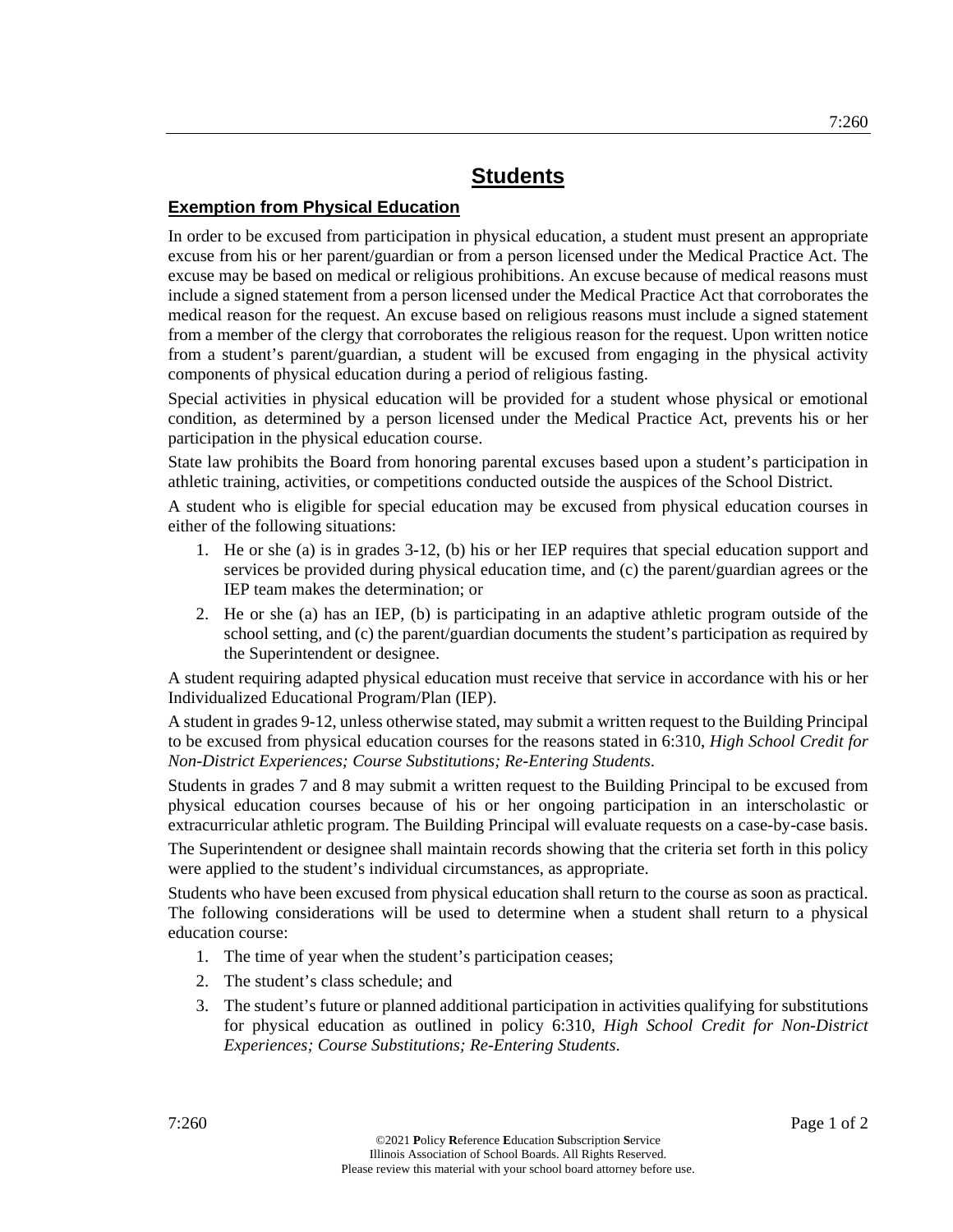## **Exemption from Physical Education**

In order to be excused from participation in physical education, a student must present an appropriate excuse from his or her parent/guardian or from a person licensed under the Medical Practice Act. The excuse may be based on medical or religious prohibitions. An excuse because of medical reasons must include a signed statement from a person licensed under the Medical Practice Act that corroborates the medical reason for the request. An excuse based on religious reasons must include a signed statement from a member of the clergy that corroborates the religious reason for the request. Upon written notice from a student's parent/guardian, a student will be excused from engaging in the physical activity components of physical education during a period of religious fasting.

Special activities in physical education will be provided for a student whose physical or emotional condition, as determined by a person licensed under the Medical Practice Act, prevents his or her participation in the physical education course.

State law prohibits the Board from honoring parental excuses based upon a student's participation in athletic training, activities, or competitions conducted outside the auspices of the School District.

A student who is eligible for special education may be excused from physical education courses in either of the following situations:

- 1. He or she (a) is in grades 3-12, (b) his or her IEP requires that special education support and services be provided during physical education time, and (c) the parent/guardian agrees or the IEP team makes the determination; or
- 2. He or she (a) has an IEP, (b) is participating in an adaptive athletic program outside of the school setting, and (c) the parent/guardian documents the student's participation as required by the Superintendent or designee.

A student requiring adapted physical education must receive that service in accordance with his or her Individualized Educational Program/Plan (IEP).

A student in grades 9-12, unless otherwise stated, may submit a written request to the Building Principal to be excused from physical education courses for the reasons stated in 6:310, *High School Credit for Non-District Experiences; Course Substitutions; Re-Entering Students*.

Students in grades 7 and 8 may submit a written request to the Building Principal to be excused from physical education courses because of his or her ongoing participation in an interscholastic or extracurricular athletic program. The Building Principal will evaluate requests on a case-by-case basis.

The Superintendent or designee shall maintain records showing that the criteria set forth in this policy were applied to the student's individual circumstances, as appropriate.

Students who have been excused from physical education shall return to the course as soon as practical. The following considerations will be used to determine when a student shall return to a physical education course:

- 1. The time of year when the student's participation ceases;
- 2. The student's class schedule; and
- 3. The student's future or planned additional participation in activities qualifying for substitutions for physical education as outlined in policy 6:310, *High School Credit for Non-District Experiences; Course Substitutions; Re-Entering Students*.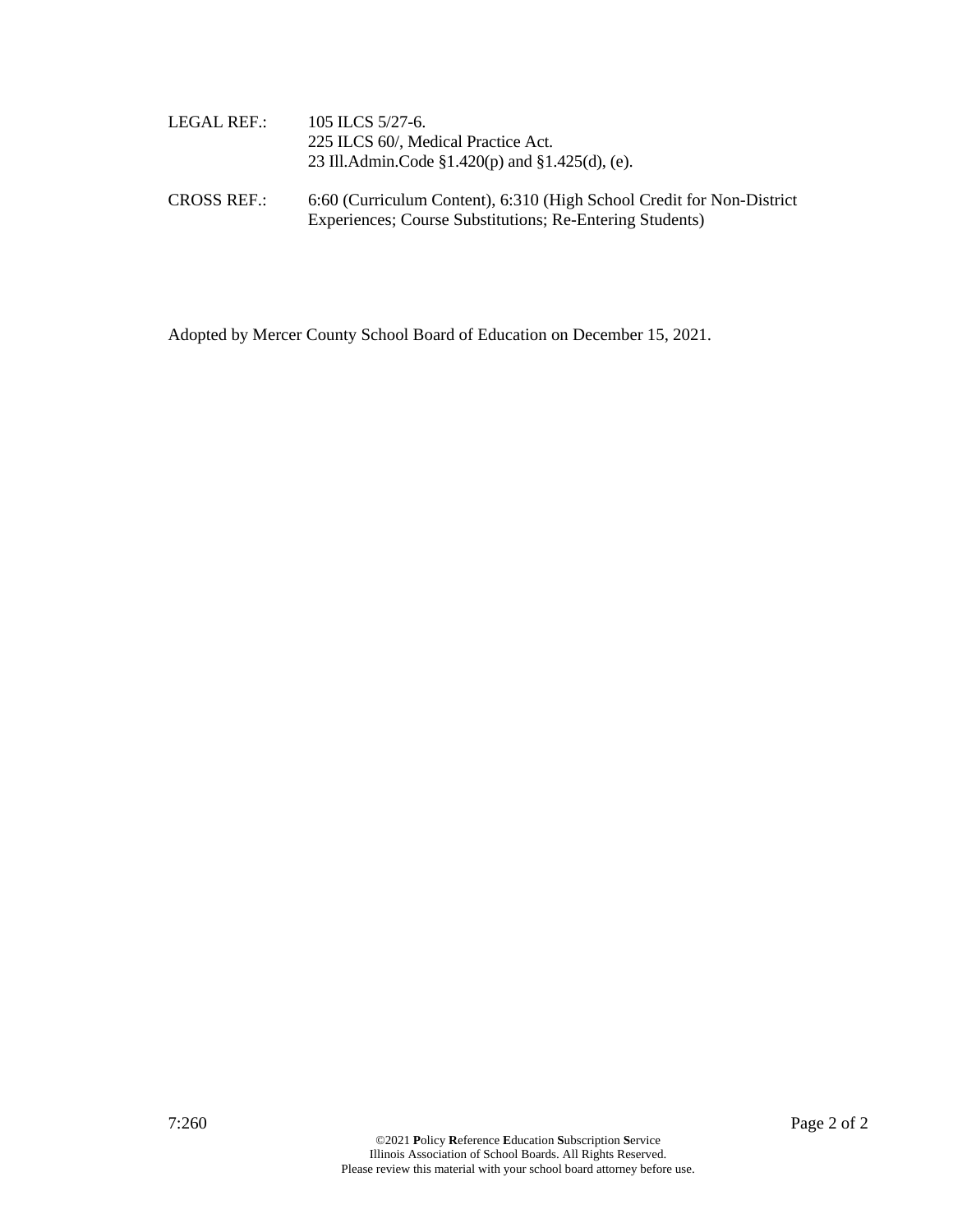| LEGAL REF.:        | 105 ILCS 5/27-6.<br>225 ILCS 60/, Medical Practice Act.<br>23 Ill.Admin.Code $\S1.420(p)$ and $\S1.425(d)$ , (e).                 |
|--------------------|-----------------------------------------------------------------------------------------------------------------------------------|
| <b>CROSS REF.:</b> | 6:60 (Curriculum Content), 6:310 (High School Credit for Non-District<br>Experiences; Course Substitutions; Re-Entering Students) |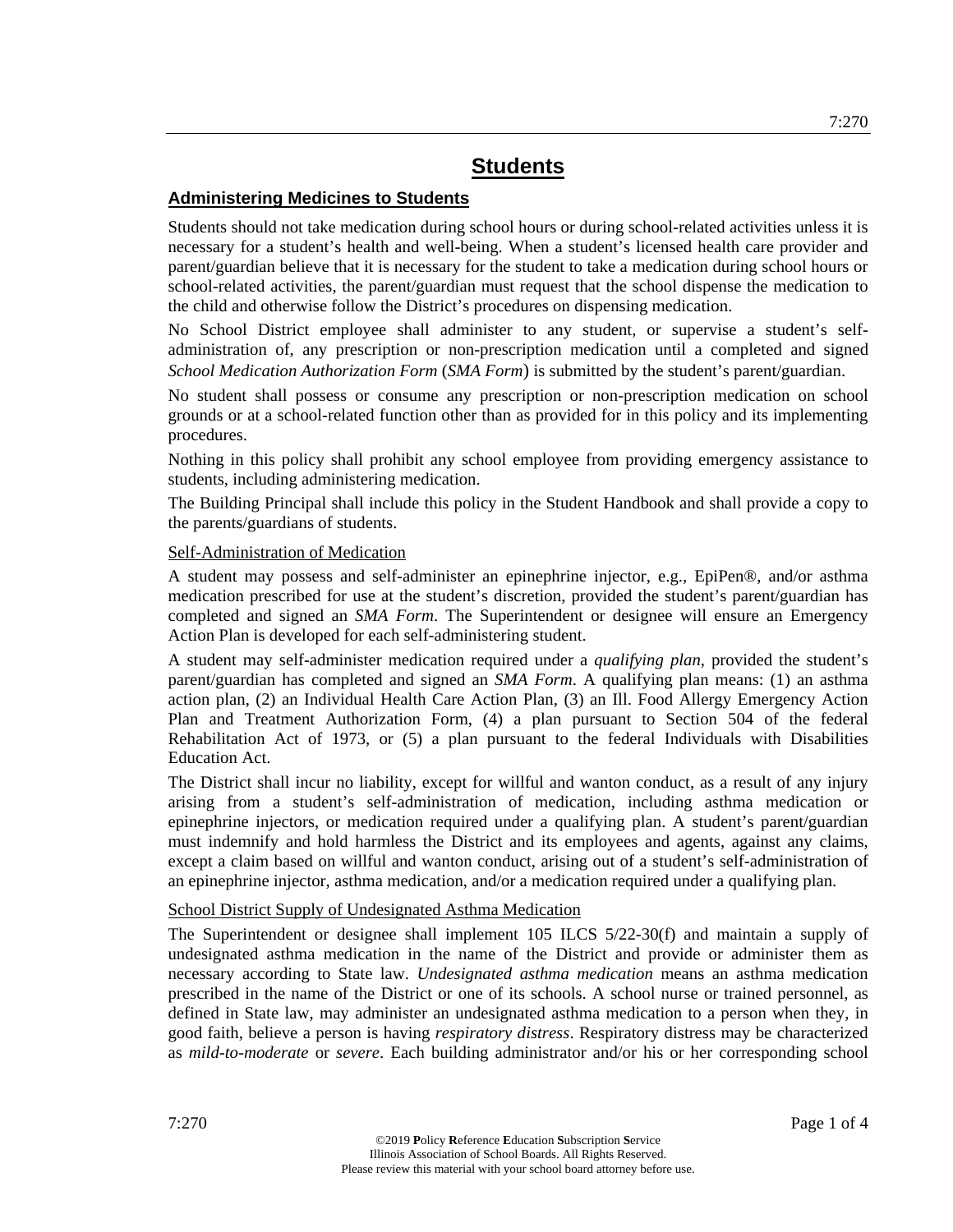## **Administering Medicines to Students**

Students should not take medication during school hours or during school-related activities unless it is necessary for a student's health and well-being. When a student's licensed health care provider and parent/guardian believe that it is necessary for the student to take a medication during school hours or school-related activities, the parent/guardian must request that the school dispense the medication to the child and otherwise follow the District's procedures on dispensing medication.

No School District employee shall administer to any student, or supervise a student's selfadministration of, any prescription or non-prescription medication until a completed and signed *School Medication Authorization Form* (*SMA Form*) is submitted by the student's parent/guardian.

No student shall possess or consume any prescription or non-prescription medication on school grounds or at a school-related function other than as provided for in this policy and its implementing procedures.

Nothing in this policy shall prohibit any school employee from providing emergency assistance to students, including administering medication.

The Building Principal shall include this policy in the Student Handbook and shall provide a copy to the parents/guardians of students.

## Self-Administration of Medication

A student may possess and self-administer an epinephrine injector, e.g., EpiPen®, and/or asthma medication prescribed for use at the student's discretion, provided the student's parent/guardian has completed and signed an *SMA Form*. The Superintendent or designee will ensure an Emergency Action Plan is developed for each self-administering student.

A student may self-administer medication required under a *qualifying plan*, provided the student's parent/guardian has completed and signed an *SMA Form*. A qualifying plan means: (1) an asthma action plan, (2) an Individual Health Care Action Plan, (3) an Ill. Food Allergy Emergency Action Plan and Treatment Authorization Form, (4) a plan pursuant to Section 504 of the federal Rehabilitation Act of 1973, or (5) a plan pursuant to the federal Individuals with Disabilities Education Act.

The District shall incur no liability, except for willful and wanton conduct, as a result of any injury arising from a student's self-administration of medication, including asthma medication or epinephrine injectors, or medication required under a qualifying plan. A student's parent/guardian must indemnify and hold harmless the District and its employees and agents, against any claims, except a claim based on willful and wanton conduct, arising out of a student's self-administration of an epinephrine injector, asthma medication, and/or a medication required under a qualifying plan.

## School District Supply of Undesignated Asthma Medication

The Superintendent or designee shall implement 105 ILCS 5/22-30(f) and maintain a supply of undesignated asthma medication in the name of the District and provide or administer them as necessary according to State law. *Undesignated asthma medication* means an asthma medication prescribed in the name of the District or one of its schools. A school nurse or trained personnel, as defined in State law, may administer an undesignated asthma medication to a person when they, in good faith, believe a person is having *respiratory distress*. Respiratory distress may be characterized as *mild-to-moderate* or *severe*. Each building administrator and/or his or her corresponding school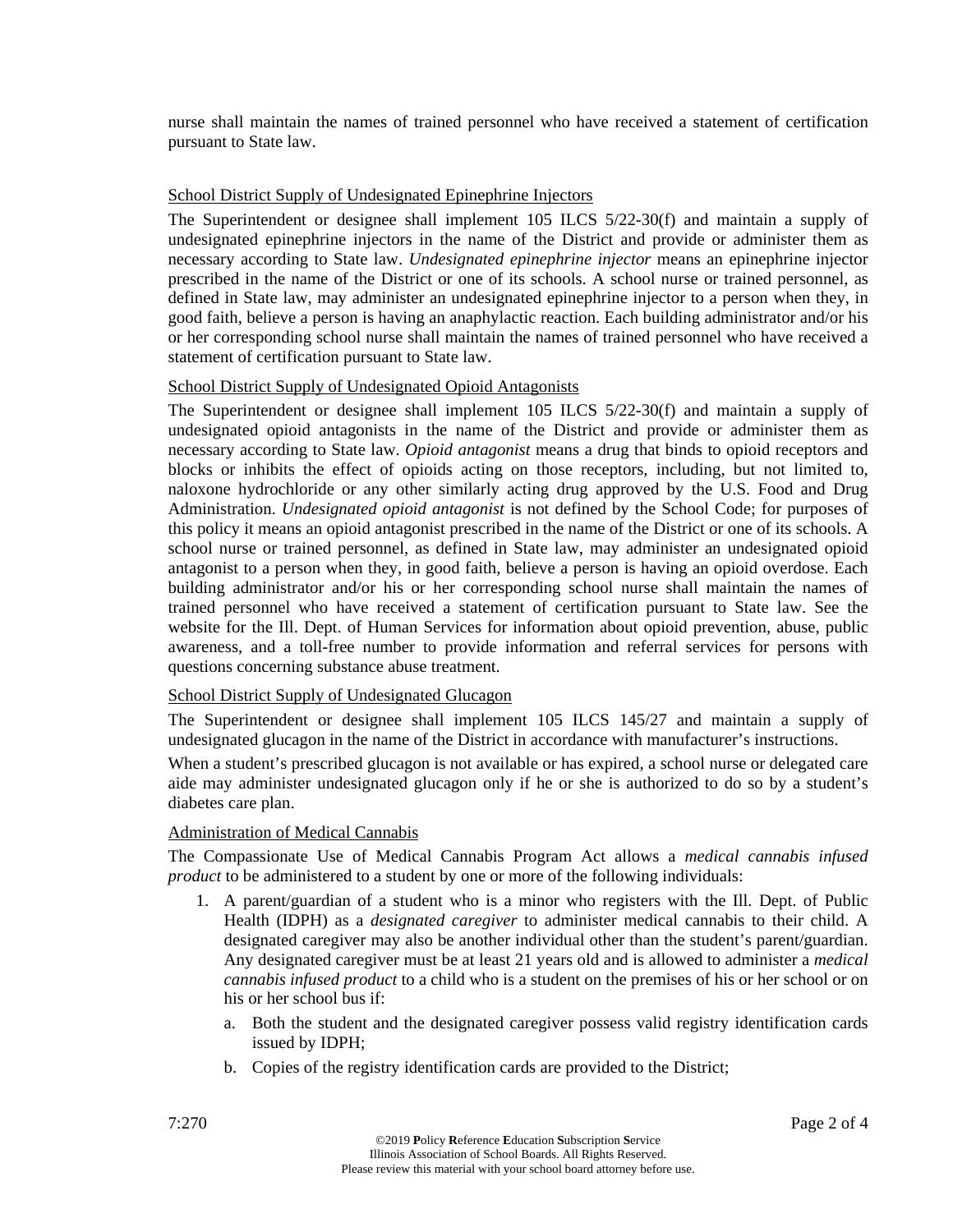nurse shall maintain the names of trained personnel who have received a statement of certification pursuant to State law.

#### School District Supply of Undesignated Epinephrine Injectors

The Superintendent or designee shall implement 105 ILCS 5/22-30(f) and maintain a supply of undesignated epinephrine injectors in the name of the District and provide or administer them as necessary according to State law. *Undesignated epinephrine injector* means an epinephrine injector prescribed in the name of the District or one of its schools. A school nurse or trained personnel, as defined in State law, may administer an undesignated epinephrine injector to a person when they, in good faith, believe a person is having an anaphylactic reaction. Each building administrator and/or his or her corresponding school nurse shall maintain the names of trained personnel who have received a statement of certification pursuant to State law.

#### School District Supply of Undesignated Opioid Antagonists

The Superintendent or designee shall implement 105 ILCS 5/22-30(f) and maintain a supply of undesignated opioid antagonists in the name of the District and provide or administer them as necessary according to State law. *Opioid antagonist* means a drug that binds to opioid receptors and blocks or inhibits the effect of opioids acting on those receptors, including, but not limited to, naloxone hydrochloride or any other similarly acting drug approved by the U.S. Food and Drug Administration. *Undesignated opioid antagonist* is not defined by the School Code; for purposes of this policy it means an opioid antagonist prescribed in the name of the District or one of its schools. A school nurse or trained personnel, as defined in State law, may administer an undesignated opioid antagonist to a person when they, in good faith, believe a person is having an opioid overdose. Each building administrator and/or his or her corresponding school nurse shall maintain the names of trained personnel who have received a statement of certification pursuant to State law. See the website for the Ill. Dept. of Human Services for information about opioid prevention, abuse, public awareness, and a toll-free number to provide information and referral services for persons with questions concerning substance abuse treatment.

#### School District Supply of Undesignated Glucagon

The Superintendent or designee shall implement 105 ILCS 145/27 and maintain a supply of undesignated glucagon in the name of the District in accordance with manufacturer's instructions.

When a student's prescribed glucagon is not available or has expired, a school nurse or delegated care aide may administer undesignated glucagon only if he or she is authorized to do so by a student's diabetes care plan.

#### Administration of Medical Cannabis

The Compassionate Use of Medical Cannabis Program Act allows a *medical cannabis infused product* to be administered to a student by one or more of the following individuals:

- 1. A parent/guardian of a student who is a minor who registers with the Ill. Dept. of Public Health (IDPH) as a *designated caregiver* to administer medical cannabis to their child. A designated caregiver may also be another individual other than the student's parent/guardian. Any designated caregiver must be at least 21 years old and is allowed to administer a *medical cannabis infused product* to a child who is a student on the premises of his or her school or on his or her school bus if:
	- a. Both the student and the designated caregiver possess valid registry identification cards issued by IDPH;
	- b. Copies of the registry identification cards are provided to the District;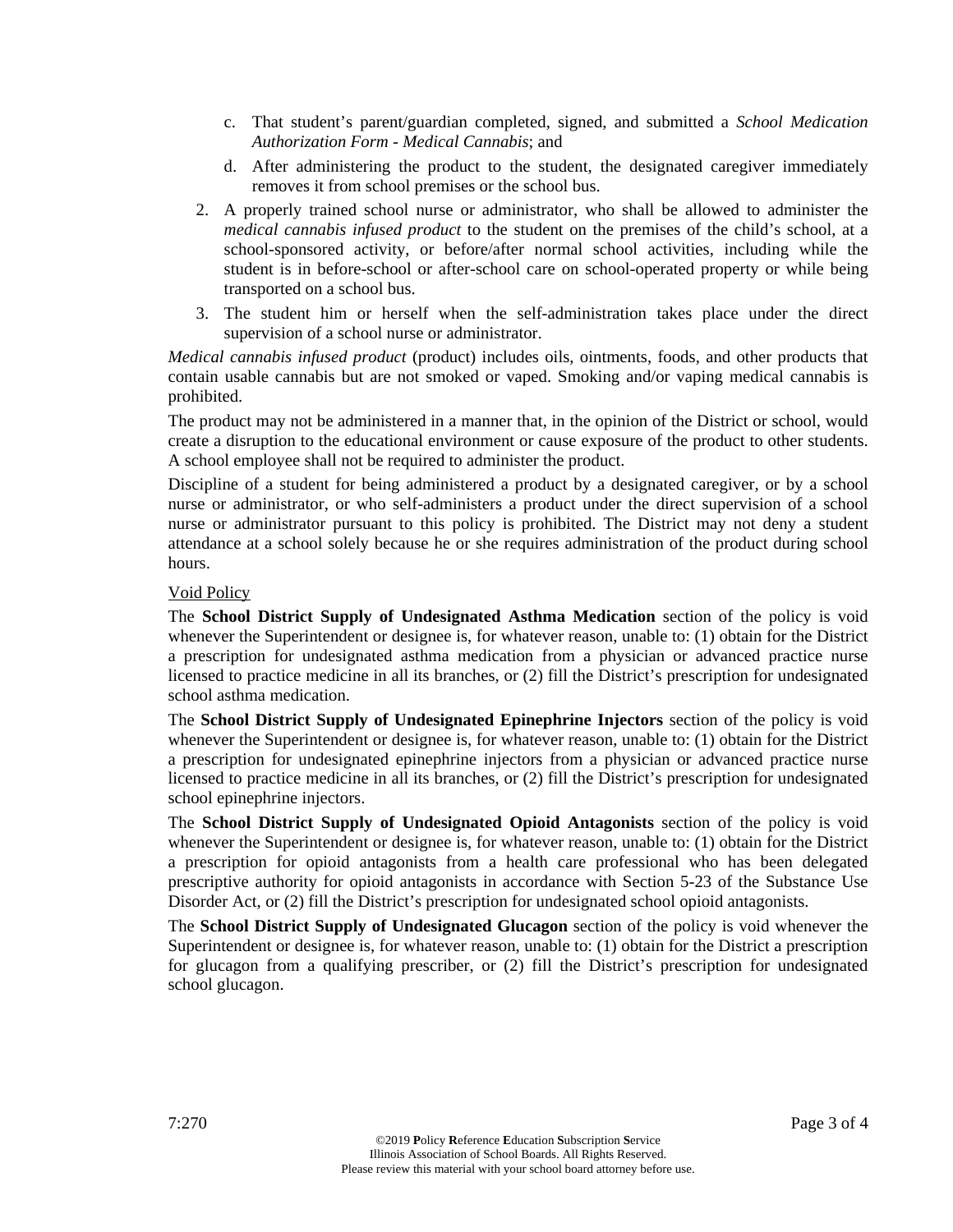- c. That student's parent/guardian completed, signed, and submitted a *School Medication Authorization Form - Medical Cannabis*; and
- d. After administering the product to the student, the designated caregiver immediately removes it from school premises or the school bus.
- 2. A properly trained school nurse or administrator, who shall be allowed to administer the *medical cannabis infused product* to the student on the premises of the child's school, at a school-sponsored activity, or before/after normal school activities, including while the student is in before-school or after-school care on school-operated property or while being transported on a school bus.
- 3. The student him or herself when the self-administration takes place under the direct supervision of a school nurse or administrator.

*Medical cannabis infused product* (product) includes oils, ointments, foods, and other products that contain usable cannabis but are not smoked or vaped. Smoking and/or vaping medical cannabis is prohibited.

The product may not be administered in a manner that, in the opinion of the District or school, would create a disruption to the educational environment or cause exposure of the product to other students. A school employee shall not be required to administer the product.

Discipline of a student for being administered a product by a designated caregiver, or by a school nurse or administrator, or who self-administers a product under the direct supervision of a school nurse or administrator pursuant to this policy is prohibited. The District may not deny a student attendance at a school solely because he or she requires administration of the product during school hours.

## Void Policy

The **School District Supply of Undesignated Asthma Medication** section of the policy is void whenever the Superintendent or designee is, for whatever reason, unable to: (1) obtain for the District a prescription for undesignated asthma medication from a physician or advanced practice nurse licensed to practice medicine in all its branches, or (2) fill the District's prescription for undesignated school asthma medication.

The **School District Supply of Undesignated Epinephrine Injectors** section of the policy is void whenever the Superintendent or designee is, for whatever reason, unable to: (1) obtain for the District a prescription for undesignated epinephrine injectors from a physician or advanced practice nurse licensed to practice medicine in all its branches, or (2) fill the District's prescription for undesignated school epinephrine injectors.

The **School District Supply of Undesignated Opioid Antagonists** section of the policy is void whenever the Superintendent or designee is, for whatever reason, unable to: (1) obtain for the District a prescription for opioid antagonists from a health care professional who has been delegated prescriptive authority for opioid antagonists in accordance with Section 5-23 of the Substance Use Disorder Act, or (2) fill the District's prescription for undesignated school opioid antagonists.

The **School District Supply of Undesignated Glucagon** section of the policy is void whenever the Superintendent or designee is, for whatever reason, unable to: (1) obtain for the District a prescription for glucagon from a qualifying prescriber, or (2) fill the District's prescription for undesignated school glucagon.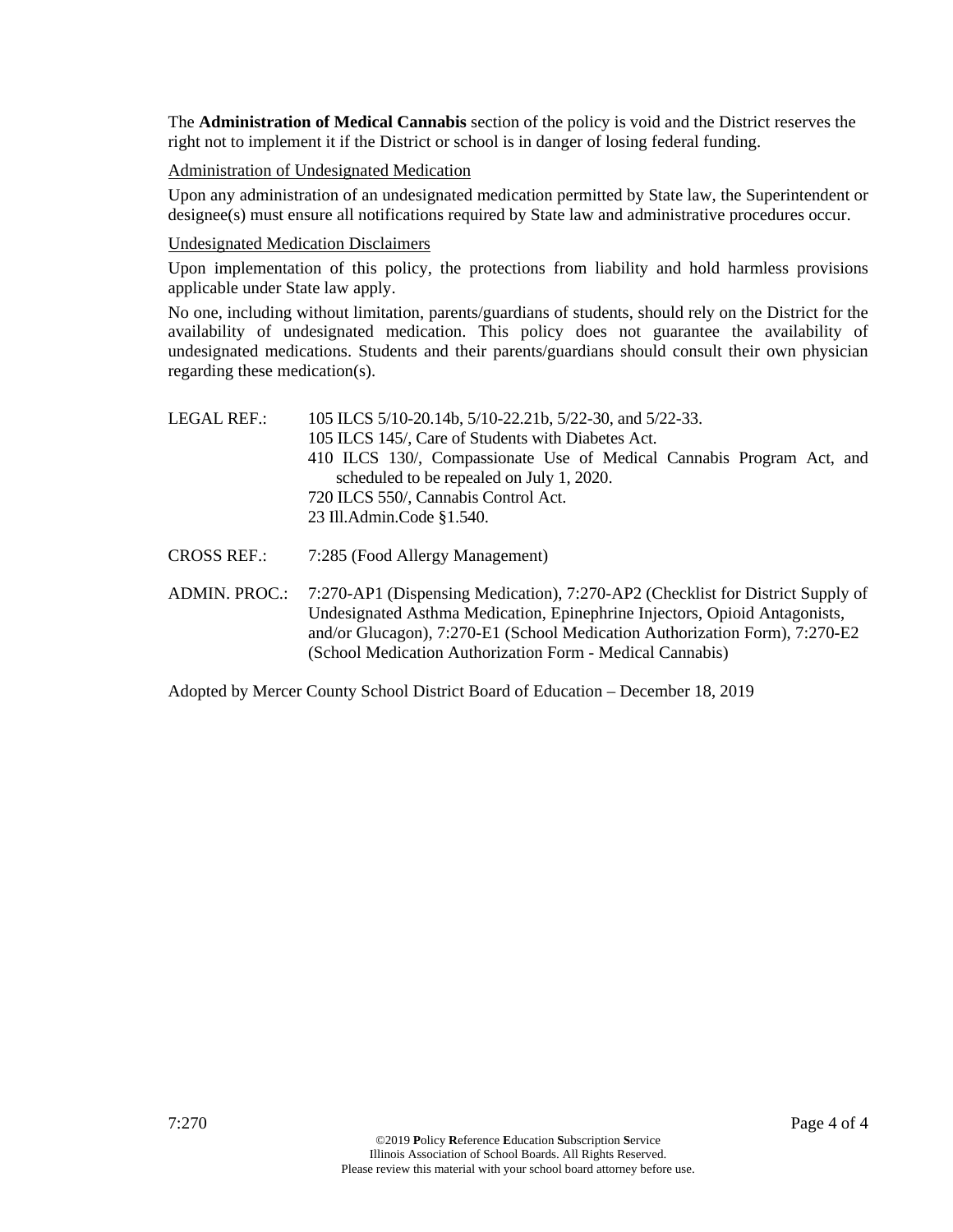The **Administration of Medical Cannabis** section of the policy is void and the District reserves the right not to implement it if the District or school is in danger of losing federal funding.

## Administration of Undesignated Medication

Upon any administration of an undesignated medication permitted by State law, the Superintendent or designee(s) must ensure all notifications required by State law and administrative procedures occur.

#### Undesignated Medication Disclaimers

Upon implementation of this policy, the protections from liability and hold harmless provisions applicable under State law apply.

No one, including without limitation, parents/guardians of students, should rely on the District for the availability of undesignated medication. This policy does not guarantee the availability of undesignated medications. Students and their parents/guardians should consult their own physician regarding these medication(s).

| LEGAL REF.: | 105 ILCS 5/10-20.14b, 5/10-22.21b, 5/22-30, and 5/22-33.              |
|-------------|-----------------------------------------------------------------------|
|             | 105 ILCS 145/, Care of Students with Diabetes Act.                    |
|             | 410 ILCS 130/, Compassionate Use of Medical Cannabis Program Act, and |
|             | scheduled to be repealed on July 1, 2020.                             |
|             | 720 ILCS 550/, Cannabis Control Act.                                  |
|             | 23 Ill.Admin.Code §1.540.                                             |
|             |                                                                       |

- CROSS REF.: 7:285 (Food Allergy Management)
- ADMIN. PROC.: 7:270-AP1 (Dispensing Medication), 7:270-AP2 (Checklist for District Supply of Undesignated Asthma Medication, Epinephrine Injectors, Opioid Antagonists, and/or Glucagon), 7:270-E1 (School Medication Authorization Form), 7:270-E2 (School Medication Authorization Form - Medical Cannabis)

Adopted by Mercer County School District Board of Education – December 18, 2019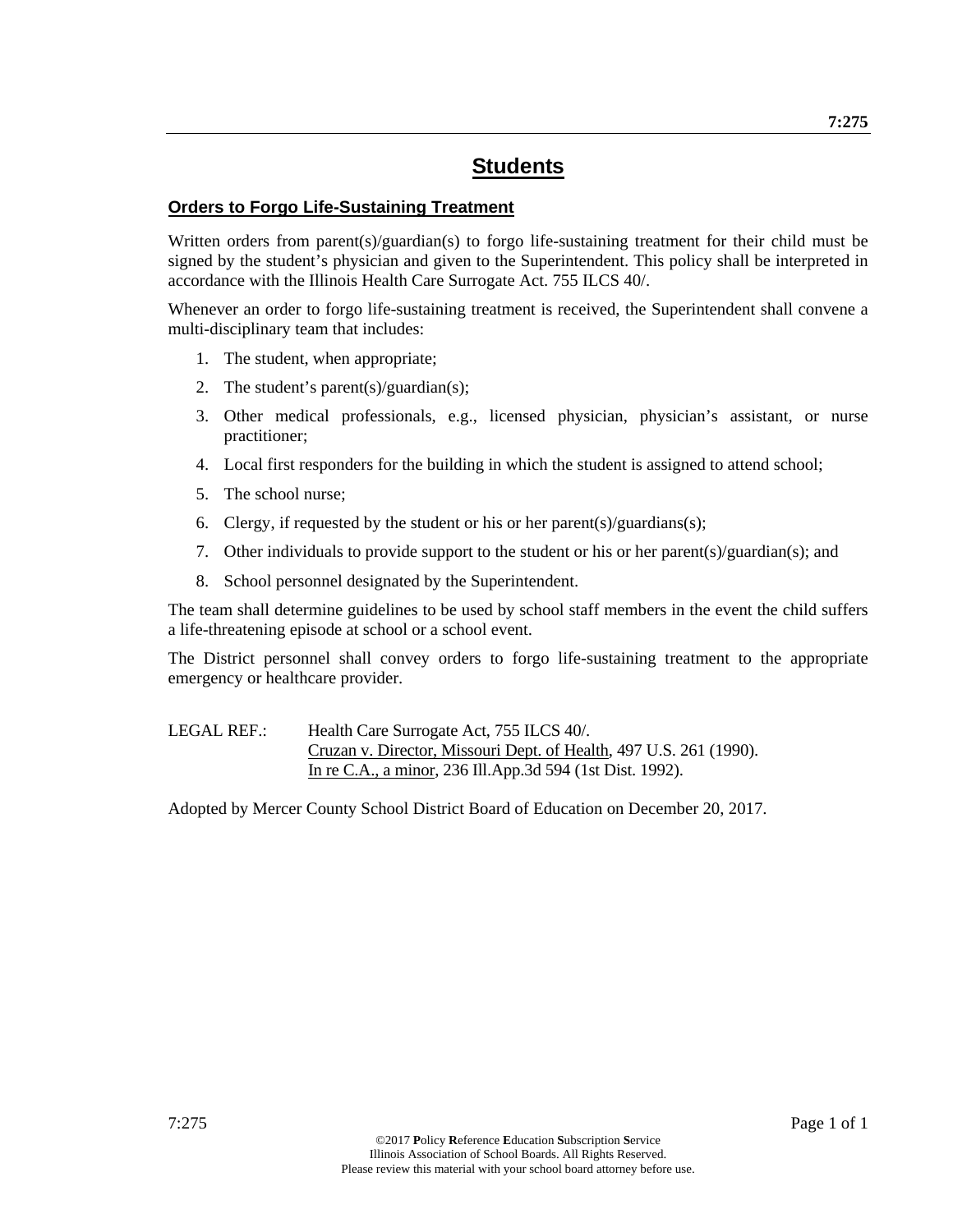## **Orders to Forgo Life-Sustaining Treatment**

Written orders from parent(s)/guardian(s) to forgo life-sustaining treatment for their child must be signed by the student's physician and given to the Superintendent. This policy shall be interpreted in accordance with the Illinois Health Care Surrogate Act. 755 ILCS 40/.

Whenever an order to forgo life-sustaining treatment is received, the Superintendent shall convene a multi-disciplinary team that includes:

- 1. The student, when appropriate;
- 2. The student's parent(s)/guardian(s);
- 3. Other medical professionals, e.g., licensed physician, physician's assistant, or nurse practitioner;
- 4. Local first responders for the building in which the student is assigned to attend school;
- 5. The school nurse;
- 6. Clergy, if requested by the student or his or her parent(s)/guardians(s);
- 7. Other individuals to provide support to the student or his or her parent(s)/guardian(s); and
- 8. School personnel designated by the Superintendent.

The team shall determine guidelines to be used by school staff members in the event the child suffers a life-threatening episode at school or a school event.

The District personnel shall convey orders to forgo life-sustaining treatment to the appropriate emergency or healthcare provider.

LEGAL REF.: Health Care Surrogate Act, 755 ILCS 40/. Cruzan v. Director, Missouri Dept. of Health, 497 U.S. 261 (1990). In re C.A., a minor, 236 Ill.App.3d 594 (1st Dist. 1992).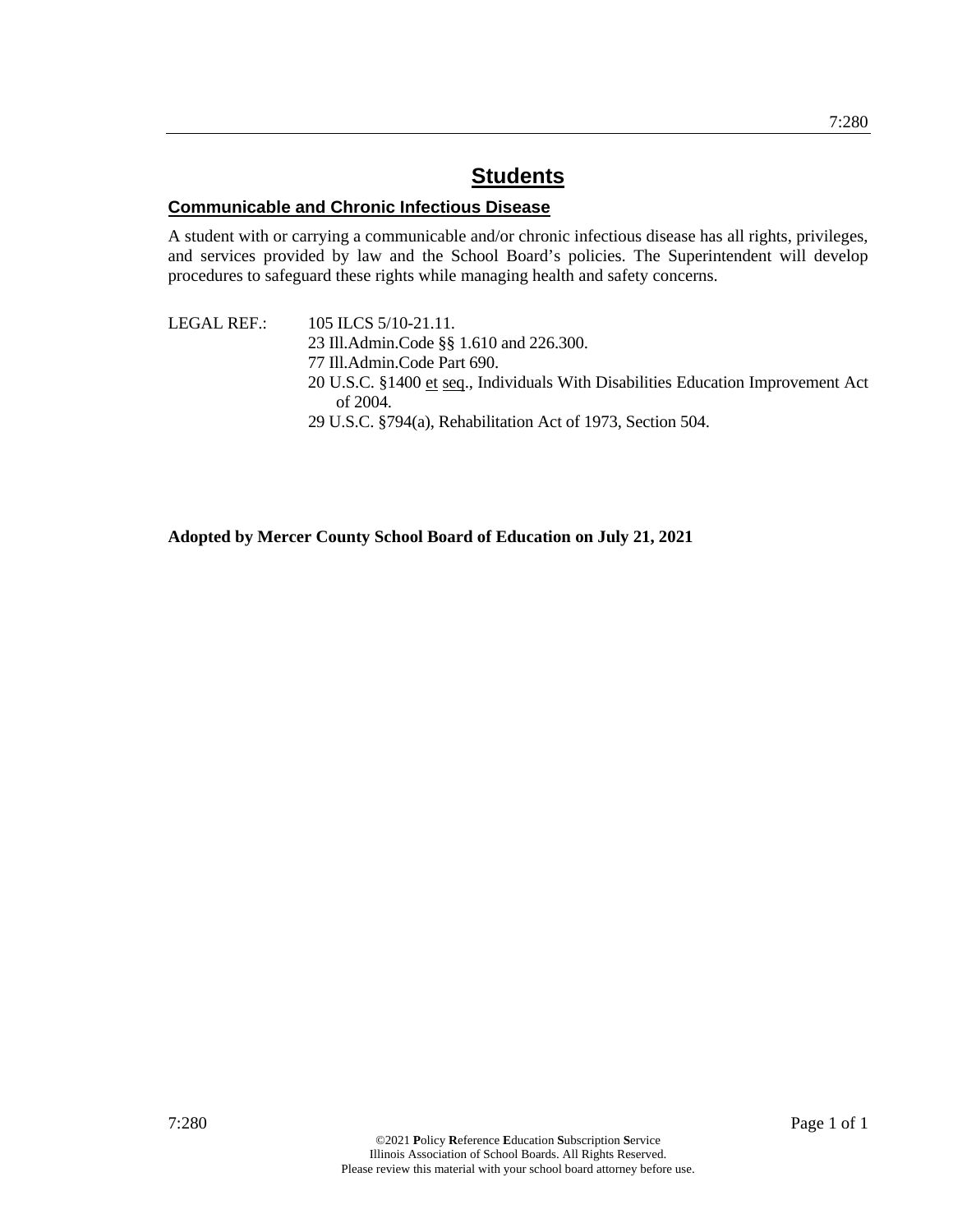## **Communicable and Chronic Infectious Disease**

A student with or carrying a communicable and/or chronic infectious disease has all rights, privileges, and services provided by law and the School Board's policies. The Superintendent will develop procedures to safeguard these rights while managing health and safety concerns.

LEGAL REF.: 105 ILCS 5/10-21.11. 23 Ill.Admin.Code §§ 1.610 and 226.300. 77 Ill.Admin.Code Part 690. 20 U.S.C. §1400 et seq., Individuals With Disabilities Education Improvement Act of 2004. 29 U.S.C. §794(a), Rehabilitation Act of 1973, Section 504.

**Adopted by Mercer County School Board of Education on July 21, 2021**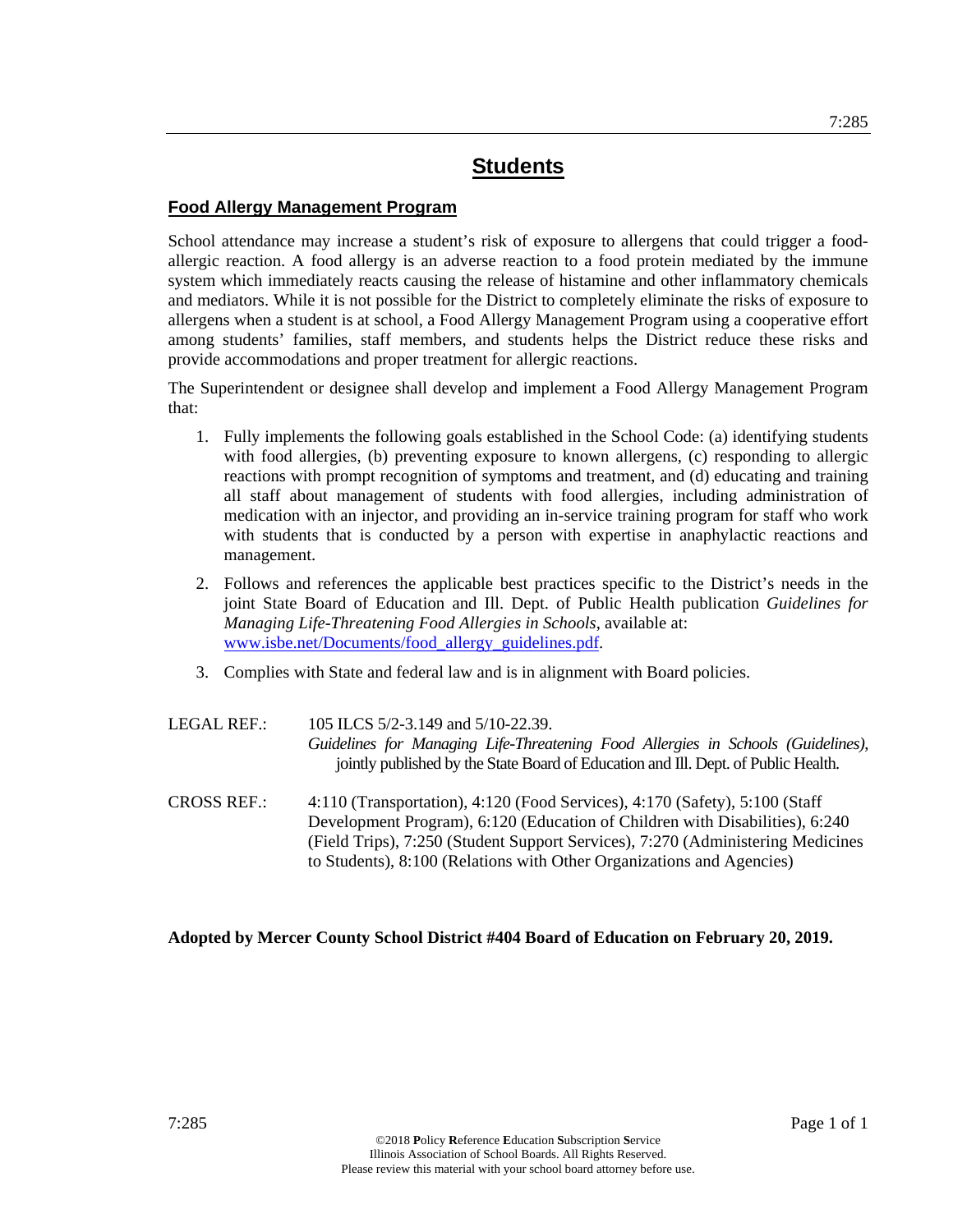## **Food Allergy Management Program**

School attendance may increase a student's risk of exposure to allergens that could trigger a foodallergic reaction. A food allergy is an adverse reaction to a food protein mediated by the immune system which immediately reacts causing the release of histamine and other inflammatory chemicals and mediators. While it is not possible for the District to completely eliminate the risks of exposure to allergens when a student is at school, a Food Allergy Management Program using a cooperative effort among students' families, staff members, and students helps the District reduce these risks and provide accommodations and proper treatment for allergic reactions.

The Superintendent or designee shall develop and implement a Food Allergy Management Program that:

- 1. Fully implements the following goals established in the School Code: (a) identifying students with food allergies, (b) preventing exposure to known allergens, (c) responding to allergic reactions with prompt recognition of symptoms and treatment, and (d) educating and training all staff about management of students with food allergies, including administration of medication with an injector, and providing an in-service training program for staff who work with students that is conducted by a person with expertise in anaphylactic reactions and management.
- 2. Follows and references the applicable best practices specific to the District's needs in the joint State Board of Education and Ill. Dept. of Public Health publication *Guidelines for Managing Life-Threatening Food Allergies in Schools*, available at: www.isbe.net/Documents/food\_allergy\_guidelines.pdf.
- 3. Complies with State and federal law and is in alignment with Board policies.
- LEGAL REF.: 105 ILCS 5/2-3.149 and 5/10-22.39. *Guidelines for Managing Life-Threatening Food Allergies in Schools (Guidelines)*, jointly published by the State Board of Education and Ill. Dept. of Public Health.
- CROSS REF.: 4:110 (Transportation), 4:120 (Food Services), 4:170 (Safety), 5:100 (Staff Development Program), 6:120 (Education of Children with Disabilities), 6:240 (Field Trips), 7:250 (Student Support Services), 7:270 (Administering Medicines to Students), 8:100 (Relations with Other Organizations and Agencies)

## **Adopted by Mercer County School District #404 Board of Education on February 20, 2019.**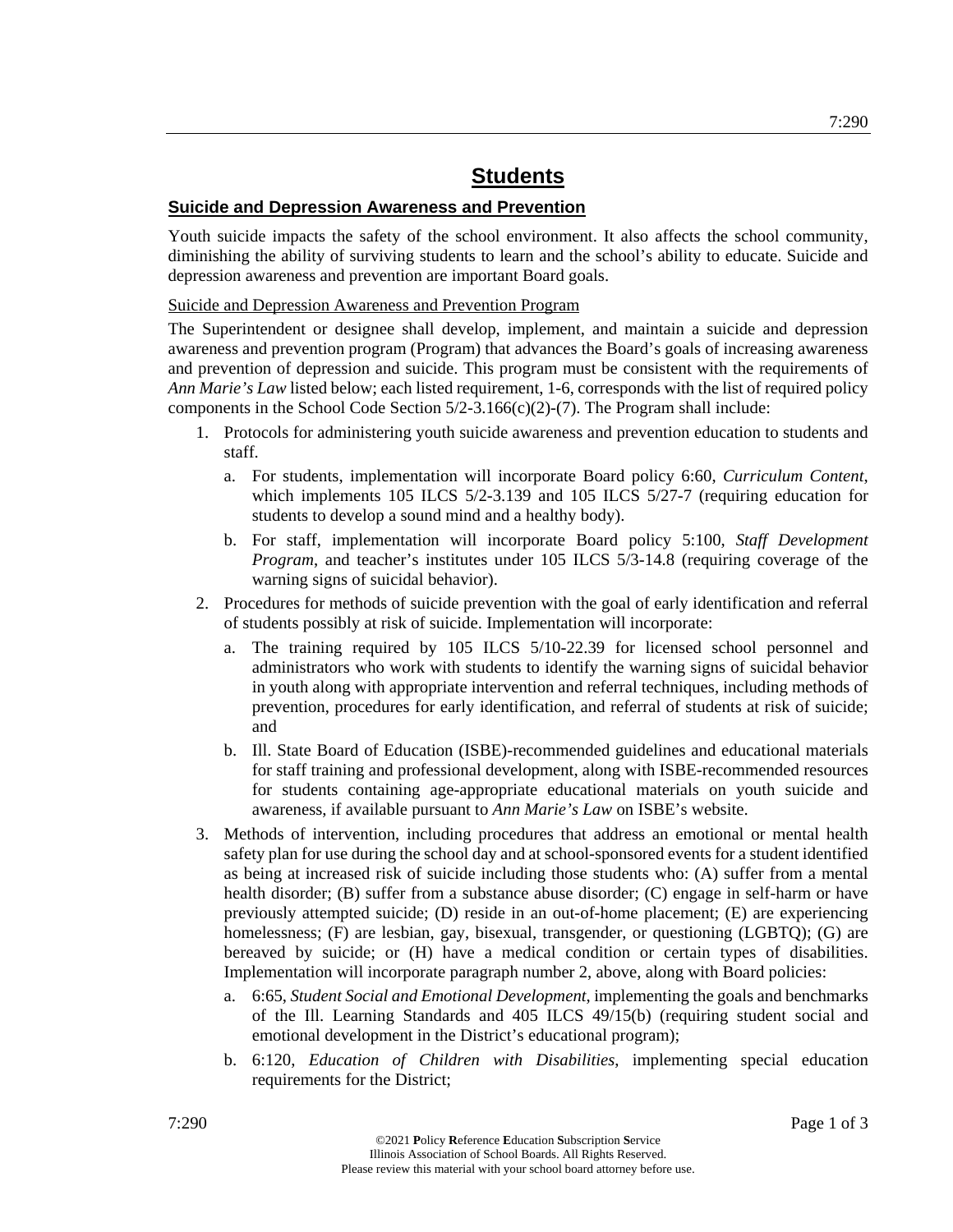## **Suicide and Depression Awareness and Prevention**

Youth suicide impacts the safety of the school environment. It also affects the school community, diminishing the ability of surviving students to learn and the school's ability to educate. Suicide and depression awareness and prevention are important Board goals.

## Suicide and Depression Awareness and Prevention Program

The Superintendent or designee shall develop, implement, and maintain a suicide and depression awareness and prevention program (Program) that advances the Board's goals of increasing awareness and prevention of depression and suicide. This program must be consistent with the requirements of *Ann Marie's Law* listed below; each listed requirement, 1-6, corresponds with the list of required policy components in the School Code Section  $5/2-3.166(c)(2)-(7)$ . The Program shall include:

- 1. Protocols for administering youth suicide awareness and prevention education to students and staff.
	- a. For students, implementation will incorporate Board policy 6:60, *Curriculum Content*, which implements 105 ILCS 5/2-3.139 and 105 ILCS 5/27-7 (requiring education for students to develop a sound mind and a healthy body).
	- b. For staff, implementation will incorporate Board policy 5:100, *Staff Development Program*, and teacher's institutes under 105 ILCS 5/3-14.8 (requiring coverage of the warning signs of suicidal behavior).
- 2. Procedures for methods of suicide prevention with the goal of early identification and referral of students possibly at risk of suicide. Implementation will incorporate:
	- a. The training required by 105 ILCS 5/10-22.39 for licensed school personnel and administrators who work with students to identify the warning signs of suicidal behavior in youth along with appropriate intervention and referral techniques, including methods of prevention, procedures for early identification, and referral of students at risk of suicide; and
	- b. Ill. State Board of Education (ISBE)-recommended guidelines and educational materials for staff training and professional development, along with ISBE-recommended resources for students containing age-appropriate educational materials on youth suicide and awareness, if available pursuant to *Ann Marie's Law* on ISBE's website.
- 3. Methods of intervention, including procedures that address an emotional or mental health safety plan for use during the school day and at school-sponsored events for a student identified as being at increased risk of suicide including those students who: (A) suffer from a mental health disorder; (B) suffer from a substance abuse disorder; (C) engage in self-harm or have previously attempted suicide; (D) reside in an out-of-home placement; (E) are experiencing homelessness; (F) are lesbian, gay, bisexual, transgender, or questioning (LGBTQ); (G) are bereaved by suicide; or (H) have a medical condition or certain types of disabilities. Implementation will incorporate paragraph number 2, above, along with Board policies:
	- a. 6:65, *Student Social and Emotional Development*, implementing the goals and benchmarks of the Ill. Learning Standards and 405 ILCS 49/15(b) (requiring student social and emotional development in the District's educational program);
	- b. 6:120, *Education of Children with Disabilities*, implementing special education requirements for the District;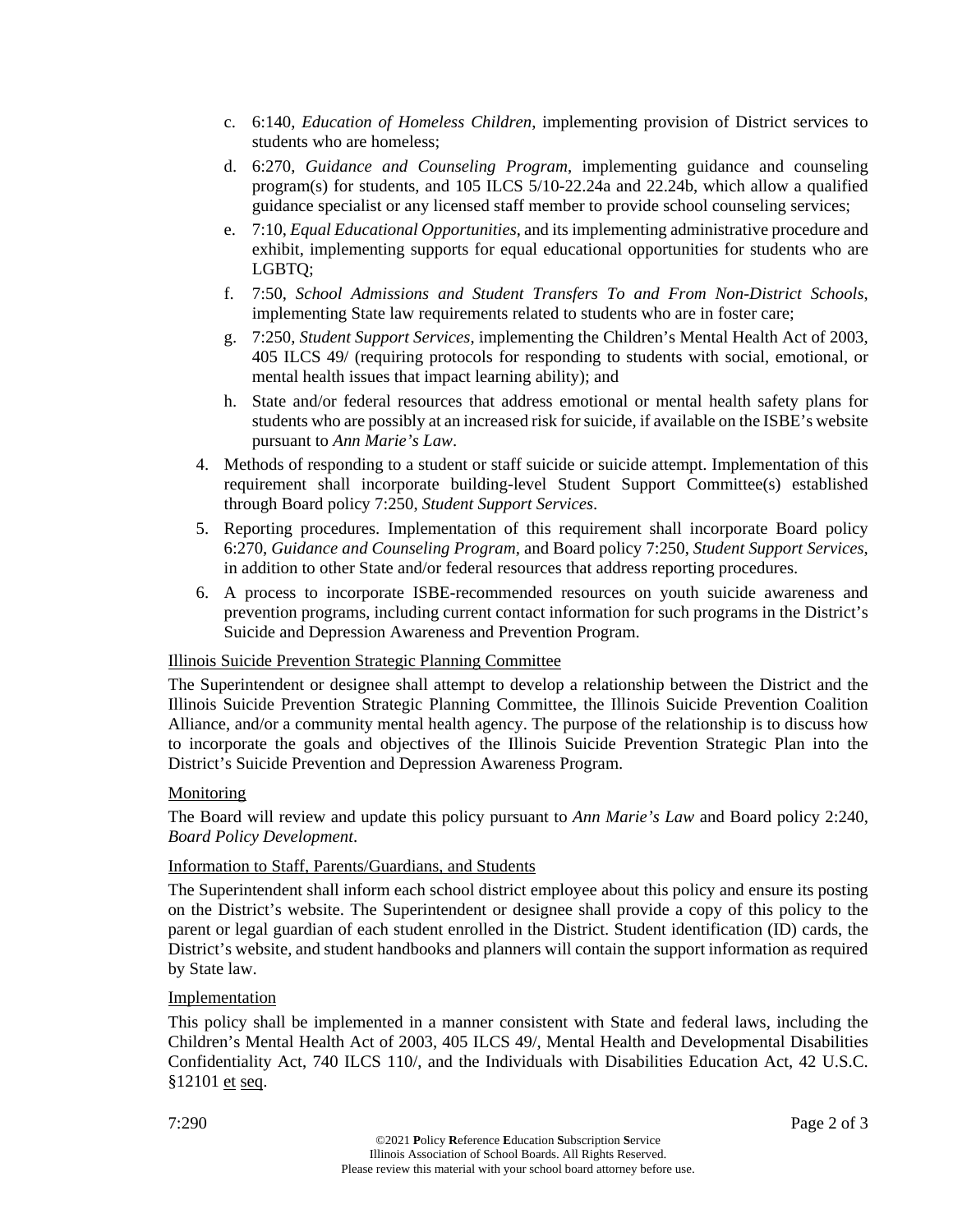- c. 6:140, *Education of Homeless Children*, implementing provision of District services to students who are homeless;
- d. 6:270, *Guidance and Counseling Program*, implementing guidance and counseling program(s) for students, and 105 ILCS 5/10-22.24a and 22.24b, which allow a qualified guidance specialist or any licensed staff member to provide school counseling services;
- e. 7:10, *Equal Educational Opportunities*, and its implementing administrative procedure and exhibit, implementing supports for equal educational opportunities for students who are LGBTQ;
- f. 7:50, *School Admissions and Student Transfers To and From Non-District Schools*, implementing State law requirements related to students who are in foster care;
- g. 7:250, *Student Support Services*, implementing the Children's Mental Health Act of 2003, 405 ILCS 49/ (requiring protocols for responding to students with social, emotional, or mental health issues that impact learning ability); and
- h. State and/or federal resources that address emotional or mental health safety plans for students who are possibly at an increased risk for suicide, if available on the ISBE's website pursuant to *Ann Marie's Law*.
- 4. Methods of responding to a student or staff suicide or suicide attempt. Implementation of this requirement shall incorporate building-level Student Support Committee(s) established through Board policy 7:250, *Student Support Services*.
- 5. Reporting procedures. Implementation of this requirement shall incorporate Board policy 6:270, *Guidance and Counseling Program,* and Board policy 7:250, *Student Support Services*, in addition to other State and/or federal resources that address reporting procedures.
- 6. A process to incorporate ISBE-recommended resources on youth suicide awareness and prevention programs, including current contact information for such programs in the District's Suicide and Depression Awareness and Prevention Program.

## Illinois Suicide Prevention Strategic Planning Committee

The Superintendent or designee shall attempt to develop a relationship between the District and the Illinois Suicide Prevention Strategic Planning Committee, the Illinois Suicide Prevention Coalition Alliance, and/or a community mental health agency. The purpose of the relationship is to discuss how to incorporate the goals and objectives of the Illinois Suicide Prevention Strategic Plan into the District's Suicide Prevention and Depression Awareness Program.

## Monitoring

The Board will review and update this policy pursuant to *Ann Marie's Law* and Board policy 2:240, *Board Policy Development*.

## Information to Staff, Parents/Guardians, and Students

The Superintendent shall inform each school district employee about this policy and ensure its posting on the District's website. The Superintendent or designee shall provide a copy of this policy to the parent or legal guardian of each student enrolled in the District. Student identification (ID) cards, the District's website, and student handbooks and planners will contain the support information as required by State law.

## Implementation

This policy shall be implemented in a manner consistent with State and federal laws, including the Children's Mental Health Act of 2003, 405 ILCS 49/, Mental Health and Developmental Disabilities Confidentiality Act, 740 ILCS 110/, and the Individuals with Disabilities Education Act, 42 U.S.C. §12101 et seq.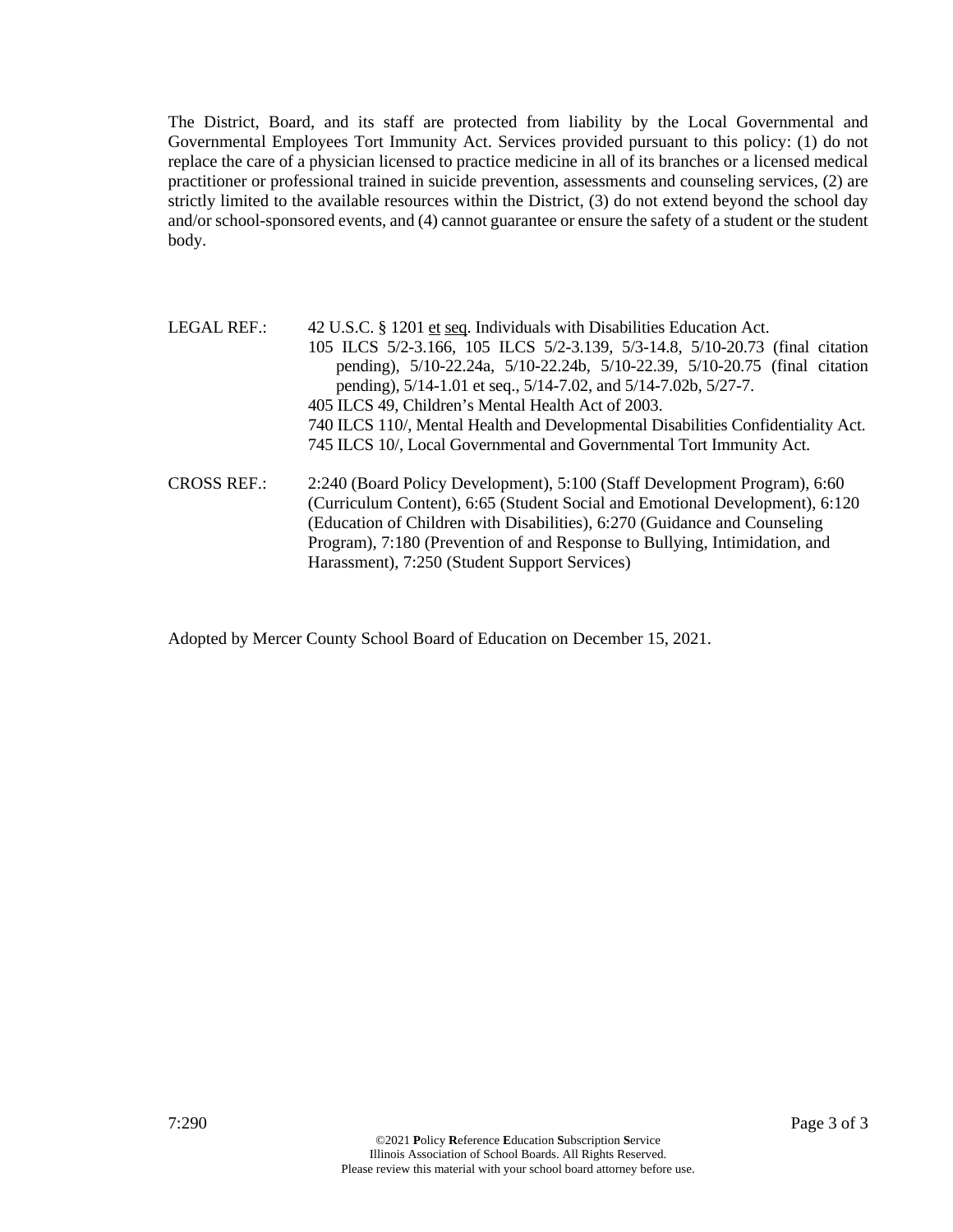The District, Board, and its staff are protected from liability by the Local Governmental and Governmental Employees Tort Immunity Act. Services provided pursuant to this policy: (1) do not replace the care of a physician licensed to practice medicine in all of its branches or a licensed medical practitioner or professional trained in suicide prevention, assessments and counseling services, (2) are strictly limited to the available resources within the District, (3) do not extend beyond the school day and/or school-sponsored events, and (4) cannot guarantee or ensure the safety of a student or the student body.

| <b>LEGAL REF.:</b> | 42 U.S.C. § 1201 et seq. Individuals with Disabilities Education Act.            |  |  |  |
|--------------------|----------------------------------------------------------------------------------|--|--|--|
|                    | 105 ILCS 5/2-3.166, 105 ILCS 5/2-3.139, 5/3-14.8, 5/10-20.73 (final citation     |  |  |  |
|                    | pending), 5/10-22.24a, 5/10-22.24b, 5/10-22.39, 5/10-20.75 (final citation       |  |  |  |
|                    | pending), 5/14-1.01 et seq., 5/14-7.02, and 5/14-7.02b, 5/27-7.                  |  |  |  |
|                    | 405 ILCS 49, Children's Mental Health Act of 2003.                               |  |  |  |
|                    | 740 ILCS 110/, Mental Health and Developmental Disabilities Confidentiality Act. |  |  |  |
|                    | 745 ILCS 10/, Local Governmental and Governmental Tort Immunity Act.             |  |  |  |
| <b>CROSS REF.:</b> | 2:240 (Board Policy Development), 5:100 (Staff Development Program), 6:60        |  |  |  |
|                    | (Curriculum Content), 6:65 (Student Social and Emotional Development), 6:120     |  |  |  |
|                    | (Education of Children with Disabilities), 6:270 (Guidance and Counseling        |  |  |  |
|                    | Program), 7:180 (Prevention of and Response to Bullying, Intimidation, and       |  |  |  |
|                    | Harassment), 7:250 (Student Support Services)                                    |  |  |  |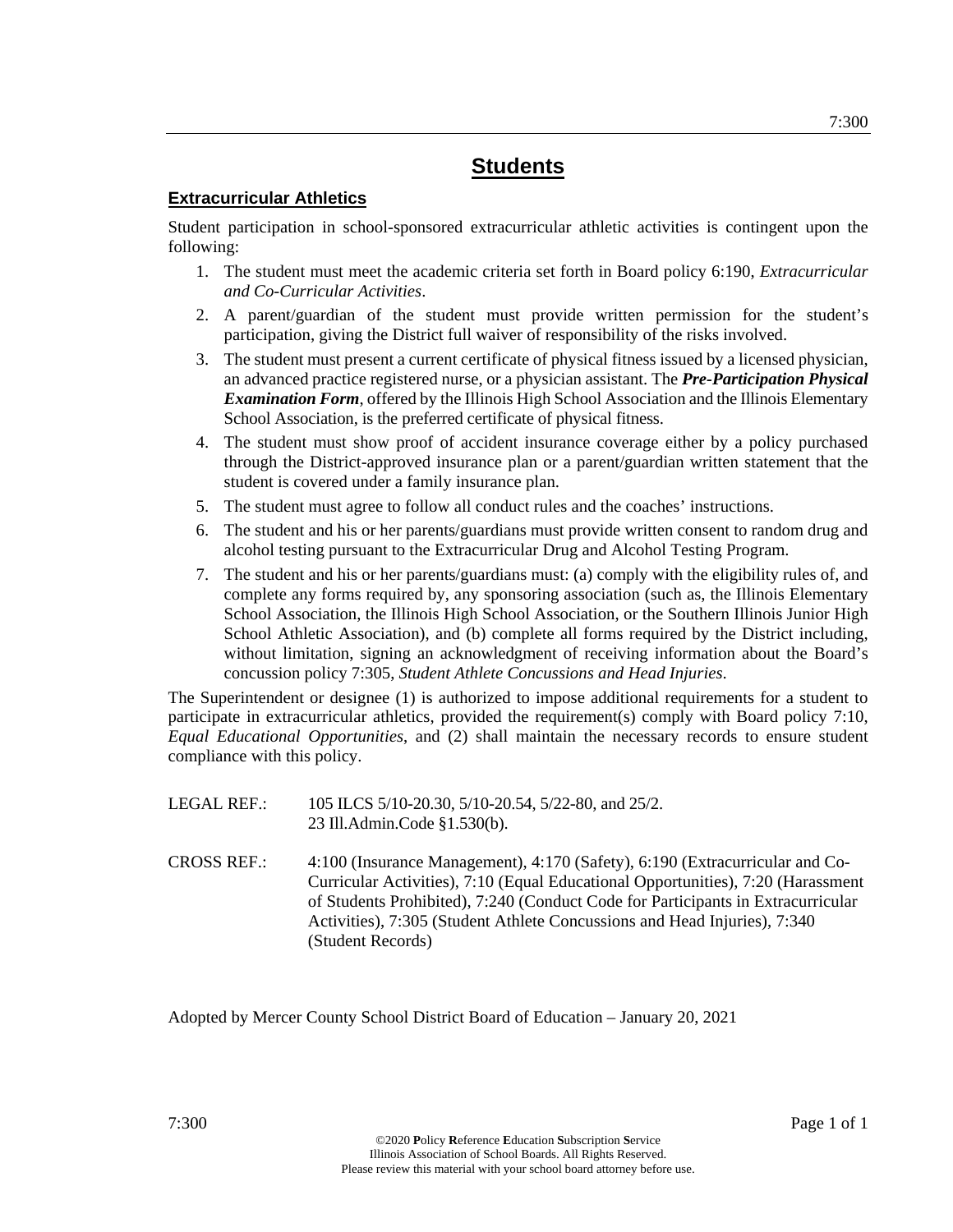## **Extracurricular Athletics**

Student participation in school-sponsored extracurricular athletic activities is contingent upon the following:

- 1. The student must meet the academic criteria set forth in Board policy 6:190, *Extracurricular and Co-Curricular Activities*.
- 2. A parent/guardian of the student must provide written permission for the student's participation, giving the District full waiver of responsibility of the risks involved.
- 3. The student must present a current certificate of physical fitness issued by a licensed physician, an advanced practice registered nurse, or a physician assistant. The *Pre-Participation Physical Examination Form*, offered by the Illinois High School Association and the Illinois Elementary School Association, is the preferred certificate of physical fitness.
- 4. The student must show proof of accident insurance coverage either by a policy purchased through the District-approved insurance plan or a parent/guardian written statement that the student is covered under a family insurance plan.
- 5. The student must agree to follow all conduct rules and the coaches' instructions.
- 6. The student and his or her parents/guardians must provide written consent to random drug and alcohol testing pursuant to the Extracurricular Drug and Alcohol Testing Program.
- 7. The student and his or her parents/guardians must: (a) comply with the eligibility rules of, and complete any forms required by, any sponsoring association (such as, the Illinois Elementary School Association, the Illinois High School Association, or the Southern Illinois Junior High School Athletic Association), and (b) complete all forms required by the District including, without limitation, signing an acknowledgment of receiving information about the Board's concussion policy 7:305, *Student Athlete Concussions and Head Injuries*.

The Superintendent or designee (1) is authorized to impose additional requirements for a student to participate in extracurricular athletics, provided the requirement(s) comply with Board policy 7:10, *Equal Educational Opportunities*, and (2) shall maintain the necessary records to ensure student compliance with this policy.

| LEGAL REF.: . | 105 ILCS 5/10-20.30, 5/10-20.54, 5/22-80, and 25/2. |
|---------------|-----------------------------------------------------|
|               | 23 Ill.Admin.Code §1.530(b).                        |

CROSS REF.: 4:100 (Insurance Management), 4:170 (Safety), 6:190 (Extracurricular and Co-Curricular Activities), 7:10 (Equal Educational Opportunities), 7:20 (Harassment of Students Prohibited), 7:240 (Conduct Code for Participants in Extracurricular Activities), 7:305 (Student Athlete Concussions and Head Injuries), 7:340 (Student Records)

Adopted by Mercer County School District Board of Education – January 20, 2021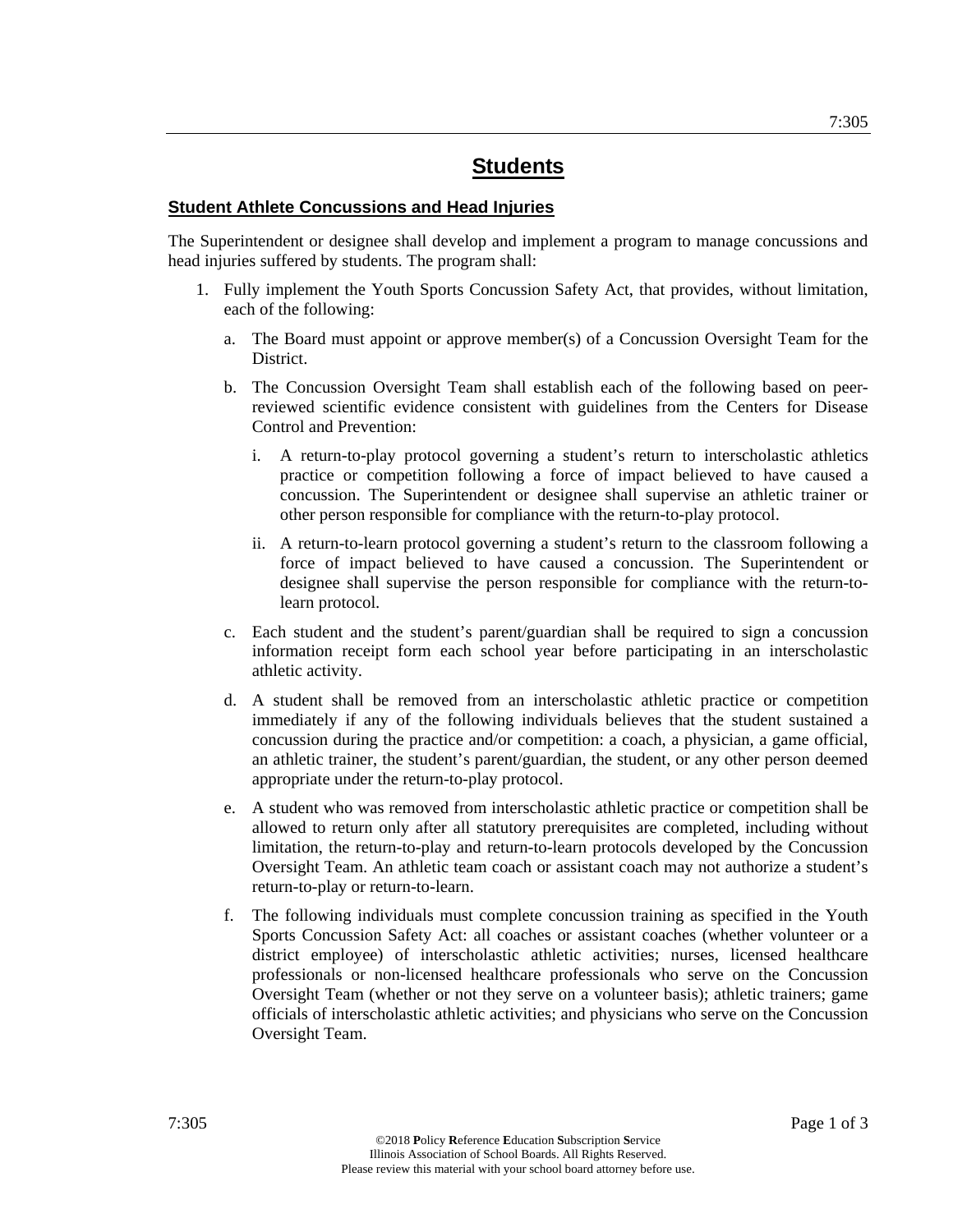#### **Student Athlete Concussions and Head Injuries**

The Superintendent or designee shall develop and implement a program to manage concussions and head injuries suffered by students. The program shall:

- 1. Fully implement the Youth Sports Concussion Safety Act, that provides, without limitation, each of the following:
	- a. The Board must appoint or approve member(s) of a Concussion Oversight Team for the District.
	- b. The Concussion Oversight Team shall establish each of the following based on peerreviewed scientific evidence consistent with guidelines from the Centers for Disease Control and Prevention:
		- i. A return-to-play protocol governing a student's return to interscholastic athletics practice or competition following a force of impact believed to have caused a concussion. The Superintendent or designee shall supervise an athletic trainer or other person responsible for compliance with the return-to-play protocol.
		- ii. A return-to-learn protocol governing a student's return to the classroom following a force of impact believed to have caused a concussion. The Superintendent or designee shall supervise the person responsible for compliance with the return-tolearn protocol.
	- c. Each student and the student's parent/guardian shall be required to sign a concussion information receipt form each school year before participating in an interscholastic athletic activity.
	- d. A student shall be removed from an interscholastic athletic practice or competition immediately if any of the following individuals believes that the student sustained a concussion during the practice and/or competition: a coach, a physician, a game official, an athletic trainer, the student's parent/guardian, the student, or any other person deemed appropriate under the return-to-play protocol.
	- e. A student who was removed from interscholastic athletic practice or competition shall be allowed to return only after all statutory prerequisites are completed, including without limitation, the return-to-play and return-to-learn protocols developed by the Concussion Oversight Team. An athletic team coach or assistant coach may not authorize a student's return-to-play or return-to-learn.
	- f. The following individuals must complete concussion training as specified in the Youth Sports Concussion Safety Act: all coaches or assistant coaches (whether volunteer or a district employee) of interscholastic athletic activities; nurses, licensed healthcare professionals or non-licensed healthcare professionals who serve on the Concussion Oversight Team (whether or not they serve on a volunteer basis); athletic trainers; game officials of interscholastic athletic activities; and physicians who serve on the Concussion Oversight Team.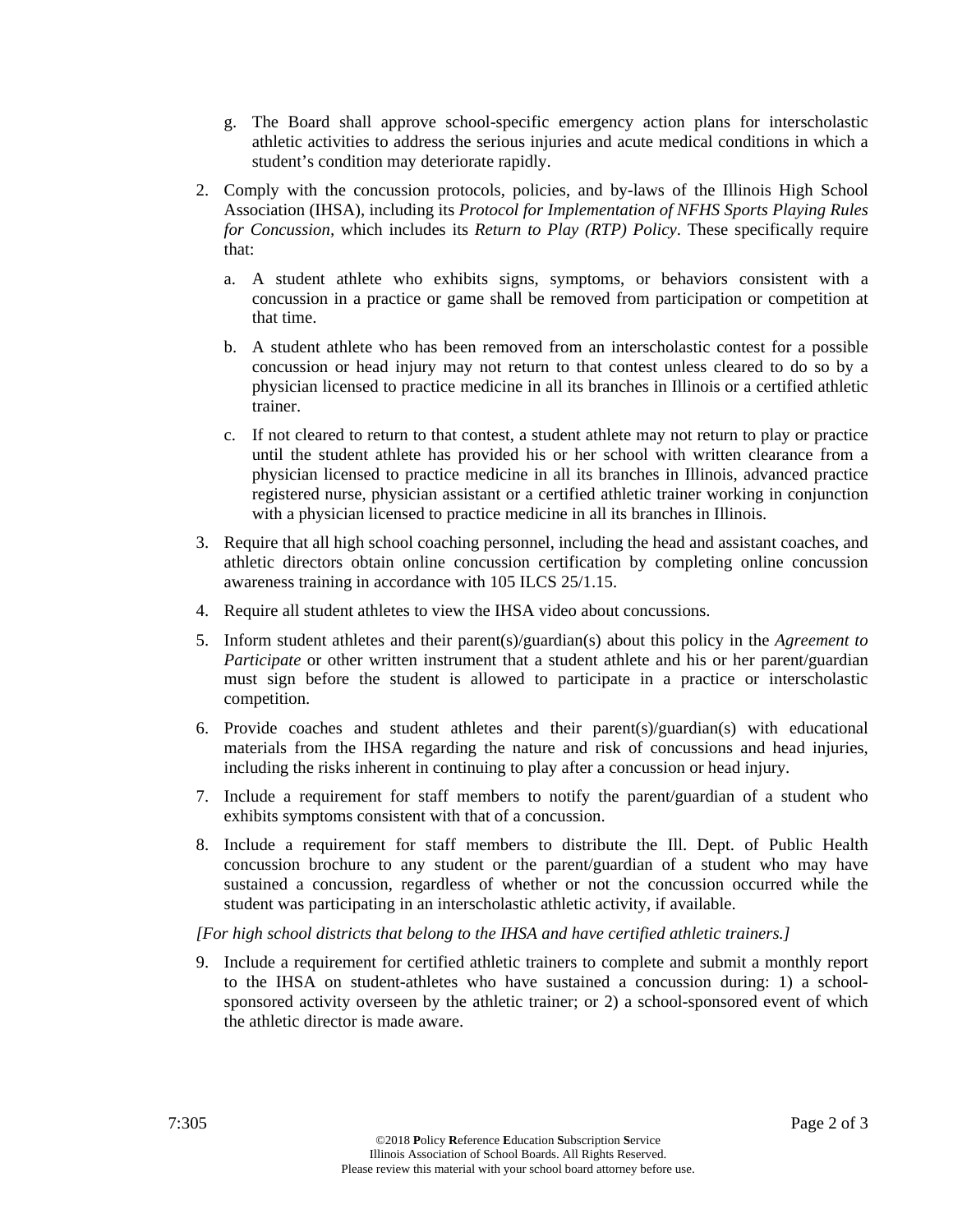- g. The Board shall approve school-specific emergency action plans for interscholastic athletic activities to address the serious injuries and acute medical conditions in which a student's condition may deteriorate rapidly.
- 2. Comply with the concussion protocols, policies, and by-laws of the Illinois High School Association (IHSA), including its *Protocol for Implementation of NFHS Sports Playing Rules for Concussion,* which includes its *Return to Play (RTP) Policy*. These specifically require that:
	- a. A student athlete who exhibits signs, symptoms, or behaviors consistent with a concussion in a practice or game shall be removed from participation or competition at that time.
	- b. A student athlete who has been removed from an interscholastic contest for a possible concussion or head injury may not return to that contest unless cleared to do so by a physician licensed to practice medicine in all its branches in Illinois or a certified athletic trainer.
	- c. If not cleared to return to that contest, a student athlete may not return to play or practice until the student athlete has provided his or her school with written clearance from a physician licensed to practice medicine in all its branches in Illinois, advanced practice registered nurse, physician assistant or a certified athletic trainer working in conjunction with a physician licensed to practice medicine in all its branches in Illinois.
- 3. Require that all high school coaching personnel, including the head and assistant coaches, and athletic directors obtain online concussion certification by completing online concussion awareness training in accordance with 105 ILCS 25/1.15.
- 4. Require all student athletes to view the IHSA video about concussions.
- 5. Inform student athletes and their parent(s)/guardian(s) about this policy in the *Agreement to Participate* or other written instrument that a student athlete and his or her parent/guardian must sign before the student is allowed to participate in a practice or interscholastic competition.
- 6. Provide coaches and student athletes and their parent(s)/guardian(s) with educational materials from the IHSA regarding the nature and risk of concussions and head injuries, including the risks inherent in continuing to play after a concussion or head injury.
- 7. Include a requirement for staff members to notify the parent/guardian of a student who exhibits symptoms consistent with that of a concussion.
- 8. Include a requirement for staff members to distribute the Ill. Dept. of Public Health concussion brochure to any student or the parent/guardian of a student who may have sustained a concussion, regardless of whether or not the concussion occurred while the student was participating in an interscholastic athletic activity, if available.

## *[For high school districts that belong to the IHSA and have certified athletic trainers.]*

9. Include a requirement for certified athletic trainers to complete and submit a monthly report to the IHSA on student-athletes who have sustained a concussion during: 1) a schoolsponsored activity overseen by the athletic trainer; or 2) a school-sponsored event of which the athletic director is made aware.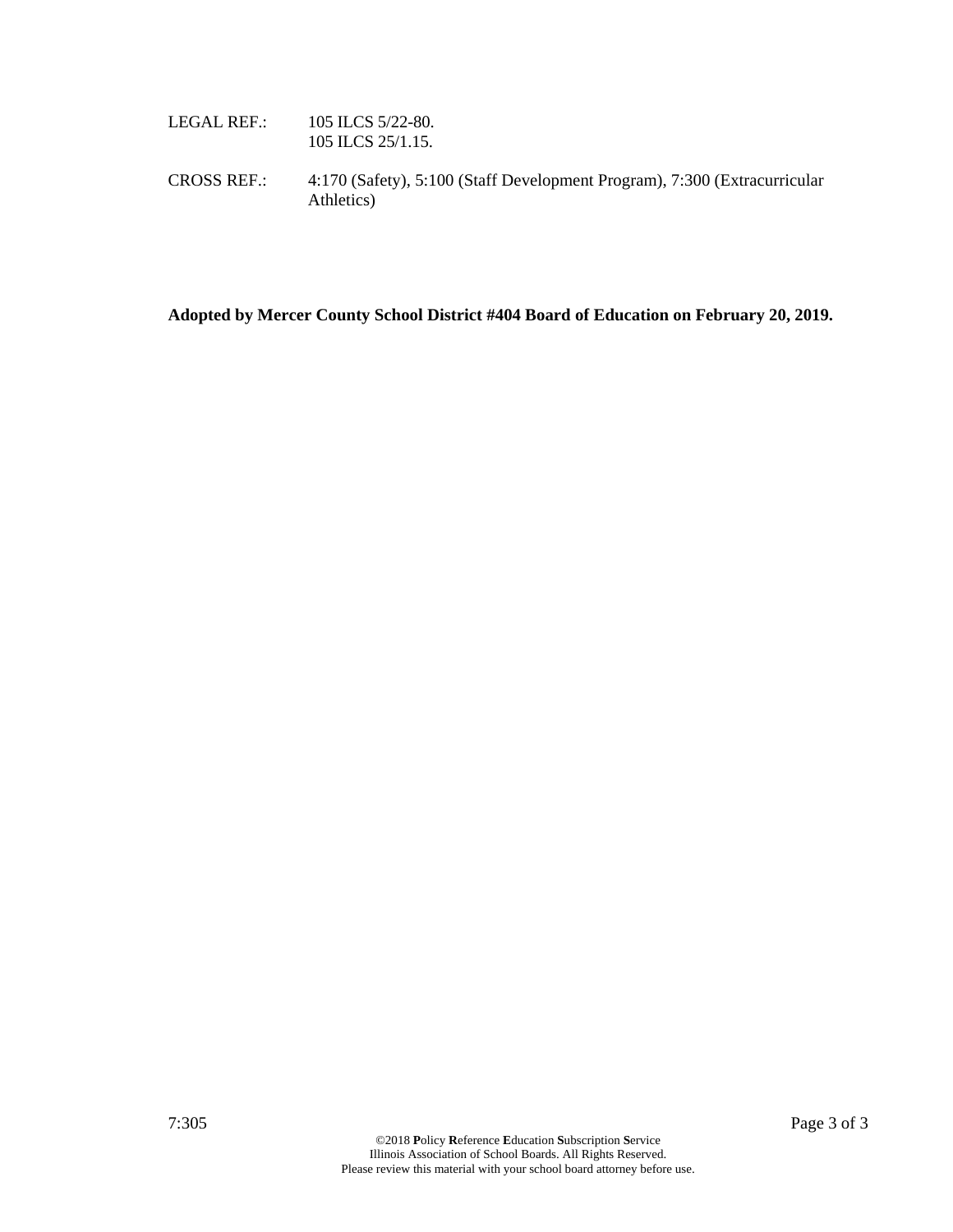| LEGAL REF.:        | 105 ILCS $5/22-80$ .<br>105 ILCS 25/1.15.                                               |
|--------------------|-----------------------------------------------------------------------------------------|
| <b>CROSS REF.:</b> | 4:170 (Safety), 5:100 (Staff Development Program), 7:300 (Extracurricular<br>Athletics) |

**Adopted by Mercer County School District #404 Board of Education on February 20, 2019.**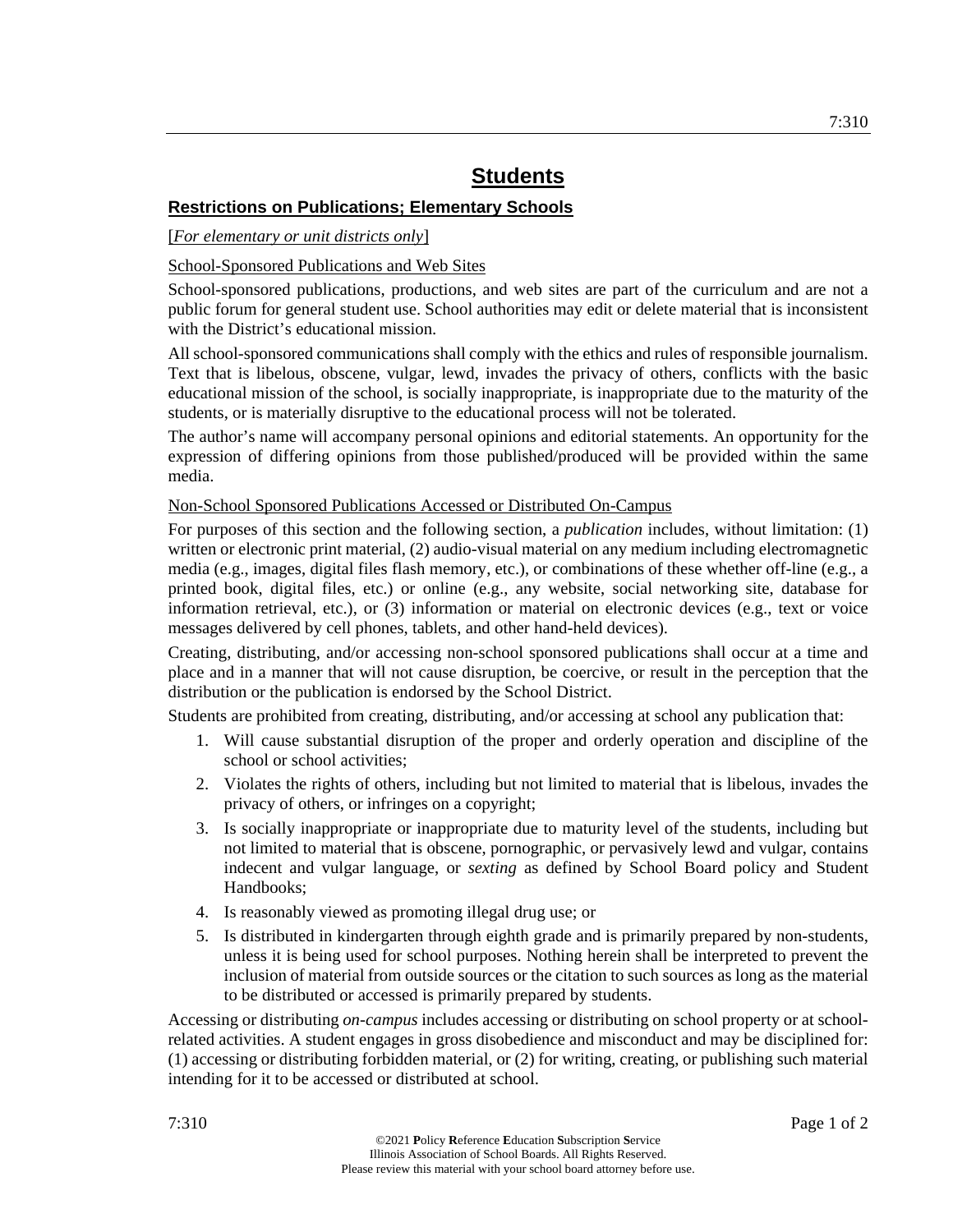# **Restrictions on Publications; Elementary Schools**

## [*For elementary or unit districts only*]

## School-Sponsored Publications and Web Sites

School-sponsored publications, productions, and web sites are part of the curriculum and are not a public forum for general student use. School authorities may edit or delete material that is inconsistent with the District's educational mission.

All school-sponsored communications shall comply with the ethics and rules of responsible journalism. Text that is libelous, obscene, vulgar, lewd, invades the privacy of others, conflicts with the basic educational mission of the school, is socially inappropriate, is inappropriate due to the maturity of the students, or is materially disruptive to the educational process will not be tolerated.

The author's name will accompany personal opinions and editorial statements. An opportunity for the expression of differing opinions from those published/produced will be provided within the same media.

### Non-School Sponsored Publications Accessed or Distributed On-Campus

For purposes of this section and the following section, a *publication* includes, without limitation: (1) written or electronic print material, (2) audio-visual material on any medium including electromagnetic media (e.g., images, digital files flash memory, etc.), or combinations of these whether off-line (e.g., a printed book, digital files, etc.) or online (e.g., any website, social networking site, database for information retrieval, etc.), or (3) information or material on electronic devices (e.g., text or voice messages delivered by cell phones, tablets, and other hand-held devices).

Creating, distributing, and/or accessing non-school sponsored publications shall occur at a time and place and in a manner that will not cause disruption, be coercive, or result in the perception that the distribution or the publication is endorsed by the School District.

Students are prohibited from creating, distributing, and/or accessing at school any publication that:

- 1. Will cause substantial disruption of the proper and orderly operation and discipline of the school or school activities;
- 2. Violates the rights of others, including but not limited to material that is libelous, invades the privacy of others, or infringes on a copyright;
- 3. Is socially inappropriate or inappropriate due to maturity level of the students, including but not limited to material that is obscene, pornographic, or pervasively lewd and vulgar, contains indecent and vulgar language, or *sexting* as defined by School Board policy and Student Handbooks;
- 4. Is reasonably viewed as promoting illegal drug use; or
- 5. Is distributed in kindergarten through eighth grade and is primarily prepared by non-students, unless it is being used for school purposes. Nothing herein shall be interpreted to prevent the inclusion of material from outside sources or the citation to such sources as long as the material to be distributed or accessed is primarily prepared by students.

Accessing or distributing *on-campus* includes accessing or distributing on school property or at schoolrelated activities. A student engages in gross disobedience and misconduct and may be disciplined for: (1) accessing or distributing forbidden material, or (2) for writing, creating, or publishing such material intending for it to be accessed or distributed at school.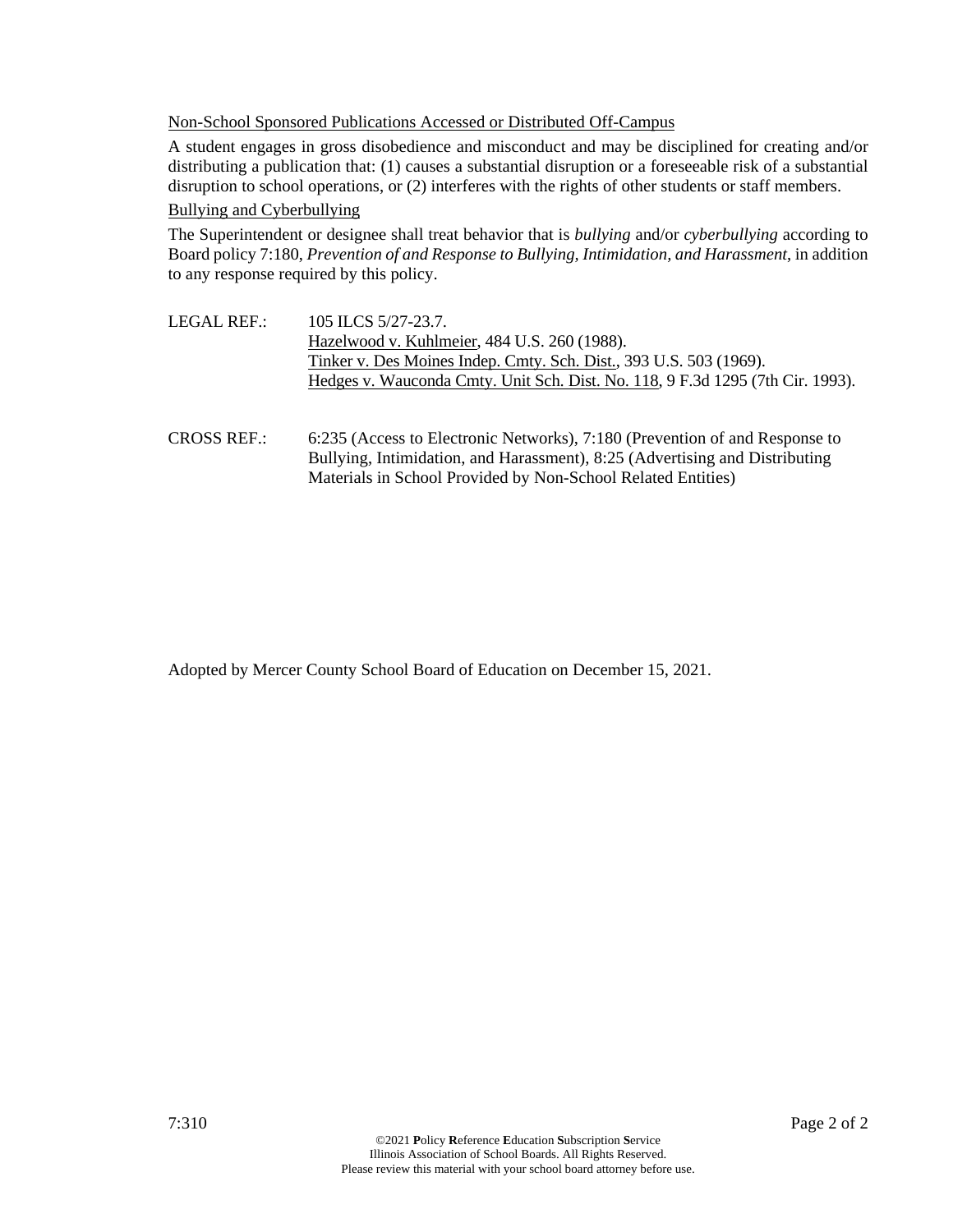Non-School Sponsored Publications Accessed or Distributed Off-Campus

A student engages in gross disobedience and misconduct and may be disciplined for creating and/or distributing a publication that: (1) causes a substantial disruption or a foreseeable risk of a substantial disruption to school operations, or (2) interferes with the rights of other students or staff members.

#### Bullying and Cyberbullying

The Superintendent or designee shall treat behavior that is *bullying* and/or *cyberbullying* according to Board policy 7:180, *Prevention of and Response to Bullying, Intimidation, and Harassment*, in addition to any response required by this policy.

- LEGAL REF.: 105 ILCS 5/27-23.7. Hazelwood v. Kuhlmeier, 484 U.S. 260 (1988). Tinker v. Des Moines Indep. Cmty. Sch. Dist., 393 U.S. 503 (1969). Hedges v. Wauconda Cmty. Unit Sch. Dist. No. 118, 9 F.3d 1295 (7th Cir. 1993).
- CROSS REF.: 6:235 (Access to Electronic Networks), 7:180 (Prevention of and Response to Bullying, Intimidation, and Harassment), 8:25 (Advertising and Distributing Materials in School Provided by Non-School Related Entities)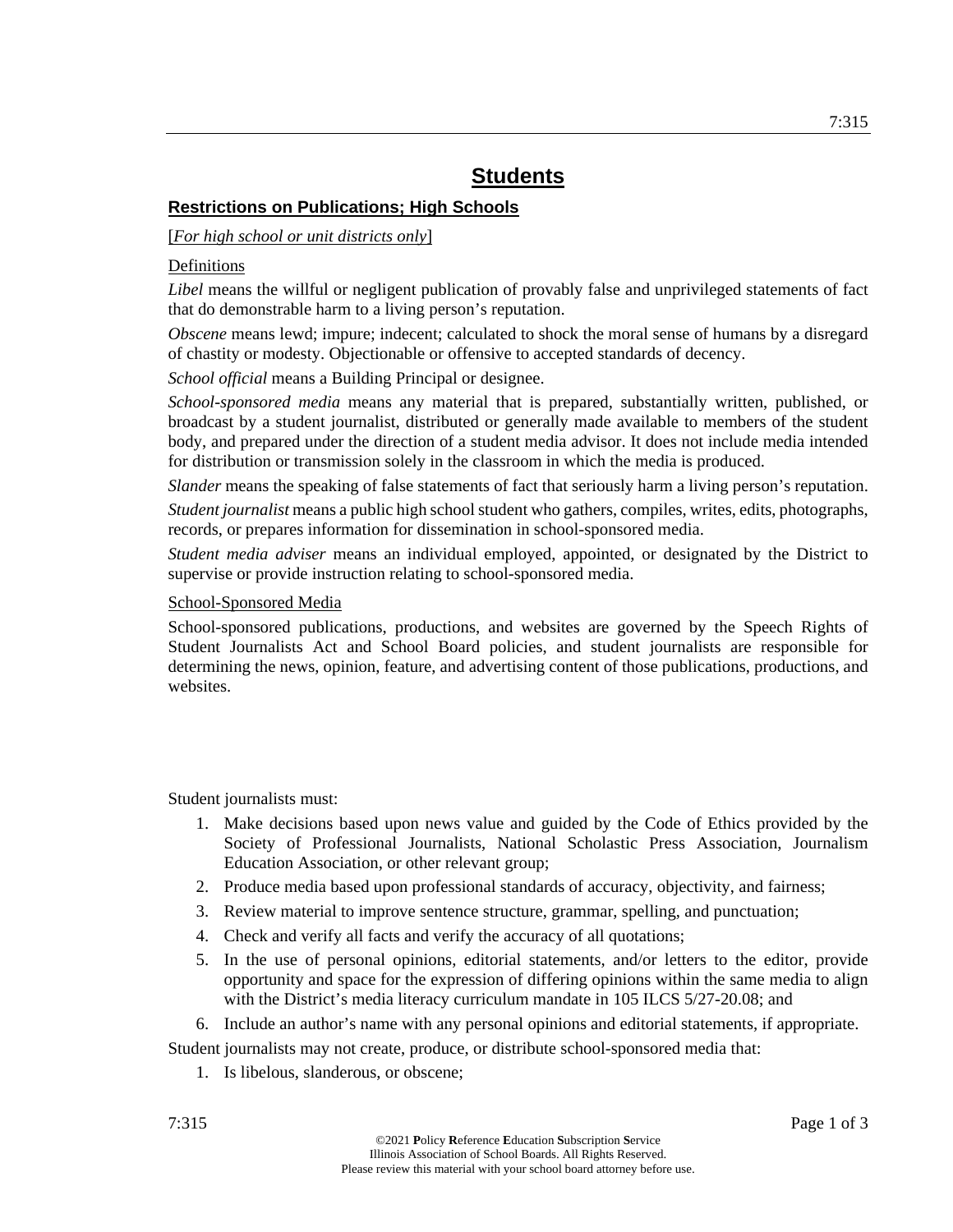# **Restrictions on Publications; High Schools**

### [*For high school or unit districts only*]

### **Definitions**

*Libel* means the willful or negligent publication of provably false and unprivileged statements of fact that do demonstrable harm to a living person's reputation.

*Obscene* means lewd; impure; indecent; calculated to shock the moral sense of humans by a disregard of chastity or modesty. Objectionable or offensive to accepted standards of decency.

*School official* means a Building Principal or designee.

*School-sponsored media* means any material that is prepared, substantially written, published, or broadcast by a student journalist, distributed or generally made available to members of the student body, and prepared under the direction of a student media advisor. It does not include media intended for distribution or transmission solely in the classroom in which the media is produced.

*Slander* means the speaking of false statements of fact that seriously harm a living person's reputation.

*Student journalist* means a public high school student who gathers, compiles, writes, edits, photographs, records, or prepares information for dissemination in school-sponsored media.

*Student media adviser* means an individual employed, appointed, or designated by the District to supervise or provide instruction relating to school-sponsored media.

### School-Sponsored Media

School-sponsored publications, productions, and websites are governed by the Speech Rights of Student Journalists Act and School Board policies, and student journalists are responsible for determining the news, opinion, feature, and advertising content of those publications, productions, and websites.

Student journalists must:

- 1. Make decisions based upon news value and guided by the Code of Ethics provided by the Society of Professional Journalists, National Scholastic Press Association, Journalism Education Association, or other relevant group;
- 2. Produce media based upon professional standards of accuracy, objectivity, and fairness;
- 3. Review material to improve sentence structure, grammar, spelling, and punctuation;
- 4. Check and verify all facts and verify the accuracy of all quotations;
- 5. In the use of personal opinions, editorial statements, and/or letters to the editor, provide opportunity and space for the expression of differing opinions within the same media to align with the District's media literacy curriculum mandate in 105 ILCS 5/27-20.08; and

6. Include an author's name with any personal opinions and editorial statements, if appropriate.

Student journalists may not create, produce, or distribute school-sponsored media that:

1. Is libelous, slanderous, or obscene;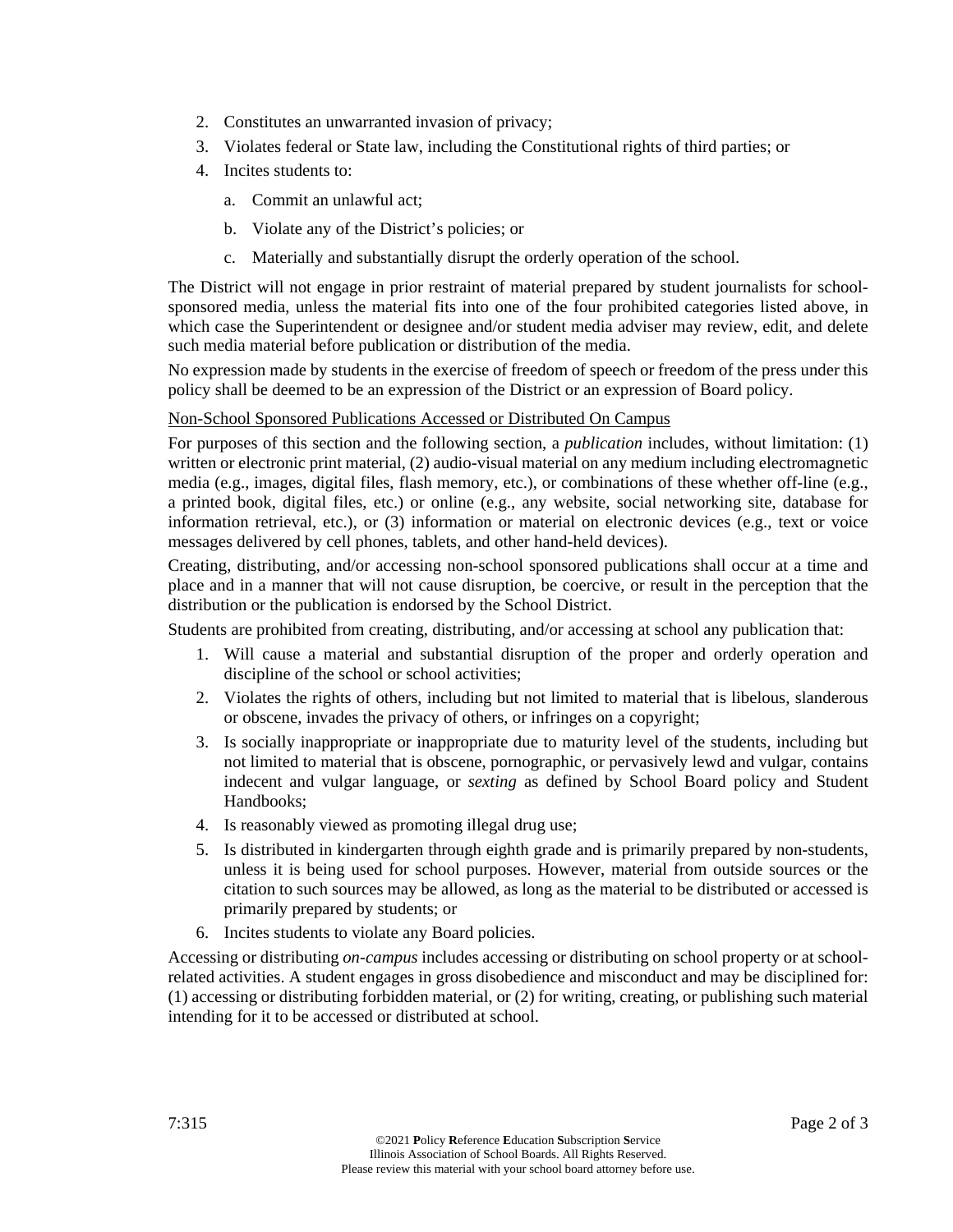- 2. Constitutes an unwarranted invasion of privacy;
- 3. Violates federal or State law, including the Constitutional rights of third parties; or
- 4. Incites students to:
	- a. Commit an unlawful act;
	- b. Violate any of the District's policies; or
	- c. Materially and substantially disrupt the orderly operation of the school.

The District will not engage in prior restraint of material prepared by student journalists for schoolsponsored media, unless the material fits into one of the four prohibited categories listed above, in which case the Superintendent or designee and/or student media adviser may review, edit, and delete such media material before publication or distribution of the media.

No expression made by students in the exercise of freedom of speech or freedom of the press under this policy shall be deemed to be an expression of the District or an expression of Board policy.

# Non-School Sponsored Publications Accessed or Distributed On Campus

For purposes of this section and the following section, a *publication* includes, without limitation: (1) written or electronic print material, (2) audio-visual material on any medium including electromagnetic media (e.g., images, digital files, flash memory, etc.), or combinations of these whether off-line (e.g., a printed book, digital files, etc.) or online (e.g., any website, social networking site, database for information retrieval, etc.), or (3) information or material on electronic devices (e.g., text or voice messages delivered by cell phones, tablets, and other hand-held devices).

Creating, distributing, and/or accessing non-school sponsored publications shall occur at a time and place and in a manner that will not cause disruption, be coercive, or result in the perception that the distribution or the publication is endorsed by the School District.

Students are prohibited from creating, distributing, and/or accessing at school any publication that:

- 1. Will cause a material and substantial disruption of the proper and orderly operation and discipline of the school or school activities;
- 2. Violates the rights of others, including but not limited to material that is libelous, slanderous or obscene, invades the privacy of others, or infringes on a copyright;
- 3. Is socially inappropriate or inappropriate due to maturity level of the students, including but not limited to material that is obscene, pornographic, or pervasively lewd and vulgar, contains indecent and vulgar language, or *sexting* as defined by School Board policy and Student Handbooks;
- 4. Is reasonably viewed as promoting illegal drug use;
- 5. Is distributed in kindergarten through eighth grade and is primarily prepared by non-students, unless it is being used for school purposes. However, material from outside sources or the citation to such sources may be allowed, as long as the material to be distributed or accessed is primarily prepared by students; or
- 6. Incites students to violate any Board policies.

Accessing or distributing *on-campus* includes accessing or distributing on school property or at schoolrelated activities. A student engages in gross disobedience and misconduct and may be disciplined for: (1) accessing or distributing forbidden material, or (2) for writing, creating, or publishing such material intending for it to be accessed or distributed at school.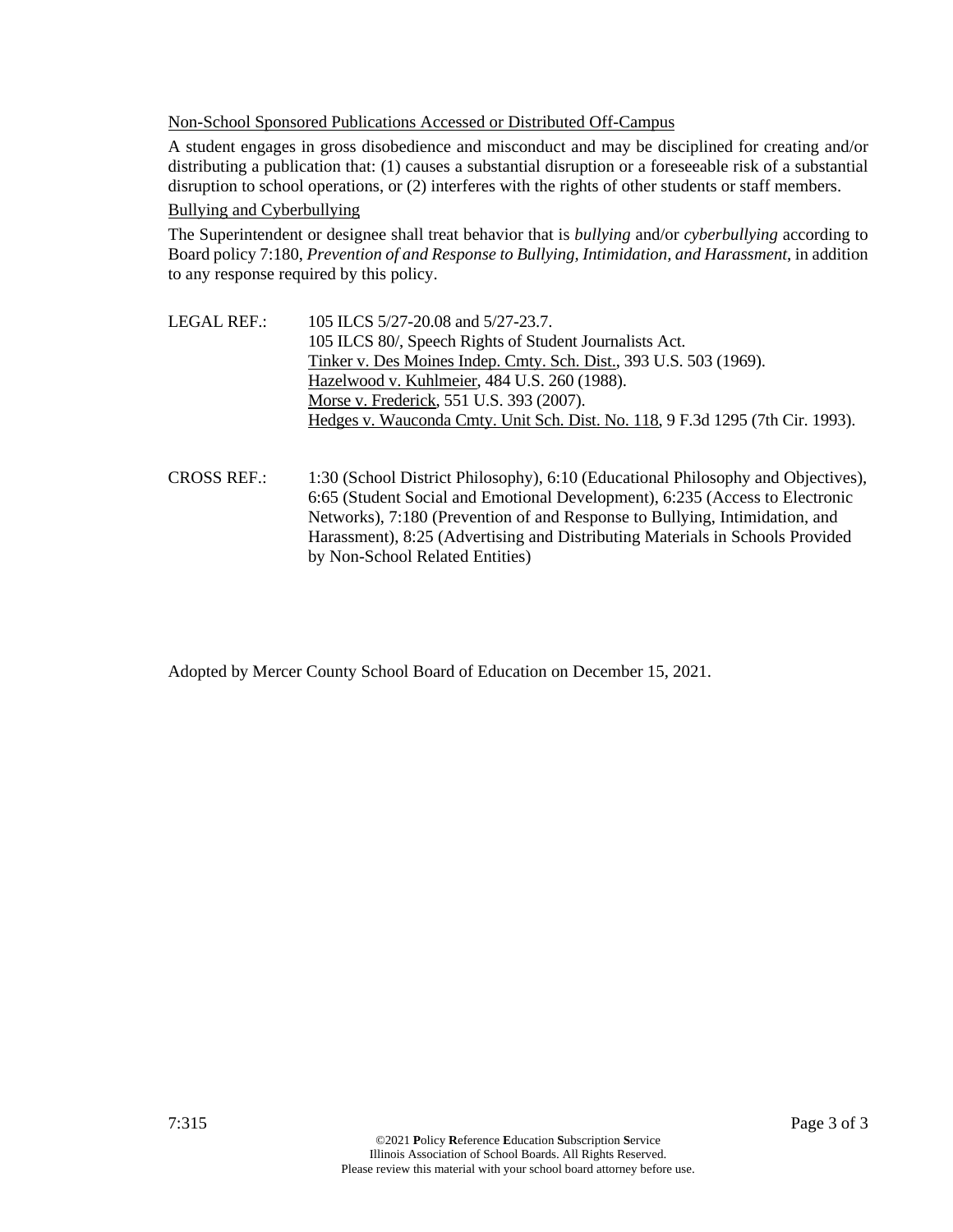Non-School Sponsored Publications Accessed or Distributed Off-Campus

A student engages in gross disobedience and misconduct and may be disciplined for creating and/or distributing a publication that: (1) causes a substantial disruption or a foreseeable risk of a substantial disruption to school operations, or (2) interferes with the rights of other students or staff members.

#### Bullying and Cyberbullying

The Superintendent or designee shall treat behavior that is *bullying* and/or *cyberbullying* according to Board policy 7:180, *Prevention of and Response to Bullying, Intimidation, and Harassment*, in addition to any response required by this policy.

- LEGAL REF.: 105 ILCS 5/27-20.08 and 5/27-23.7. 105 ILCS 80/, Speech Rights of Student Journalists Act. Tinker v. Des Moines Indep. Cmty. Sch. Dist., 393 U.S. 503 (1969). Hazelwood v. Kuhlmeier, 484 U.S. 260 (1988). Morse v. Frederick, 551 U.S. 393 (2007). Hedges v. Wauconda Cmty. Unit Sch. Dist. No. 118, 9 F.3d 1295 (7th Cir. 1993).
- CROSS REF.: 1:30 (School District Philosophy), 6:10 (Educational Philosophy and Objectives), 6:65 (Student Social and Emotional Development), 6:235 (Access to Electronic Networks), 7:180 (Prevention of and Response to Bullying, Intimidation, and Harassment), 8:25 (Advertising and Distributing Materials in Schools Provided by Non-School Related Entities)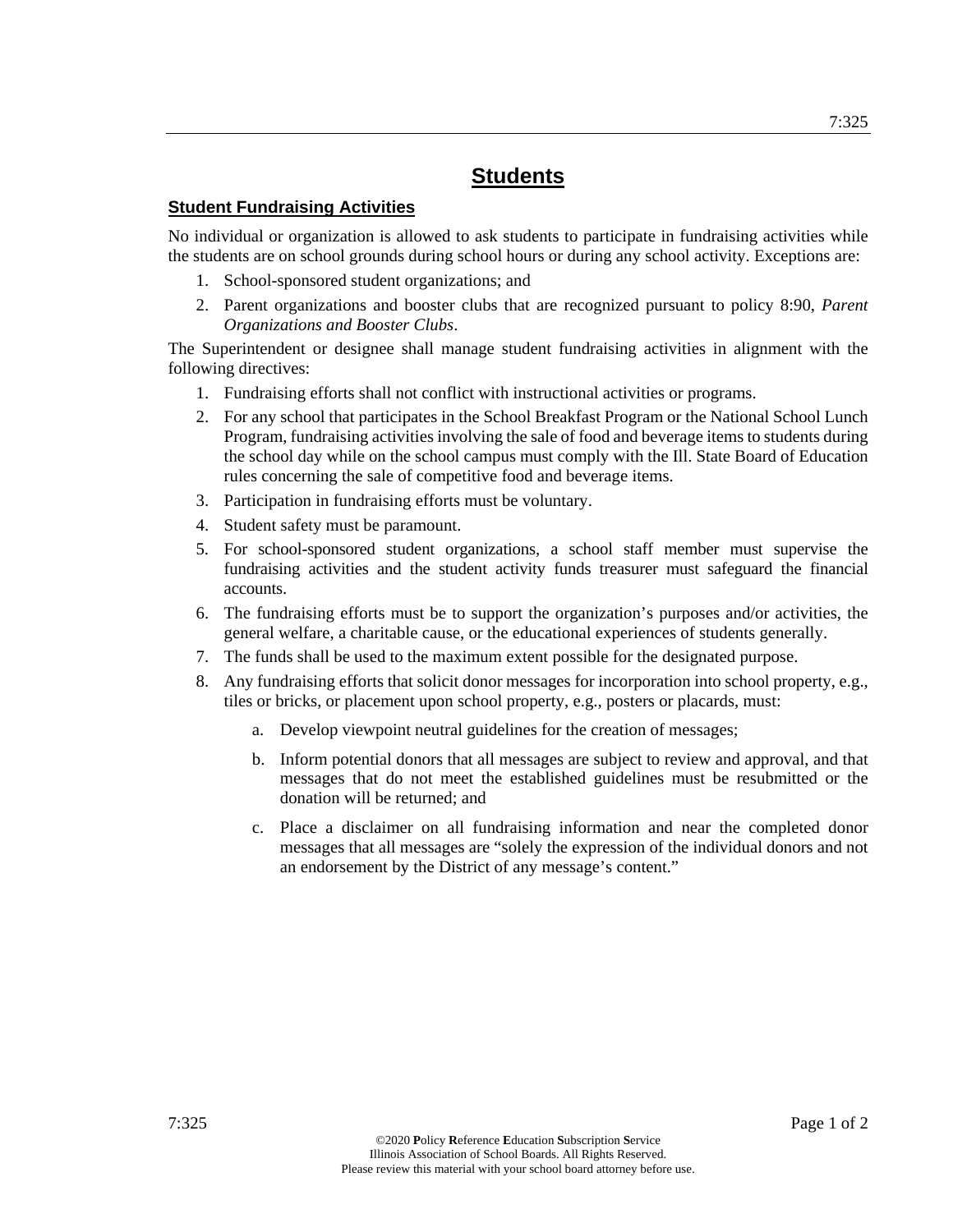# **Student Fundraising Activities**

No individual or organization is allowed to ask students to participate in fundraising activities while the students are on school grounds during school hours or during any school activity. Exceptions are:

- 1. School-sponsored student organizations; and
- 2. Parent organizations and booster clubs that are recognized pursuant to policy 8:90, *Parent Organizations and Booster Clubs*.

The Superintendent or designee shall manage student fundraising activities in alignment with the following directives:

- 1. Fundraising efforts shall not conflict with instructional activities or programs.
- 2. For any school that participates in the School Breakfast Program or the National School Lunch Program, fundraising activities involving the sale of food and beverage items to students during the school day while on the school campus must comply with the Ill. State Board of Education rules concerning the sale of competitive food and beverage items.
- 3. Participation in fundraising efforts must be voluntary.
- 4. Student safety must be paramount.
- 5. For school-sponsored student organizations, a school staff member must supervise the fundraising activities and the student activity funds treasurer must safeguard the financial accounts.
- 6. The fundraising efforts must be to support the organization's purposes and/or activities, the general welfare, a charitable cause, or the educational experiences of students generally.
- 7. The funds shall be used to the maximum extent possible for the designated purpose.
- 8. Any fundraising efforts that solicit donor messages for incorporation into school property, e.g., tiles or bricks, or placement upon school property, e.g., posters or placards, must:
	- a. Develop viewpoint neutral guidelines for the creation of messages;
	- b. Inform potential donors that all messages are subject to review and approval, and that messages that do not meet the established guidelines must be resubmitted or the donation will be returned; and
	- c. Place a disclaimer on all fundraising information and near the completed donor messages that all messages are "solely the expression of the individual donors and not an endorsement by the District of any message's content."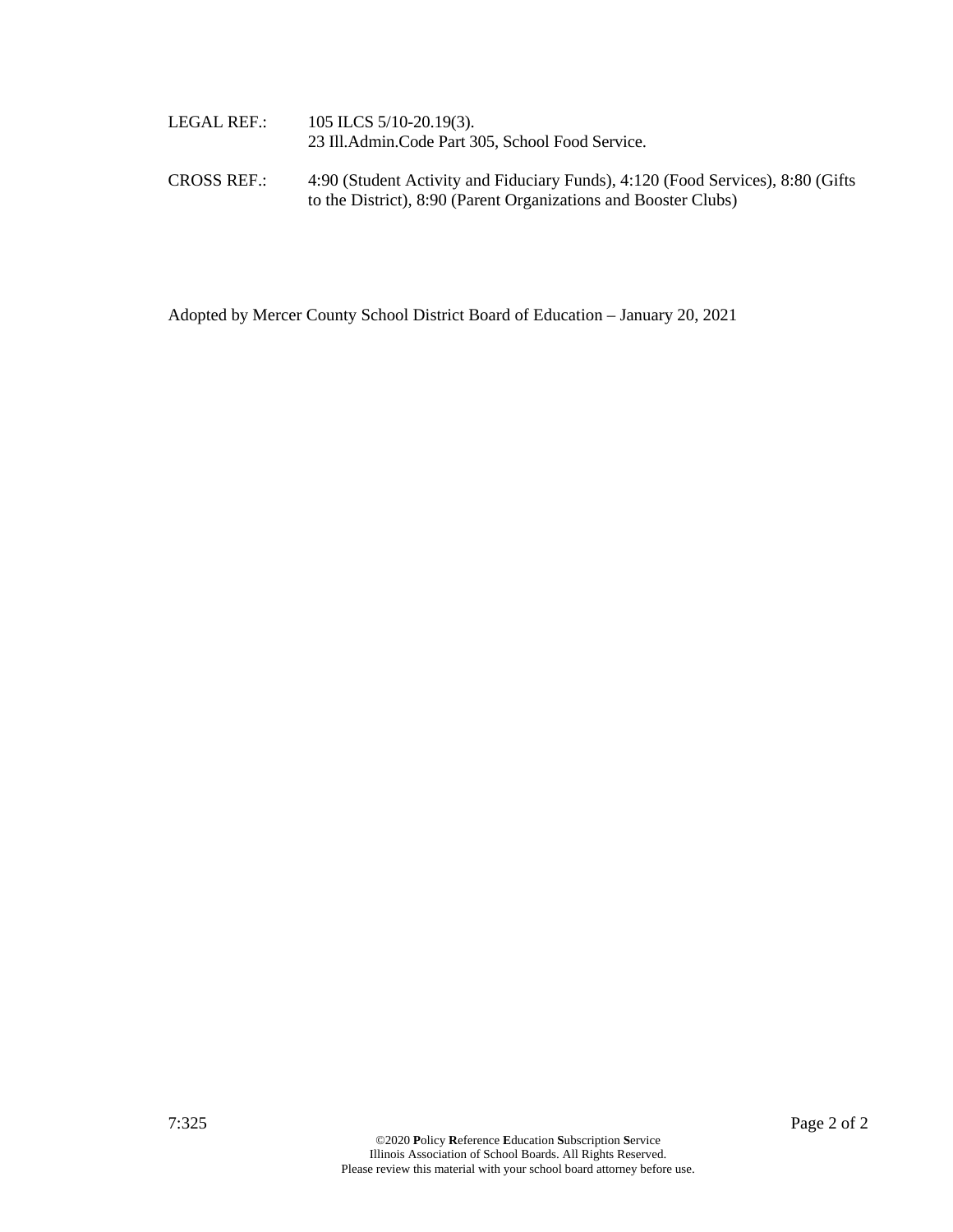| LEGAL REF.: | 105 ILCS $5/10-20.19(3)$ .<br>23 Ill. Admin. Code Part 305, School Food Service. |
|-------------|----------------------------------------------------------------------------------|

CROSS REF.: 4:90 (Student Activity and Fiduciary Funds), 4:120 (Food Services), 8:80 (Gifts to the District), 8:90 (Parent Organizations and Booster Clubs)

Adopted by Mercer County School District Board of Education – January 20, 2021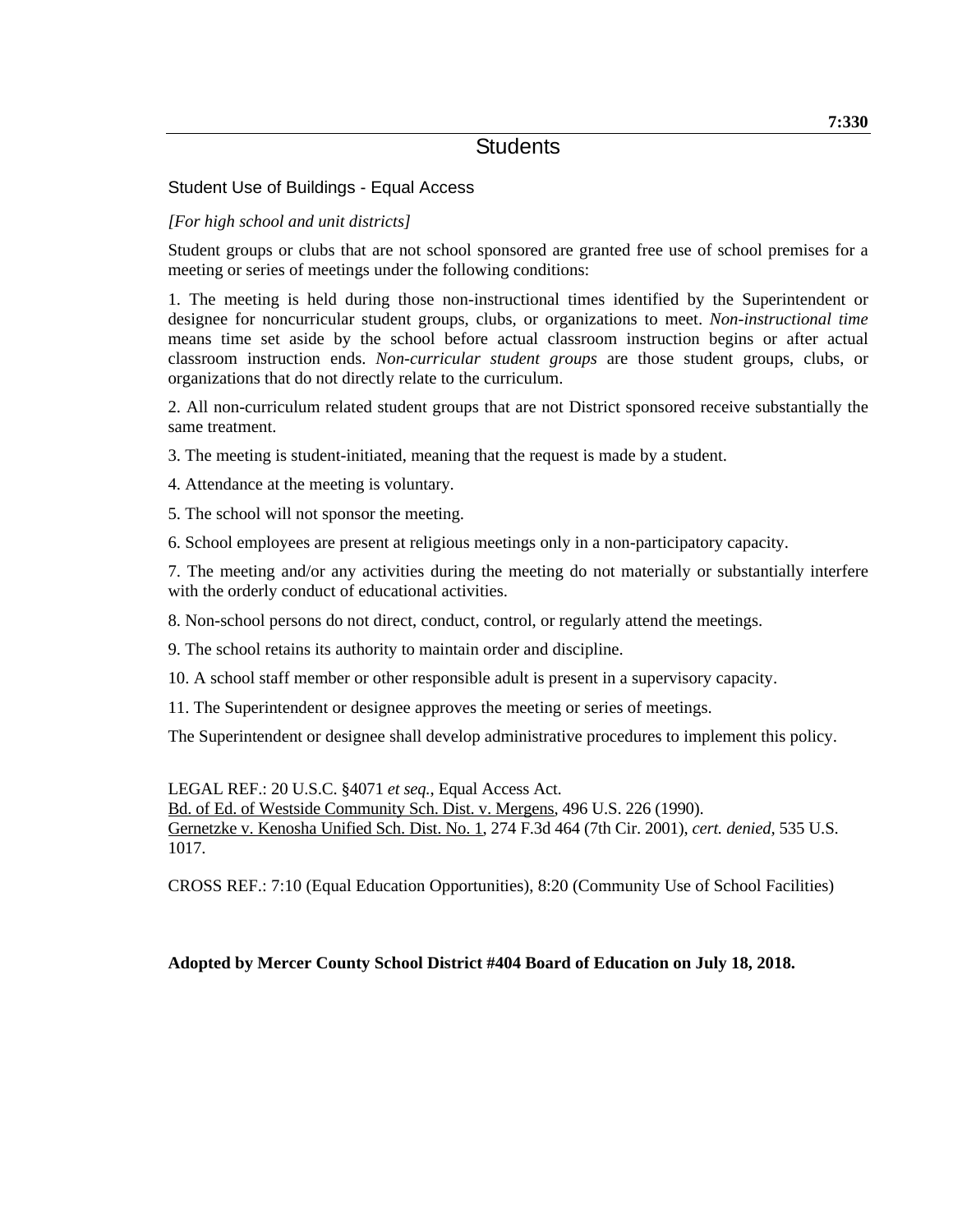# Student Use of Buildings - Equal Access

## *[For high school and unit districts]*

Student groups or clubs that are not school sponsored are granted free use of school premises for a meeting or series of meetings under the following conditions:

1. The meeting is held during those non-instructional times identified by the Superintendent or designee for noncurricular student groups, clubs, or organizations to meet. *Non-instructional time* means time set aside by the school before actual classroom instruction begins or after actual classroom instruction ends. *Non-curricular student groups* are those student groups, clubs, or organizations that do not directly relate to the curriculum.

2. All non-curriculum related student groups that are not District sponsored receive substantially the same treatment.

3. The meeting is student-initiated, meaning that the request is made by a student.

4. Attendance at the meeting is voluntary.

5. The school will not sponsor the meeting.

6. School employees are present at religious meetings only in a non-participatory capacity.

7. The meeting and/or any activities during the meeting do not materially or substantially interfere with the orderly conduct of educational activities.

8. Non-school persons do not direct, conduct, control, or regularly attend the meetings.

9. The school retains its authority to maintain order and discipline.

10. A school staff member or other responsible adult is present in a supervisory capacity.

11. The Superintendent or designee approves the meeting or series of meetings.

The Superintendent or designee shall develop administrative procedures to implement this policy.

LEGAL REF.: 20 U.S.C. §4071 *et seq.*, Equal Access Act. Bd. of Ed. of Westside Community Sch. Dist. v. Mergens, 496 U.S. 226 (1990). Gernetzke v. Kenosha Unified Sch. Dist. No. 1, 274 F.3d 464 (7th Cir. 2001), *cert. denied,* 535 U.S. 1017.

CROSS REF.: 7:10 (Equal Education Opportunities), 8:20 (Community Use of School Facilities)

### **Adopted by Mercer County School District #404 Board of Education on July 18, 2018.**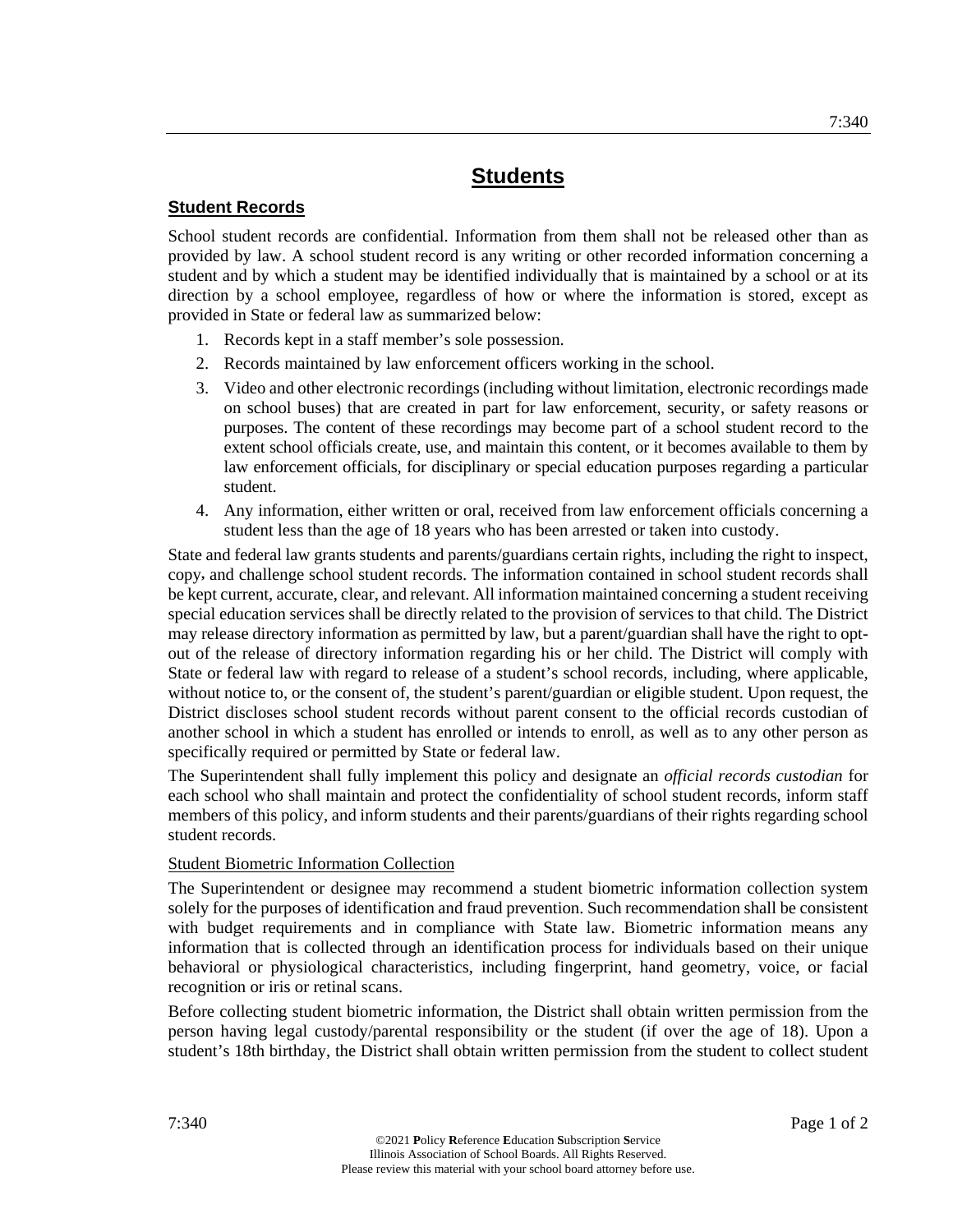### **Student Records**

School student records are confidential. Information from them shall not be released other than as provided by law. A school student record is any writing or other recorded information concerning a student and by which a student may be identified individually that is maintained by a school or at its direction by a school employee, regardless of how or where the information is stored, except as provided in State or federal law as summarized below:

- 1. Records kept in a staff member's sole possession.
- 2. Records maintained by law enforcement officers working in the school.
- 3. Video and other electronic recordings (including without limitation, electronic recordings made on school buses) that are created in part for law enforcement, security, or safety reasons or purposes. The content of these recordings may become part of a school student record to the extent school officials create, use, and maintain this content, or it becomes available to them by law enforcement officials, for disciplinary or special education purposes regarding a particular student.
- 4. Any information, either written or oral, received from law enforcement officials concerning a student less than the age of 18 years who has been arrested or taken into custody.

State and federal law grants students and parents/guardians certain rights, including the right to inspect, copy**,** and challenge school student records. The information contained in school student records shall be kept current, accurate, clear, and relevant. All information maintained concerning a student receiving special education services shall be directly related to the provision of services to that child. The District may release directory information as permitted by law, but a parent/guardian shall have the right to optout of the release of directory information regarding his or her child. The District will comply with State or federal law with regard to release of a student's school records, including, where applicable, without notice to, or the consent of, the student's parent/guardian or eligible student. Upon request, the District discloses school student records without parent consent to the official records custodian of another school in which a student has enrolled or intends to enroll, as well as to any other person as specifically required or permitted by State or federal law.

The Superintendent shall fully implement this policy and designate an *official records custodian* for each school who shall maintain and protect the confidentiality of school student records, inform staff members of this policy, and inform students and their parents/guardians of their rights regarding school student records.

### Student Biometric Information Collection

The Superintendent or designee may recommend a student biometric information collection system solely for the purposes of identification and fraud prevention. Such recommendation shall be consistent with budget requirements and in compliance with State law. Biometric information means any information that is collected through an identification process for individuals based on their unique behavioral or physiological characteristics, including fingerprint, hand geometry, voice, or facial recognition or iris or retinal scans.

Before collecting student biometric information, the District shall obtain written permission from the person having legal custody/parental responsibility or the student (if over the age of 18). Upon a student's 18th birthday, the District shall obtain written permission from the student to collect student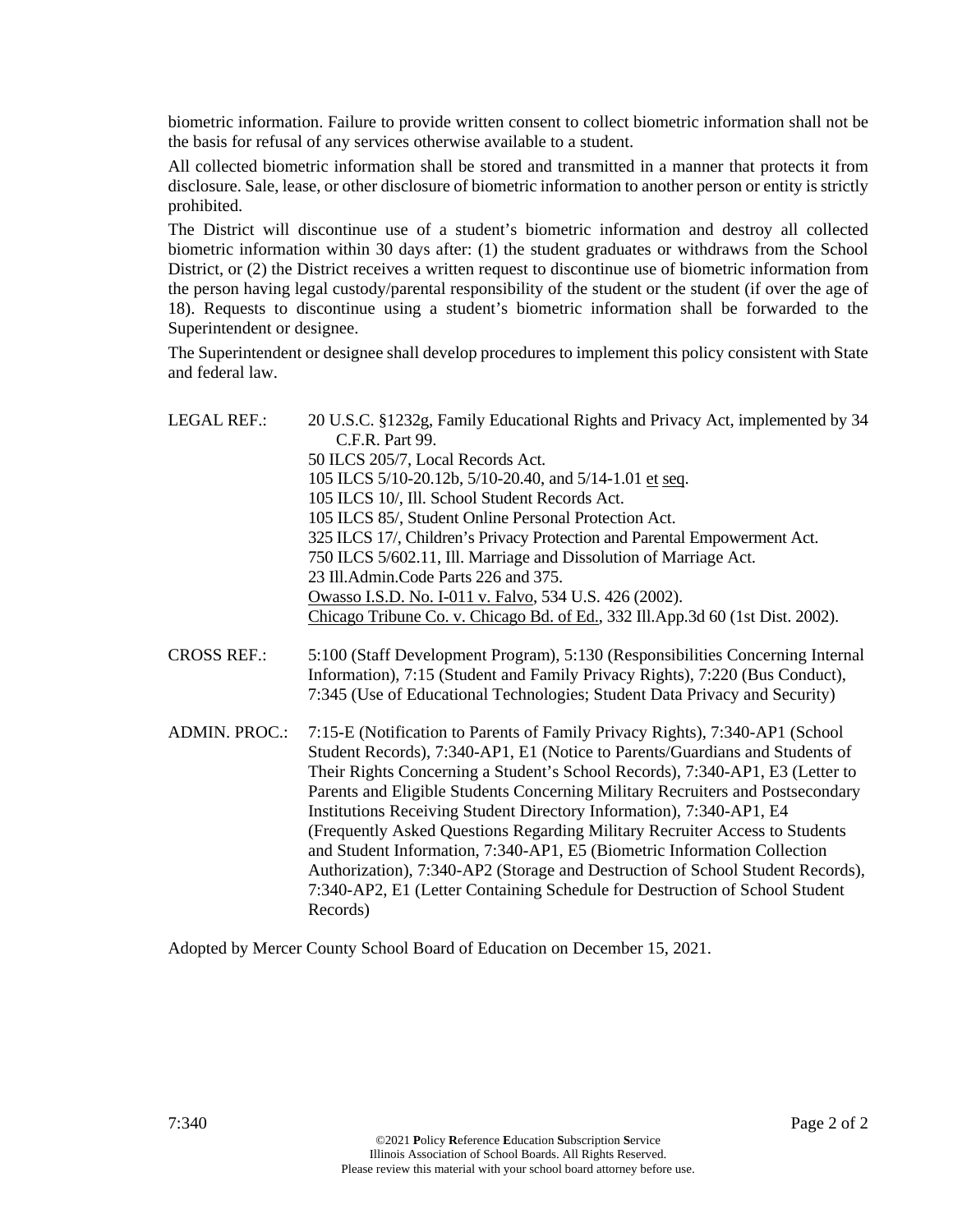biometric information. Failure to provide written consent to collect biometric information shall not be the basis for refusal of any services otherwise available to a student.

All collected biometric information shall be stored and transmitted in a manner that protects it from disclosure. Sale, lease, or other disclosure of biometric information to another person or entity is strictly prohibited.

The District will discontinue use of a student's biometric information and destroy all collected biometric information within 30 days after: (1) the student graduates or withdraws from the School District, or (2) the District receives a written request to discontinue use of biometric information from the person having legal custody/parental responsibility of the student or the student (if over the age of 18). Requests to discontinue using a student's biometric information shall be forwarded to the Superintendent or designee.

The Superintendent or designee shall develop procedures to implement this policy consistent with State and federal law.

| <b>LEGAL REF.:</b>   | 20 U.S.C. §1232g, Family Educational Rights and Privacy Act, implemented by 34<br>C.F.R. Part 99.                                                                                                                                                                                                                                                                                                                                                                                                                                                                                                                                                                                                                                               |
|----------------------|-------------------------------------------------------------------------------------------------------------------------------------------------------------------------------------------------------------------------------------------------------------------------------------------------------------------------------------------------------------------------------------------------------------------------------------------------------------------------------------------------------------------------------------------------------------------------------------------------------------------------------------------------------------------------------------------------------------------------------------------------|
|                      | 50 ILCS 205/7, Local Records Act.                                                                                                                                                                                                                                                                                                                                                                                                                                                                                                                                                                                                                                                                                                               |
|                      | 105 ILCS 5/10-20.12b, 5/10-20.40, and 5/14-1.01 et seq.                                                                                                                                                                                                                                                                                                                                                                                                                                                                                                                                                                                                                                                                                         |
|                      | 105 ILCS 10/, Ill. School Student Records Act.                                                                                                                                                                                                                                                                                                                                                                                                                                                                                                                                                                                                                                                                                                  |
|                      | 105 ILCS 85/, Student Online Personal Protection Act.                                                                                                                                                                                                                                                                                                                                                                                                                                                                                                                                                                                                                                                                                           |
|                      | 325 ILCS 17/, Children's Privacy Protection and Parental Empowerment Act.                                                                                                                                                                                                                                                                                                                                                                                                                                                                                                                                                                                                                                                                       |
|                      | 750 ILCS 5/602.11, Ill. Marriage and Dissolution of Marriage Act.                                                                                                                                                                                                                                                                                                                                                                                                                                                                                                                                                                                                                                                                               |
|                      | 23 Ill.Admin.Code Parts 226 and 375.                                                                                                                                                                                                                                                                                                                                                                                                                                                                                                                                                                                                                                                                                                            |
|                      | Owasso I.S.D. No. I-011 v. Falvo, 534 U.S. 426 (2002).                                                                                                                                                                                                                                                                                                                                                                                                                                                                                                                                                                                                                                                                                          |
|                      | Chicago Tribune Co. v. Chicago Bd. of Ed., 332 Ill.App.3d 60 (1st Dist. 2002).                                                                                                                                                                                                                                                                                                                                                                                                                                                                                                                                                                                                                                                                  |
| <b>CROSS REF.:</b>   | 5:100 (Staff Development Program), 5:130 (Responsibilities Concerning Internal<br>Information), 7:15 (Student and Family Privacy Rights), 7:220 (Bus Conduct),<br>7:345 (Use of Educational Technologies; Student Data Privacy and Security)                                                                                                                                                                                                                                                                                                                                                                                                                                                                                                    |
| <b>ADMIN. PROC.:</b> | 7:15-E (Notification to Parents of Family Privacy Rights), 7:340-AP1 (School<br>Student Records), 7:340-AP1, E1 (Notice to Parents/Guardians and Students of<br>Their Rights Concerning a Student's School Records), 7:340-AP1, E3 (Letter to<br>Parents and Eligible Students Concerning Military Recruiters and Postsecondary<br>Institutions Receiving Student Directory Information), 7:340-AP1, E4<br>(Frequently Asked Questions Regarding Military Recruiter Access to Students<br>and Student Information, 7:340-AP1, E5 (Biometric Information Collection<br>Authorization), 7:340-AP2 (Storage and Destruction of School Student Records),<br>7:340-AP2, E1 (Letter Containing Schedule for Destruction of School Student<br>Records) |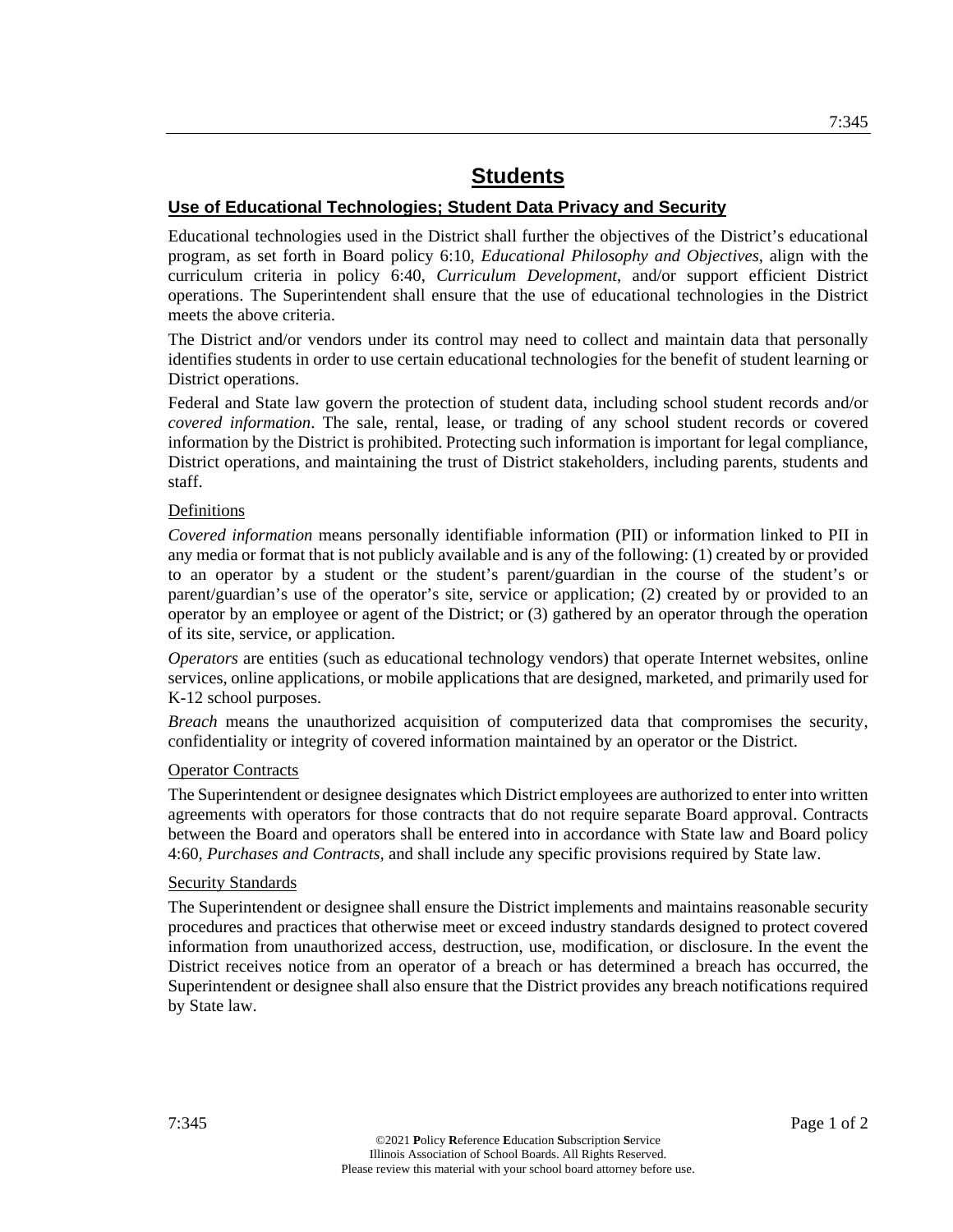### **Use of Educational Technologies; Student Data Privacy and Security**

Educational technologies used in the District shall further the objectives of the District's educational program, as set forth in Board policy 6:10, *Educational Philosophy and Objectives*, align with the curriculum criteria in policy 6:40, *Curriculum Development*, and/or support efficient District operations. The Superintendent shall ensure that the use of educational technologies in the District meets the above criteria.

The District and/or vendors under its control may need to collect and maintain data that personally identifies students in order to use certain educational technologies for the benefit of student learning or District operations.

Federal and State law govern the protection of student data, including school student records and/or *covered information*. The sale, rental, lease, or trading of any school student records or covered information by the District is prohibited. Protecting such information is important for legal compliance, District operations, and maintaining the trust of District stakeholders, including parents, students and staff.

### Definitions

*Covered information* means personally identifiable information (PII) or information linked to PII in any media or format that is not publicly available and is any of the following: (1) created by or provided to an operator by a student or the student's parent/guardian in the course of the student's or parent/guardian's use of the operator's site, service or application; (2) created by or provided to an operator by an employee or agent of the District; or (3) gathered by an operator through the operation of its site, service, or application.

*Operators* are entities (such as educational technology vendors) that operate Internet websites, online services, online applications, or mobile applications that are designed, marketed, and primarily used for K-12 school purposes.

*Breach* means the unauthorized acquisition of computerized data that compromises the security, confidentiality or integrity of covered information maintained by an operator or the District.

### **Operator Contracts**

The Superintendent or designee designates which District employees are authorized to enter into written agreements with operators for those contracts that do not require separate Board approval. Contracts between the Board and operators shall be entered into in accordance with State law and Board policy 4:60, *Purchases and Contracts,* and shall include any specific provisions required by State law.

#### Security Standards

The Superintendent or designee shall ensure the District implements and maintains reasonable security procedures and practices that otherwise meet or exceed industry standards designed to protect covered information from unauthorized access, destruction, use, modification, or disclosure. In the event the District receives notice from an operator of a breach or has determined a breach has occurred, the Superintendent or designee shall also ensure that the District provides any breach notifications required by State law.